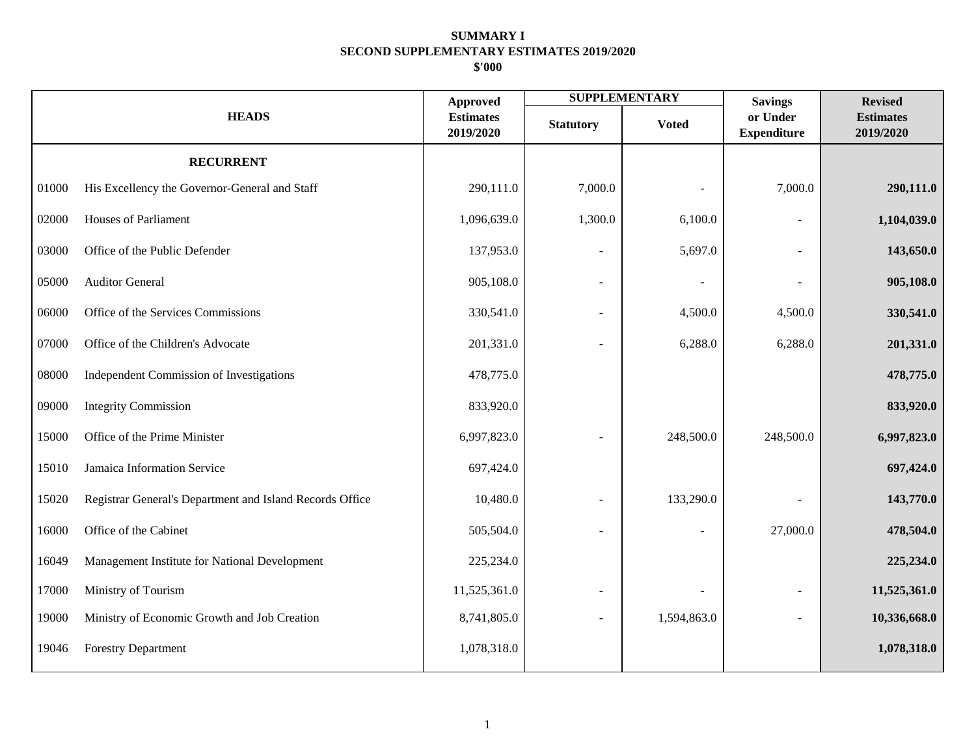|       |                                                          | <b>Approved</b>               |                          | <b>SUPPLEMENTARY</b> | <b>Savings</b>                 | <b>Revised</b>                |
|-------|----------------------------------------------------------|-------------------------------|--------------------------|----------------------|--------------------------------|-------------------------------|
|       | <b>HEADS</b>                                             | <b>Estimates</b><br>2019/2020 | <b>Statutory</b>         | <b>Voted</b>         | or Under<br><b>Expenditure</b> | <b>Estimates</b><br>2019/2020 |
|       | <b>RECURRENT</b>                                         |                               |                          |                      |                                |                               |
| 01000 | His Excellency the Governor-General and Staff            | 290,111.0                     | 7,000.0                  |                      | 7,000.0                        | 290,111.0                     |
| 02000 | <b>Houses of Parliament</b>                              | 1,096,639.0                   | 1,300.0                  | 6,100.0              |                                | 1,104,039.0                   |
| 03000 | Office of the Public Defender                            | 137,953.0                     |                          | 5,697.0              |                                | 143,650.0                     |
| 05000 | <b>Auditor General</b>                                   | 905,108.0                     | $\overline{\phantom{a}}$ |                      |                                | 905,108.0                     |
| 06000 | Office of the Services Commissions                       | 330,541.0                     | $\overline{\phantom{a}}$ | 4,500.0              | 4,500.0                        | 330,541.0                     |
| 07000 | Office of the Children's Advocate                        | 201,331.0                     | $\overline{\phantom{a}}$ | 6,288.0              | 6,288.0                        | 201,331.0                     |
| 08000 | Independent Commission of Investigations                 | 478,775.0                     |                          |                      |                                | 478,775.0                     |
| 09000 | <b>Integrity Commission</b>                              | 833,920.0                     |                          |                      |                                | 833,920.0                     |
| 15000 | Office of the Prime Minister                             | 6,997,823.0                   | $\overline{\phantom{a}}$ | 248,500.0            | 248,500.0                      | 6,997,823.0                   |
| 15010 | Jamaica Information Service                              | 697,424.0                     |                          |                      |                                | 697,424.0                     |
| 15020 | Registrar General's Department and Island Records Office | 10,480.0                      |                          | 133,290.0            |                                | 143,770.0                     |
| 16000 | Office of the Cabinet                                    | 505,504.0                     | $\overline{\phantom{a}}$ |                      | 27,000.0                       | 478,504.0                     |
| 16049 | Management Institute for National Development            | 225,234.0                     |                          |                      |                                | 225,234.0                     |
| 17000 | Ministry of Tourism                                      | 11,525,361.0                  |                          |                      |                                | 11,525,361.0                  |
| 19000 | Ministry of Economic Growth and Job Creation             | 8,741,805.0                   |                          | 1,594,863.0          |                                | 10,336,668.0                  |
| 19046 | <b>Forestry Department</b>                               | 1,078,318.0                   |                          |                      |                                | 1,078,318.0                   |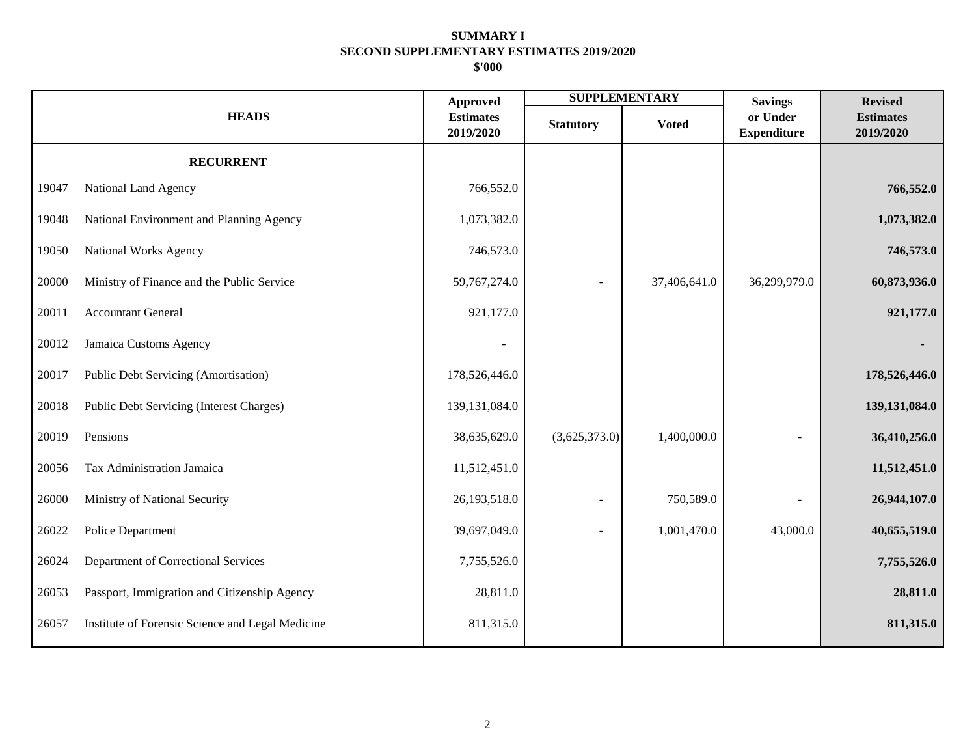|       |                                                  | <b>Approved</b>               | <b>SUPPLEMENTARY</b> |              | <b>Savings</b>                 | <b>Revised</b>                |
|-------|--------------------------------------------------|-------------------------------|----------------------|--------------|--------------------------------|-------------------------------|
|       | <b>HEADS</b>                                     | <b>Estimates</b><br>2019/2020 | <b>Statutory</b>     | <b>Voted</b> | or Under<br><b>Expenditure</b> | <b>Estimates</b><br>2019/2020 |
|       | <b>RECURRENT</b>                                 |                               |                      |              |                                |                               |
| 19047 | National Land Agency                             | 766,552.0                     |                      |              |                                | 766,552.0                     |
| 19048 | National Environment and Planning Agency         | 1,073,382.0                   |                      |              |                                | 1,073,382.0                   |
| 19050 | National Works Agency                            | 746,573.0                     |                      |              |                                | 746,573.0                     |
| 20000 | Ministry of Finance and the Public Service       | 59,767,274.0                  |                      | 37,406,641.0 | 36,299,979.0                   | 60,873,936.0                  |
| 20011 | <b>Accountant General</b>                        | 921,177.0                     |                      |              |                                | 921,177.0                     |
| 20012 | Jamaica Customs Agency                           |                               |                      |              |                                |                               |
| 20017 | Public Debt Servicing (Amortisation)             | 178,526,446.0                 |                      |              |                                | 178,526,446.0                 |
| 20018 | Public Debt Servicing (Interest Charges)         | 139, 131, 084. 0              |                      |              |                                | 139,131,084.0                 |
| 20019 | Pensions                                         | 38,635,629.0                  | (3,625,373.0)        | 1,400,000.0  |                                | 36,410,256.0                  |
| 20056 | Tax Administration Jamaica                       | 11,512,451.0                  |                      |              |                                | 11,512,451.0                  |
| 26000 | Ministry of National Security                    | 26,193,518.0                  |                      | 750,589.0    |                                | 26,944,107.0                  |
| 26022 | Police Department                                | 39,697,049.0                  |                      | 1,001,470.0  | 43,000.0                       | 40,655,519.0                  |
| 26024 | Department of Correctional Services              | 7,755,526.0                   |                      |              |                                | 7,755,526.0                   |
| 26053 | Passport, Immigration and Citizenship Agency     | 28,811.0                      |                      |              |                                | 28,811.0                      |
| 26057 | Institute of Forensic Science and Legal Medicine | 811,315.0                     |                      |              |                                | 811,315.0                     |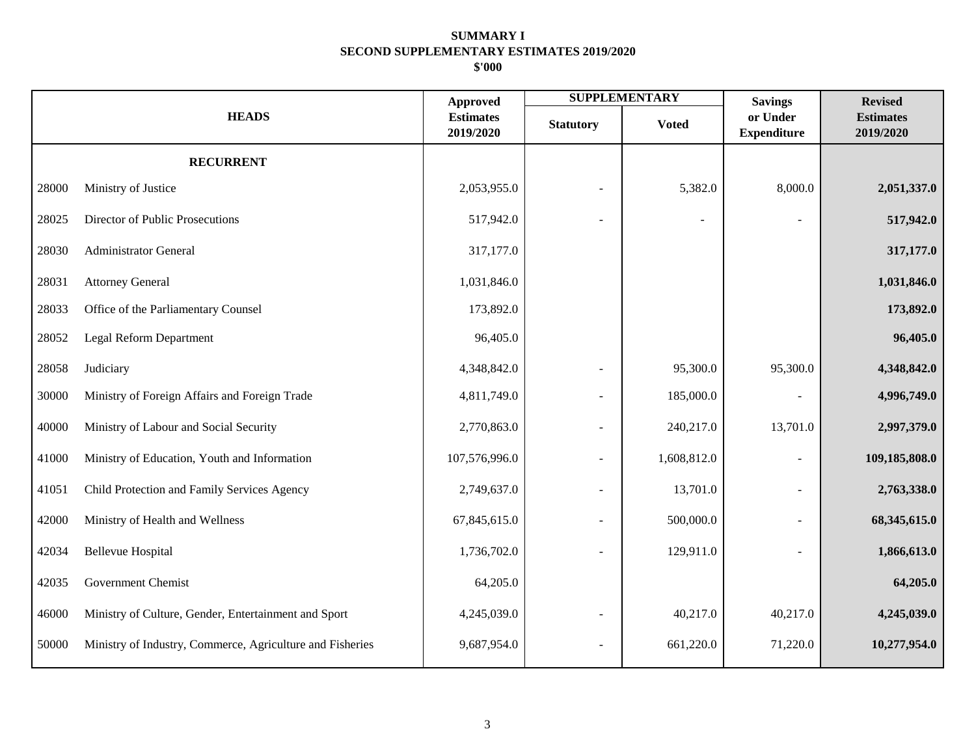|       |                                                           | <b>Approved</b>               |                          | <b>SUPPLEMENTARY</b> | <b>Savings</b>                 | <b>Revised</b>                |
|-------|-----------------------------------------------------------|-------------------------------|--------------------------|----------------------|--------------------------------|-------------------------------|
|       | <b>HEADS</b>                                              | <b>Estimates</b><br>2019/2020 | <b>Statutory</b>         | <b>Voted</b>         | or Under<br><b>Expenditure</b> | <b>Estimates</b><br>2019/2020 |
|       | <b>RECURRENT</b>                                          |                               |                          |                      |                                |                               |
| 28000 | Ministry of Justice                                       | 2,053,955.0                   |                          | 5,382.0              | 8,000.0                        | 2,051,337.0                   |
| 28025 | Director of Public Prosecutions                           | 517,942.0                     |                          |                      |                                | 517,942.0                     |
| 28030 | <b>Administrator General</b>                              | 317,177.0                     |                          |                      |                                | 317,177.0                     |
| 28031 | <b>Attorney General</b>                                   | 1,031,846.0                   |                          |                      |                                | 1,031,846.0                   |
| 28033 | Office of the Parliamentary Counsel                       | 173,892.0                     |                          |                      |                                | 173,892.0                     |
| 28052 | Legal Reform Department                                   | 96,405.0                      |                          |                      |                                | 96,405.0                      |
| 28058 | Judiciary                                                 | 4,348,842.0                   |                          | 95,300.0             | 95,300.0                       | 4,348,842.0                   |
| 30000 | Ministry of Foreign Affairs and Foreign Trade             | 4,811,749.0                   |                          | 185,000.0            |                                | 4,996,749.0                   |
| 40000 | Ministry of Labour and Social Security                    | 2,770,863.0                   | $\overline{\phantom{a}}$ | 240,217.0            | 13,701.0                       | 2,997,379.0                   |
| 41000 | Ministry of Education, Youth and Information              | 107,576,996.0                 |                          | 1,608,812.0          |                                | 109,185,808.0                 |
| 41051 | Child Protection and Family Services Agency               | 2,749,637.0                   |                          | 13,701.0             |                                | 2,763,338.0                   |
| 42000 | Ministry of Health and Wellness                           | 67,845,615.0                  |                          | 500,000.0            |                                | 68,345,615.0                  |
| 42034 | <b>Bellevue Hospital</b>                                  | 1,736,702.0                   |                          | 129,911.0            |                                | 1,866,613.0                   |
| 42035 | <b>Government Chemist</b>                                 | 64,205.0                      |                          |                      |                                | 64,205.0                      |
| 46000 | Ministry of Culture, Gender, Entertainment and Sport      | 4,245,039.0                   |                          | 40,217.0             | 40,217.0                       | 4,245,039.0                   |
| 50000 | Ministry of Industry, Commerce, Agriculture and Fisheries | 9,687,954.0                   | $\overline{\phantom{a}}$ | 661,220.0            | 71,220.0                       | 10,277,954.0                  |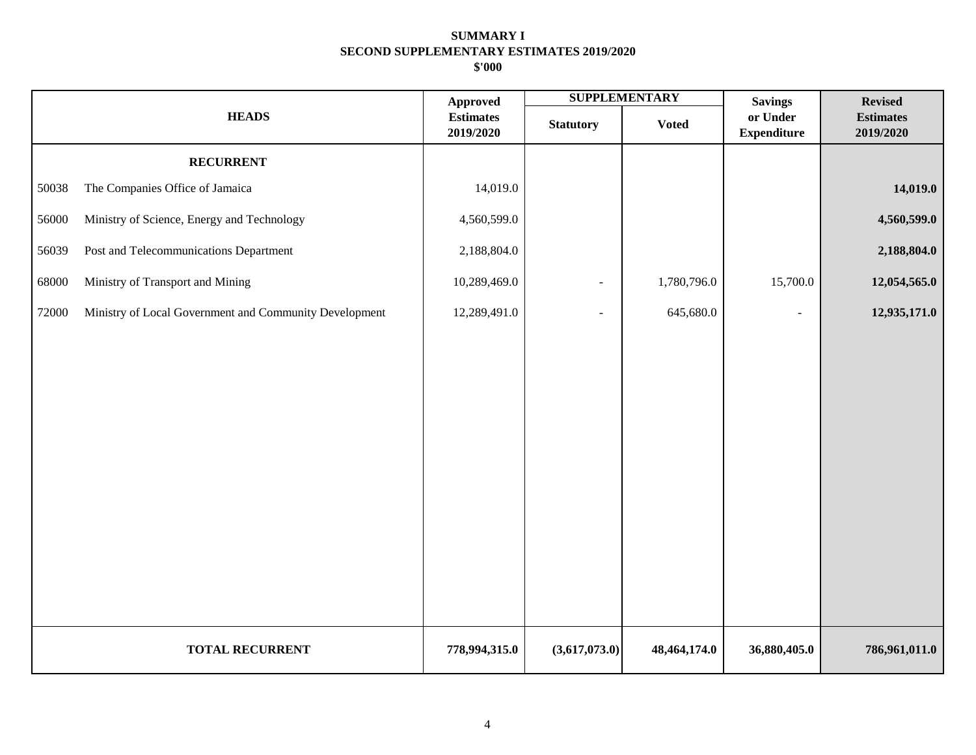|       |                                                        | <b>Approved</b>               |                  | <b>SUPPLEMENTARY</b> | <b>Savings</b>                 | <b>Revised</b>                |
|-------|--------------------------------------------------------|-------------------------------|------------------|----------------------|--------------------------------|-------------------------------|
|       | <b>HEADS</b>                                           | <b>Estimates</b><br>2019/2020 | <b>Statutory</b> | <b>Voted</b>         | or Under<br><b>Expenditure</b> | <b>Estimates</b><br>2019/2020 |
|       | <b>RECURRENT</b>                                       |                               |                  |                      |                                |                               |
| 50038 | The Companies Office of Jamaica                        | 14,019.0                      |                  |                      |                                | 14,019.0                      |
| 56000 | Ministry of Science, Energy and Technology             | 4,560,599.0                   |                  |                      |                                | 4,560,599.0                   |
| 56039 | Post and Telecommunications Department                 | 2,188,804.0                   |                  |                      |                                | 2,188,804.0                   |
| 68000 | Ministry of Transport and Mining                       | 10,289,469.0                  | $\blacksquare$   | 1,780,796.0          | 15,700.0                       | 12,054,565.0                  |
| 72000 | Ministry of Local Government and Community Development | 12,289,491.0                  | ÷                | 645,680.0            | $\sim$                         | 12,935,171.0                  |
|       |                                                        |                               |                  |                      |                                |                               |
|       |                                                        |                               |                  |                      |                                |                               |
|       |                                                        |                               |                  |                      |                                |                               |
|       |                                                        |                               |                  |                      |                                |                               |
|       |                                                        |                               |                  |                      |                                |                               |
|       |                                                        |                               |                  |                      |                                |                               |
|       |                                                        |                               |                  |                      |                                |                               |
|       |                                                        |                               |                  |                      |                                |                               |
|       |                                                        |                               |                  |                      |                                |                               |
|       |                                                        |                               |                  |                      |                                |                               |
|       | <b>TOTAL RECURRENT</b>                                 | 778,994,315.0                 | (3,617,073.0)    | 48,464,174.0         | 36,880,405.0                   | 786,961,011.0                 |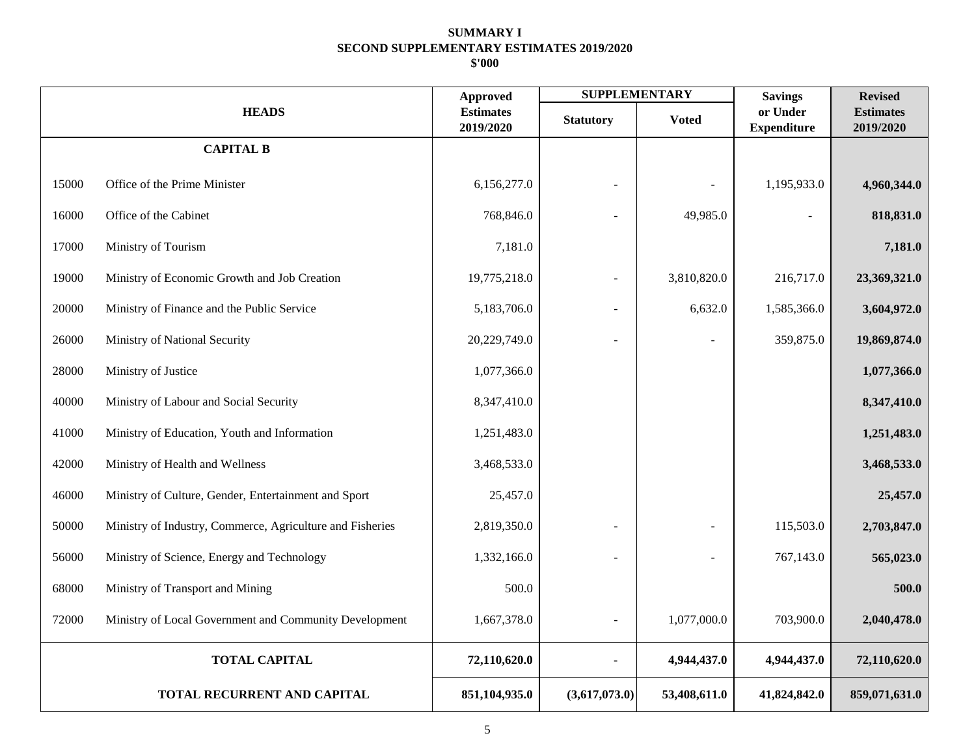|       |                                                           | <b>Approved</b>               | <b>SUPPLEMENTARY</b> |              | <b>Savings</b>                 | <b>Revised</b>                |
|-------|-----------------------------------------------------------|-------------------------------|----------------------|--------------|--------------------------------|-------------------------------|
|       | <b>HEADS</b>                                              | <b>Estimates</b><br>2019/2020 | <b>Statutory</b>     | <b>Voted</b> | or Under<br><b>Expenditure</b> | <b>Estimates</b><br>2019/2020 |
|       | <b>CAPITAL B</b>                                          |                               |                      |              |                                |                               |
| 15000 | Office of the Prime Minister                              | 6,156,277.0                   |                      |              | 1,195,933.0                    | 4,960,344.0                   |
| 16000 | Office of the Cabinet                                     | 768,846.0                     |                      | 49,985.0     |                                | 818,831.0                     |
| 17000 | Ministry of Tourism                                       | 7,181.0                       |                      |              |                                | 7,181.0                       |
| 19000 | Ministry of Economic Growth and Job Creation              | 19,775,218.0                  | 3,810,820.0          |              | 216,717.0                      | 23,369,321.0                  |
| 20000 | Ministry of Finance and the Public Service                | 5,183,706.0                   | $\sim$               | 6,632.0      | 1,585,366.0                    | 3,604,972.0                   |
| 26000 | Ministry of National Security                             | 20,229,749.0                  |                      |              | 359,875.0                      | 19,869,874.0                  |
| 28000 | Ministry of Justice                                       | 1,077,366.0                   |                      |              |                                | 1,077,366.0                   |
| 40000 | Ministry of Labour and Social Security                    | 8,347,410.0                   |                      |              |                                | 8,347,410.0                   |
| 41000 | Ministry of Education, Youth and Information              | 1,251,483.0                   |                      |              |                                | 1,251,483.0                   |
| 42000 | Ministry of Health and Wellness                           | 3,468,533.0                   |                      |              |                                | 3,468,533.0                   |
| 46000 | Ministry of Culture, Gender, Entertainment and Sport      | 25,457.0                      |                      |              |                                | 25,457.0                      |
| 50000 | Ministry of Industry, Commerce, Agriculture and Fisheries | 2,819,350.0                   |                      |              | 115,503.0                      | 2,703,847.0                   |
| 56000 | Ministry of Science, Energy and Technology                | 1,332,166.0                   |                      |              | 767,143.0                      | 565,023.0                     |
| 68000 | Ministry of Transport and Mining                          | 500.0                         |                      |              |                                | 500.0                         |
| 72000 | Ministry of Local Government and Community Development    | 1,667,378.0                   | $\sim$               | 1,077,000.0  | 703,900.0                      | 2,040,478.0                   |
|       | <b>TOTAL CAPITAL</b>                                      | 72,110,620.0                  |                      | 4,944,437.0  | 4,944,437.0                    | 72,110,620.0                  |
|       | TOTAL RECURRENT AND CAPITAL                               | 851,104,935.0                 | (3,617,073.0)        | 53,408,611.0 | 41,824,842.0                   | 859,071,631.0                 |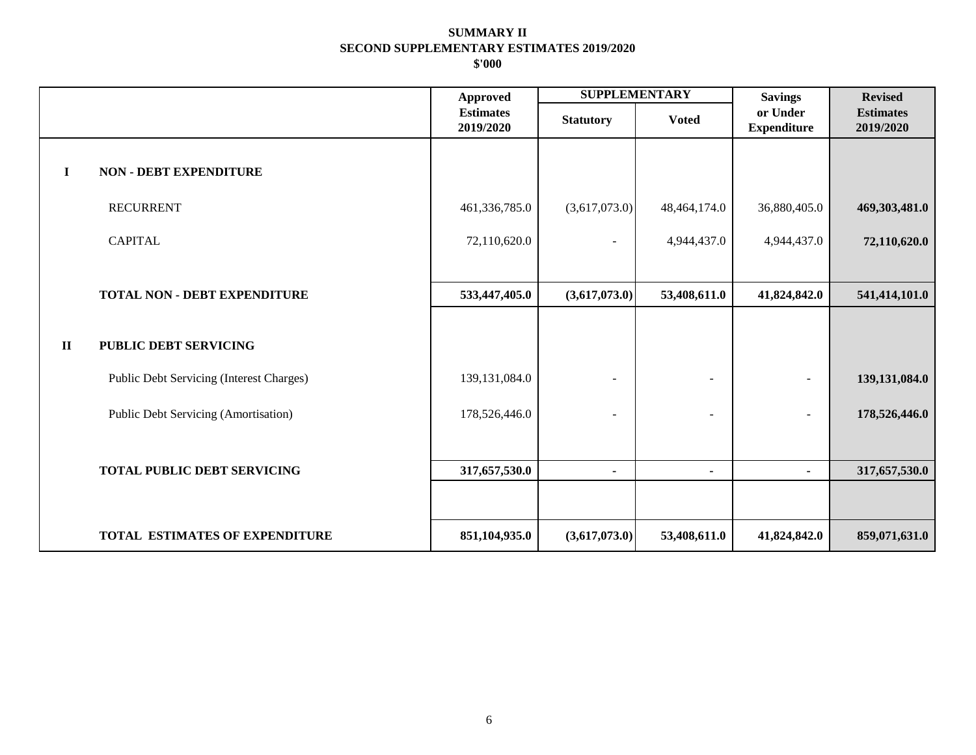|              |                                          | <b>Approved</b>               | <b>SUPPLEMENTARY</b> |                | <b>Savings</b>                 | <b>Revised</b>                |
|--------------|------------------------------------------|-------------------------------|----------------------|----------------|--------------------------------|-------------------------------|
|              |                                          | <b>Estimates</b><br>2019/2020 | <b>Statutory</b>     | <b>Voted</b>   | or Under<br><b>Expenditure</b> | <b>Estimates</b><br>2019/2020 |
| $\mathbf I$  | <b>NON - DEBT EXPENDITURE</b>            |                               |                      |                |                                |                               |
|              | <b>RECURRENT</b>                         | 461,336,785.0                 | (3,617,073.0)        | 48,464,174.0   | 36,880,405.0                   | 469,303,481.0                 |
|              | <b>CAPITAL</b>                           | 72,110,620.0                  | $\overline{a}$       | 4,944,437.0    | 4,944,437.0                    | 72,110,620.0                  |
|              |                                          |                               |                      |                |                                |                               |
|              | <b>TOTAL NON - DEBT EXPENDITURE</b>      | 533,447,405.0                 | (3,617,073.0)        | 53,408,611.0   | 41,824,842.0                   | 541,414,101.0                 |
| $\mathbf{I}$ | <b>PUBLIC DEBT SERVICING</b>             |                               |                      |                |                                |                               |
|              | Public Debt Servicing (Interest Charges) | 139, 131, 084. 0              | $\blacksquare$       |                |                                | 139, 131, 084. 0              |
|              | Public Debt Servicing (Amortisation)     | 178,526,446.0                 | ٠                    | ÷              |                                | 178,526,446.0                 |
|              |                                          |                               |                      |                |                                |                               |
|              | <b>TOTAL PUBLIC DEBT SERVICING</b>       | 317,657,530.0                 | ۰                    | $\blacksquare$ | $\blacksquare$                 | 317,657,530.0                 |
|              |                                          |                               |                      |                |                                |                               |
|              | TOTAL ESTIMATES OF EXPENDITURE           | 851,104,935.0                 | (3,617,073.0)        | 53,408,611.0   | 41,824,842.0                   | 859,071,631.0                 |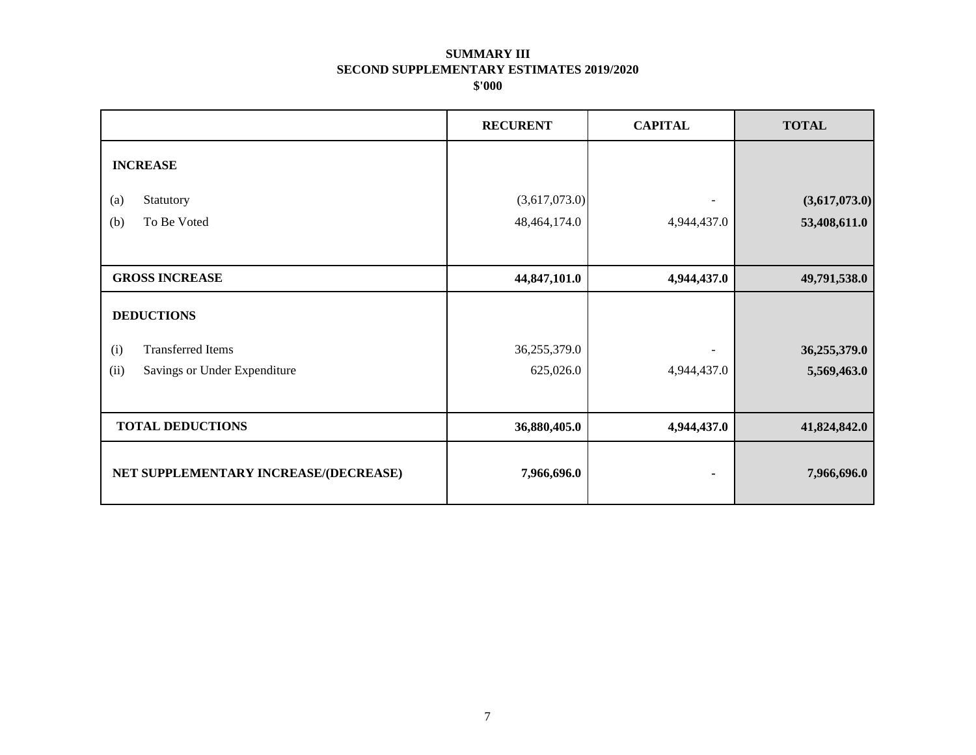|                                       | <b>RECURENT</b> | <b>CAPITAL</b> | <b>TOTAL</b>  |
|---------------------------------------|-----------------|----------------|---------------|
| <b>INCREASE</b>                       |                 |                |               |
| Statutory<br>(a)                      | (3,617,073.0)   |                | (3,617,073.0) |
| To Be Voted<br>(b)                    | 48,464,174.0    | 4,944,437.0    | 53,408,611.0  |
|                                       |                 |                |               |
| <b>GROSS INCREASE</b>                 | 44,847,101.0    | 4,944,437.0    | 49,791,538.0  |
| <b>DEDUCTIONS</b>                     |                 |                |               |
| <b>Transferred Items</b><br>(i)       | 36,255,379.0    |                | 36,255,379.0  |
| (ii)<br>Savings or Under Expenditure  | 625,026.0       | 4,944,437.0    | 5,569,463.0   |
|                                       |                 |                |               |
| <b>TOTAL DEDUCTIONS</b>               | 36,880,405.0    | 4,944,437.0    | 41,824,842.0  |
| NET SUPPLEMENTARY INCREASE/(DECREASE) | 7,966,696.0     | ٠              | 7,966,696.0   |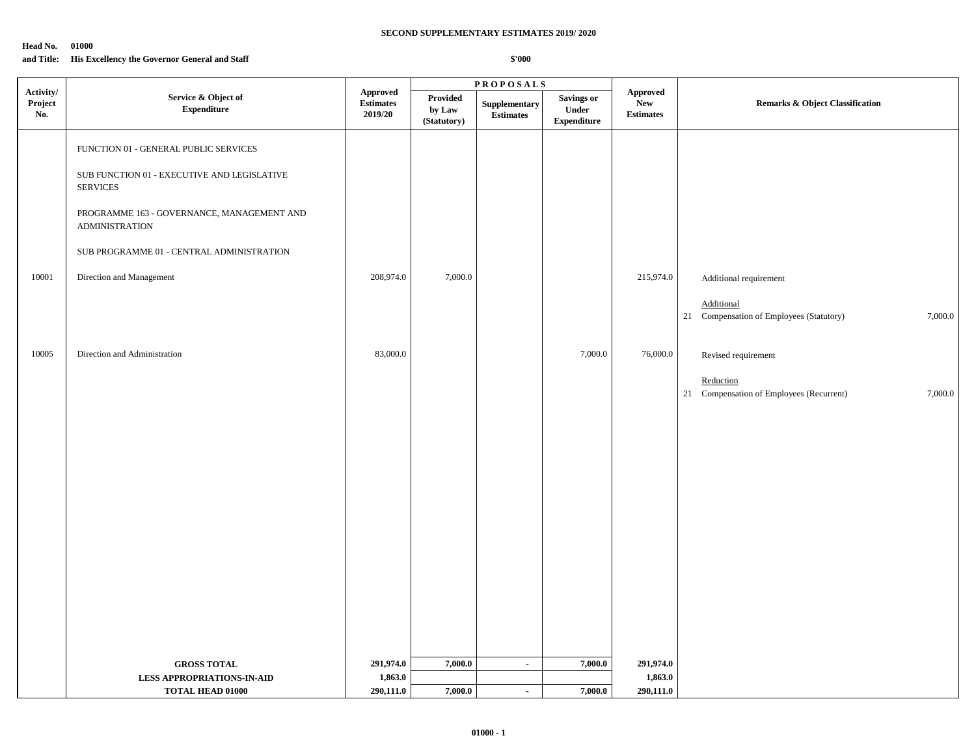#### **Head No. 01000**

## **and Title: His Excellency the Governor General and Staff**

|                             |                                                                                                                                                                                                                                                         |                                                |                                   | <b>PROPOSALS</b>                  |                                                  |                                                   |                                                                                                                                                   |
|-----------------------------|---------------------------------------------------------------------------------------------------------------------------------------------------------------------------------------------------------------------------------------------------------|------------------------------------------------|-----------------------------------|-----------------------------------|--------------------------------------------------|---------------------------------------------------|---------------------------------------------------------------------------------------------------------------------------------------------------|
| Activity/<br>Project<br>No. | Service & Object of<br><b>Expenditure</b>                                                                                                                                                                                                               | <b>Approved</b><br><b>Estimates</b><br>2019/20 | Provided<br>by Law<br>(Statutory) | Supplementary<br><b>Estimates</b> | <b>Savings or</b><br>Under<br><b>Expenditure</b> | <b>Approved</b><br><b>New</b><br><b>Estimates</b> | <b>Remarks &amp; Object Classification</b>                                                                                                        |
| 10001                       | FUNCTION 01 - GENERAL PUBLIC SERVICES<br>SUB FUNCTION 01 - EXECUTIVE AND LEGISLATIVE<br><b>SERVICES</b><br>PROGRAMME 163 - GOVERNANCE, MANAGEMENT AND<br><b>ADMINISTRATION</b><br>SUB PROGRAMME 01 - CENTRAL ADMINISTRATION<br>Direction and Management | 208,974.0                                      | 7,000.0                           |                                   |                                                  | 215,974.0                                         | Additional requirement<br>Additional                                                                                                              |
| 10005                       | Direction and Administration                                                                                                                                                                                                                            | 83,000.0                                       |                                   |                                   | 7,000.0                                          | 76,000.0                                          | Compensation of Employees (Statutory)<br>7,000.0<br>21<br>Revised requirement<br>Reduction<br>21 Compensation of Employees (Recurrent)<br>7,000.0 |
|                             |                                                                                                                                                                                                                                                         |                                                |                                   |                                   |                                                  |                                                   |                                                                                                                                                   |
|                             | <b>GROSS TOTAL</b>                                                                                                                                                                                                                                      | 291,974.0                                      | 7,000.0                           | $\sim$                            | 7,000.0                                          | 291,974.0                                         |                                                                                                                                                   |
|                             | <b>LESS APPROPRIATIONS-IN-AID</b>                                                                                                                                                                                                                       | 1,863.0                                        |                                   |                                   |                                                  | 1,863.0                                           |                                                                                                                                                   |
|                             | <b>TOTAL HEAD 01000</b>                                                                                                                                                                                                                                 | 290,111.0                                      | 7,000.0                           | $\sim$                            | 7,000.0                                          | 290,111.0                                         |                                                                                                                                                   |
|                             |                                                                                                                                                                                                                                                         |                                                |                                   |                                   |                                                  |                                                   |                                                                                                                                                   |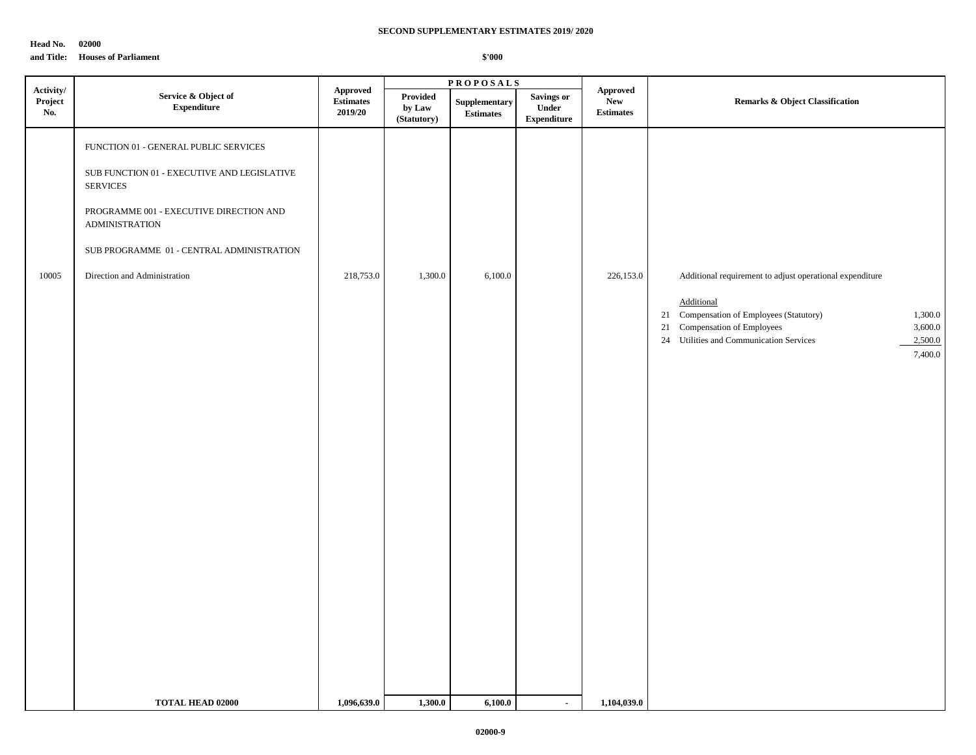**Head No. 02000**

**and Title: Houses of Parliament**

|                             |                                                                                                                                                                                                                                                                                 |                                                       |                                   | <b>PROPOSALS</b>                  |                                                  |                                            |                                                                                                                                                                                                                                           |  |
|-----------------------------|---------------------------------------------------------------------------------------------------------------------------------------------------------------------------------------------------------------------------------------------------------------------------------|-------------------------------------------------------|-----------------------------------|-----------------------------------|--------------------------------------------------|--------------------------------------------|-------------------------------------------------------------------------------------------------------------------------------------------------------------------------------------------------------------------------------------------|--|
| Activity/<br>Project<br>No. | Service & Object of<br><b>Expenditure</b>                                                                                                                                                                                                                                       | Approved<br>$\quad \  \  \, \bf Estimates$<br>2019/20 | Provided<br>by Law<br>(Statutory) | Supplementary<br><b>Estimates</b> | <b>Savings or</b><br>Under<br><b>Expenditure</b> | <b>Approved</b><br>New<br><b>Estimates</b> | <b>Remarks &amp; Object Classification</b>                                                                                                                                                                                                |  |
| 10005                       | FUNCTION 01 - GENERAL PUBLIC SERVICES<br>${\bf SUB}$ FUNCTION $01$ - EXECUTIVE AND LEGISLATIVE<br><b>SERVICES</b><br>PROGRAMME 001 - EXECUTIVE DIRECTION AND<br><b>ADMINISTRATION</b><br>${\rm SUB}$ PROGRAMME $\,$ 01 - CENTRAL ADMINISTRATION<br>Direction and Administration | 218,753.0                                             | 1,300.0                           | 6,100.0                           |                                                  | 226,153.0                                  | Additional requirement to adjust operational expenditure<br>Additional<br>21 Compensation of Employees (Statutory)<br>1,300.0<br>21 Compensation of Employees<br>3,600.0<br>24 Utilities and Communication Services<br>2,500.0<br>7,400.0 |  |
|                             | <b>TOTAL HEAD 02000</b>                                                                                                                                                                                                                                                         | 1,096,639.0                                           | 1,300.0                           | 6,100.0                           | $\sim$                                           | 1,104,039.0                                |                                                                                                                                                                                                                                           |  |
|                             |                                                                                                                                                                                                                                                                                 |                                                       |                                   |                                   |                                                  |                                            |                                                                                                                                                                                                                                           |  |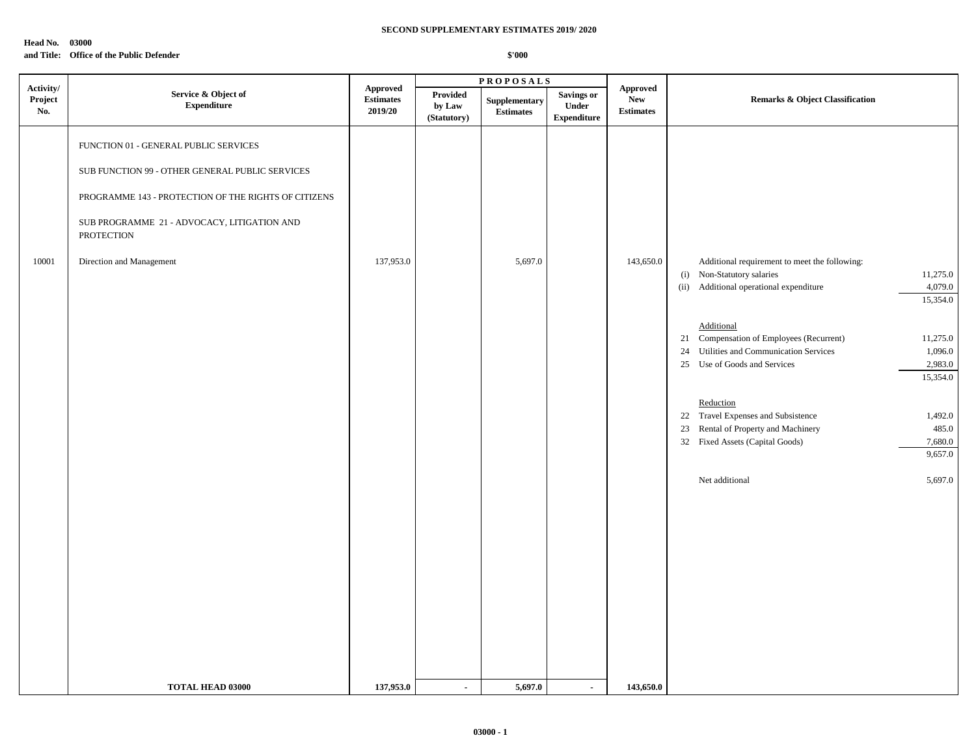#### **Head No. 03000**

## **and Title: Office of the Public Defender**

|                             |                                                                                                                                                                                                                                                  |                                                |                                   | <b>PROPOSALS</b>                  |                                                  |                                            |                                                                                                                                                                                                                                                                                                                                                                                                   |                                                                                                                         |
|-----------------------------|--------------------------------------------------------------------------------------------------------------------------------------------------------------------------------------------------------------------------------------------------|------------------------------------------------|-----------------------------------|-----------------------------------|--------------------------------------------------|--------------------------------------------|---------------------------------------------------------------------------------------------------------------------------------------------------------------------------------------------------------------------------------------------------------------------------------------------------------------------------------------------------------------------------------------------------|-------------------------------------------------------------------------------------------------------------------------|
| Activity/<br>Project<br>No. | Service & Object of<br>${\bf Expenditure}$                                                                                                                                                                                                       | <b>Approved</b><br><b>Estimates</b><br>2019/20 | Provided<br>by Law<br>(Statutory) | Supplementary<br><b>Estimates</b> | <b>Savings or</b><br>Under<br><b>Expenditure</b> | Approved<br><b>New</b><br><b>Estimates</b> | <b>Remarks &amp; Object Classification</b>                                                                                                                                                                                                                                                                                                                                                        |                                                                                                                         |
| 10001                       | FUNCTION 01 - GENERAL PUBLIC SERVICES<br>SUB FUNCTION 99 - OTHER GENERAL PUBLIC SERVICES<br>PROGRAMME 143 - PROTECTION OF THE RIGHTS OF CITIZENS<br>SUB PROGRAMME 21 - ADVOCACY, LITIGATION AND<br><b>PROTECTION</b><br>Direction and Management | 137,953.0                                      |                                   | 5,697.0                           |                                                  | 143,650.0                                  | Additional requirement to meet the following:<br>(i) Non-Statutory salaries<br>Additional operational expenditure<br>(ii)<br>Additional<br>21 Compensation of Employees (Recurrent)<br>Utilities and Communication Services<br>24<br>25 Use of Goods and Services<br>Reduction<br>22 Travel Expenses and Subsistence<br>23<br>Rental of Property and Machinery<br>32 Fixed Assets (Capital Goods) | 11,275.0<br>4,079.0<br>15,354.0<br>11,275.0<br>1,096.0<br>2,983.0<br>15,354.0<br>1,492.0<br>485.0<br>7,680.0<br>9,657.0 |
|                             | <b>TOTAL HEAD 03000</b>                                                                                                                                                                                                                          | 137,953.0                                      | $\blacksquare$                    | 5,697.0                           | $\sim$                                           | 143,650.0                                  | Net additional                                                                                                                                                                                                                                                                                                                                                                                    | 5,697.0                                                                                                                 |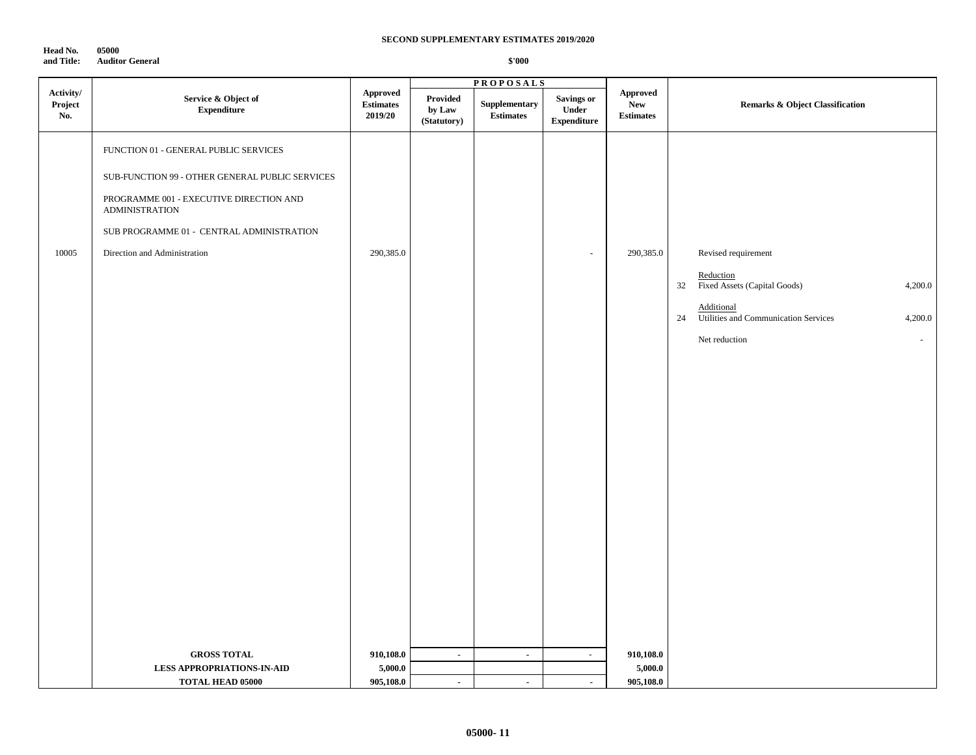**Head No. 05000 and Title: Auditor General**

|                             |                                                                                                                                                                                                                                           |                                         |                                   | <b>PROPOSALS</b>                  |                                                                        |                                                   |                                                                                                                                                                                     |
|-----------------------------|-------------------------------------------------------------------------------------------------------------------------------------------------------------------------------------------------------------------------------------------|-----------------------------------------|-----------------------------------|-----------------------------------|------------------------------------------------------------------------|---------------------------------------------------|-------------------------------------------------------------------------------------------------------------------------------------------------------------------------------------|
| Activity/<br>Project<br>No. | Service & Object of<br><b>Expenditure</b>                                                                                                                                                                                                 | Approved<br><b>Estimates</b><br>2019/20 | Provided<br>by Law<br>(Statutory) | Supplementary<br><b>Estimates</b> | <b>Savings or</b><br>$\ensuremath{\text{Under}}$<br><b>Expenditure</b> | <b>Approved</b><br><b>New</b><br><b>Estimates</b> | <b>Remarks &amp; Object Classification</b>                                                                                                                                          |
| 10005                       | FUNCTION 01 - GENERAL PUBLIC SERVICES<br>SUB-FUNCTION 99 - OTHER GENERAL PUBLIC SERVICES<br>PROGRAMME 001 - EXECUTIVE DIRECTION AND<br><b>ADMINISTRATION</b><br>SUB PROGRAMME 01 - CENTRAL ADMINISTRATION<br>Direction and Administration | 290,385.0                               |                                   |                                   | $\sim$                                                                 | 290,385.0                                         | Revised requirement<br>Reduction<br>32<br>Fixed Assets (Capital Goods)<br>4,200.0<br>Additional<br>24<br>Utilities and Communication Services<br>4,200.0<br>Net reduction<br>$\sim$ |
|                             | <b>GROSS TOTAL</b><br><b>LESS APPROPRIATIONS-IN-AID</b><br><b>TOTAL HEAD 05000</b>                                                                                                                                                        | 910,108.0<br>5,000.0<br>905,108.0       | $\blacksquare$<br>$\blacksquare$  | $\blacksquare$<br>$\mathbf{r}$    | $\sim$<br>$\mathbf{r}$                                                 | 910,108.0<br>5,000.0<br>905,108.0                 |                                                                                                                                                                                     |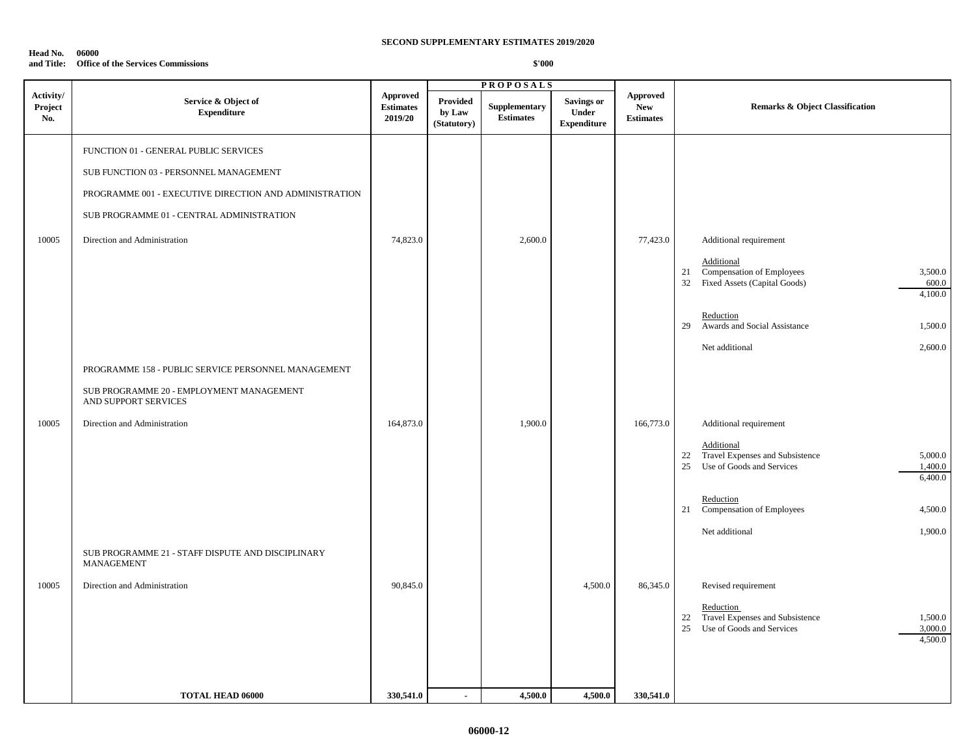#### **Head No. 06000 and Title: Office of the Services Commissions**

| <b>Approved</b><br><b>Approved</b><br><b>Provided</b><br>Service & Object of<br><b>Savings or</b><br>Project<br><b>Estimates</b><br>Supplementary<br><b>New</b><br><b>Remarks &amp; Object Classification</b><br><b>Expenditure</b><br>by Law<br>Under<br>No.<br>2019/20<br><b>Estimates</b><br><b>Estimates</b><br><b>Expenditure</b><br>(Statutory)<br>FUNCTION 01 - GENERAL PUBLIC SERVICES<br>SUB FUNCTION 03 - PERSONNEL MANAGEMENT<br>PROGRAMME 001 - EXECUTIVE DIRECTION AND ADMINISTRATION<br>SUB PROGRAMME 01 - CENTRAL ADMINISTRATION<br>10005<br>Direction and Administration<br>74,823.0<br>2,600.0<br>77,423.0<br>Additional requirement<br>Additional<br>Compensation of Employees<br>21<br>32 Fixed Assets (Capital Goods)<br>Reduction<br>Awards and Social Assistance<br>29<br>Net additional<br>PROGRAMME 158 - PUBLIC SERVICE PERSONNEL MANAGEMENT<br>SUB PROGRAMME 20 - EMPLOYMENT MANAGEMENT<br>AND SUPPORT SERVICES<br>10005<br>Direction and Administration<br>164,873.0<br>1,900.0<br>166,773.0<br>Additional requirement<br>Additional<br>Travel Expenses and Subsistence<br>22<br>Use of Goods and Services<br>25<br>Reduction<br>Compensation of Employees<br>21<br>Net additional<br>SUB PROGRAMME 21 - STAFF DISPUTE AND DISCIPLINARY<br>MANAGEMENT<br>10005<br>90,845.0<br>Direction and Administration<br>4,500.0<br>86,345.0<br>Revised requirement<br>Reduction<br>Travel Expenses and Subsistence<br>22<br>Use of Goods and Services<br>25 |           | <b>PROPOSALS</b> |  |  |  |
|------------------------------------------------------------------------------------------------------------------------------------------------------------------------------------------------------------------------------------------------------------------------------------------------------------------------------------------------------------------------------------------------------------------------------------------------------------------------------------------------------------------------------------------------------------------------------------------------------------------------------------------------------------------------------------------------------------------------------------------------------------------------------------------------------------------------------------------------------------------------------------------------------------------------------------------------------------------------------------------------------------------------------------------------------------------------------------------------------------------------------------------------------------------------------------------------------------------------------------------------------------------------------------------------------------------------------------------------------------------------------------------------------------------------------------------------------------------------------|-----------|------------------|--|--|--|
|                                                                                                                                                                                                                                                                                                                                                                                                                                                                                                                                                                                                                                                                                                                                                                                                                                                                                                                                                                                                                                                                                                                                                                                                                                                                                                                                                                                                                                                                              | Activity/ |                  |  |  |  |
|                                                                                                                                                                                                                                                                                                                                                                                                                                                                                                                                                                                                                                                                                                                                                                                                                                                                                                                                                                                                                                                                                                                                                                                                                                                                                                                                                                                                                                                                              |           |                  |  |  |  |
|                                                                                                                                                                                                                                                                                                                                                                                                                                                                                                                                                                                                                                                                                                                                                                                                                                                                                                                                                                                                                                                                                                                                                                                                                                                                                                                                                                                                                                                                              |           |                  |  |  |  |
| 330,541.0<br>4,500.0<br><b>TOTAL HEAD 06000</b><br>4,500.0<br>330,541.0<br>$\mathbf{r}$                                                                                                                                                                                                                                                                                                                                                                                                                                                                                                                                                                                                                                                                                                                                                                                                                                                                                                                                                                                                                                                                                                                                                                                                                                                                                                                                                                                      |           |                  |  |  |  |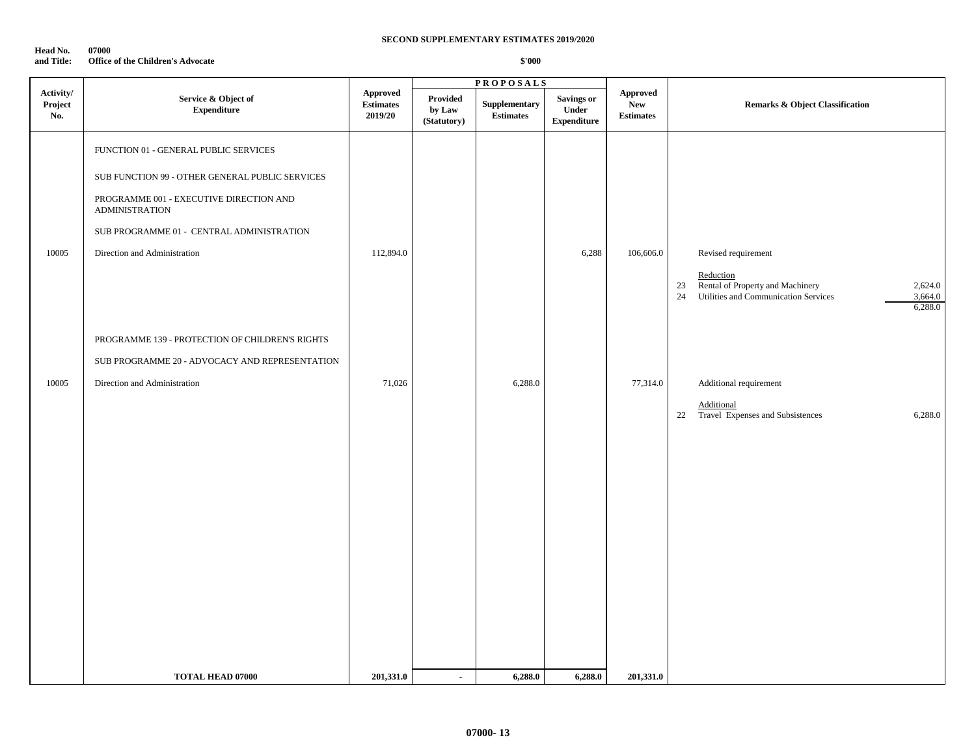| Head No.   | 07000                                    |
|------------|------------------------------------------|
| and Title: | <b>Office of the Children's Advocate</b> |

|                             |                                                                                                                                                                                                                                           |                                         |                                          | <b>PROPOSALS</b>                  |                                                  |                                                   |                                                                                                                                                    |
|-----------------------------|-------------------------------------------------------------------------------------------------------------------------------------------------------------------------------------------------------------------------------------------|-----------------------------------------|------------------------------------------|-----------------------------------|--------------------------------------------------|---------------------------------------------------|----------------------------------------------------------------------------------------------------------------------------------------------------|
| Activity/<br>Project<br>No. | Service & Object of<br><b>Expenditure</b>                                                                                                                                                                                                 | Approved<br><b>Estimates</b><br>2019/20 | <b>Provided</b><br>by Law<br>(Statutory) | Supplementary<br><b>Estimates</b> | <b>Savings or</b><br>Under<br><b>Expenditure</b> | <b>Approved</b><br><b>New</b><br><b>Estimates</b> | <b>Remarks &amp; Object Classification</b>                                                                                                         |
| 10005                       | FUNCTION 01 - GENERAL PUBLIC SERVICES<br>SUB FUNCTION 99 - OTHER GENERAL PUBLIC SERVICES<br>PROGRAMME 001 - EXECUTIVE DIRECTION AND<br><b>ADMINISTRATION</b><br>SUB PROGRAMME 01 - CENTRAL ADMINISTRATION<br>Direction and Administration | 112,894.0                               |                                          |                                   | 6,288                                            | 106,606.0                                         | Revised requirement<br>Reduction<br>Rental of Property and Machinery<br>$23\,$<br>2,624.0<br>Utilities and Communication Services<br>3,664.0<br>24 |
| 10005                       | PROGRAMME 139 - PROTECTION OF CHILDREN'S RIGHTS<br>SUB PROGRAMME 20 - ADVOCACY AND REPRESENTATION<br>Direction and Administration                                                                                                         | 71,026                                  |                                          | 6,288.0                           |                                                  | 77,314.0                                          | 6,288.0<br>Additional requirement<br>Additional<br>22<br>Travel Expenses and Subsistences<br>6,288.0                                               |
|                             |                                                                                                                                                                                                                                           |                                         |                                          |                                   |                                                  |                                                   |                                                                                                                                                    |
|                             | <b>TOTAL HEAD 07000</b>                                                                                                                                                                                                                   | 201,331.0                               | $\blacksquare$                           | 6,288.0                           | 6,288.0                                          | 201,331.0                                         |                                                                                                                                                    |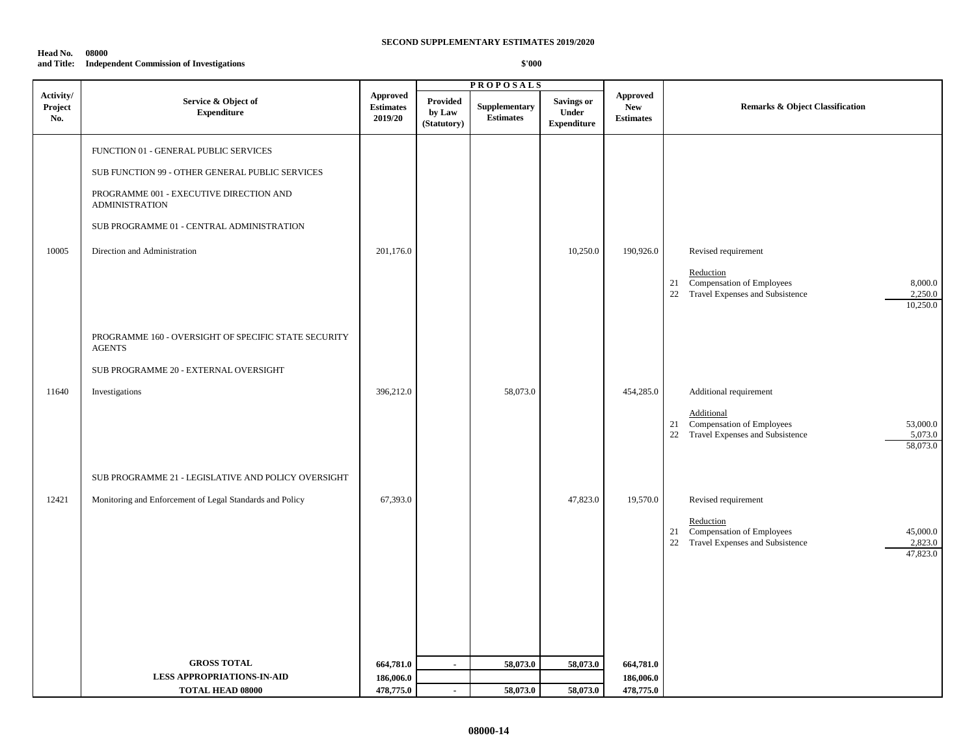#### **Head No. 08000 and Title: Independent Commission of Investigations**

|                             |                                                                       |                                                |                                          | <b>PROPOSALS</b>                  |                                                  |                                                   |                                                                                                                          |
|-----------------------------|-----------------------------------------------------------------------|------------------------------------------------|------------------------------------------|-----------------------------------|--------------------------------------------------|---------------------------------------------------|--------------------------------------------------------------------------------------------------------------------------|
| Activity/<br>Project<br>No. | Service & Object of<br>${\bf Expenditure}$                            | <b>Approved</b><br><b>Estimates</b><br>2019/20 | <b>Provided</b><br>by Law<br>(Statutory) | Supplementary<br><b>Estimates</b> | <b>Savings or</b><br>Under<br><b>Expenditure</b> | <b>Approved</b><br><b>New</b><br><b>Estimates</b> | Remarks & Object Classification                                                                                          |
|                             | FUNCTION 01 - GENERAL PUBLIC SERVICES                                 |                                                |                                          |                                   |                                                  |                                                   |                                                                                                                          |
|                             | SUB FUNCTION 99 - OTHER GENERAL PUBLIC SERVICES                       |                                                |                                          |                                   |                                                  |                                                   |                                                                                                                          |
|                             | PROGRAMME 001 - EXECUTIVE DIRECTION AND<br><b>ADMINISTRATION</b>      |                                                |                                          |                                   |                                                  |                                                   |                                                                                                                          |
|                             | SUB PROGRAMME 01 - CENTRAL ADMINISTRATION                             |                                                |                                          |                                   |                                                  |                                                   |                                                                                                                          |
| 10005                       | Direction and Administration                                          | 201,176.0                                      |                                          |                                   | 10,250.0                                         | 190,926.0                                         | Revised requirement                                                                                                      |
|                             |                                                                       |                                                |                                          |                                   |                                                  |                                                   | Reduction<br>Compensation of Employees<br>8,000.0<br>21<br>Travel Expenses and Subsistence<br>2,250.0<br>22<br>10,250.0  |
|                             | PROGRAMME 160 - OVERSIGHT OF SPECIFIC STATE SECURITY<br><b>AGENTS</b> |                                                |                                          |                                   |                                                  |                                                   |                                                                                                                          |
|                             | SUB PROGRAMME 20 - EXTERNAL OVERSIGHT                                 |                                                |                                          |                                   |                                                  |                                                   |                                                                                                                          |
| 11640                       | Investigations                                                        | 396,212.0                                      |                                          | 58,073.0                          |                                                  | 454,285.0                                         | Additional requirement                                                                                                   |
|                             |                                                                       |                                                |                                          |                                   |                                                  |                                                   | Additional<br>21 Compensation of Employees<br>53,000.0<br>Travel Expenses and Subsistence<br>22<br>5,073.0<br>58,073.0   |
|                             | SUB PROGRAMME 21 - LEGISLATIVE AND POLICY OVERSIGHT                   |                                                |                                          |                                   |                                                  |                                                   |                                                                                                                          |
| 12421                       | Monitoring and Enforcement of Legal Standards and Policy              | 67,393.0                                       |                                          |                                   | 47,823.0                                         | 19,570.0                                          | Revised requirement                                                                                                      |
|                             |                                                                       |                                                |                                          |                                   |                                                  |                                                   | Reduction<br>Compensation of Employees<br>45,000.0<br>21<br>Travel Expenses and Subsistence<br>2,823.0<br>22<br>47,823.0 |
|                             |                                                                       |                                                |                                          |                                   |                                                  |                                                   |                                                                                                                          |
|                             |                                                                       |                                                |                                          |                                   |                                                  |                                                   |                                                                                                                          |
|                             |                                                                       |                                                |                                          |                                   |                                                  |                                                   |                                                                                                                          |
|                             | <b>GROSS TOTAL</b>                                                    |                                                |                                          |                                   |                                                  |                                                   |                                                                                                                          |
|                             | <b>LESS APPROPRIATIONS-IN-AID</b>                                     | 664,781.0<br>186,006.0                         | $\blacksquare$                           | 58,073.0                          | 58,073.0                                         | 664,781.0<br>186,006.0                            |                                                                                                                          |
|                             | <b>TOTAL HEAD 08000</b>                                               | 478,775.0                                      | $\sim$                                   | 58,073.0                          | 58,073.0                                         | 478,775.0                                         |                                                                                                                          |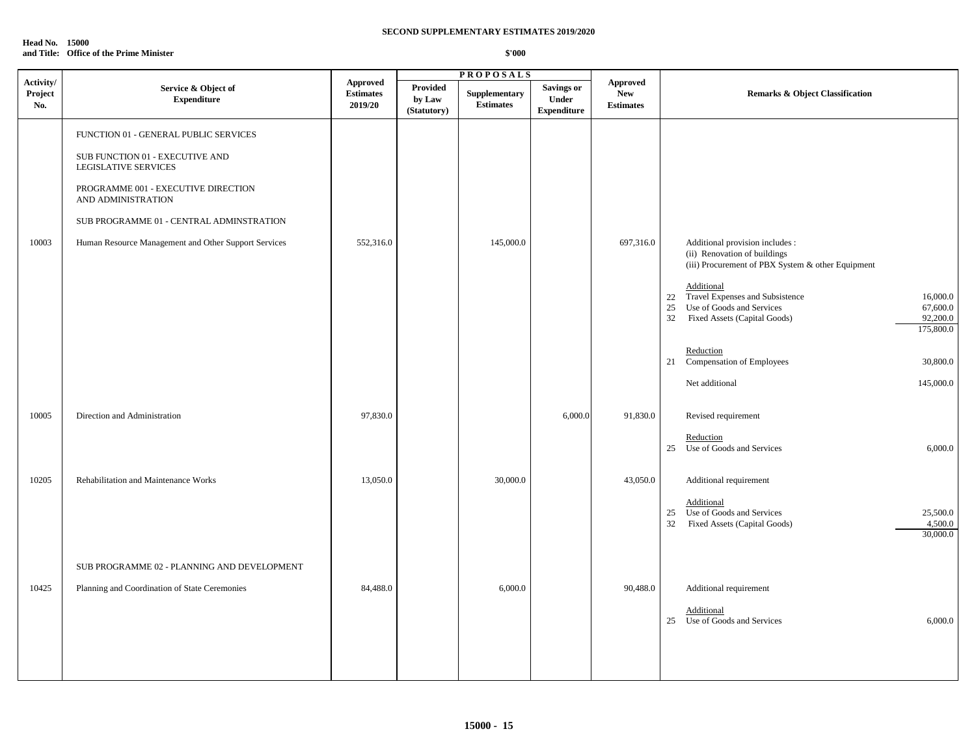**Head No. 15000 and Title: Office of the Prime Minister**

|                             |                                                                                                                                                                                                                                                                   |                                                |                                          | <b>PROPOSALS</b>                  |                                                  |                                                   |                                                                                                                                                                                                                                                                                                    |
|-----------------------------|-------------------------------------------------------------------------------------------------------------------------------------------------------------------------------------------------------------------------------------------------------------------|------------------------------------------------|------------------------------------------|-----------------------------------|--------------------------------------------------|---------------------------------------------------|----------------------------------------------------------------------------------------------------------------------------------------------------------------------------------------------------------------------------------------------------------------------------------------------------|
| Activity/<br>Project<br>No. | Service & Object of<br><b>Expenditure</b>                                                                                                                                                                                                                         | <b>Approved</b><br><b>Estimates</b><br>2019/20 | <b>Provided</b><br>by Law<br>(Statutory) | Supplementary<br><b>Estimates</b> | <b>Savings or</b><br>Under<br><b>Expenditure</b> | <b>Approved</b><br><b>New</b><br><b>Estimates</b> | <b>Remarks &amp; Object Classification</b>                                                                                                                                                                                                                                                         |
| 10003                       | FUNCTION 01 - GENERAL PUBLIC SERVICES<br>SUB FUNCTION 01 - EXECUTIVE AND<br>LEGISLATIVE SERVICES<br>PROGRAMME 001 - EXECUTIVE DIRECTION<br>AND ADMINISTRATION<br>SUB PROGRAMME 01 - CENTRAL ADMINSTRATION<br>Human Resource Management and Other Support Services | 552,316.0                                      |                                          | 145,000.0                         |                                                  | 697,316.0                                         | Additional provision includes :<br>(ii) Renovation of buildings<br>(iii) Procurement of PBX System & other Equipment<br>Additional<br>22 Travel Expenses and Subsistence<br>16,000.0<br>Use of Goods and Services<br>25<br>67,600.0<br>32<br>92,200.0<br>Fixed Assets (Capital Goods)<br>175,800.0 |
|                             |                                                                                                                                                                                                                                                                   |                                                |                                          |                                   |                                                  |                                                   | Reduction<br>21 Compensation of Employees<br>30,800.0<br>Net additional<br>145,000.0                                                                                                                                                                                                               |
| 10005                       | Direction and Administration                                                                                                                                                                                                                                      | 97,830.0                                       |                                          |                                   | 6,000.0                                          | 91,830.0                                          | Revised requirement<br>Reduction<br>25 Use of Goods and Services<br>6,000.0                                                                                                                                                                                                                        |
| 10205                       | Rehabilitation and Maintenance Works                                                                                                                                                                                                                              | 13,050.0                                       |                                          | 30,000.0                          |                                                  | 43,050.0                                          | Additional requirement<br>Additional<br>25 Use of Goods and Services<br>25,500.0<br>32<br>Fixed Assets (Capital Goods)<br>4,500.0<br>30,000.0                                                                                                                                                      |
| 10425                       | SUB PROGRAMME 02 - PLANNING AND DEVELOPMENT<br>Planning and Coordination of State Ceremonies                                                                                                                                                                      | 84,488.0                                       |                                          | 6,000.0                           |                                                  | 90,488.0                                          | Additional requirement<br>Additional<br>25 Use of Goods and Services<br>6,000.0                                                                                                                                                                                                                    |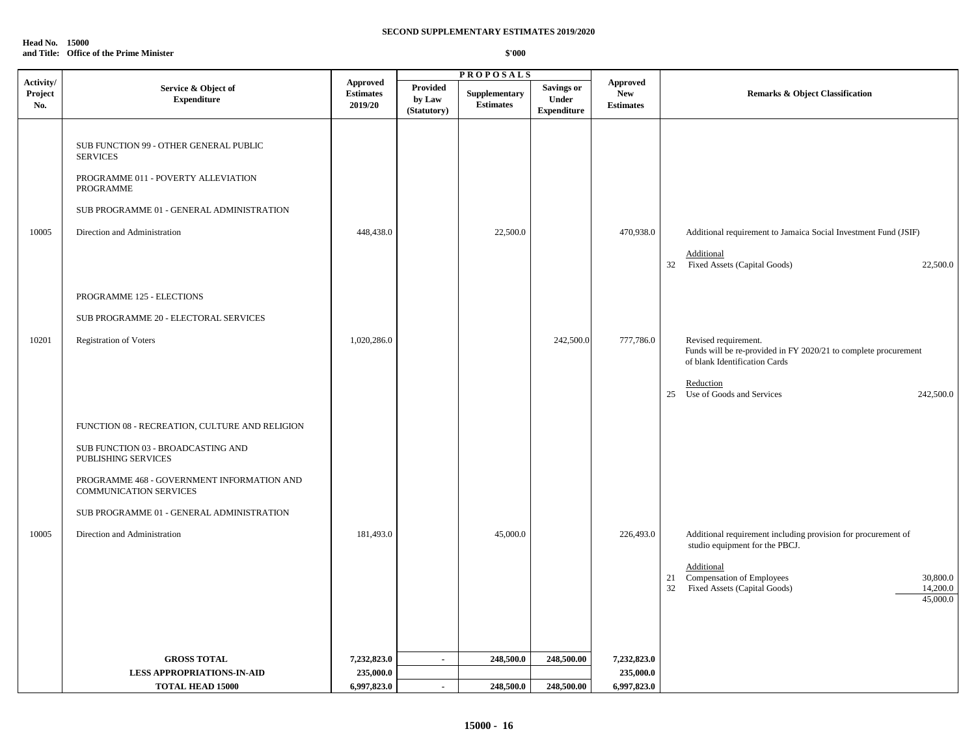**Head No. 15000 and Title: Office of the Prime Minister**

|                             |                                                                                                                                                                                                                                                                         |                                                |                                          | <b>PROPOSALS</b>                 |                                                  |                                                   |                                                                                                                                                                                                                            |
|-----------------------------|-------------------------------------------------------------------------------------------------------------------------------------------------------------------------------------------------------------------------------------------------------------------------|------------------------------------------------|------------------------------------------|----------------------------------|--------------------------------------------------|---------------------------------------------------|----------------------------------------------------------------------------------------------------------------------------------------------------------------------------------------------------------------------------|
| Activity/<br>Project<br>No. | Service & Object of<br><b>Expenditure</b>                                                                                                                                                                                                                               | <b>Approved</b><br><b>Estimates</b><br>2019/20 | <b>Provided</b><br>by Law<br>(Statutory) | Supplementary<br>$\bf Estimates$ | <b>Savings or</b><br>Under<br><b>Expenditure</b> | <b>Approved</b><br><b>New</b><br><b>Estimates</b> | <b>Remarks &amp; Object Classification</b>                                                                                                                                                                                 |
| 10005                       | SUB FUNCTION 99 - OTHER GENERAL PUBLIC<br><b>SERVICES</b><br>PROGRAMME 011 - POVERTY ALLEVIATION<br>PROGRAMME<br>SUB PROGRAMME 01 - GENERAL ADMINISTRATION<br>Direction and Administration<br>PROGRAMME 125 - ELECTIONS<br>SUB PROGRAMME 20 - ELECTORAL SERVICES        | 448,438.0                                      |                                          | 22,500.0                         |                                                  | 470,938.0                                         | Additional requirement to Jamaica Social Investment Fund (JSIF)<br>Additional<br>32 Fixed Assets (Capital Goods)<br>22,500.0                                                                                               |
| 10201                       | <b>Registration of Voters</b>                                                                                                                                                                                                                                           | 1,020,286.0                                    |                                          |                                  | 242,500.0                                        | 777,786.0                                         | Revised requirement.<br>Funds will be re-provided in FY 2020/21 to complete procurement<br>of blank Identification Cards<br>Reduction<br>Use of Goods and Services<br>242,500.0<br>25                                      |
| 10005                       | FUNCTION 08 - RECREATION, CULTURE AND RELIGION<br>SUB FUNCTION 03 - BROADCASTING AND<br>PUBLISHING SERVICES<br>PROGRAMME 468 - GOVERNMENT INFORMATION AND<br><b>COMMUNICATION SERVICES</b><br>SUB PROGRAMME 01 - GENERAL ADMINISTRATION<br>Direction and Administration | 181,493.0                                      |                                          | 45,000.0                         |                                                  | 226,493.0                                         | Additional requirement including provision for procurement of<br>studio equipment for the PBCJ.<br>Additional<br>Compensation of Employees<br>21<br>30,800.0<br>Fixed Assets (Capital Goods)<br>14,200.0<br>32<br>45,000.0 |
|                             | <b>GROSS TOTAL</b>                                                                                                                                                                                                                                                      | 7,232,823.0                                    | $\blacksquare$                           | 248,500.0                        | 248,500.00                                       | 7,232,823.0                                       |                                                                                                                                                                                                                            |
|                             | <b>LESS APPROPRIATIONS-IN-AID</b>                                                                                                                                                                                                                                       | 235,000.0                                      |                                          |                                  |                                                  | 235,000.0                                         |                                                                                                                                                                                                                            |
|                             | <b>TOTAL HEAD 15000</b>                                                                                                                                                                                                                                                 | 6,997,823.0                                    | $\sim$                                   | 248,500.0                        | 248,500.00                                       | 6,997,823.0                                       |                                                                                                                                                                                                                            |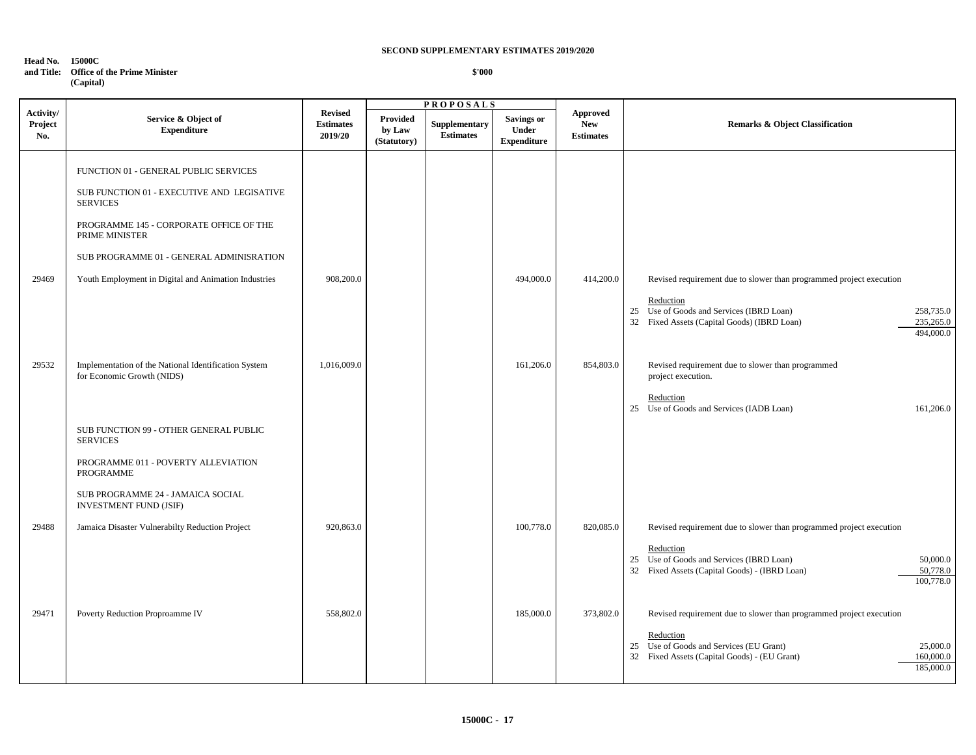#### **Head No. 15000C and Title: Office of the Prime Minister**

 $\Gamma$ 

| <u>omet of the filme billing t</u> |
|------------------------------------|
| (Capital)                          |

#### **\$'000**

|                             |                                                                                                                                                                                                                                                                         |                                               |                                          | <b>PROPOSALS</b>                  |                                                  |                                                   |                                                                                                                                                                                                                    |  |
|-----------------------------|-------------------------------------------------------------------------------------------------------------------------------------------------------------------------------------------------------------------------------------------------------------------------|-----------------------------------------------|------------------------------------------|-----------------------------------|--------------------------------------------------|---------------------------------------------------|--------------------------------------------------------------------------------------------------------------------------------------------------------------------------------------------------------------------|--|
| Activity/<br>Project<br>No. | Service & Object of<br><b>Expenditure</b>                                                                                                                                                                                                                               | <b>Revised</b><br><b>Estimates</b><br>2019/20 | <b>Provided</b><br>by Law<br>(Statutory) | Supplementary<br><b>Estimates</b> | <b>Savings or</b><br>Under<br><b>Expenditure</b> | <b>Approved</b><br><b>New</b><br><b>Estimates</b> | <b>Remarks &amp; Object Classification</b>                                                                                                                                                                         |  |
| 29469                       | FUNCTION 01 - GENERAL PUBLIC SERVICES<br>SUB FUNCTION 01 - EXECUTIVE AND LEGISATIVE<br><b>SERVICES</b><br>PROGRAMME 145 - CORPORATE OFFICE OF THE<br>PRIME MINISTER<br>SUB PROGRAMME 01 - GENERAL ADMINISRATION<br>Youth Employment in Digital and Animation Industries | 908,200.0                                     |                                          |                                   | 494,000.0                                        | 414,200.0                                         | Revised requirement due to slower than programmed project execution<br>Reduction<br>25 Use of Goods and Services (IBRD Loan)<br>258,735.0<br>32 Fixed Assets (Capital Goods) (IBRD Loan)<br>235,265.0<br>494,000.0 |  |
| 29532                       | Implementation of the National Identification System<br>for Economic Growth (NIDS)<br>SUB FUNCTION 99 - OTHER GENERAL PUBLIC<br><b>SERVICES</b><br>PROGRAMME 011 - POVERTY ALLEVIATION<br>PROGRAMME                                                                     | 1,016,009.0                                   |                                          |                                   | 161,206.0                                        | 854,803.0                                         | Revised requirement due to slower than programmed<br>project execution.<br>Reduction<br>25 Use of Goods and Services (IADB Loan)<br>161,206.0                                                                      |  |
| 29488                       | SUB PROGRAMME 24 - JAMAICA SOCIAL<br><b>INVESTMENT FUND (JSIF)</b><br>Jamaica Disaster Vulnerabilty Reduction Project                                                                                                                                                   | 920,863.0                                     |                                          |                                   | 100,778.0                                        | 820,085.0                                         | Revised requirement due to slower than programmed project execution<br>Reduction<br>25 Use of Goods and Services (IBRD Loan)<br>50,000.0<br>32 Fixed Assets (Capital Goods) - (IBRD Loan)<br>50,778.0<br>100,778.0 |  |
| 29471                       | Poverty Reduction Proproamme IV                                                                                                                                                                                                                                         | 558,802.0                                     |                                          |                                   | 185,000.0                                        | 373,802.0                                         | Revised requirement due to slower than programmed project execution<br>Reduction<br>25 Use of Goods and Services (EU Grant)<br>25,000.0<br>32 Fixed Assets (Capital Goods) - (EU Grant)<br>160,000.0<br>185,000.0  |  |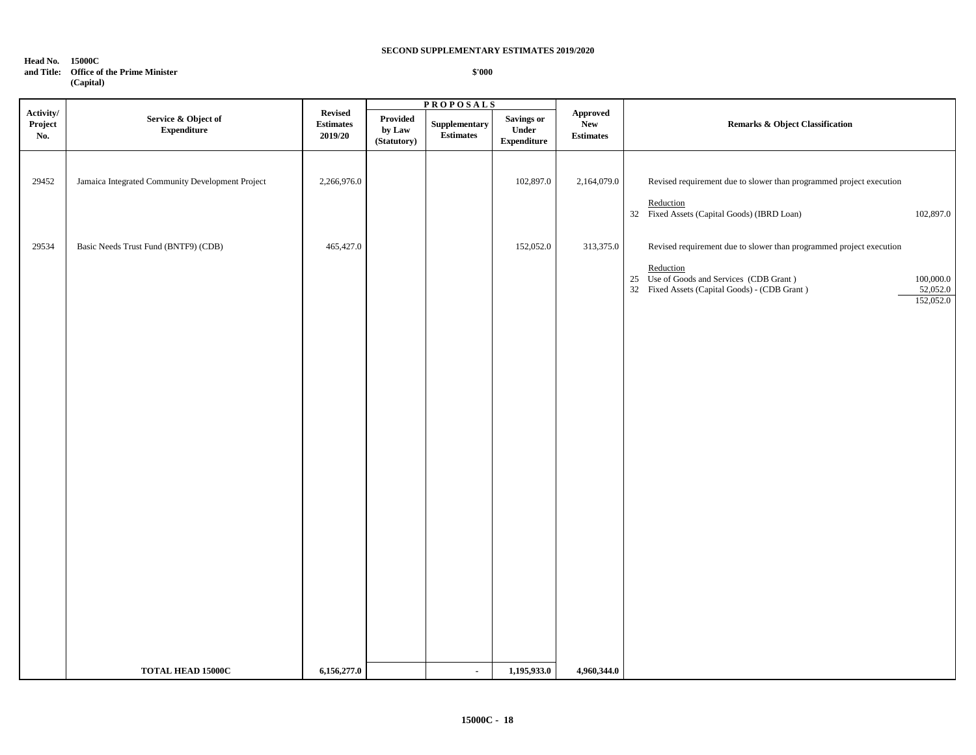#### **Head No. 15000C**

#### **and Title: Office of the Prime Minister (Capital)**

 **\$'000**

|                             |                                                  |                                               |                                              | <b>PROPOSALS</b>                                   |                                                  |                                     |                                                                                                                                                                               |                                    |
|-----------------------------|--------------------------------------------------|-----------------------------------------------|----------------------------------------------|----------------------------------------------------|--------------------------------------------------|-------------------------------------|-------------------------------------------------------------------------------------------------------------------------------------------------------------------------------|------------------------------------|
| Activity/<br>Project<br>No. | Service & Object of<br><b>Expenditure</b>        | <b>Revised</b><br><b>Estimates</b><br>2019/20 | Provided<br>by $\mathbf{Law}$<br>(Statutory) | ${\Large \bf Supplementary}\\$<br><b>Estimates</b> | <b>Savings or</b><br>Under<br><b>Expenditure</b> | Approved<br>New<br><b>Estimates</b> | <b>Remarks &amp; Object Classification</b>                                                                                                                                    |                                    |
| 29452                       | Jamaica Integrated Community Development Project | 2,266,976.0                                   |                                              |                                                    | 102,897.0                                        | 2,164,079.0                         | Revised requirement due to slower than programmed project execution<br>Reduction<br>32 Fixed Assets (Capital Goods) (IBRD Loan)                                               | 102,897.0                          |
| 29534                       | Basic Needs Trust Fund (BNTF9) (CDB)             | 465,427.0                                     |                                              |                                                    | 152,052.0                                        | 313,375.0                           | Revised requirement due to slower than programmed project execution<br>Reduction<br>25 Use of Goods and Services (CDB Grant)<br>32 Fixed Assets (Capital Goods) - (CDB Grant) | 100,000.0<br>52,052.0<br>152,052.0 |
|                             | <b>TOTAL HEAD 15000C</b>                         | 6,156,277.0                                   |                                              | $\sim$                                             | 1,195,933.0                                      | 4,960,344.0                         |                                                                                                                                                                               |                                    |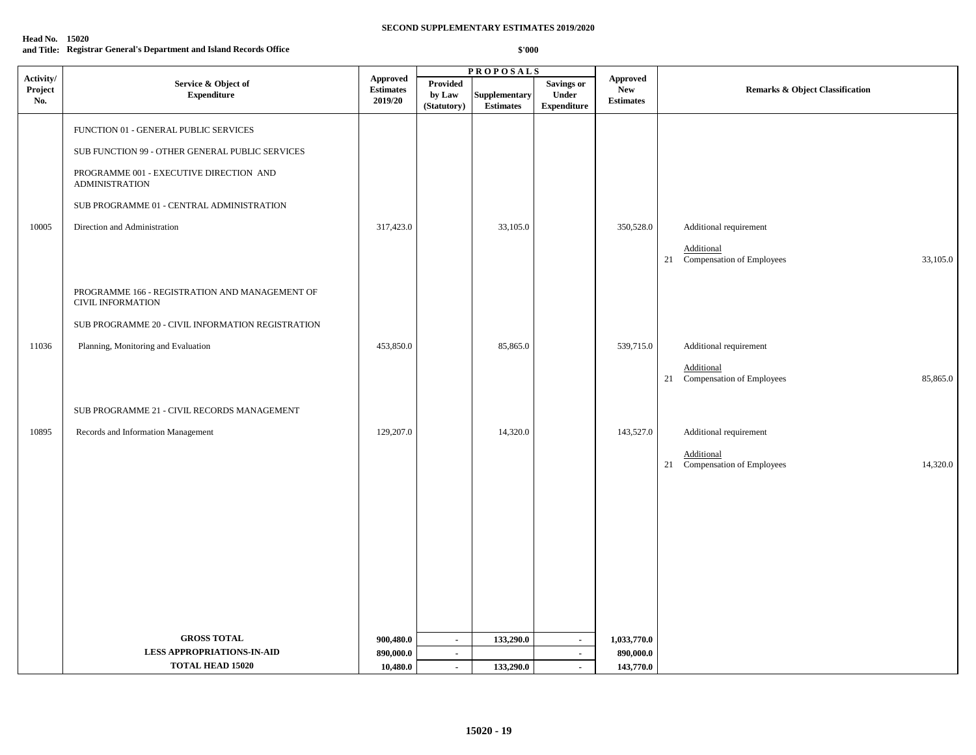| <b>Head No. 15020</b> |                                                                     |
|-----------------------|---------------------------------------------------------------------|
|                       | and Title: Registrar General's Department and Island Records Office |

|                             | <b>PROPOSALS</b>                                                           |                                                |                                   |                                   |                                                  |                                                   |                                                        |
|-----------------------------|----------------------------------------------------------------------------|------------------------------------------------|-----------------------------------|-----------------------------------|--------------------------------------------------|---------------------------------------------------|--------------------------------------------------------|
| Activity/<br>Project<br>No. | Service & Object of<br><b>Expenditure</b>                                  | <b>Approved</b><br><b>Estimates</b><br>2019/20 | Provided<br>by Law<br>(Statutory) | Supplementary<br><b>Estimates</b> | <b>Savings or</b><br>Under<br><b>Expenditure</b> | <b>Approved</b><br><b>New</b><br><b>Estimates</b> | <b>Remarks &amp; Object Classification</b>             |
|                             | FUNCTION 01 - GENERAL PUBLIC SERVICES                                      |                                                |                                   |                                   |                                                  |                                                   |                                                        |
|                             | SUB FUNCTION 99 - OTHER GENERAL PUBLIC SERVICES                            |                                                |                                   |                                   |                                                  |                                                   |                                                        |
|                             | PROGRAMME 001 - EXECUTIVE DIRECTION AND<br><b>ADMINISTRATION</b>           |                                                |                                   |                                   |                                                  |                                                   |                                                        |
|                             | SUB PROGRAMME 01 - CENTRAL ADMINISTRATION                                  |                                                |                                   |                                   |                                                  |                                                   |                                                        |
| 10005                       | Direction and Administration                                               | 317,423.0                                      |                                   | 33,105.0                          |                                                  | 350,528.0                                         | Additional requirement                                 |
|                             |                                                                            |                                                |                                   |                                   |                                                  |                                                   | Additional<br>21 Compensation of Employees<br>33,105.0 |
|                             | PROGRAMME 166 - REGISTRATION AND MANAGEMENT OF<br><b>CIVIL INFORMATION</b> |                                                |                                   |                                   |                                                  |                                                   |                                                        |
|                             | SUB PROGRAMME 20 - CIVIL INFORMATION REGISTRATION                          |                                                |                                   |                                   |                                                  |                                                   |                                                        |
| 11036                       | Planning, Monitoring and Evaluation                                        | 453,850.0                                      |                                   | 85,865.0                          |                                                  | 539,715.0                                         | Additional requirement                                 |
|                             |                                                                            |                                                |                                   |                                   |                                                  |                                                   | Additional<br>21 Compensation of Employees<br>85,865.0 |
|                             | SUB PROGRAMME 21 - CIVIL RECORDS MANAGEMENT                                |                                                |                                   |                                   |                                                  |                                                   |                                                        |
| 10895                       | Records and Information Management                                         | 129,207.0                                      |                                   | 14,320.0                          |                                                  | 143,527.0                                         | Additional requirement                                 |
|                             |                                                                            |                                                |                                   |                                   |                                                  |                                                   | Additional<br>21 Compensation of Employees<br>14,320.0 |
|                             |                                                                            |                                                |                                   |                                   |                                                  |                                                   |                                                        |
|                             |                                                                            |                                                |                                   |                                   |                                                  |                                                   |                                                        |
|                             |                                                                            |                                                |                                   |                                   |                                                  |                                                   |                                                        |
|                             |                                                                            |                                                |                                   |                                   |                                                  |                                                   |                                                        |
|                             |                                                                            |                                                |                                   |                                   |                                                  |                                                   |                                                        |
|                             |                                                                            |                                                |                                   |                                   |                                                  |                                                   |                                                        |
|                             | <b>GROSS TOTAL</b>                                                         |                                                |                                   |                                   |                                                  |                                                   |                                                        |
|                             | <b>LESS APPROPRIATIONS-IN-AID</b>                                          | 900,480.0                                      | $\sim$                            | 133,290.0                         | $\sim$                                           | 1,033,770.0                                       |                                                        |
|                             | <b>TOTAL HEAD 15020</b>                                                    | 890,000.0<br>10,480.0                          | $\sim$<br>$\sim$                  | 133,290.0                         | $\blacksquare$<br>$\sim$                         | 890,000.0                                         |                                                        |
|                             |                                                                            |                                                |                                   |                                   |                                                  | 143,770.0                                         |                                                        |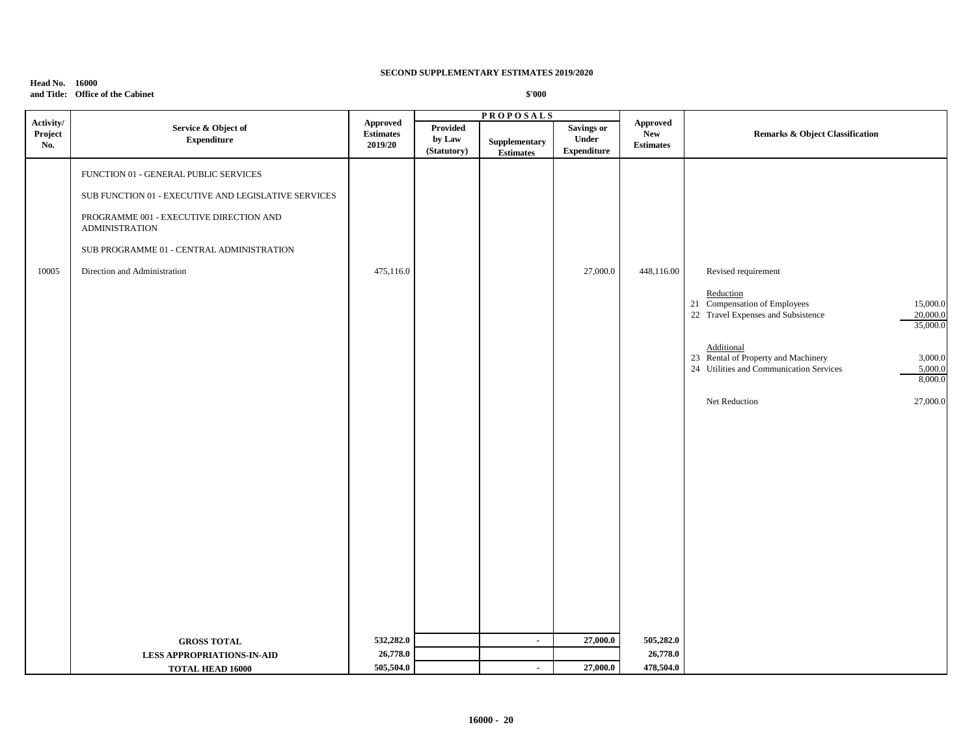### **Head No. 16000 and Title: Office of the Cabinet**

|                    |                                                                                                                                                                                                                                                |                              |                                   | <b>PROPOSALS</b>                  |                                           |                                |                                                                                                                                                                                                                                                                                                          |
|--------------------|------------------------------------------------------------------------------------------------------------------------------------------------------------------------------------------------------------------------------------------------|------------------------------|-----------------------------------|-----------------------------------|-------------------------------------------|--------------------------------|----------------------------------------------------------------------------------------------------------------------------------------------------------------------------------------------------------------------------------------------------------------------------------------------------------|
| Project<br>No.     | Service & Object of<br><b>Expenditure</b>                                                                                                                                                                                                      | <b>Estimates</b><br>2019/20  | Provided<br>by Law<br>(Statutory) | Supplementary<br><b>Estimates</b> | Savings or<br>Under<br><b>Expenditure</b> | <b>New</b><br><b>Estimates</b> | <b>Remarks &amp; Object Classification</b>                                                                                                                                                                                                                                                               |
| Activity/<br>10005 | FUNCTION 01 - GENERAL PUBLIC SERVICES<br>SUB FUNCTION 01 - EXECUTIVE AND LEGISLATIVE SERVICES<br>PROGRAMME 001 - EXECUTIVE DIRECTION AND<br><b>ADMINISTRATION</b><br>SUB PROGRAMME 01 - CENTRAL ADMINISTRATION<br>Direction and Administration | <b>Approved</b><br>475,116.0 |                                   |                                   | 27,000.0                                  | <b>Approved</b><br>448,116.00  | Revised requirement<br>Reduction<br>21 Compensation of Employees<br>15,000.0<br>22 Travel Expenses and Subsistence<br>20,000.0<br>35,000.0<br>Additional<br>23 Rental of Property and Machinery<br>3,000.0<br>24 Utilities and Communication Services<br>5,000.0<br>8,000.0<br>27,000.0<br>Net Reduction |
|                    | <b>GROSS TOTAL</b>                                                                                                                                                                                                                             | 532,282.0                    |                                   | $\blacksquare$                    | 27,000.0                                  | 505,282.0                      |                                                                                                                                                                                                                                                                                                          |
|                    | <b>LESS APPROPRIATIONS-IN-AID</b>                                                                                                                                                                                                              | 26,778.0                     |                                   |                                   |                                           | 26,778.0                       |                                                                                                                                                                                                                                                                                                          |
|                    | <b>TOTAL HEAD 16000</b>                                                                                                                                                                                                                        | 505,504.0                    |                                   | $\sim$                            | 27,000.0                                  | 478,504.0                      |                                                                                                                                                                                                                                                                                                          |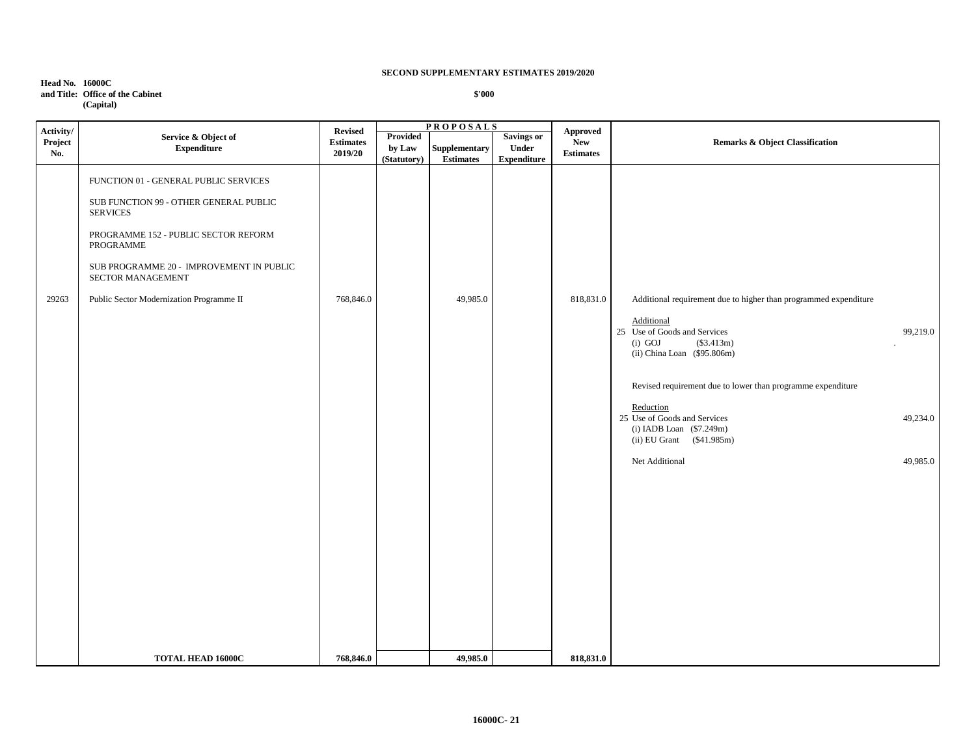### **Head No. 16000C and Title: Office of the Cabinet (Capital)**

|                             |                                                                                                                                                                                                                                                                      |                                               |                                   | <b>PROPOSALS</b>                  |                                                  |                                            |                                                                                                                                                                                                                                                                                                                                                                 |                                  |
|-----------------------------|----------------------------------------------------------------------------------------------------------------------------------------------------------------------------------------------------------------------------------------------------------------------|-----------------------------------------------|-----------------------------------|-----------------------------------|--------------------------------------------------|--------------------------------------------|-----------------------------------------------------------------------------------------------------------------------------------------------------------------------------------------------------------------------------------------------------------------------------------------------------------------------------------------------------------------|----------------------------------|
| Activity/<br>Project<br>No. | Service & Object of<br><b>Expenditure</b>                                                                                                                                                                                                                            | <b>Revised</b><br><b>Estimates</b><br>2019/20 | Provided<br>by Law<br>(Statutory) | Supplementary<br><b>Estimates</b> | <b>Savings or</b><br>Under<br><b>Expenditure</b> | Approved<br><b>New</b><br><b>Estimates</b> | Remarks & Object Classification                                                                                                                                                                                                                                                                                                                                 |                                  |
| 29263                       | FUNCTION 01 - GENERAL PUBLIC SERVICES<br>SUB FUNCTION 99 - OTHER GENERAL PUBLIC<br><b>SERVICES</b><br>PROGRAMME 152 - PUBLIC SECTOR REFORM<br>PROGRAMME<br>SUB PROGRAMME 20 - IMPROVEMENT IN PUBLIC<br>SECTOR MANAGEMENT<br>Public Sector Modernization Programme II | 768,846.0                                     |                                   | 49,985.0                          |                                                  | 818,831.0                                  | Additional requirement due to higher than programmed expenditure<br>Additional<br>25 Use of Goods and Services<br>$(i)$ GOJ<br>(\$3.413m)<br>(ii) China Loan (\$95.806m)<br>Revised requirement due to lower than programme expenditure<br>Reduction<br>25 Use of Goods and Services<br>(i) IADB Loan (\$7.249m)<br>(ii) EU Grant (\$41.985m)<br>Net Additional | 99,219.0<br>49,234.0<br>49,985.0 |
|                             | TOTAL HEAD 16000C                                                                                                                                                                                                                                                    | 768,846.0                                     |                                   | 49,985.0                          |                                                  | 818,831.0                                  |                                                                                                                                                                                                                                                                                                                                                                 |                                  |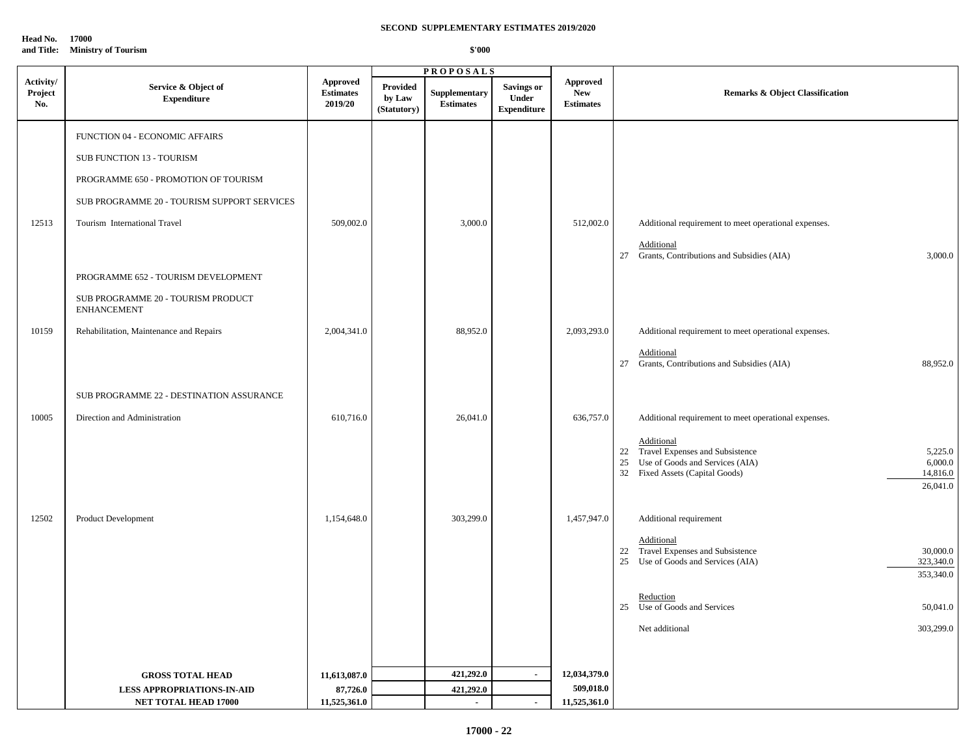**Head No. 17000**

|  |  | \$'000 |
|--|--|--------|
|--|--|--------|

|                             |                                                          |                                                |                                          | <b>PROPOSALS</b>                  |                                                   |                                                   |                                                                                                      |
|-----------------------------|----------------------------------------------------------|------------------------------------------------|------------------------------------------|-----------------------------------|---------------------------------------------------|---------------------------------------------------|------------------------------------------------------------------------------------------------------|
| Activity/<br>Project<br>No. | Service & Object of<br><b>Expenditure</b>                | <b>Approved</b><br><b>Estimates</b><br>2019/20 | <b>Provided</b><br>by Law<br>(Statutory) | Supplementary<br><b>Estimates</b> | <b>Savings or</b><br>Under<br>${\bf Expenditure}$ | <b>Approved</b><br><b>New</b><br><b>Estimates</b> | <b>Remarks &amp; Object Classification</b>                                                           |
|                             | FUNCTION 04 - ECONOMIC AFFAIRS                           |                                                |                                          |                                   |                                                   |                                                   |                                                                                                      |
|                             | SUB FUNCTION 13 - TOURISM                                |                                                |                                          |                                   |                                                   |                                                   |                                                                                                      |
|                             | PROGRAMME 650 - PROMOTION OF TOURISM                     |                                                |                                          |                                   |                                                   |                                                   |                                                                                                      |
|                             | SUB PROGRAMME 20 - TOURISM SUPPORT SERVICES              |                                                |                                          |                                   |                                                   |                                                   |                                                                                                      |
| 12513                       | Tourism International Travel                             | 509,002.0                                      |                                          | 3,000.0                           |                                                   | 512,002.0                                         | Additional requirement to meet operational expenses.                                                 |
|                             |                                                          |                                                |                                          |                                   |                                                   |                                                   | Additional                                                                                           |
|                             | PROGRAMME 652 - TOURISM DEVELOPMENT                      |                                                |                                          |                                   |                                                   |                                                   | 27 Grants, Contributions and Subsidies (AIA)<br>3,000.0                                              |
|                             | SUB PROGRAMME 20 - TOURISM PRODUCT<br><b>ENHANCEMENT</b> |                                                |                                          |                                   |                                                   |                                                   |                                                                                                      |
| 10159                       | Rehabilitation, Maintenance and Repairs                  | 2,004,341.0                                    |                                          | 88,952.0                          |                                                   | 2,093,293.0                                       | Additional requirement to meet operational expenses.                                                 |
|                             |                                                          |                                                |                                          |                                   |                                                   |                                                   | Additional                                                                                           |
|                             |                                                          |                                                |                                          |                                   |                                                   |                                                   | 27 Grants, Contributions and Subsidies (AIA)<br>88,952.0                                             |
|                             | SUB PROGRAMME 22 - DESTINATION ASSURANCE                 |                                                |                                          |                                   |                                                   |                                                   |                                                                                                      |
| 10005                       | Direction and Administration                             | 610,716.0                                      |                                          | 26,041.0                          |                                                   | 636,757.0                                         | Additional requirement to meet operational expenses.                                                 |
|                             |                                                          |                                                |                                          |                                   |                                                   |                                                   | Additional                                                                                           |
|                             |                                                          |                                                |                                          |                                   |                                                   |                                                   | Travel Expenses and Subsistence<br>5,225.0<br>22<br>6,000.0<br>Use of Goods and Services (AIA)<br>25 |
|                             |                                                          |                                                |                                          |                                   |                                                   |                                                   | 32 Fixed Assets (Capital Goods)<br>14,816.0                                                          |
|                             |                                                          |                                                |                                          |                                   |                                                   |                                                   | 26,041.0                                                                                             |
| 12502                       | Product Development                                      | 1,154,648.0                                    |                                          | 303,299.0                         |                                                   | 1,457,947.0                                       | Additional requirement                                                                               |
|                             |                                                          |                                                |                                          |                                   |                                                   |                                                   | Additional                                                                                           |
|                             |                                                          |                                                |                                          |                                   |                                                   |                                                   | 22 Travel Expenses and Subsistence<br>30,000.0                                                       |
|                             |                                                          |                                                |                                          |                                   |                                                   |                                                   | Use of Goods and Services (AIA)<br>323,340.0<br>25<br>353,340.0                                      |
|                             |                                                          |                                                |                                          |                                   |                                                   |                                                   | Reduction                                                                                            |
|                             |                                                          |                                                |                                          |                                   |                                                   |                                                   | Use of Goods and Services<br>50,041.0<br>25                                                          |
|                             |                                                          |                                                |                                          |                                   |                                                   |                                                   | 303,299.0<br>Net additional                                                                          |
|                             |                                                          |                                                |                                          |                                   |                                                   |                                                   |                                                                                                      |
|                             | <b>GROSS TOTAL HEAD</b>                                  | 11,613,087.0                                   |                                          | 421,292.0                         | $\blacksquare$                                    | 12,034,379.0                                      |                                                                                                      |
|                             | <b>LESS APPROPRIATIONS-IN-AID</b>                        | 87,726.0                                       |                                          | 421,292.0                         |                                                   | 509,018.0                                         |                                                                                                      |
|                             | NET TOTAL HEAD 17000                                     | 11,525,361.0                                   |                                          | ÷.                                | $\overline{\phantom{a}}$                          | 11,525,361.0                                      |                                                                                                      |

**and Title: Ministry of Tourism**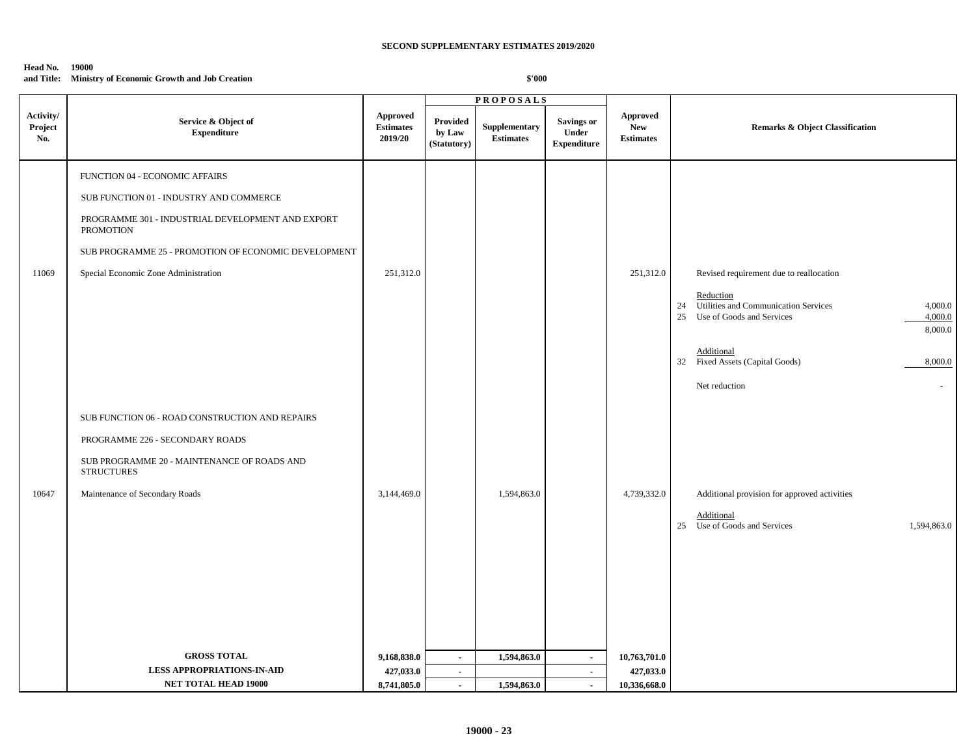#### **Head No. 19000**

**and Title: Ministry of Economic Growth and Job Creation** 

|                             |                                                                                                                                                                                                                                                    |                                                |                                   | <b>PROPOSALS</b>                  |                                                   |                                                   |                                                                                                                                                                                                                  |
|-----------------------------|----------------------------------------------------------------------------------------------------------------------------------------------------------------------------------------------------------------------------------------------------|------------------------------------------------|-----------------------------------|-----------------------------------|---------------------------------------------------|---------------------------------------------------|------------------------------------------------------------------------------------------------------------------------------------------------------------------------------------------------------------------|
| Activity/<br>Project<br>No. | Service & Object of<br><b>Expenditure</b>                                                                                                                                                                                                          | <b>Approved</b><br><b>Estimates</b><br>2019/20 | Provided<br>by Law<br>(Statutory) | Supplementary<br><b>Estimates</b> | <b>Savings or</b><br>Under<br>${\bf Expenditure}$ | <b>Approved</b><br><b>New</b><br><b>Estimates</b> | <b>Remarks &amp; Object Classification</b>                                                                                                                                                                       |
| 11069                       | FUNCTION 04 - ECONOMIC AFFAIRS<br>SUB FUNCTION 01 - INDUSTRY AND COMMERCE<br>PROGRAMME 301 - INDUSTRIAL DEVELOPMENT AND EXPORT<br><b>PROMOTION</b><br>SUB PROGRAMME 25 - PROMOTION OF ECONOMIC DEVELOPMENT<br>Special Economic Zone Administration | 251,312.0                                      |                                   |                                   |                                                   | 251,312.0                                         | Revised requirement due to reallocation<br>Reduction                                                                                                                                                             |
|                             |                                                                                                                                                                                                                                                    |                                                |                                   |                                   |                                                   |                                                   | Utilities and Communication Services<br>4,000.0<br>24<br>Use of Goods and Services<br>25<br>4,000.0<br>8,000.0<br>Additional<br>32<br>Fixed Assets (Capital Goods)<br>8,000.0<br>Net reduction<br>$\blacksquare$ |
|                             | SUB FUNCTION 06 - ROAD CONSTRUCTION AND REPAIRS<br>PROGRAMME 226 - SECONDARY ROADS<br>SUB PROGRAMME 20 - MAINTENANCE OF ROADS AND<br><b>STRUCTURES</b>                                                                                             |                                                |                                   |                                   |                                                   |                                                   |                                                                                                                                                                                                                  |
| 10647                       | Maintenance of Secondary Roads                                                                                                                                                                                                                     | 3,144,469.0                                    |                                   | 1,594,863.0                       |                                                   | 4,739,332.0                                       | Additional provision for approved activities<br>Additional<br>Use of Goods and Services<br>1,594,863.0<br>25                                                                                                     |
|                             | <b>GROSS TOTAL</b>                                                                                                                                                                                                                                 | 9,168,838.0                                    | $\blacksquare$                    | 1,594,863.0                       | $\sim$                                            | 10,763,701.0                                      |                                                                                                                                                                                                                  |
|                             | <b>LESS APPROPRIATIONS-IN-AID</b>                                                                                                                                                                                                                  | 427,033.0                                      | $\sim$                            |                                   | $\sim$                                            | 427,033.0                                         |                                                                                                                                                                                                                  |
|                             | NET TOTAL HEAD 19000                                                                                                                                                                                                                               | 8,741,805.0                                    | $\mathcal{L}_{\mathcal{A}}$       | 1,594,863.0                       | $\mathbf{r}$                                      | 10,336,668.0                                      |                                                                                                                                                                                                                  |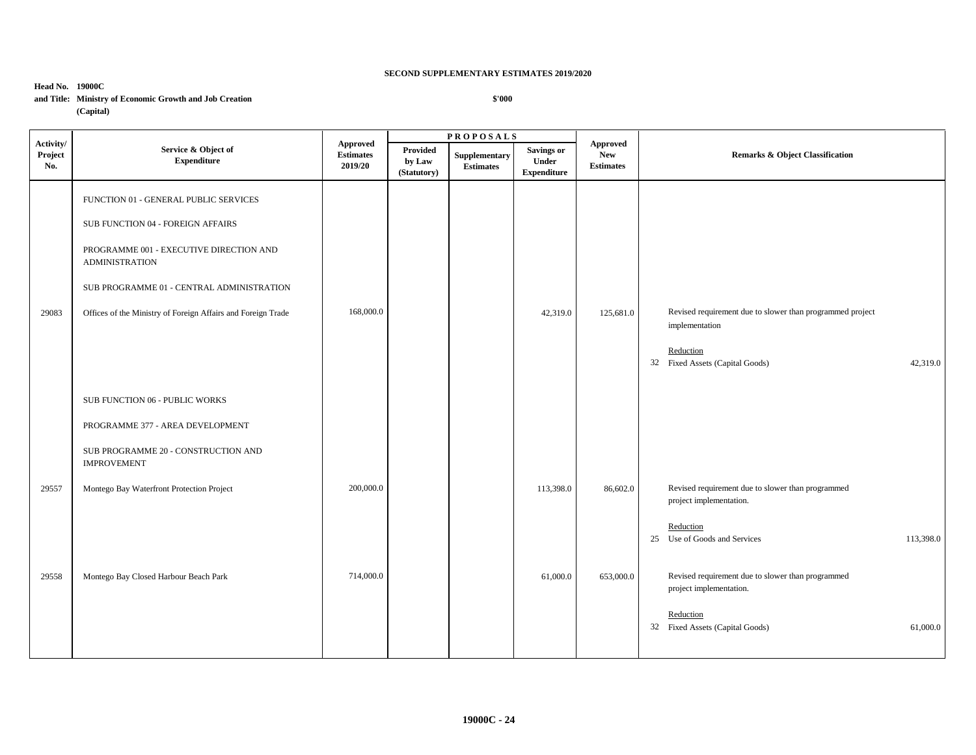## **Head No. 19000C and Title: Ministry of Economic Growth and Job Creation (Capital)**

|                             |                                                                                                                                                                                                                                                             |                                         |                                          | <b>PROPOSALS</b>                  |                                                  |                                            |                                                                                                                                          |  |
|-----------------------------|-------------------------------------------------------------------------------------------------------------------------------------------------------------------------------------------------------------------------------------------------------------|-----------------------------------------|------------------------------------------|-----------------------------------|--------------------------------------------------|--------------------------------------------|------------------------------------------------------------------------------------------------------------------------------------------|--|
| Activity/<br>Project<br>No. | Service & Object of<br><b>Expenditure</b>                                                                                                                                                                                                                   | Approved<br><b>Estimates</b><br>2019/20 | <b>Provided</b><br>by Law<br>(Statutory) | Supplementary<br><b>Estimates</b> | <b>Savings or</b><br>Under<br><b>Expenditure</b> | Approved<br><b>New</b><br><b>Estimates</b> | <b>Remarks &amp; Object Classification</b>                                                                                               |  |
| 29083                       | FUNCTION 01 - GENERAL PUBLIC SERVICES<br>SUB FUNCTION 04 - FOREIGN AFFAIRS<br>PROGRAMME 001 - EXECUTIVE DIRECTION AND<br><b>ADMINISTRATION</b><br>SUB PROGRAMME 01 - CENTRAL ADMINISTRATION<br>Offices of the Ministry of Foreign Affairs and Foreign Trade | 168,000.0                               |                                          |                                   | 42,319.0                                         | 125,681.0                                  | Revised requirement due to slower than programmed project<br>implementation<br>Reduction<br>32 Fixed Assets (Capital Goods)<br>42,319.0  |  |
|                             | SUB FUNCTION 06 - PUBLIC WORKS<br>PROGRAMME 377 - AREA DEVELOPMENT<br>SUB PROGRAMME 20 - CONSTRUCTION AND<br><b>IMPROVEMENT</b>                                                                                                                             |                                         |                                          |                                   |                                                  |                                            |                                                                                                                                          |  |
| 29557                       | Montego Bay Waterfront Protection Project                                                                                                                                                                                                                   | 200,000.0                               |                                          |                                   | 113,398.0                                        | 86,602.0                                   | Revised requirement due to slower than programmed<br>project implementation.<br>Reduction<br>25 Use of Goods and Services<br>113,398.0   |  |
| 29558                       | Montego Bay Closed Harbour Beach Park                                                                                                                                                                                                                       | 714,000.0                               |                                          |                                   | 61,000.0                                         | 653,000.0                                  | Revised requirement due to slower than programmed<br>project implementation.<br>Reduction<br>32 Fixed Assets (Capital Goods)<br>61,000.0 |  |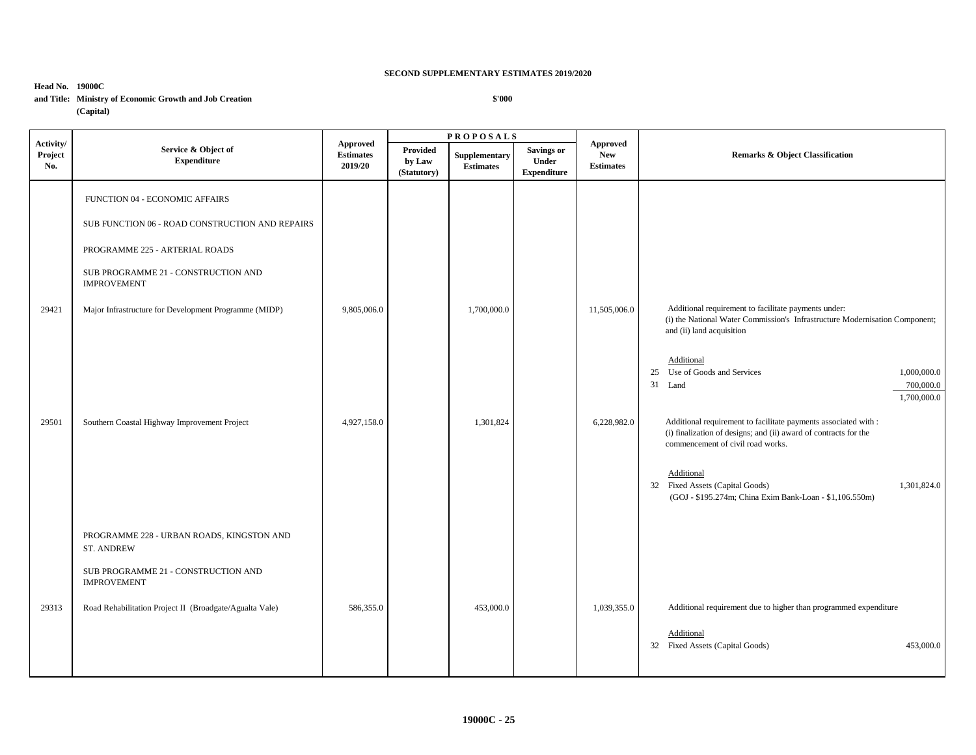## **Head No. 19000C and Title: Ministry of Economic Growth and Job Creation (Capital)**

|                             |                                                                |                                                |                                   | <b>PROPOSALS</b>                  |                                           |                                                   |                                                                                                                                                                          |  |
|-----------------------------|----------------------------------------------------------------|------------------------------------------------|-----------------------------------|-----------------------------------|-------------------------------------------|---------------------------------------------------|--------------------------------------------------------------------------------------------------------------------------------------------------------------------------|--|
| Activity/<br>Project<br>No. | Service & Object of<br><b>Expenditure</b>                      | <b>Approved</b><br><b>Estimates</b><br>2019/20 | Provided<br>by Law<br>(Statutory) | Supplementary<br><b>Estimates</b> | Savings or<br>Under<br><b>Expenditure</b> | <b>Approved</b><br><b>New</b><br><b>Estimates</b> | <b>Remarks &amp; Object Classification</b>                                                                                                                               |  |
|                             | FUNCTION 04 - ECONOMIC AFFAIRS                                 |                                                |                                   |                                   |                                           |                                                   |                                                                                                                                                                          |  |
|                             | SUB FUNCTION 06 - ROAD CONSTRUCTION AND REPAIRS                |                                                |                                   |                                   |                                           |                                                   |                                                                                                                                                                          |  |
|                             | PROGRAMME 225 - ARTERIAL ROADS                                 |                                                |                                   |                                   |                                           |                                                   |                                                                                                                                                                          |  |
|                             | SUB PROGRAMME 21 - CONSTRUCTION AND<br><b>IMPROVEMENT</b>      |                                                |                                   |                                   |                                           |                                                   |                                                                                                                                                                          |  |
| 29421                       | Major Infrastructure for Development Programme (MIDP)          | 9,805,006.0                                    |                                   | 1,700,000.0                       |                                           | 11,505,006.0                                      | Additional requirement to facilitate payments under:<br>(i) the National Water Commission's Infrastructure Modernisation Component;<br>and (ii) land acquisition         |  |
|                             |                                                                |                                                |                                   |                                   |                                           |                                                   | Additional<br>25 Use of Goods and Services<br>1,000,000.0<br>31 Land<br>700,000.0<br>1,700,000.0                                                                         |  |
| 29501                       | Southern Coastal Highway Improvement Project                   | 4,927,158.0                                    |                                   | 1,301,824                         |                                           | 6,228,982.0                                       | Additional requirement to facilitate payments associated with :<br>(i) finalization of designs; and (ii) award of contracts for the<br>commencement of civil road works. |  |
|                             |                                                                |                                                |                                   |                                   |                                           |                                                   | Additional<br>32 Fixed Assets (Capital Goods)<br>1,301,824.0<br>(GOJ - \$195.274m; China Exim Bank-Loan - \$1,106.550m)                                                  |  |
|                             | PROGRAMME 228 - URBAN ROADS, KINGSTON AND<br><b>ST. ANDREW</b> |                                                |                                   |                                   |                                           |                                                   |                                                                                                                                                                          |  |
|                             | SUB PROGRAMME 21 - CONSTRUCTION AND<br><b>IMPROVEMENT</b>      |                                                |                                   |                                   |                                           |                                                   |                                                                                                                                                                          |  |
| 29313                       | Road Rehabilitation Project II (Broadgate/Agualta Vale)        | 586,355.0                                      |                                   | 453,000.0                         |                                           | 1,039,355.0                                       | Additional requirement due to higher than programmed expenditure                                                                                                         |  |
|                             |                                                                |                                                |                                   |                                   |                                           |                                                   | Additional<br>32 Fixed Assets (Capital Goods)<br>453,000.0                                                                                                               |  |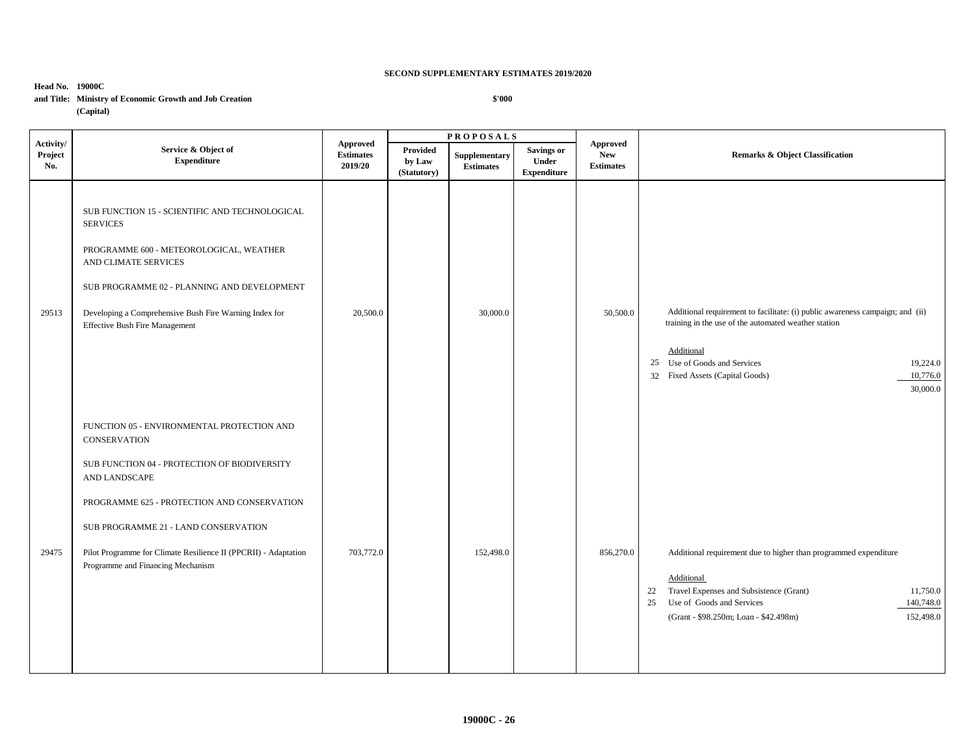**Head No. 19000C and Title: Ministry of Economic Growth and Job Creation (Capital)**

|                             |                                                                                                                                                                                                                                                                                                                                   |                                         |                                   | <b>PROPOSALS</b>                  |                                                  |                                            |                                                                                                                                                                                                                                                            |  |
|-----------------------------|-----------------------------------------------------------------------------------------------------------------------------------------------------------------------------------------------------------------------------------------------------------------------------------------------------------------------------------|-----------------------------------------|-----------------------------------|-----------------------------------|--------------------------------------------------|--------------------------------------------|------------------------------------------------------------------------------------------------------------------------------------------------------------------------------------------------------------------------------------------------------------|--|
| Activity/<br>Project<br>No. | Service & Object of<br><b>Expenditure</b>                                                                                                                                                                                                                                                                                         | Approved<br><b>Estimates</b><br>2019/20 | Provided<br>by Law<br>(Statutory) | Supplementary<br><b>Estimates</b> | <b>Savings or</b><br>Under<br><b>Expenditure</b> | Approved<br><b>New</b><br><b>Estimates</b> | Remarks & Object Classification                                                                                                                                                                                                                            |  |
| 29513                       | SUB FUNCTION 15 - SCIENTIFIC AND TECHNOLOGICAL<br><b>SERVICES</b><br>PROGRAMME 600 - METEOROLOGICAL, WEATHER<br>AND CLIMATE SERVICES<br>SUB PROGRAMME 02 - PLANNING AND DEVELOPMENT<br>Developing a Comprehensive Bush Fire Warning Index for<br><b>Effective Bush Fire Management</b>                                            | 20,500.0                                |                                   | 30,000.0                          |                                                  | 50,500.0                                   | Additional requirement to facilitate: (i) public awareness campaign; and (ii)<br>training in the use of the automated weather station<br>Additional<br>25 Use of Goods and Services<br>19,224.0<br>32 Fixed Assets (Capital Goods)<br>10,776.0<br>30,000.0 |  |
| 29475                       | FUNCTION 05 - ENVIRONMENTAL PROTECTION AND<br><b>CONSERVATION</b><br>SUB FUNCTION 04 - PROTECTION OF BIODIVERSITY<br>AND LANDSCAPE<br>PROGRAMME 625 - PROTECTION AND CONSERVATION<br>SUB PROGRAMME 21 - LAND CONSERVATION<br>Pilot Programme for Climate Resilience II (PPCRII) - Adaptation<br>Programme and Financing Mechanism | 703,772.0                               |                                   | 152,498.0                         |                                                  | 856,270.0                                  | Additional requirement due to higher than programmed expenditure<br>Additional<br>Travel Expenses and Subsistence (Grant)<br>11,750.0<br>22<br>Use of Goods and Services<br>140,748.0<br>25<br>152,498.0<br>(Grant - \$98.250m; Loan - \$42.498m)          |  |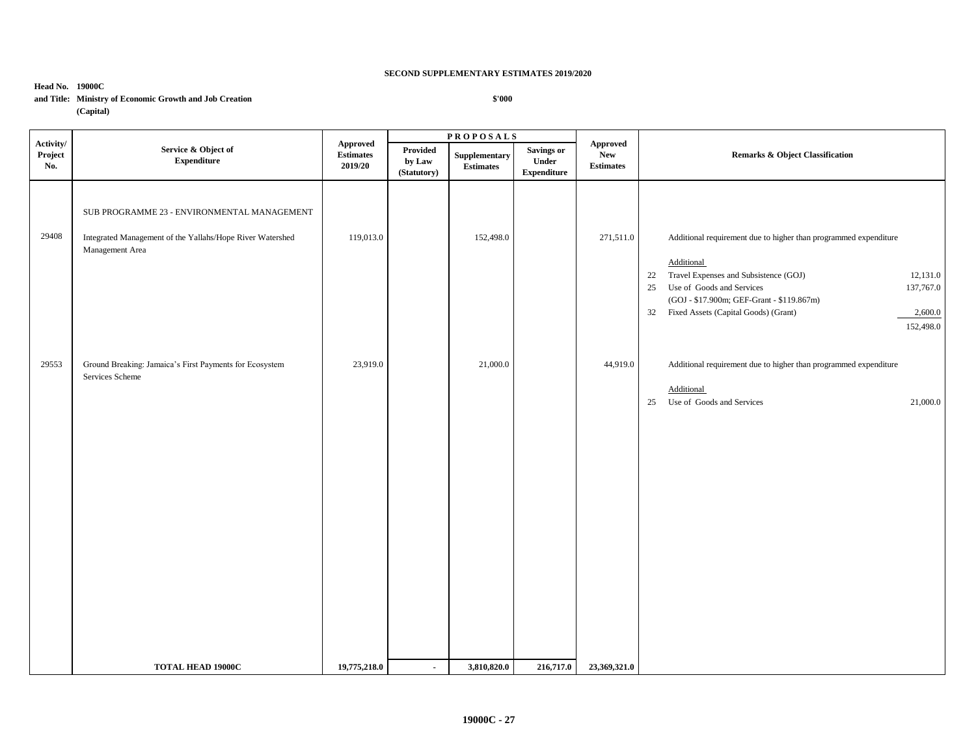**\$'000**

**Head No. 19000C**

## **and Title: Ministry of Economic Growth and Job Creation**

**(Capital)**

**P R O P O S A L S Activity/ Project No. Service & Object of Expenditure Approved Estimates 2019/20 Approved New Estimates**  Provided Supplementary Savings or New New Remarks & Object Classification **by Law (Statutory) Supplementary Estimates Savings or Under Expenditure**  SUB PROGRAMME 23 - ENVIRONMENTAL MANAGEMENT 29408 Integrated Management of the Yallahs/Hope River Watershed 119,013.0 152,498.0 152,498.0 271,511.0 Additional requirement due to higher than programmed expenditure Management Area **Additional** 22 Travel Expenses and Subsistence (GOJ) 12,131.0 25 Use of Goods and Services 137,767.0 (GOJ - \$17.900m; GEF-Grant - \$119.867m) 32 Fixed Assets (Capital Goods) (Grant) 2,600.0 152,498.0 29553 Ground Breaking: Jamaica's First Payments for Ecosystem 23,919.0 21,000.0 21,000.0 44,919.0 Additional requirement due to higher than programmed expenditure Services Scheme Additional 25 Use of Goods and Services 21,000.0 **TOTAL HEAD 19000C** 19,775,218.0 - 3,810,820.0 216,717.0 23,369,321.0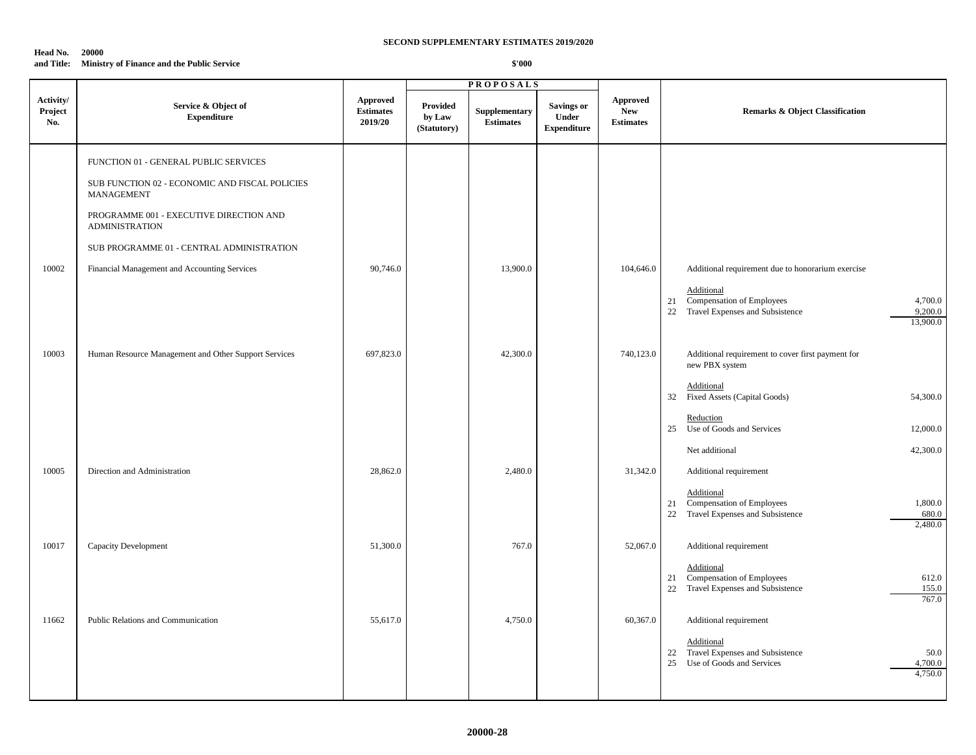#### **Head No. 20000**

#### **and Title: Ministry of Finance and the Public Service**

|                             |                                                                  |                                                |                                          | <b>PROPOSALS</b>                  |                                                         |                                                   |                                                                                                                       |
|-----------------------------|------------------------------------------------------------------|------------------------------------------------|------------------------------------------|-----------------------------------|---------------------------------------------------------|---------------------------------------------------|-----------------------------------------------------------------------------------------------------------------------|
| Activity/<br>Project<br>No. | Service & Object of<br><b>Expenditure</b>                        | <b>Approved</b><br><b>Estimates</b><br>2019/20 | <b>Provided</b><br>by Law<br>(Statutory) | Supplementary<br><b>Estimates</b> | <b>Savings or</b><br><b>Under</b><br><b>Expenditure</b> | <b>Approved</b><br><b>New</b><br><b>Estimates</b> | <b>Remarks &amp; Object Classification</b>                                                                            |
|                             | FUNCTION 01 - GENERAL PUBLIC SERVICES                            |                                                |                                          |                                   |                                                         |                                                   |                                                                                                                       |
|                             | SUB FUNCTION 02 - ECONOMIC AND FISCAL POLICIES<br>MANAGEMENT     |                                                |                                          |                                   |                                                         |                                                   |                                                                                                                       |
|                             | PROGRAMME 001 - EXECUTIVE DIRECTION AND<br><b>ADMINISTRATION</b> |                                                |                                          |                                   |                                                         |                                                   |                                                                                                                       |
|                             | SUB PROGRAMME 01 - CENTRAL ADMINISTRATION                        |                                                |                                          |                                   |                                                         |                                                   |                                                                                                                       |
| 10002                       | Financial Management and Accounting Services                     | 90,746.0                                       |                                          | 13,900.0                          |                                                         | 104,646.0                                         | Additional requirement due to honorarium exercise                                                                     |
|                             |                                                                  |                                                |                                          |                                   |                                                         |                                                   | Additional<br>Compensation of Employees<br>4,700.0<br>21<br>22 Travel Expenses and Subsistence<br>9,200.0<br>13,900.0 |
| 10003                       | Human Resource Management and Other Support Services             | 697,823.0                                      |                                          | 42,300.0                          |                                                         | 740,123.0                                         | Additional requirement to cover first payment for<br>new PBX system                                                   |
|                             |                                                                  |                                                |                                          |                                   |                                                         |                                                   | Additional<br>32 Fixed Assets (Capital Goods)<br>54,300.0                                                             |
|                             |                                                                  |                                                |                                          |                                   |                                                         |                                                   | Reduction<br>25 Use of Goods and Services<br>12,000.0                                                                 |
|                             |                                                                  |                                                |                                          |                                   |                                                         |                                                   | Net additional<br>42,300.0                                                                                            |
| 10005                       | Direction and Administration                                     | 28,862.0                                       |                                          | 2,480.0                           |                                                         | 31,342.0                                          | Additional requirement                                                                                                |
|                             |                                                                  |                                                |                                          |                                   |                                                         |                                                   | Additional<br>21 Compensation of Employees<br>1,800.0<br>22 Travel Expenses and Subsistence<br>680.0<br>2,480.0       |
| 10017                       | Capacity Development                                             | 51,300.0                                       |                                          | 767.0                             |                                                         | 52,067.0                                          | Additional requirement                                                                                                |
|                             |                                                                  |                                                |                                          |                                   |                                                         |                                                   | Additional<br>21 Compensation of Employees<br>612.0<br>22 Travel Expenses and Subsistence<br>155.0<br>767.0           |
| 11662                       | Public Relations and Communication                               | 55,617.0                                       |                                          | 4,750.0                           |                                                         | 60,367.0                                          | Additional requirement                                                                                                |
|                             |                                                                  |                                                |                                          |                                   |                                                         |                                                   | Additional<br>Travel Expenses and Subsistence<br>50.0<br>22<br>25 Use of Goods and Services<br>4,700.0<br>4,750.0     |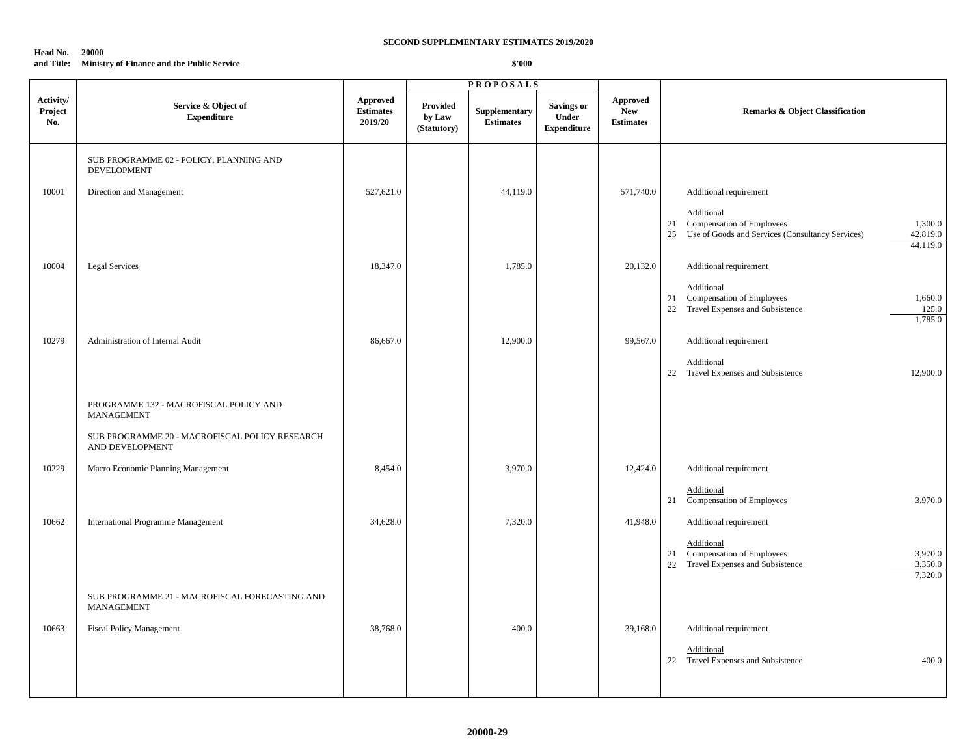#### **Head No. 20000**

### **and Title: Ministry of Finance and the Public Service**

|                             |                                                                   |                                                |                                          | <b>PROPOSALS</b>                  |                                           |                                                   |                                                                                                                                         |
|-----------------------------|-------------------------------------------------------------------|------------------------------------------------|------------------------------------------|-----------------------------------|-------------------------------------------|---------------------------------------------------|-----------------------------------------------------------------------------------------------------------------------------------------|
| Activity/<br>Project<br>No. | Service & Object of<br><b>Expenditure</b>                         | <b>Approved</b><br><b>Estimates</b><br>2019/20 | <b>Provided</b><br>by Law<br>(Statutory) | Supplementary<br><b>Estimates</b> | Savings or<br>Under<br><b>Expenditure</b> | <b>Approved</b><br><b>New</b><br><b>Estimates</b> | <b>Remarks &amp; Object Classification</b>                                                                                              |
|                             | SUB PROGRAMME 02 - POLICY, PLANNING AND<br>DEVELOPMENT            |                                                |                                          |                                   |                                           |                                                   |                                                                                                                                         |
| 10001                       | Direction and Management                                          | 527,621.0                                      |                                          | 44,119.0                          |                                           | 571,740.0                                         | Additional requirement                                                                                                                  |
|                             |                                                                   |                                                |                                          |                                   |                                           |                                                   | Additional<br>21 Compensation of Employees<br>1,300.0<br>Use of Goods and Services (Consultancy Services)<br>42,819.0<br>25<br>44,119.0 |
| 10004                       | <b>Legal Services</b>                                             | 18,347.0                                       |                                          | 1,785.0                           |                                           | 20,132.0                                          | Additional requirement                                                                                                                  |
|                             |                                                                   |                                                |                                          |                                   |                                           |                                                   | Additional<br>21 Compensation of Employees<br>1,660.0<br>Travel Expenses and Subsistence<br>22<br>125.0<br>1,785.0                      |
| 10279                       | Administration of Internal Audit                                  | 86,667.0                                       |                                          | 12,900.0                          |                                           | 99,567.0                                          | Additional requirement                                                                                                                  |
|                             |                                                                   |                                                |                                          |                                   |                                           |                                                   | Additional<br>22 Travel Expenses and Subsistence<br>12,900.0                                                                            |
|                             | PROGRAMME 132 - MACROFISCAL POLICY AND<br><b>MANAGEMENT</b>       |                                                |                                          |                                   |                                           |                                                   |                                                                                                                                         |
|                             | SUB PROGRAMME 20 - MACROFISCAL POLICY RESEARCH<br>AND DEVELOPMENT |                                                |                                          |                                   |                                           |                                                   |                                                                                                                                         |
| 10229                       | Macro Economic Planning Management                                | 8,454.0                                        |                                          | 3,970.0                           |                                           | 12,424.0                                          | Additional requirement                                                                                                                  |
|                             |                                                                   |                                                |                                          |                                   |                                           |                                                   | Additional<br>21 Compensation of Employees<br>3,970.0                                                                                   |
| 10662                       | <b>International Programme Management</b>                         | 34,628.0                                       |                                          | 7,320.0                           |                                           | 41,948.0                                          | Additional requirement                                                                                                                  |
|                             |                                                                   |                                                |                                          |                                   |                                           |                                                   | Additional<br>21 Compensation of Employees<br>3,970.0<br>22 Travel Expenses and Subsistence<br>3,350.0<br>7,320.0                       |
|                             | SUB PROGRAMME 21 - MACROFISCAL FORECASTING AND<br>MANAGEMENT      |                                                |                                          |                                   |                                           |                                                   |                                                                                                                                         |
| 10663                       | <b>Fiscal Policy Management</b>                                   | 38,768.0                                       |                                          | 400.0                             |                                           | 39,168.0                                          | Additional requirement                                                                                                                  |
|                             |                                                                   |                                                |                                          |                                   |                                           |                                                   | Additional<br>22 Travel Expenses and Subsistence<br>400.0                                                                               |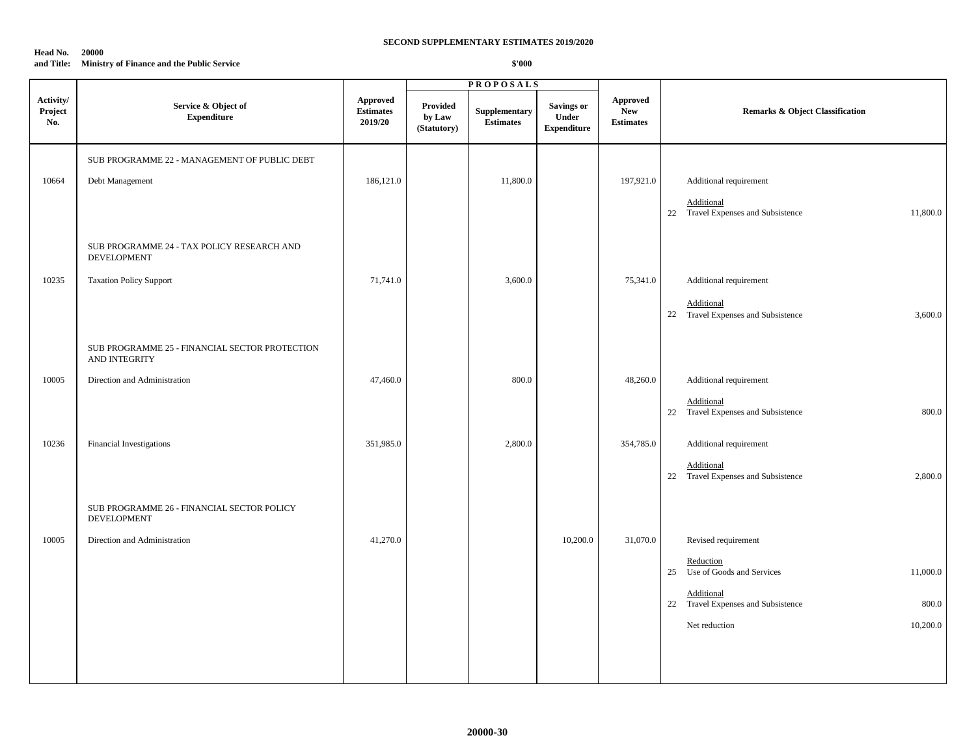#### **Head No. 20000**

#### **and Title: Ministry of Finance and the Public Service**

|                             |                                                                  |                                         |                                   | <b>PROPOSALS</b>           |                                                         |                                            |                                                             |
|-----------------------------|------------------------------------------------------------------|-----------------------------------------|-----------------------------------|----------------------------|---------------------------------------------------------|--------------------------------------------|-------------------------------------------------------------|
| Activity/<br>Project<br>No. | Service & Object of<br><b>Expenditure</b>                        | Approved<br><b>Estimates</b><br>2019/20 | Provided<br>by Law<br>(Statutory) | Supplementary<br>Estimates | <b>Savings or</b><br><b>Under</b><br><b>Expenditure</b> | Approved<br><b>New</b><br><b>Estimates</b> | <b>Remarks &amp; Object Classification</b>                  |
|                             | SUB PROGRAMME 22 - MANAGEMENT OF PUBLIC DEBT                     |                                         |                                   |                            |                                                         |                                            |                                                             |
| 10664                       | Debt Management                                                  | 186,121.0                               |                                   | 11,800.0                   |                                                         | 197,921.0                                  | Additional requirement                                      |
|                             |                                                                  |                                         |                                   |                            |                                                         |                                            | Additional                                                  |
|                             |                                                                  |                                         |                                   |                            |                                                         |                                            | 22 Travel Expenses and Subsistence<br>11,800.0              |
|                             | SUB PROGRAMME 24 - TAX POLICY RESEARCH AND<br><b>DEVELOPMENT</b> |                                         |                                   |                            |                                                         |                                            |                                                             |
| 10235                       | <b>Taxation Policy Support</b>                                   | 71,741.0                                |                                   | 3,600.0                    |                                                         | 75,341.0                                   | Additional requirement                                      |
|                             |                                                                  |                                         |                                   |                            |                                                         |                                            | Additional                                                  |
|                             |                                                                  |                                         |                                   |                            |                                                         |                                            | 22 Travel Expenses and Subsistence<br>3,600.0               |
|                             | SUB PROGRAMME 25 - FINANCIAL SECTOR PROTECTION<br>AND INTEGRITY  |                                         |                                   |                            |                                                         |                                            |                                                             |
| 10005                       | Direction and Administration                                     | 47,460.0                                |                                   | 800.0                      |                                                         | 48,260.0                                   | Additional requirement                                      |
|                             |                                                                  |                                         |                                   |                            |                                                         |                                            | Additional<br>22 Travel Expenses and Subsistence<br>800.0   |
|                             |                                                                  |                                         |                                   |                            |                                                         |                                            |                                                             |
| 10236                       | Financial Investigations                                         | 351,985.0                               |                                   | 2,800.0                    |                                                         | 354,785.0                                  | Additional requirement                                      |
|                             |                                                                  |                                         |                                   |                            |                                                         |                                            | Additional<br>22 Travel Expenses and Subsistence<br>2,800.0 |
|                             |                                                                  |                                         |                                   |                            |                                                         |                                            |                                                             |
|                             | SUB PROGRAMME 26 - FINANCIAL SECTOR POLICY<br>DEVELOPMENT        |                                         |                                   |                            |                                                         |                                            |                                                             |
| 10005                       | Direction and Administration                                     | 41,270.0                                |                                   |                            | 10,200.0                                                | 31,070.0                                   | Revised requirement                                         |
|                             |                                                                  |                                         |                                   |                            |                                                         |                                            | Reduction<br>Use of Goods and Services<br>11,000.0<br>25    |
|                             |                                                                  |                                         |                                   |                            |                                                         |                                            | Additional<br>22 Travel Expenses and Subsistence<br>800.0   |
|                             |                                                                  |                                         |                                   |                            |                                                         |                                            | 10,200.0<br>Net reduction                                   |
|                             |                                                                  |                                         |                                   |                            |                                                         |                                            |                                                             |
|                             |                                                                  |                                         |                                   |                            |                                                         |                                            |                                                             |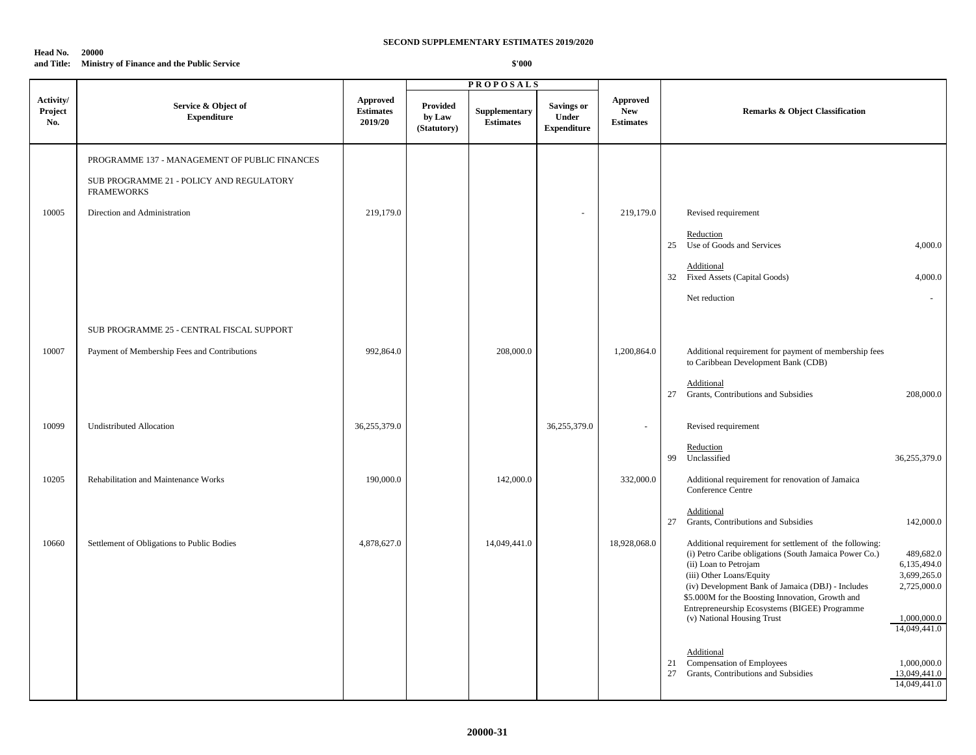#### **Head No. 20000**

### **and Title: Ministry of Finance and the Public Service**

|                             |                                                               |                                         |                                   | <b>PROPOSALS</b>                                                   |                                                         |                                            |                                                                                                                                                                                                                                                                                                                                                                                                                                                         |
|-----------------------------|---------------------------------------------------------------|-----------------------------------------|-----------------------------------|--------------------------------------------------------------------|---------------------------------------------------------|--------------------------------------------|---------------------------------------------------------------------------------------------------------------------------------------------------------------------------------------------------------------------------------------------------------------------------------------------------------------------------------------------------------------------------------------------------------------------------------------------------------|
| Activity/<br>Project<br>No. | Service & Object of<br><b>Expenditure</b>                     | Approved<br><b>Estimates</b><br>2019/20 | Provided<br>by Law<br>(Statutory) | Supplementary<br>$\begin{array}{c} \textbf{Estimates} \end{array}$ | <b>Savings or</b><br><b>Under</b><br><b>Expenditure</b> | Approved<br><b>New</b><br><b>Estimates</b> | <b>Remarks &amp; Object Classification</b>                                                                                                                                                                                                                                                                                                                                                                                                              |
|                             | PROGRAMME 137 - MANAGEMENT OF PUBLIC FINANCES                 |                                         |                                   |                                                                    |                                                         |                                            |                                                                                                                                                                                                                                                                                                                                                                                                                                                         |
|                             | SUB PROGRAMME 21 - POLICY AND REGULATORY<br><b>FRAMEWORKS</b> |                                         |                                   |                                                                    |                                                         |                                            |                                                                                                                                                                                                                                                                                                                                                                                                                                                         |
| 10005                       | Direction and Administration                                  | 219,179.0                               |                                   |                                                                    | $\sim$                                                  | 219,179.0                                  | Revised requirement                                                                                                                                                                                                                                                                                                                                                                                                                                     |
|                             |                                                               |                                         |                                   |                                                                    |                                                         |                                            | Reduction<br>Use of Goods and Services<br>4,000.0<br>25                                                                                                                                                                                                                                                                                                                                                                                                 |
|                             |                                                               |                                         |                                   |                                                                    |                                                         |                                            | Additional<br><b>Fixed Assets (Capital Goods)</b><br>32<br>4,000.0                                                                                                                                                                                                                                                                                                                                                                                      |
|                             |                                                               |                                         |                                   |                                                                    |                                                         |                                            | Net reduction<br>$\sim$                                                                                                                                                                                                                                                                                                                                                                                                                                 |
|                             | SUB PROGRAMME 25 - CENTRAL FISCAL SUPPORT                     |                                         |                                   |                                                                    |                                                         |                                            |                                                                                                                                                                                                                                                                                                                                                                                                                                                         |
| 10007                       | Payment of Membership Fees and Contributions                  | 992,864.0                               |                                   | 208,000.0                                                          |                                                         | 1,200,864.0                                | Additional requirement for payment of membership fees<br>to Caribbean Development Bank (CDB)                                                                                                                                                                                                                                                                                                                                                            |
|                             |                                                               |                                         |                                   |                                                                    |                                                         |                                            | Additional<br>Grants, Contributions and Subsidies<br>208,000.0<br>27                                                                                                                                                                                                                                                                                                                                                                                    |
| 10099                       | <b>Undistributed Allocation</b>                               | 36,255,379.0                            |                                   |                                                                    | 36,255,379.0                                            | $\overline{\phantom{a}}$                   | Revised requirement                                                                                                                                                                                                                                                                                                                                                                                                                                     |
|                             |                                                               |                                         |                                   |                                                                    |                                                         |                                            | Reduction<br>Unclassified<br>99<br>36,255,379.0                                                                                                                                                                                                                                                                                                                                                                                                         |
| 10205                       | Rehabilitation and Maintenance Works                          | 190,000.0                               |                                   | 142,000.0                                                          |                                                         | 332,000.0                                  | Additional requirement for renovation of Jamaica<br>Conference Centre                                                                                                                                                                                                                                                                                                                                                                                   |
|                             |                                                               |                                         |                                   |                                                                    |                                                         |                                            | Additional<br>Grants, Contributions and Subsidies<br>142,000.0<br>27                                                                                                                                                                                                                                                                                                                                                                                    |
| 10660                       | Settlement of Obligations to Public Bodies                    | 4,878,627.0                             |                                   | 14,049,441.0                                                       |                                                         | 18,928,068.0                               | Additional requirement for settlement of the following:<br>(i) Petro Caribe obligations (South Jamaica Power Co.)<br>489,682.0<br>(ii) Loan to Petrojam<br>6,135,494.0<br>3,699,265.0<br>(iii) Other Loans/Equity<br>2,725,000.0<br>(iv) Development Bank of Jamaica (DBJ) - Includes<br>\$5.000M for the Boosting Innovation, Growth and<br>Entrepreneurship Ecosystems (BIGEE) Programme<br>(v) National Housing Trust<br>1,000,000.0<br>14,049,441.0 |
|                             |                                                               |                                         |                                   |                                                                    |                                                         |                                            | Additional<br>Compensation of Employees<br>1,000,000.0<br>21<br>Grants, Contributions and Subsidies<br>27<br>13,049,441.0<br>14,049,441.0                                                                                                                                                                                                                                                                                                               |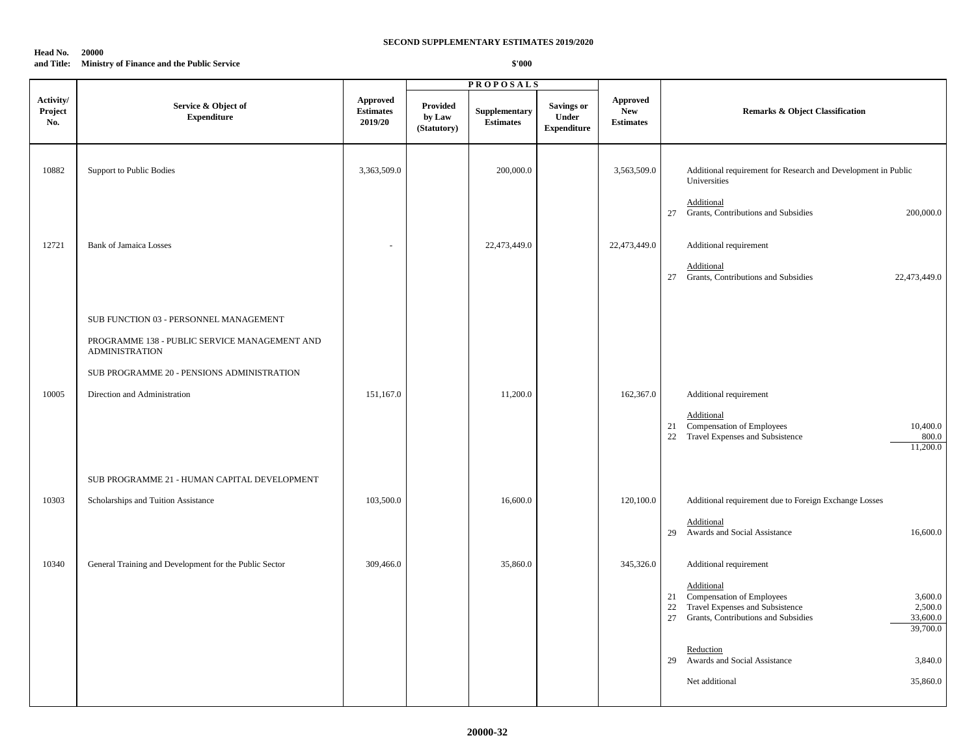#### **Head No. 20000**

#### **and Title: Ministry of Finance and the Public Service**

|                             |                                                                        |                                                |                                   | <b>PROPOSALS</b>                  |                                                  |                                                   |                                                                                                                                                                                |  |
|-----------------------------|------------------------------------------------------------------------|------------------------------------------------|-----------------------------------|-----------------------------------|--------------------------------------------------|---------------------------------------------------|--------------------------------------------------------------------------------------------------------------------------------------------------------------------------------|--|
| Activity/<br>Project<br>No. | Service & Object of<br><b>Expenditure</b>                              | <b>Approved</b><br><b>Estimates</b><br>2019/20 | Provided<br>by Law<br>(Statutory) | Supplementary<br><b>Estimates</b> | <b>Savings or</b><br>Under<br><b>Expenditure</b> | <b>Approved</b><br><b>New</b><br><b>Estimates</b> | <b>Remarks &amp; Object Classification</b>                                                                                                                                     |  |
| 10882                       | Support to Public Bodies                                               | 3,363,509.0                                    |                                   | 200,000.0                         |                                                  | 3,563,509.0                                       | Additional requirement for Research and Development in Public<br>Universities                                                                                                  |  |
|                             |                                                                        |                                                |                                   |                                   |                                                  |                                                   | Additional<br>27 Grants, Contributions and Subsidies<br>200,000.0                                                                                                              |  |
| 12721                       | <b>Bank of Jamaica Losses</b>                                          | $\sim$                                         |                                   | 22,473,449.0                      |                                                  | 22,473,449.0                                      | Additional requirement                                                                                                                                                         |  |
|                             |                                                                        |                                                |                                   |                                   |                                                  |                                                   | Additional<br>Grants, Contributions and Subsidies<br>22,473,449.0<br>27                                                                                                        |  |
|                             | SUB FUNCTION 03 - PERSONNEL MANAGEMENT                                 |                                                |                                   |                                   |                                                  |                                                   |                                                                                                                                                                                |  |
|                             | PROGRAMME 138 - PUBLIC SERVICE MANAGEMENT AND<br><b>ADMINISTRATION</b> |                                                |                                   |                                   |                                                  |                                                   |                                                                                                                                                                                |  |
|                             | SUB PROGRAMME 20 - PENSIONS ADMINISTRATION                             |                                                |                                   |                                   |                                                  |                                                   |                                                                                                                                                                                |  |
| 10005                       | Direction and Administration                                           | 151,167.0                                      |                                   | 11,200.0                          |                                                  | 162,367.0                                         | Additional requirement                                                                                                                                                         |  |
|                             |                                                                        |                                                |                                   |                                   |                                                  |                                                   | Additional<br>21 Compensation of Employees<br>10,400.0<br>22 Travel Expenses and Subsistence<br>800.0<br>11,200.0                                                              |  |
|                             | SUB PROGRAMME 21 - HUMAN CAPITAL DEVELOPMENT                           |                                                |                                   |                                   |                                                  |                                                   |                                                                                                                                                                                |  |
| 10303                       | Scholarships and Tuition Assistance                                    | 103,500.0                                      |                                   | 16,600.0                          |                                                  | 120,100.0                                         | Additional requirement due to Foreign Exchange Losses                                                                                                                          |  |
|                             |                                                                        |                                                |                                   |                                   |                                                  |                                                   | Additional<br>29 Awards and Social Assistance<br>16,600.0                                                                                                                      |  |
| 10340                       | General Training and Development for the Public Sector                 | 309,466.0                                      |                                   | 35,860.0                          |                                                  | 345,326.0                                         | Additional requirement                                                                                                                                                         |  |
|                             |                                                                        |                                                |                                   |                                   |                                                  |                                                   | Additional<br>Compensation of Employees<br>3,600.0<br>21<br>22 Travel Expenses and Subsistence<br>2,500.0<br>27<br>Grants, Contributions and Subsidies<br>33,600.0<br>39,700.0 |  |
|                             |                                                                        |                                                |                                   |                                   |                                                  |                                                   | Reduction                                                                                                                                                                      |  |
|                             |                                                                        |                                                |                                   |                                   |                                                  |                                                   | 29 Awards and Social Assistance<br>3,840.0                                                                                                                                     |  |
|                             |                                                                        |                                                |                                   |                                   |                                                  |                                                   | 35,860.0<br>Net additional                                                                                                                                                     |  |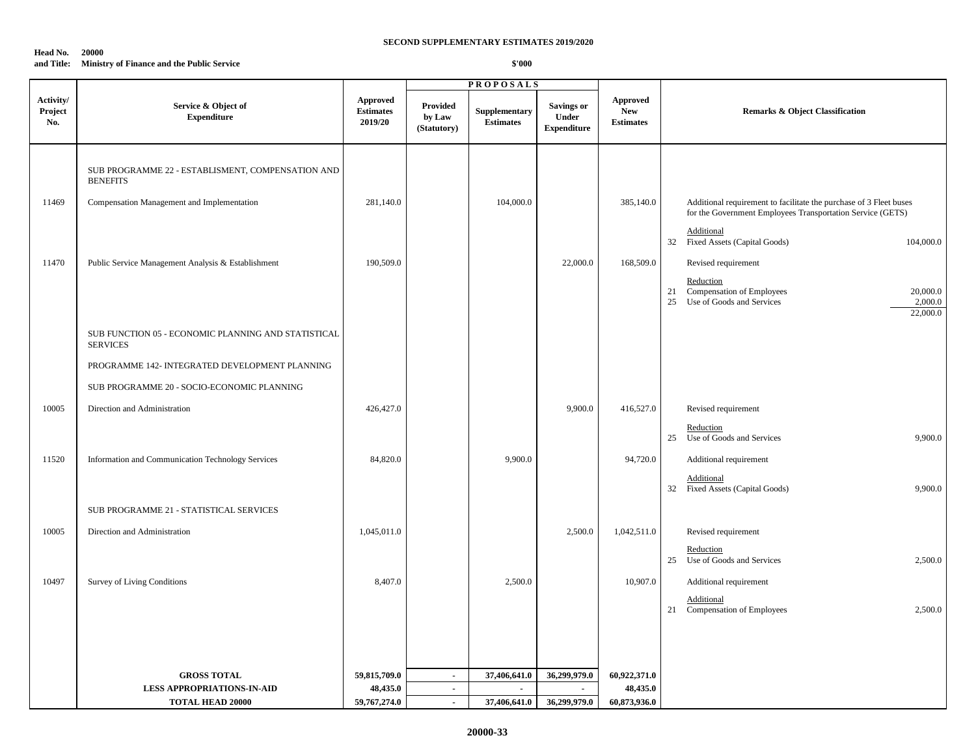#### **Head No. 20000**

### **and Title: Ministry of Finance and the Public Service**

|                             |                                                                        |                                         |                                   | <b>PROPOSALS</b>                                                                |                                                  |                                                   |                                                                                                                                  |
|-----------------------------|------------------------------------------------------------------------|-----------------------------------------|-----------------------------------|---------------------------------------------------------------------------------|--------------------------------------------------|---------------------------------------------------|----------------------------------------------------------------------------------------------------------------------------------|
| Activity/<br>Project<br>No. | Service & Object of<br><b>Expenditure</b>                              | Approved<br><b>Estimates</b><br>2019/20 | Provided<br>by Law<br>(Statutory) | Supplementary<br>$\label{1.1} \begin{array}{ll} \textbf{Estimates} \end{array}$ | Savings or<br><b>Under</b><br><b>Expenditure</b> | <b>Approved</b><br><b>New</b><br><b>Estimates</b> | <b>Remarks &amp; Object Classification</b>                                                                                       |
|                             | SUB PROGRAMME 22 - ESTABLISMENT, COMPENSATION AND<br><b>BENEFITS</b>   |                                         |                                   |                                                                                 |                                                  |                                                   |                                                                                                                                  |
| 11469                       | Compensation Management and Implementation                             | 281,140.0                               |                                   | 104,000.0                                                                       |                                                  | 385,140.0                                         | Additional requirement to facilitate the purchase of 3 Fleet buses<br>for the Government Employees Transportation Service (GETS) |
|                             |                                                                        |                                         |                                   |                                                                                 |                                                  |                                                   | Additional<br>32 Fixed Assets (Capital Goods)<br>104,000.0                                                                       |
| 11470                       | Public Service Management Analysis & Establishment                     | 190,509.0                               |                                   |                                                                                 | 22,000.0                                         | 168,509.0                                         | Revised requirement                                                                                                              |
|                             |                                                                        |                                         |                                   |                                                                                 |                                                  |                                                   | Reduction<br>21 Compensation of Employees<br>20,000.0<br>Use of Goods and Services<br>25<br>2,000.0<br>22,000.0                  |
|                             | SUB FUNCTION 05 - ECONOMIC PLANNING AND STATISTICAL<br><b>SERVICES</b> |                                         |                                   |                                                                                 |                                                  |                                                   |                                                                                                                                  |
|                             | PROGRAMME 142- INTEGRATED DEVELOPMENT PLANNING                         |                                         |                                   |                                                                                 |                                                  |                                                   |                                                                                                                                  |
|                             | SUB PROGRAMME 20 - SOCIO-ECONOMIC PLANNING                             |                                         |                                   |                                                                                 |                                                  |                                                   |                                                                                                                                  |
| 10005                       | Direction and Administration                                           | 426,427.0                               |                                   |                                                                                 | 9,900.0                                          | 416,527.0                                         | Revised requirement                                                                                                              |
|                             |                                                                        |                                         |                                   |                                                                                 |                                                  |                                                   | Reduction<br>25 Use of Goods and Services<br>9,900.0                                                                             |
| 11520                       | Information and Communication Technology Services                      | 84,820.0                                |                                   | 9,900.0                                                                         |                                                  | 94,720.0                                          | Additional requirement                                                                                                           |
|                             |                                                                        |                                         |                                   |                                                                                 |                                                  |                                                   | Additional<br>32 Fixed Assets (Capital Goods)<br>9,900.0                                                                         |
|                             | SUB PROGRAMME 21 - STATISTICAL SERVICES                                |                                         |                                   |                                                                                 |                                                  |                                                   |                                                                                                                                  |
| 10005                       | Direction and Administration                                           | 1,045,011.0                             |                                   |                                                                                 | 2,500.0                                          | 1,042,511.0                                       | Revised requirement                                                                                                              |
|                             |                                                                        |                                         |                                   |                                                                                 |                                                  |                                                   | Reduction<br>25 Use of Goods and Services<br>2,500.0                                                                             |
| 10497                       | <b>Survey of Living Conditions</b>                                     | 8,407.0                                 |                                   | 2,500.0                                                                         |                                                  | 10,907.0                                          | Additional requirement                                                                                                           |
|                             |                                                                        |                                         |                                   |                                                                                 |                                                  |                                                   | Additional<br>21 Compensation of Employees<br>2,500.0                                                                            |
|                             |                                                                        |                                         |                                   |                                                                                 |                                                  |                                                   |                                                                                                                                  |
|                             | <b>GROSS TOTAL</b>                                                     |                                         |                                   |                                                                                 | 36,299,979.0                                     |                                                   |                                                                                                                                  |
|                             | <b>LESS APPROPRIATIONS-IN-AID</b>                                      | 59,815,709.0<br>48,435.0                | $\sim$<br>$\sim$                  | 37,406,641.0<br>$\sim$                                                          | $\sim$                                           | 60,922,371.0<br>48,435.0                          |                                                                                                                                  |
|                             | <b>TOTAL HEAD 20000</b>                                                | 59,767,274.0                            | $\sim$                            | 37,406,641.0                                                                    | 36,299,979.0                                     | 60,873,936.0                                      |                                                                                                                                  |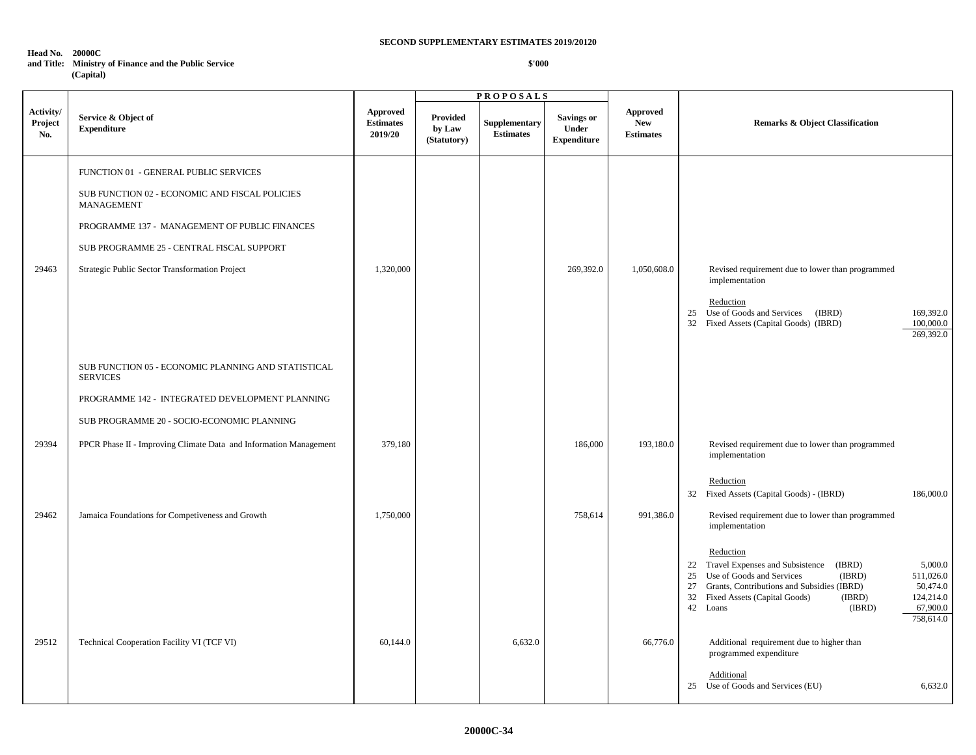#### **Head No. 20000C**

## **and Title: Ministry of Finance and the Public Service**

 **(Capital)**

|                             |                                                                                                                                                                                                                                              |                                                |                                          | <b>PROPOSALS</b>                  |                                                  |                                                          |                                                                                                                                                                                                                                                                                                         |
|-----------------------------|----------------------------------------------------------------------------------------------------------------------------------------------------------------------------------------------------------------------------------------------|------------------------------------------------|------------------------------------------|-----------------------------------|--------------------------------------------------|----------------------------------------------------------|---------------------------------------------------------------------------------------------------------------------------------------------------------------------------------------------------------------------------------------------------------------------------------------------------------|
| Activity/<br>Project<br>No. | Service & Object of<br><b>Expenditure</b>                                                                                                                                                                                                    | <b>Approved</b><br><b>Estimates</b><br>2019/20 | <b>Provided</b><br>by Law<br>(Statutory) | Supplementary<br><b>Estimates</b> | <b>Savings or</b><br>Under<br><b>Expenditure</b> | ${\Large\bf Approved}$<br><b>New</b><br><b>Estimates</b> | <b>Remarks &amp; Object Classification</b>                                                                                                                                                                                                                                                              |
|                             | FUNCTION 01 - GENERAL PUBLIC SERVICES<br>SUB FUNCTION 02 - ECONOMIC AND FISCAL POLICIES<br><b>MANAGEMENT</b><br>PROGRAMME 137 - MANAGEMENT OF PUBLIC FINANCES                                                                                |                                                |                                          |                                   |                                                  |                                                          |                                                                                                                                                                                                                                                                                                         |
| 29463                       | SUB PROGRAMME 25 - CENTRAL FISCAL SUPPORT<br>Strategic Public Sector Transformation Project                                                                                                                                                  | 1,320,000                                      |                                          |                                   | 269,392.0                                        | 1,050,608.0                                              | Revised requirement due to lower than programmed<br>implementation<br>Reduction<br>25 Use of Goods and Services<br>(IBRD)<br>169,392.0<br>32 Fixed Assets (Capital Goods) (IBRD)<br>100,000.0<br>269,392.0                                                                                              |
| 29394                       | SUB FUNCTION 05 - ECONOMIC PLANNING AND STATISTICAL<br><b>SERVICES</b><br>PROGRAMME 142 - INTEGRATED DEVELOPMENT PLANNING<br>SUB PROGRAMME 20 - SOCIO-ECONOMIC PLANNING<br>PPCR Phase II - Improving Climate Data and Information Management | 379,180                                        |                                          |                                   | 186,000                                          | 193,180.0                                                | Revised requirement due to lower than programmed<br>implementation                                                                                                                                                                                                                                      |
| 29462                       | Jamaica Foundations for Competiveness and Growth                                                                                                                                                                                             | 1,750,000                                      |                                          |                                   | 758,614                                          | 991,386.0                                                | Reduction<br>32 Fixed Assets (Capital Goods) - (IBRD)<br>186,000.0<br>Revised requirement due to lower than programmed<br>implementation<br>Reduction<br>22 Travel Expenses and Subsistence (IBRD)<br>5,000.0<br>25 Use of Goods and Services<br>(IBRD)<br>511,026.0                                    |
| 29512                       | Technical Cooperation Facility VI (TCF VI)                                                                                                                                                                                                   | 60,144.0                                       |                                          | 6,632.0                           |                                                  | 66,776.0                                                 | 27 Grants, Contributions and Subsidies (IBRD)<br>50,474.0<br>32 Fixed Assets (Capital Goods)<br>(IBRD)<br>124,214.0<br>42 Loans<br>(IBRD)<br>67,900.0<br>758,614.0<br>Additional requirement due to higher than<br>programmed expenditure<br>Additional<br>25 Use of Goods and Services (EU)<br>6,632.0 |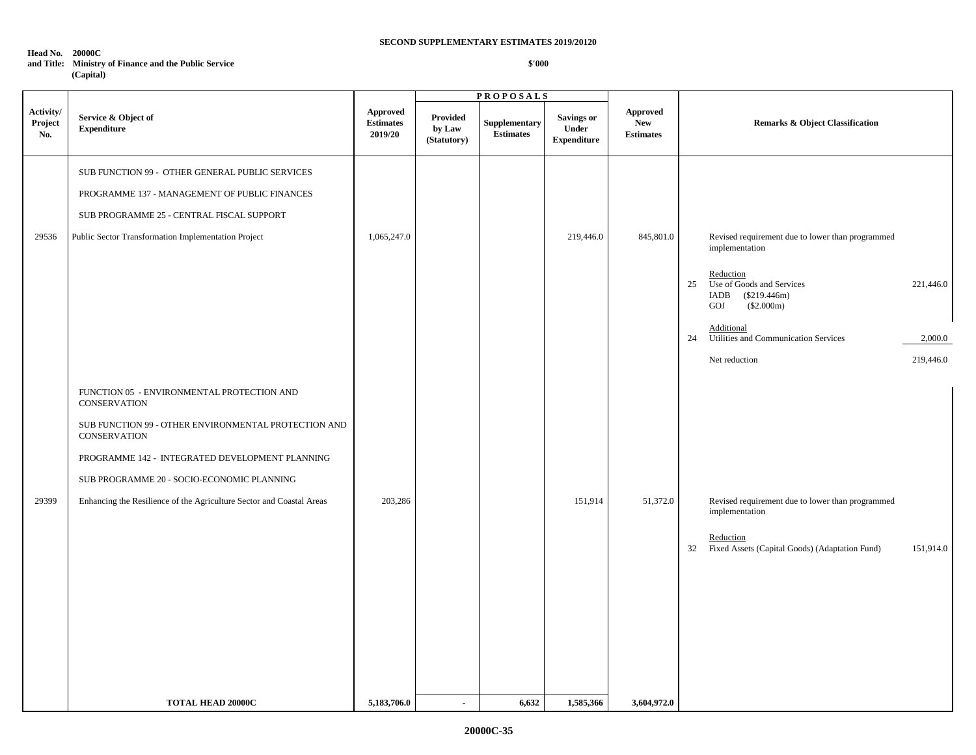#### **Head No. 20000C**

## **and Title: Ministry of Finance and the Public Service**

 **(Capital)**

|                             |                                                                                                                                                                                                                                                                                                                    |                                                |                                          | <b>PROPOSALS</b>                  |                                                  |                                                   |                                                                                                                                                                                                                                                       |
|-----------------------------|--------------------------------------------------------------------------------------------------------------------------------------------------------------------------------------------------------------------------------------------------------------------------------------------------------------------|------------------------------------------------|------------------------------------------|-----------------------------------|--------------------------------------------------|---------------------------------------------------|-------------------------------------------------------------------------------------------------------------------------------------------------------------------------------------------------------------------------------------------------------|
| Activity/<br>Project<br>No. | Service & Object of<br><b>Expenditure</b>                                                                                                                                                                                                                                                                          | <b>Approved</b><br><b>Estimates</b><br>2019/20 | <b>Provided</b><br>by Law<br>(Statutory) | Supplementary<br><b>Estimates</b> | <b>Savings or</b><br>Under<br><b>Expenditure</b> | <b>Approved</b><br><b>New</b><br><b>Estimates</b> | <b>Remarks &amp; Object Classification</b>                                                                                                                                                                                                            |
| 29536                       | SUB FUNCTION 99 - OTHER GENERAL PUBLIC SERVICES<br>PROGRAMME 137 - MANAGEMENT OF PUBLIC FINANCES<br>SUB PROGRAMME 25 - CENTRAL FISCAL SUPPORT<br>Public Sector Transformation Implementation Project                                                                                                               | 1,065,247.0                                    |                                          |                                   | 219,446.0                                        | 845,801.0                                         | Revised requirement due to lower than programmed<br>implementation<br>Reduction<br>25<br>Use of Goods and Services<br>221,446.0<br>IADB<br>$(\$219.446m)$<br>GOJ<br>(\$2.000m)<br>Additional<br>Utilities and Communication Services<br>24<br>2,000.0 |
| 29399                       | FUNCTION 05 - ENVIRONMENTAL PROTECTION AND<br><b>CONSERVATION</b><br>SUB FUNCTION 99 - OTHER ENVIRONMENTAL PROTECTION AND<br>CONSERVATION<br>PROGRAMME 142 - INTEGRATED DEVELOPMENT PLANNING<br>SUB PROGRAMME 20 - SOCIO-ECONOMIC PLANNING<br>Enhancing the Resilience of the Agriculture Sector and Coastal Areas | 203,286                                        |                                          |                                   | 151,914                                          | 51,372.0                                          | Net reduction<br>219,446.0<br>Revised requirement due to lower than programmed<br>implementation<br>Reduction<br>32 Fixed Assets (Capital Goods) (Adaptation Fund)<br>151,914.0                                                                       |
|                             | <b>TOTAL HEAD 20000C</b>                                                                                                                                                                                                                                                                                           | 5,183,706.0                                    | $\blacksquare$                           | 6,632                             | 1,585,366                                        | 3,604,972.0                                       |                                                                                                                                                                                                                                                       |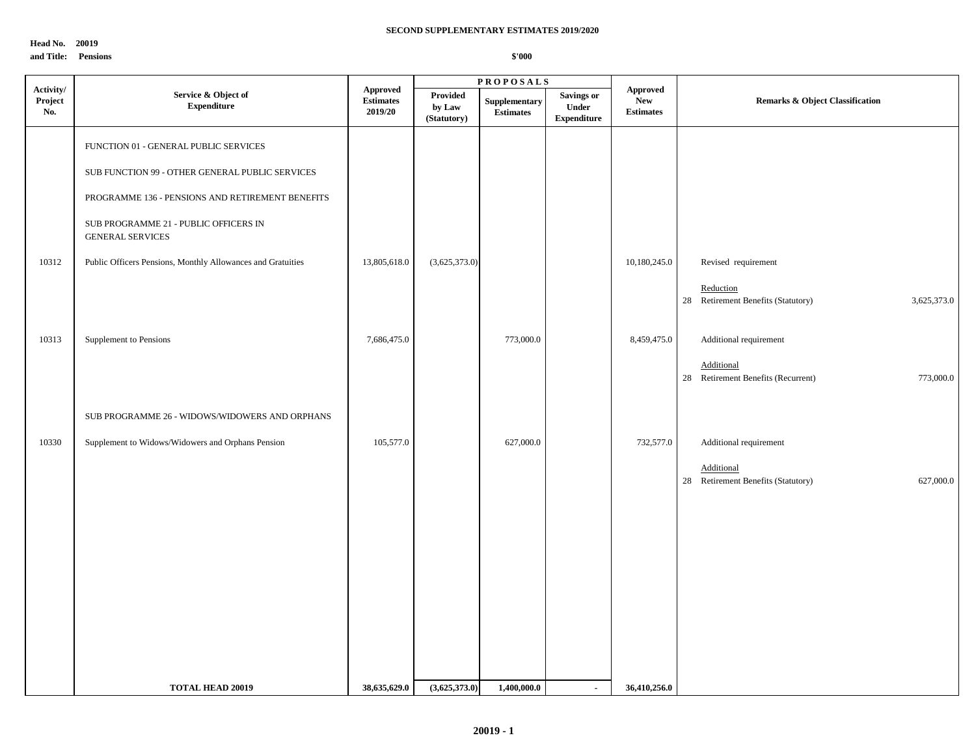**Head No. 20019**

#### **and Title: Pensions**

|                             |                                                                  |                                                | <b>PROPOSALS</b>                  |                                   |                                                  |                                                   |                                                                |  |
|-----------------------------|------------------------------------------------------------------|------------------------------------------------|-----------------------------------|-----------------------------------|--------------------------------------------------|---------------------------------------------------|----------------------------------------------------------------|--|
| Activity/<br>Project<br>No. | Service & Object of<br><b>Expenditure</b>                        | <b>Approved</b><br><b>Estimates</b><br>2019/20 | Provided<br>by Law<br>(Statutory) | Supplementary<br><b>Estimates</b> | <b>Savings or</b><br>Under<br><b>Expenditure</b> | <b>Approved</b><br><b>New</b><br><b>Estimates</b> | <b>Remarks &amp; Object Classification</b>                     |  |
|                             | FUNCTION 01 - GENERAL PUBLIC SERVICES                            |                                                |                                   |                                   |                                                  |                                                   |                                                                |  |
|                             | SUB FUNCTION 99 - OTHER GENERAL PUBLIC SERVICES                  |                                                |                                   |                                   |                                                  |                                                   |                                                                |  |
|                             | PROGRAMME 136 - PENSIONS AND RETIREMENT BENEFITS                 |                                                |                                   |                                   |                                                  |                                                   |                                                                |  |
|                             | SUB PROGRAMME 21 - PUBLIC OFFICERS IN<br><b>GENERAL SERVICES</b> |                                                |                                   |                                   |                                                  |                                                   |                                                                |  |
| 10312                       | Public Officers Pensions, Monthly Allowances and Gratuities      | 13,805,618.0                                   | (3,625,373.0)                     |                                   |                                                  | 10,180,245.0                                      | Revised requirement                                            |  |
|                             |                                                                  |                                                |                                   |                                   |                                                  |                                                   | Reduction<br>28 Retirement Benefits (Statutory)<br>3,625,373.0 |  |
| 10313                       | Supplement to Pensions                                           | 7,686,475.0                                    |                                   | 773,000.0                         |                                                  | 8,459,475.0                                       | Additional requirement                                         |  |
|                             |                                                                  |                                                |                                   |                                   |                                                  |                                                   | Additional<br>28 Retirement Benefits (Recurrent)<br>773,000.0  |  |
|                             | SUB PROGRAMME 26 - WIDOWS/WIDOWERS AND ORPHANS                   |                                                |                                   |                                   |                                                  |                                                   |                                                                |  |
| 10330                       | Supplement to Widows/Widowers and Orphans Pension                | 105,577.0                                      |                                   | 627,000.0                         |                                                  | 732,577.0                                         | Additional requirement                                         |  |
|                             |                                                                  |                                                |                                   |                                   |                                                  |                                                   | Additional<br>28 Retirement Benefits (Statutory)<br>627,000.0  |  |
|                             |                                                                  |                                                |                                   |                                   |                                                  |                                                   |                                                                |  |
|                             |                                                                  |                                                |                                   |                                   |                                                  |                                                   |                                                                |  |
|                             |                                                                  |                                                |                                   |                                   |                                                  |                                                   |                                                                |  |
|                             |                                                                  |                                                |                                   |                                   |                                                  |                                                   |                                                                |  |
|                             |                                                                  |                                                |                                   |                                   |                                                  |                                                   |                                                                |  |
|                             |                                                                  |                                                |                                   |                                   |                                                  |                                                   |                                                                |  |
|                             | <b>TOTAL HEAD 20019</b>                                          | 38,635,629.0                                   | (3,625,373.0)                     | 1,400,000.0                       | $\blacksquare$                                   | 36,410,256.0                                      |                                                                |  |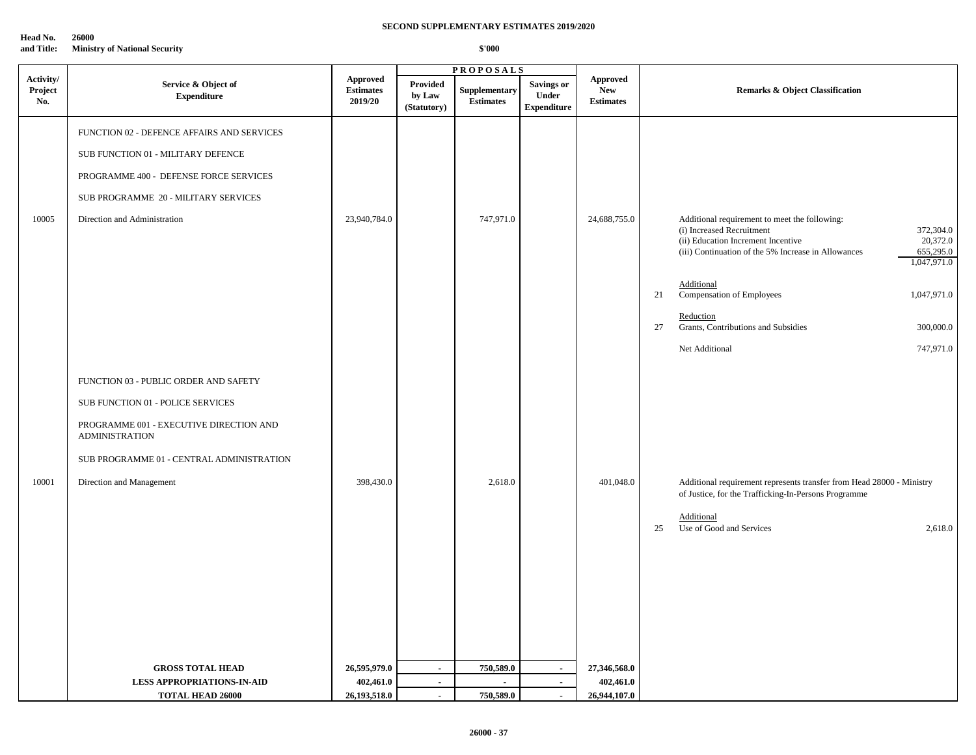**Head No. 26000**

**and Title: Ministry of National Security**

|                             |                                                                                                                                                                                                                         |                                                |                                                    | <b>PROPOSALS</b>                         |                                                  |                                                   |                                                                                                                                                                                                                                                                                                                                                                     |  |
|-----------------------------|-------------------------------------------------------------------------------------------------------------------------------------------------------------------------------------------------------------------------|------------------------------------------------|----------------------------------------------------|------------------------------------------|--------------------------------------------------|---------------------------------------------------|---------------------------------------------------------------------------------------------------------------------------------------------------------------------------------------------------------------------------------------------------------------------------------------------------------------------------------------------------------------------|--|
| Activity/<br>Project<br>No. | Service & Object of<br><b>Expenditure</b>                                                                                                                                                                               | <b>Approved</b><br><b>Estimates</b><br>2019/20 | <b>Provided</b><br>by Law<br>(Statutory)           | Supplementary<br><b>Estimates</b>        | <b>Savings or</b><br>Under<br><b>Expenditure</b> | <b>Approved</b><br><b>New</b><br><b>Estimates</b> | <b>Remarks &amp; Object Classification</b>                                                                                                                                                                                                                                                                                                                          |  |
| 10005                       | FUNCTION 02 - DEFENCE AFFAIRS AND SERVICES<br>SUB FUNCTION 01 - MILITARY DEFENCE<br>PROGRAMME 400 - DEFENSE FORCE SERVICES<br>SUB PROGRAMME 20 - MILITARY SERVICES<br>Direction and Administration                      | 23,940,784.0                                   |                                                    | 747,971.0                                |                                                  | 24,688,755.0                                      | Additional requirement to meet the following:<br>(i) Increased Recruitment<br>372,304.0<br>20,372.0<br>(ii) Education Increment Incentive<br>655,295.0<br>(iii) Continuation of the 5% Increase in Allowances<br>1,047,971.0<br>Additional<br>Compensation of Employees<br>1,047,971.0<br>21<br>Reduction<br>Grants, Contributions and Subsidies<br>27<br>300,000.0 |  |
| 10001                       | FUNCTION 03 - PUBLIC ORDER AND SAFETY<br>SUB FUNCTION 01 - POLICE SERVICES<br>PROGRAMME 001 - EXECUTIVE DIRECTION AND<br><b>ADMINISTRATION</b><br>SUB PROGRAMME 01 - CENTRAL ADMINISTRATION<br>Direction and Management | 398,430.0                                      |                                                    | 2,618.0                                  |                                                  | 401,048.0                                         | Net Additional<br>747,971.0<br>Additional requirement represents transfer from Head 28000 - Ministry<br>of Justice, for the Trafficking-In-Persons Programme<br>Additional<br>25<br>Use of Good and Services<br>2,618.0                                                                                                                                             |  |
|                             | <b>GROSS TOTAL HEAD</b><br><b>LESS APPROPRIATIONS-IN-AID</b><br><b>TOTAL HEAD 26000</b>                                                                                                                                 | 26,595,979.0<br>402,461.0<br>26,193,518.0      | $\blacksquare$<br>$\blacksquare$<br>$\blacksquare$ | 750,589.0<br>$\overline{a}$<br>750,589.0 | $\sim$<br>$\sim$<br>$\sim$                       | 27,346,568.0<br>402,461.0<br>26,944,107.0         |                                                                                                                                                                                                                                                                                                                                                                     |  |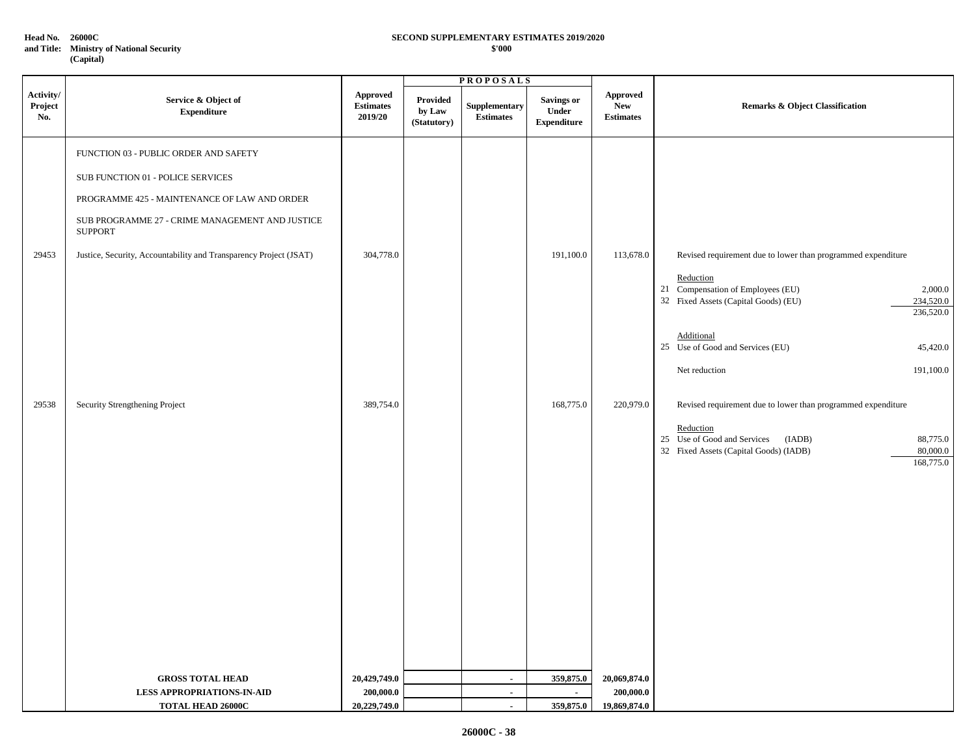**Head No. 26000C**

**and Title: Ministry of National Security (Capital)**

#### **\$'000 SECOND SUPPLEMENTARY ESTIMATES 2019/2020**

|                             |                                                                   |                                                | <b>PROPOSALS</b>                  |                                   |                                                  |                                                   |                                                                                                                                   |
|-----------------------------|-------------------------------------------------------------------|------------------------------------------------|-----------------------------------|-----------------------------------|--------------------------------------------------|---------------------------------------------------|-----------------------------------------------------------------------------------------------------------------------------------|
| Activity/<br>Project<br>No. | Service & Object of<br>${\bf Expenditure}$                        | <b>Approved</b><br><b>Estimates</b><br>2019/20 | Provided<br>by Law<br>(Statutory) | Supplementary<br><b>Estimates</b> | <b>Savings or</b><br>Under<br><b>Expenditure</b> | <b>Approved</b><br><b>New</b><br><b>Estimates</b> | <b>Remarks &amp; Object Classification</b>                                                                                        |
|                             | FUNCTION 03 - PUBLIC ORDER AND SAFETY                             |                                                |                                   |                                   |                                                  |                                                   |                                                                                                                                   |
|                             | SUB FUNCTION 01 - POLICE SERVICES                                 |                                                |                                   |                                   |                                                  |                                                   |                                                                                                                                   |
|                             | PROGRAMME 425 - MAINTENANCE OF LAW AND ORDER                      |                                                |                                   |                                   |                                                  |                                                   |                                                                                                                                   |
|                             | SUB PROGRAMME 27 - CRIME MANAGEMENT AND JUSTICE<br><b>SUPPORT</b> |                                                |                                   |                                   |                                                  |                                                   |                                                                                                                                   |
| 29453                       | Justice, Security, Accountability and Transparency Project (JSAT) | 304,778.0                                      |                                   |                                   | 191,100.0                                        | 113,678.0                                         | Revised requirement due to lower than programmed expenditure                                                                      |
|                             |                                                                   |                                                |                                   |                                   |                                                  |                                                   | Reduction<br>21 Compensation of Employees (EU)<br>2,000.0<br>32 Fixed Assets (Capital Goods) (EU)<br>234,520.0<br>236,520.0       |
|                             |                                                                   |                                                |                                   |                                   |                                                  |                                                   | Additional<br>25 Use of Good and Services (EU)<br>45,420.0                                                                        |
|                             |                                                                   |                                                |                                   |                                   |                                                  |                                                   | Net reduction<br>191,100.0                                                                                                        |
| 29538                       | Security Strengthening Project                                    | 389,754.0                                      |                                   |                                   | 168,775.0                                        | 220,979.0                                         | Revised requirement due to lower than programmed expenditure                                                                      |
|                             |                                                                   |                                                |                                   |                                   |                                                  |                                                   | Reduction<br>25 Use of Good and Services<br>(IADB)<br>88,775.0<br>80,000.0<br>32 Fixed Assets (Capital Goods) (IADB)<br>168,775.0 |
|                             |                                                                   |                                                |                                   |                                   |                                                  |                                                   |                                                                                                                                   |
|                             |                                                                   |                                                |                                   |                                   |                                                  |                                                   |                                                                                                                                   |
|                             |                                                                   |                                                |                                   |                                   |                                                  |                                                   |                                                                                                                                   |
|                             |                                                                   |                                                |                                   |                                   |                                                  |                                                   |                                                                                                                                   |
|                             |                                                                   |                                                |                                   |                                   |                                                  |                                                   |                                                                                                                                   |
|                             |                                                                   |                                                |                                   |                                   |                                                  |                                                   |                                                                                                                                   |
|                             | <b>GROSS TOTAL HEAD</b>                                           | 20,429,749.0                                   |                                   | $\sim$                            | 359,875.0                                        | 20,069,874.0                                      |                                                                                                                                   |
|                             | <b>LESS APPROPRIATIONS-IN-AID</b><br>TOTAL HEAD 26000C            | 200,000.0<br>20,229,749.0                      |                                   | $\blacksquare$<br>$\sim$          | $\mathbf{r}$<br>359,875.0                        | 200,000.0<br>19,869,874.0                         |                                                                                                                                   |
|                             |                                                                   |                                                |                                   |                                   |                                                  |                                                   |                                                                                                                                   |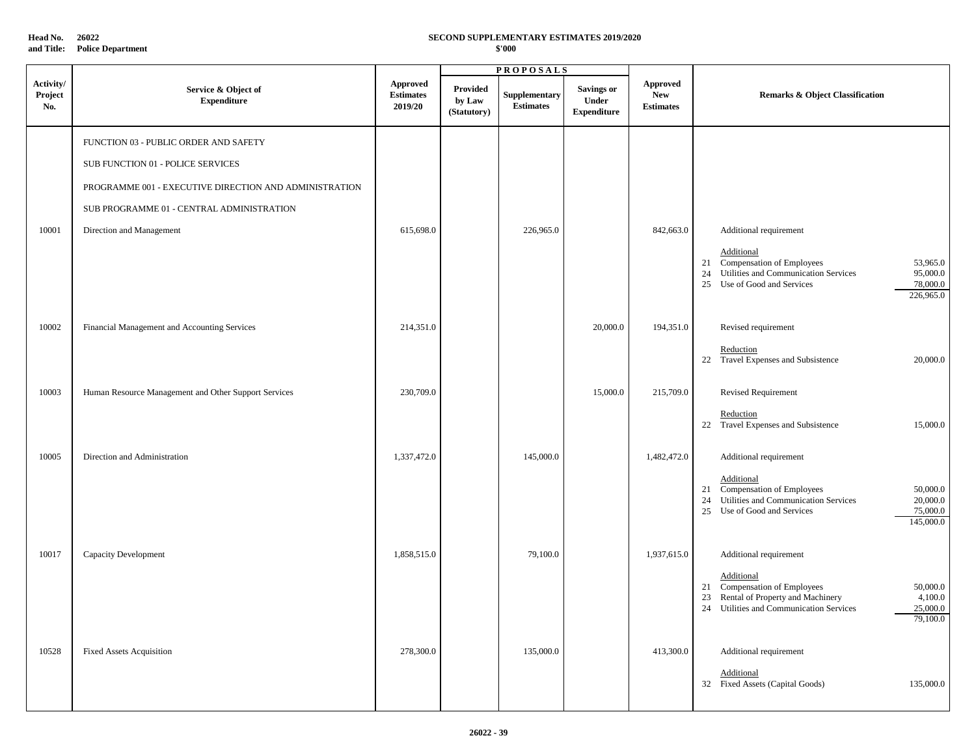**Head No. 26022**

# **and Title: Police Department**

# **SECOND SUPPLEMENTARY ESTIMATES 2019/2020**

|                             |                                                                            |                                                |                                   | <b>PROPOSALS</b>                  |                                                  |                                                   |                                                                                                                                                                                |
|-----------------------------|----------------------------------------------------------------------------|------------------------------------------------|-----------------------------------|-----------------------------------|--------------------------------------------------|---------------------------------------------------|--------------------------------------------------------------------------------------------------------------------------------------------------------------------------------|
| Activity/<br>Project<br>No. | Service & Object of<br><b>Expenditure</b>                                  | <b>Approved</b><br><b>Estimates</b><br>2019/20 | Provided<br>by Law<br>(Statutory) | Supplementary<br><b>Estimates</b> | <b>Savings or</b><br>Under<br><b>Expenditure</b> | <b>Approved</b><br><b>New</b><br><b>Estimates</b> | <b>Remarks &amp; Object Classification</b>                                                                                                                                     |
|                             | FUNCTION 03 - PUBLIC ORDER AND SAFETY<br>SUB FUNCTION 01 - POLICE SERVICES |                                                |                                   |                                   |                                                  |                                                   |                                                                                                                                                                                |
|                             | PROGRAMME 001 - EXECUTIVE DIRECTION AND ADMINISTRATION                     |                                                |                                   |                                   |                                                  |                                                   |                                                                                                                                                                                |
|                             | SUB PROGRAMME 01 - CENTRAL ADMINISTRATION                                  |                                                |                                   |                                   |                                                  |                                                   |                                                                                                                                                                                |
| 10001                       | Direction and Management                                                   | 615,698.0                                      |                                   | 226,965.0                         |                                                  | 842,663.0                                         | Additional requirement                                                                                                                                                         |
|                             |                                                                            |                                                |                                   |                                   |                                                  |                                                   | Additional<br>21 Compensation of Employees<br>53,965.0<br>Utilities and Communication Services<br>95,000.0<br>24<br>25 Use of Good and Services<br>78,000.0<br>226,965.0       |
| 10002                       | Financial Management and Accounting Services                               | 214,351.0                                      |                                   |                                   | 20,000.0                                         | 194,351.0                                         | Revised requirement                                                                                                                                                            |
|                             |                                                                            |                                                |                                   |                                   |                                                  |                                                   | Reduction<br>22 Travel Expenses and Subsistence<br>20,000.0                                                                                                                    |
| 10003                       | Human Resource Management and Other Support Services                       | 230,709.0                                      |                                   |                                   | 15,000.0                                         | 215,709.0                                         | <b>Revised Requirement</b>                                                                                                                                                     |
|                             |                                                                            |                                                |                                   |                                   |                                                  |                                                   | Reduction<br>22 Travel Expenses and Subsistence<br>15,000.0                                                                                                                    |
| 10005                       | Direction and Administration                                               | 1,337,472.0                                    |                                   | 145,000.0                         |                                                  | 1,482,472.0                                       | Additional requirement                                                                                                                                                         |
|                             |                                                                            |                                                |                                   |                                   |                                                  |                                                   | Additional<br>21 Compensation of Employees<br>50,000.0<br>Utilities and Communication Services<br>20,000.0<br>24<br>Use of Good and Services<br>75,000.0<br>25<br>145,000.0    |
| 10017                       | Capacity Development                                                       | 1,858,515.0                                    |                                   | 79,100.0                          |                                                  | 1,937,615.0                                       | Additional requirement                                                                                                                                                         |
|                             |                                                                            |                                                |                                   |                                   |                                                  |                                                   | Additional<br>21 Compensation of Employees<br>50,000.0<br>Rental of Property and Machinery<br>4,100.0<br>23<br>25,000.0<br>24 Utilities and Communication Services<br>79,100.0 |
| 10528                       | <b>Fixed Assets Acquisition</b>                                            | 278,300.0                                      |                                   | 135,000.0                         |                                                  | 413,300.0                                         | Additional requirement<br>Additional<br>32 Fixed Assets (Capital Goods)<br>135,000.0                                                                                           |
|                             |                                                                            |                                                |                                   |                                   |                                                  |                                                   |                                                                                                                                                                                |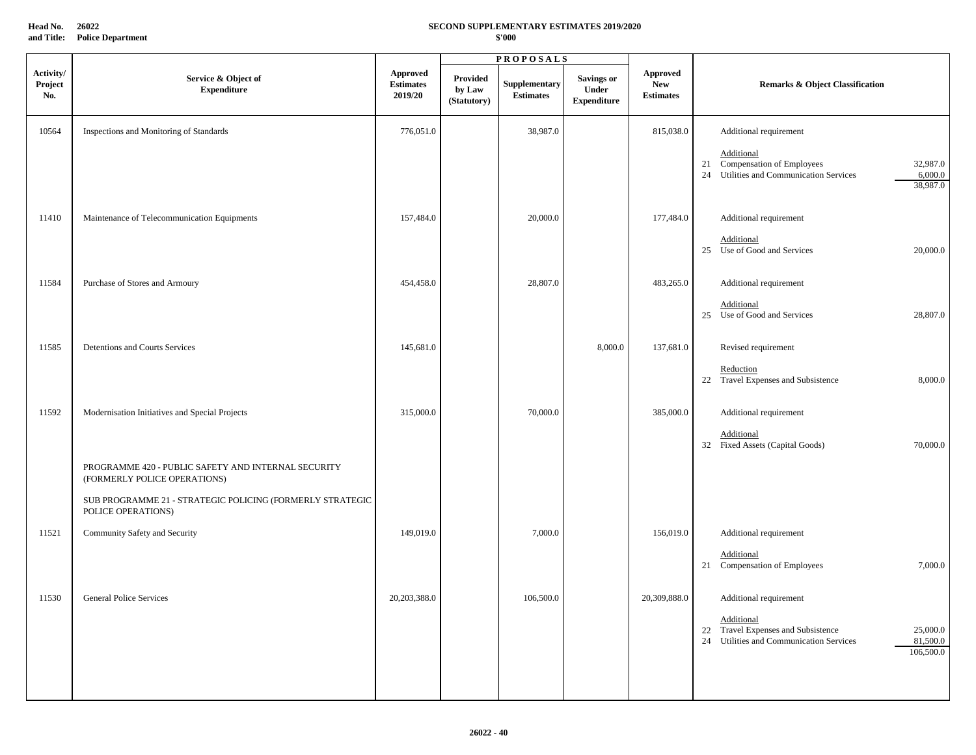**Head No. 26022 and Title: Police Department**

#### **SECOND SUPPLEMENTARY ESTIMATES 2019/2020 \$'000**

|                             |                                                                                     |                                                | <b>PROPOSALS</b>                  |                                   |                                                  |                                                   |                                                                                                                                    |
|-----------------------------|-------------------------------------------------------------------------------------|------------------------------------------------|-----------------------------------|-----------------------------------|--------------------------------------------------|---------------------------------------------------|------------------------------------------------------------------------------------------------------------------------------------|
| Activity/<br>Project<br>No. | Service & Object of<br><b>Expenditure</b>                                           | <b>Approved</b><br><b>Estimates</b><br>2019/20 | Provided<br>by Law<br>(Statutory) | Supplementary<br><b>Estimates</b> | <b>Savings or</b><br>Under<br><b>Expenditure</b> | <b>Approved</b><br><b>New</b><br><b>Estimates</b> | <b>Remarks &amp; Object Classification</b>                                                                                         |
| 10564                       | Inspections and Monitoring of Standards                                             | 776,051.0                                      |                                   | 38,987.0                          |                                                  | 815,038.0                                         | Additional requirement                                                                                                             |
|                             |                                                                                     |                                                |                                   |                                   |                                                  |                                                   | <b>Additional</b><br>Compensation of Employees<br>32,987.0<br>21<br>24 Utilities and Communication Services<br>6,000.0<br>38,987.0 |
| 11410                       | Maintenance of Telecommunication Equipments                                         | 157,484.0                                      |                                   | 20,000.0                          |                                                  | 177,484.0                                         | Additional requirement                                                                                                             |
|                             |                                                                                     |                                                |                                   |                                   |                                                  |                                                   | Additional<br>25 Use of Good and Services<br>20,000.0                                                                              |
| 11584                       | Purchase of Stores and Armoury                                                      | 454,458.0                                      |                                   | 28,807.0                          |                                                  | 483,265.0                                         | Additional requirement                                                                                                             |
|                             |                                                                                     |                                                |                                   |                                   |                                                  |                                                   | Additional<br>25 Use of Good and Services<br>28,807.0                                                                              |
| 11585                       | Detentions and Courts Services                                                      | 145,681.0                                      |                                   |                                   | 8,000.0                                          | 137,681.0                                         | Revised requirement                                                                                                                |
|                             |                                                                                     |                                                |                                   |                                   |                                                  |                                                   | Reduction<br>22 Travel Expenses and Subsistence<br>8,000.0                                                                         |
| 11592                       | Modernisation Initiatives and Special Projects                                      | 315,000.0                                      |                                   | 70,000.0                          |                                                  | 385,000.0                                         | Additional requirement                                                                                                             |
|                             |                                                                                     |                                                |                                   |                                   |                                                  |                                                   | Additional<br>32 Fixed Assets (Capital Goods)<br>70,000.0                                                                          |
|                             | PROGRAMME 420 - PUBLIC SAFETY AND INTERNAL SECURITY<br>(FORMERLY POLICE OPERATIONS) |                                                |                                   |                                   |                                                  |                                                   |                                                                                                                                    |
|                             | SUB PROGRAMME 21 - STRATEGIC POLICING (FORMERLY STRATEGIC<br>POLICE OPERATIONS)     |                                                |                                   |                                   |                                                  |                                                   |                                                                                                                                    |
| 11521                       | Community Safety and Security                                                       | 149,019.0                                      |                                   | 7,000.0                           |                                                  | 156,019.0                                         | Additional requirement                                                                                                             |
|                             |                                                                                     |                                                |                                   |                                   |                                                  |                                                   | Additional<br>21 Compensation of Employees<br>7,000.0                                                                              |
| 11530                       | <b>General Police Services</b>                                                      | 20,203,388.0                                   |                                   | 106,500.0                         |                                                  | 20,309,888.0                                      | Additional requirement                                                                                                             |
|                             |                                                                                     |                                                |                                   |                                   |                                                  |                                                   | Additional<br>22 Travel Expenses and Subsistence<br>25,000.0<br>24 Utilities and Communication Services<br>81,500.0<br>106,500.0   |
|                             |                                                                                     |                                                |                                   |                                   |                                                  |                                                   |                                                                                                                                    |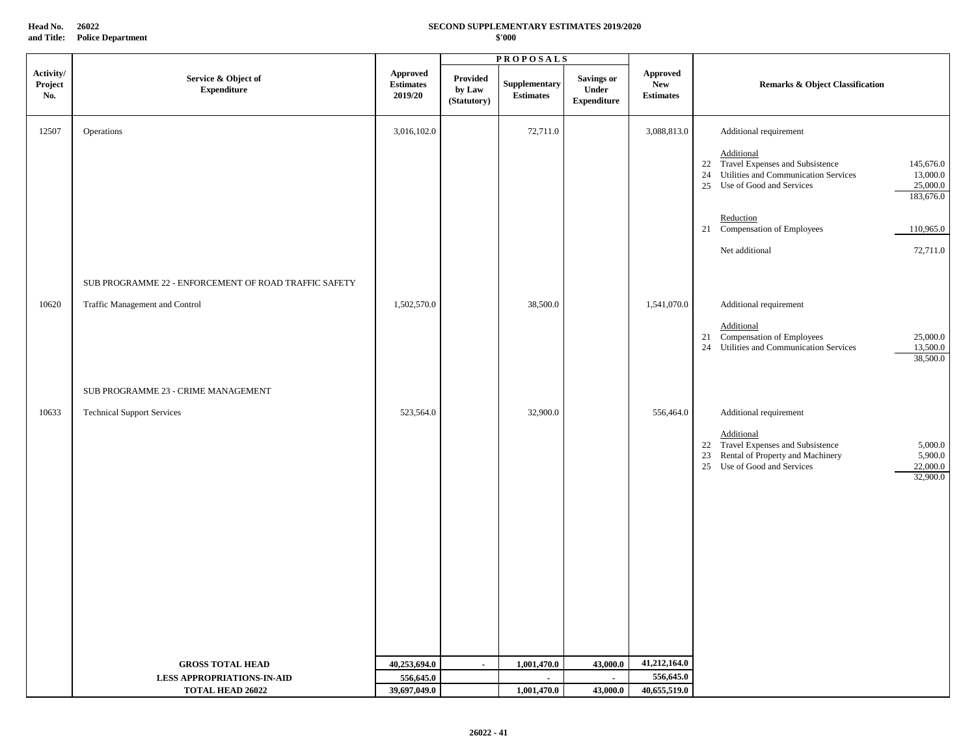**Head No. 26022 and Title: Police Department**

### **SECOND SUPPLEMENTARY ESTIMATES 2019/2020 \$'000**

|                             |                                                       |                                                |                                          | <b>PROPOSALS</b>                  |                                                  |                                                   |                                                                                                                                                                                    |  |
|-----------------------------|-------------------------------------------------------|------------------------------------------------|------------------------------------------|-----------------------------------|--------------------------------------------------|---------------------------------------------------|------------------------------------------------------------------------------------------------------------------------------------------------------------------------------------|--|
| Activity/<br>Project<br>No. | Service & Object of<br><b>Expenditure</b>             | <b>Approved</b><br><b>Estimates</b><br>2019/20 | <b>Provided</b><br>by Law<br>(Statutory) | Supplementary<br><b>Estimates</b> | <b>Savings or</b><br>Under<br><b>Expenditure</b> | <b>Approved</b><br><b>New</b><br><b>Estimates</b> | <b>Remarks &amp; Object Classification</b>                                                                                                                                         |  |
| 12507                       | Operations                                            | 3,016,102.0                                    |                                          | 72,711.0                          |                                                  | 3,088,813.0                                       | Additional requirement                                                                                                                                                             |  |
|                             |                                                       |                                                |                                          |                                   |                                                  |                                                   | Additional<br>Travel Expenses and Subsistence<br>145,676.0<br>22<br>Utilities and Communication Services<br>13,000.0<br>24<br>25 Use of Good and Services<br>25,000.0<br>183,676.0 |  |
|                             |                                                       |                                                |                                          |                                   |                                                  |                                                   | Reduction<br>21 Compensation of Employees<br>110,965.0                                                                                                                             |  |
|                             |                                                       |                                                |                                          |                                   |                                                  |                                                   | 72,711.0<br>Net additional                                                                                                                                                         |  |
|                             | SUB PROGRAMME 22 - ENFORCEMENT OF ROAD TRAFFIC SAFETY |                                                |                                          |                                   |                                                  |                                                   |                                                                                                                                                                                    |  |
| 10620                       | Traffic Management and Control                        | 1,502,570.0                                    |                                          | 38,500.0                          |                                                  | 1,541,070.0                                       | Additional requirement                                                                                                                                                             |  |
|                             |                                                       |                                                |                                          |                                   |                                                  |                                                   | Additional<br>Compensation of Employees<br>25,000.0<br>21<br>13,500.0<br>24 Utilities and Communication Services<br>38,500.0                                                       |  |
|                             | SUB PROGRAMME 23 - CRIME MANAGEMENT                   |                                                |                                          |                                   |                                                  |                                                   |                                                                                                                                                                                    |  |
| 10633                       | <b>Technical Support Services</b>                     | 523,564.0                                      |                                          | 32,900.0                          |                                                  | 556,464.0                                         | Additional requirement                                                                                                                                                             |  |
|                             |                                                       |                                                |                                          |                                   |                                                  |                                                   | Additional<br>22 Travel Expenses and Subsistence<br>5,000.0<br>23 Rental of Property and Machinery<br>5,900.0<br>25 Use of Good and Services<br>22,000.0<br>32,900.0               |  |
|                             | <b>GROSS TOTAL HEAD</b>                               | 40,253,694.0                                   | $\sim$                                   | 1,001,470.0                       | 43,000.0                                         | 41,212,164.0                                      |                                                                                                                                                                                    |  |
|                             | <b>LESS APPROPRIATIONS-IN-AID</b>                     | 556,645.0                                      |                                          | $\sim$                            | $\mathbf{r}$                                     | 556,645.0                                         |                                                                                                                                                                                    |  |
|                             | <b>TOTAL HEAD 26022</b>                               | 39,697,049.0                                   |                                          | 1,001,470.0                       | 43,000.0                                         | 40,655,519.0                                      |                                                                                                                                                                                    |  |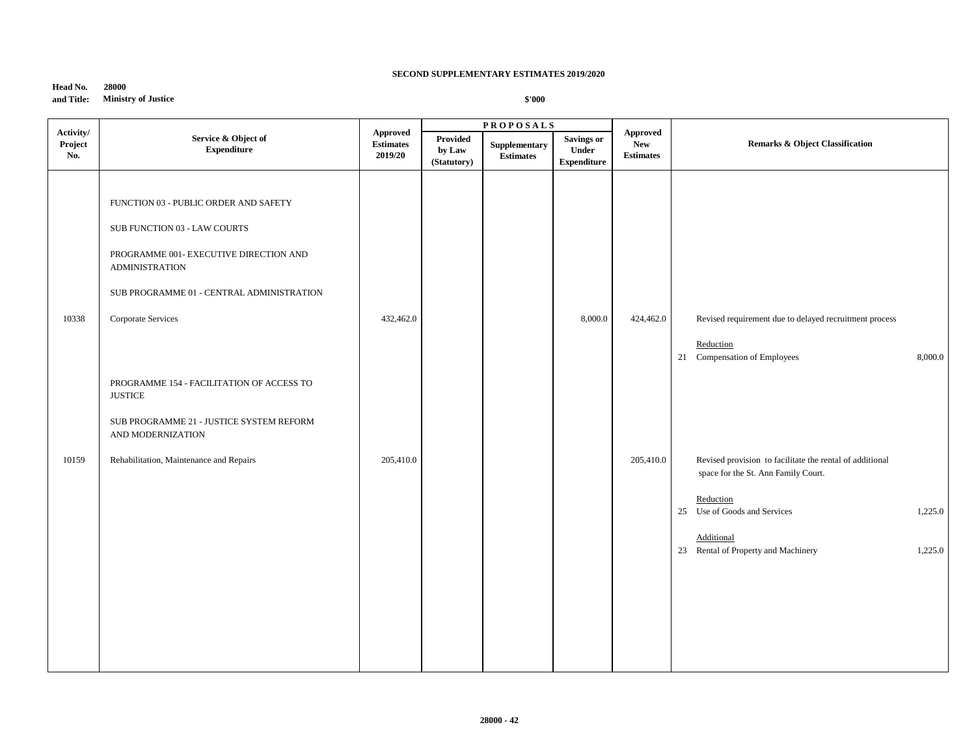| Head No.   | 28000                      |
|------------|----------------------------|
| and Title: | <b>Ministry of Justice</b> |

| Activity/<br>Project<br>No. | Service & Object of<br><b>Expenditure</b>                                                                                                                                                                   | Approved<br><b>Estimates</b><br>2019/20 | Provided<br>by Law<br>(Statutory) | <b>PROPOSALS</b><br>Supplementary<br><b>Estimates</b> | <b>Savings or</b><br>Under<br><b>Expenditure</b> | Approved<br><b>New</b><br><b>Estimates</b> | <b>Remarks &amp; Object Classification</b>                                                      |         |
|-----------------------------|-------------------------------------------------------------------------------------------------------------------------------------------------------------------------------------------------------------|-----------------------------------------|-----------------------------------|-------------------------------------------------------|--------------------------------------------------|--------------------------------------------|-------------------------------------------------------------------------------------------------|---------|
| 10338                       | FUNCTION 03 - PUBLIC ORDER AND SAFETY<br>SUB FUNCTION 03 - LAW COURTS<br>PROGRAMME 001- EXECUTIVE DIRECTION AND<br><b>ADMINISTRATION</b><br>SUB PROGRAMME 01 - CENTRAL ADMINISTRATION<br>Corporate Services | 432,462.0                               |                                   |                                                       | 8,000.0                                          | 424,462.0                                  | Revised requirement due to delayed recruitment process                                          |         |
|                             | PROGRAMME 154 - FACILITATION OF ACCESS TO<br>$\ensuremath{\mathsf{JUSTICE}}$                                                                                                                                |                                         |                                   |                                                       |                                                  |                                            | Reduction<br>21 Compensation of Employees                                                       | 8,000.0 |
| 10159                       | SUB PROGRAMME 21 - JUSTICE SYSTEM REFORM<br>AND MODERNIZATION<br>Rehabilitation, Maintenance and Repairs                                                                                                    | 205,410.0                               |                                   |                                                       |                                                  | 205,410.0                                  | Revised provision to facilitate the rental of additional<br>space for the St. Ann Family Court. |         |
|                             |                                                                                                                                                                                                             |                                         |                                   |                                                       |                                                  |                                            | Reduction<br>25 Use of Goods and Services<br>Additional                                         | 1,225.0 |
|                             |                                                                                                                                                                                                             |                                         |                                   |                                                       |                                                  |                                            | 23 Rental of Property and Machinery                                                             | 1,225.0 |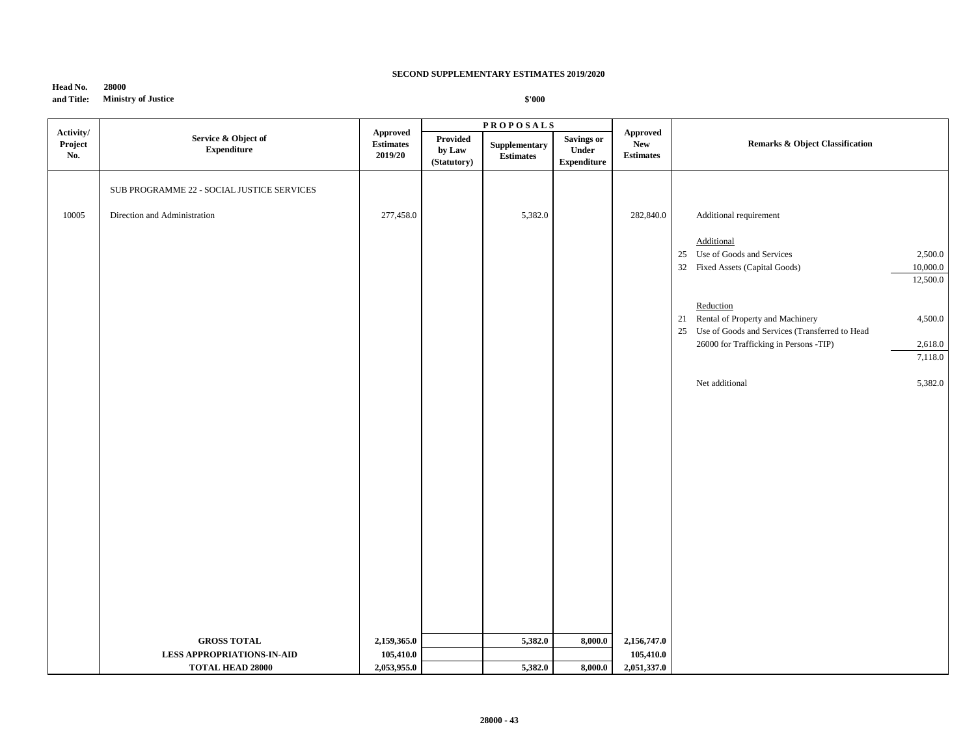| Head No.   | 28000                      |
|------------|----------------------------|
| and Title: | <b>Ministry of Justice</b> |

|                             |                                                              |                                                |                                   | <b>PROPOSALS</b>                  |                                                  |                                                   |                                                                                                                  |  |
|-----------------------------|--------------------------------------------------------------|------------------------------------------------|-----------------------------------|-----------------------------------|--------------------------------------------------|---------------------------------------------------|------------------------------------------------------------------------------------------------------------------|--|
| Activity/<br>Project<br>No. | Service & Object of<br><b>Expenditure</b>                    | <b>Approved</b><br><b>Estimates</b><br>2019/20 | Provided<br>by Law<br>(Statutory) | Supplementary<br><b>Estimates</b> | <b>Savings or</b><br>Under<br><b>Expenditure</b> | <b>Approved</b><br><b>New</b><br><b>Estimates</b> | <b>Remarks &amp; Object Classification</b>                                                                       |  |
|                             | SUB PROGRAMME 22 - SOCIAL JUSTICE SERVICES                   |                                                |                                   |                                   |                                                  |                                                   |                                                                                                                  |  |
| 10005                       | Direction and Administration                                 | 277,458.0                                      |                                   | 5,382.0                           |                                                  | 282,840.0                                         | Additional requirement                                                                                           |  |
|                             |                                                              |                                                |                                   |                                   |                                                  |                                                   | Additional<br>25 Use of Goods and Services<br>2,500.0<br>32 Fixed Assets (Capital Goods)<br>10,000.0<br>12,500.0 |  |
|                             |                                                              |                                                |                                   |                                   |                                                  |                                                   | Reduction<br>21 Rental of Property and Machinery<br>4,500.0<br>25 Use of Goods and Services (Transferred to Head |  |
|                             |                                                              |                                                |                                   |                                   |                                                  |                                                   | 26000 for Trafficking in Persons -TIP)<br>2,618.0<br>7,118.0                                                     |  |
|                             |                                                              |                                                |                                   |                                   |                                                  |                                                   | Net additional<br>5,382.0                                                                                        |  |
|                             |                                                              |                                                |                                   |                                   |                                                  |                                                   |                                                                                                                  |  |
|                             |                                                              |                                                |                                   |                                   |                                                  |                                                   |                                                                                                                  |  |
|                             |                                                              |                                                |                                   |                                   |                                                  |                                                   |                                                                                                                  |  |
|                             |                                                              |                                                |                                   |                                   |                                                  |                                                   |                                                                                                                  |  |
|                             |                                                              |                                                |                                   |                                   |                                                  |                                                   |                                                                                                                  |  |
|                             |                                                              |                                                |                                   |                                   |                                                  |                                                   |                                                                                                                  |  |
|                             | <b>GROSS TOTAL</b>                                           | 2,159,365.0                                    |                                   | 5,382.0                           | 8,000.0                                          | 2,156,747.0                                       |                                                                                                                  |  |
|                             | <b>LESS APPROPRIATIONS-IN-AID</b><br><b>TOTAL HEAD 28000</b> | 105,410.0<br>2,053,955.0                       |                                   | 5,382.0                           | 8,000.0                                          | 105,410.0<br>2,051,337.0                          |                                                                                                                  |  |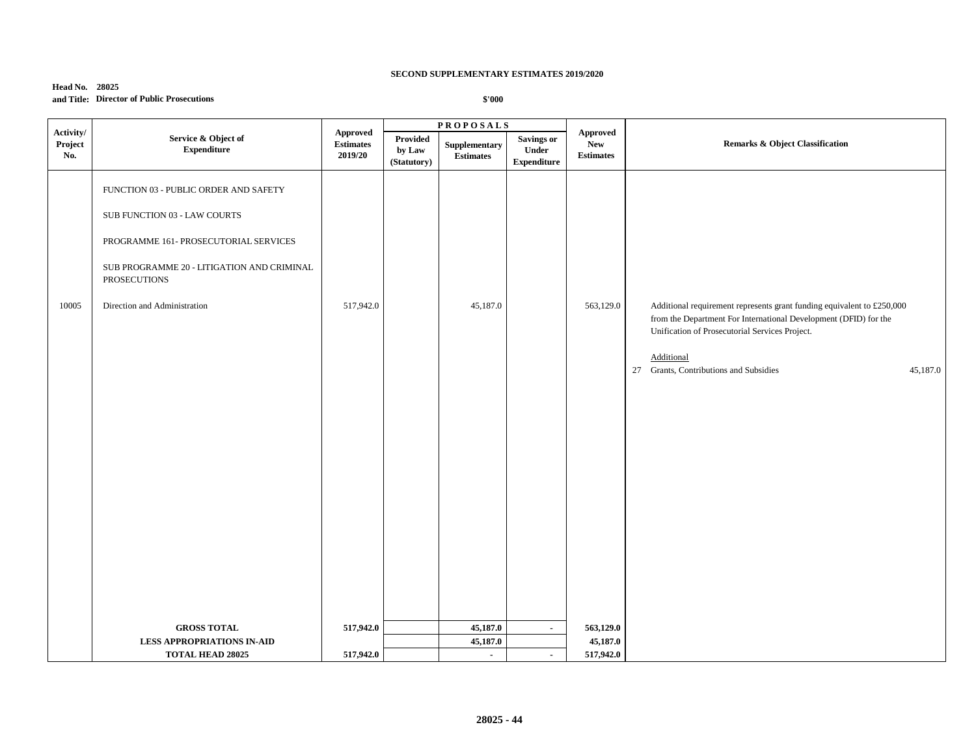| <b>Head No. 28025</b> |                                            |
|-----------------------|--------------------------------------------|
|                       | and Title: Director of Public Prosecutions |

|                             |                                                                                                                                                                                                              |                                        | <b>PROPOSALS</b>                  |                                   |                                                  |                                            |                                                                                                                                                                                                                                                                  |
|-----------------------------|--------------------------------------------------------------------------------------------------------------------------------------------------------------------------------------------------------------|----------------------------------------|-----------------------------------|-----------------------------------|--------------------------------------------------|--------------------------------------------|------------------------------------------------------------------------------------------------------------------------------------------------------------------------------------------------------------------------------------------------------------------|
| Activity/<br>Project<br>No. | Service & Object of<br><b>Expenditure</b>                                                                                                                                                                    | Approved<br>$\bf Estimates$<br>2019/20 | Provided<br>by Law<br>(Statutory) | Supplementary<br><b>Estimates</b> | <b>Savings or</b><br>Under<br><b>Expenditure</b> | Approved<br><b>New</b><br><b>Estimates</b> | <b>Remarks &amp; Object Classification</b>                                                                                                                                                                                                                       |
| 10005                       | FUNCTION 03 - PUBLIC ORDER AND SAFETY<br>SUB FUNCTION 03 - LAW COURTS<br>PROGRAMME 161- PROSECUTORIAL SERVICES<br>SUB PROGRAMME 20 - LITIGATION AND CRIMINAL<br>PROSECUTIONS<br>Direction and Administration | 517,942.0                              |                                   | 45,187.0                          |                                                  | 563,129.0                                  | Additional requirement represents grant funding equivalent to £250,000<br>from the Department For International Development (DFID) for the<br>Unification of Prosecutorial Services Project.<br>Additional<br>27 Grants, Contributions and Subsidies<br>45,187.0 |
|                             | <b>GROSS TOTAL</b><br><b>LESS APPROPRIATIONS IN-AID</b><br><b>TOTAL HEAD 28025</b>                                                                                                                           | 517,942.0<br>517,942.0                 |                                   | 45,187.0<br>45,187.0<br>$\sim$    |                                                  | 563,129.0<br>45,187.0<br>517,942.0         |                                                                                                                                                                                                                                                                  |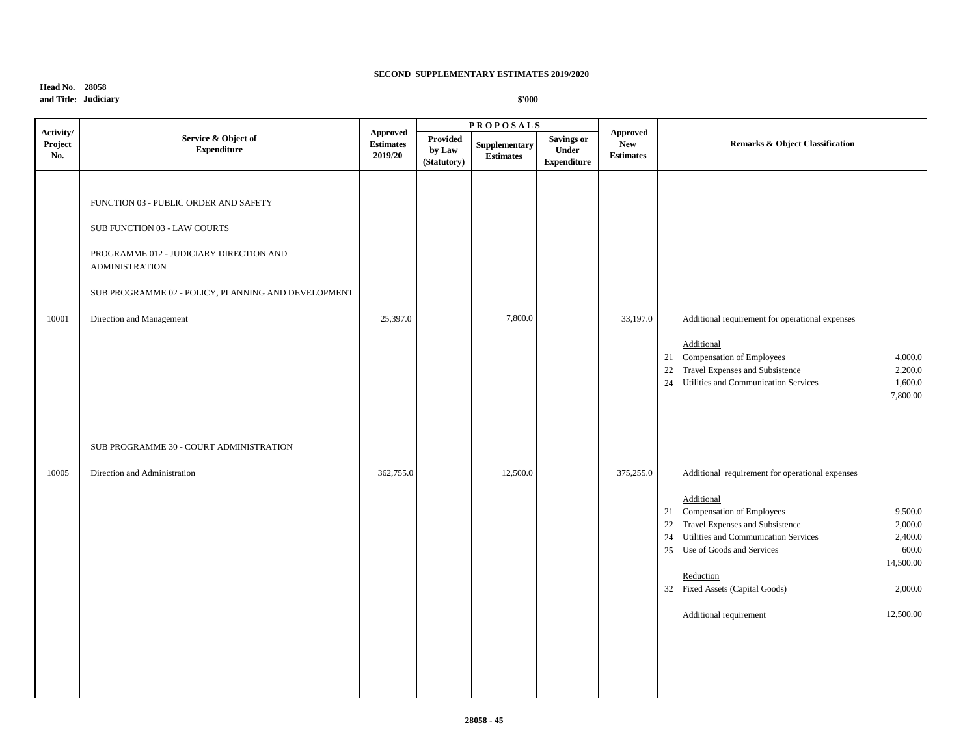# **Head No. 28058 and Title: Judiciary**

|                             |                                                                                                                                                                                                                              |                                                |                                   | <b>PROPOSALS</b>                  |                                                  |                                                   |                                                                                                                                                                                                                                                                                                                                                                                  |  |
|-----------------------------|------------------------------------------------------------------------------------------------------------------------------------------------------------------------------------------------------------------------------|------------------------------------------------|-----------------------------------|-----------------------------------|--------------------------------------------------|---------------------------------------------------|----------------------------------------------------------------------------------------------------------------------------------------------------------------------------------------------------------------------------------------------------------------------------------------------------------------------------------------------------------------------------------|--|
| Activity/<br>Project<br>No. | Service & Object of<br><b>Expenditure</b>                                                                                                                                                                                    | <b>Approved</b><br><b>Estimates</b><br>2019/20 | Provided<br>by Law<br>(Statutory) | Supplementary<br><b>Estimates</b> | <b>Savings or</b><br>Under<br><b>Expenditure</b> | <b>Approved</b><br><b>New</b><br><b>Estimates</b> | Remarks & Object Classification                                                                                                                                                                                                                                                                                                                                                  |  |
| 10001                       | FUNCTION 03 - PUBLIC ORDER AND SAFETY<br>SUB FUNCTION 03 - LAW COURTS<br>PROGRAMME 012 - JUDICIARY DIRECTION AND<br><b>ADMINISTRATION</b><br>SUB PROGRAMME 02 - POLICY, PLANNING AND DEVELOPMENT<br>Direction and Management | 25,397.0                                       |                                   | 7,800.0                           |                                                  | 33,197.0                                          | Additional requirement for operational expenses<br>Additional<br>21 Compensation of Employees<br>4,000.0<br>Travel Expenses and Subsistence<br>$22\,$<br>2,200.0<br>1,600.0<br>24 Utilities and Communication Services<br>7,800.00                                                                                                                                               |  |
| 10005                       | SUB PROGRAMME 30 - COURT ADMINISTRATION<br>Direction and Administration                                                                                                                                                      | 362,755.0                                      |                                   | 12,500.0                          |                                                  | 375,255.0                                         | Additional requirement for operational expenses<br>Additional<br>Compensation of Employees<br>9,500.0<br>21<br>22 Travel Expenses and Subsistence<br>2,000.0<br>Utilities and Communication Services<br>2,400.0<br>24<br>600.0<br>Use of Goods and Services<br>25<br>14,500.00<br>Reduction<br>32 Fixed Assets (Capital Goods)<br>2,000.0<br>Additional requirement<br>12,500.00 |  |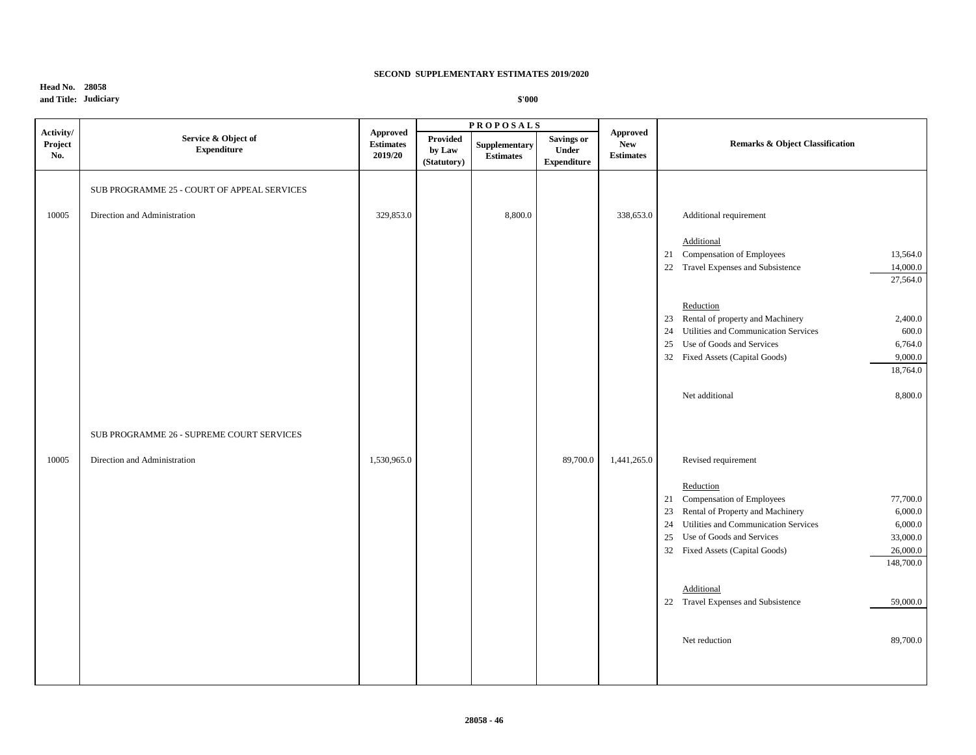# **Head No. 28058 and Title: Judiciary**

|                             |                                             |                                                |                                          | <b>PROPOSALS</b>                  |                                                  |                                            |                                                                                                   |
|-----------------------------|---------------------------------------------|------------------------------------------------|------------------------------------------|-----------------------------------|--------------------------------------------------|--------------------------------------------|---------------------------------------------------------------------------------------------------|
| Activity/<br>Project<br>No. | Service & Object of<br><b>Expenditure</b>   | <b>Approved</b><br><b>Estimates</b><br>2019/20 | <b>Provided</b><br>by Law<br>(Statutory) | Supplementary<br><b>Estimates</b> | <b>Savings or</b><br>Under<br><b>Expenditure</b> | Approved<br><b>New</b><br><b>Estimates</b> | <b>Remarks &amp; Object Classification</b>                                                        |
|                             | SUB PROGRAMME 25 - COURT OF APPEAL SERVICES |                                                |                                          |                                   |                                                  |                                            |                                                                                                   |
| 10005                       | Direction and Administration                | 329,853.0                                      |                                          | 8,800.0                           |                                                  | 338,653.0                                  | Additional requirement                                                                            |
|                             |                                             |                                                |                                          |                                   |                                                  |                                            | Additional                                                                                        |
|                             |                                             |                                                |                                          |                                   |                                                  |                                            | 21 Compensation of Employees<br>13,564.0<br>22 Travel Expenses and Subsistence<br>14,000.0        |
|                             |                                             |                                                |                                          |                                   |                                                  |                                            | 27,564.0                                                                                          |
|                             |                                             |                                                |                                          |                                   |                                                  |                                            | Reduction                                                                                         |
|                             |                                             |                                                |                                          |                                   |                                                  |                                            | 23 Rental of property and Machinery<br>2,400.0                                                    |
|                             |                                             |                                                |                                          |                                   |                                                  |                                            | 24 Utilities and Communication Services<br>600.0<br>Use of Goods and Services<br>6,764.0<br>25    |
|                             |                                             |                                                |                                          |                                   |                                                  |                                            | 9,000.0<br>32 Fixed Assets (Capital Goods)                                                        |
|                             |                                             |                                                |                                          |                                   |                                                  |                                            | 18,764.0                                                                                          |
|                             |                                             |                                                |                                          |                                   |                                                  |                                            | Net additional<br>8,800.0                                                                         |
|                             | SUB PROGRAMME 26 - SUPREME COURT SERVICES   |                                                |                                          |                                   |                                                  |                                            |                                                                                                   |
| 10005                       | Direction and Administration                | 1,530,965.0                                    |                                          |                                   | 89,700.0                                         | 1,441,265.0                                | Revised requirement                                                                               |
|                             |                                             |                                                |                                          |                                   |                                                  |                                            | Reduction                                                                                         |
|                             |                                             |                                                |                                          |                                   |                                                  |                                            | 21 Compensation of Employees<br>77,700.0                                                          |
|                             |                                             |                                                |                                          |                                   |                                                  |                                            | 23 Rental of Property and Machinery<br>6,000.0<br>Utilities and Communication Services<br>6,000.0 |
|                             |                                             |                                                |                                          |                                   |                                                  |                                            | 24<br>Use of Goods and Services<br>33,000.0<br>25                                                 |
|                             |                                             |                                                |                                          |                                   |                                                  |                                            | 26,000.0<br>32 Fixed Assets (Capital Goods)                                                       |
|                             |                                             |                                                |                                          |                                   |                                                  |                                            | 148,700.0                                                                                         |
|                             |                                             |                                                |                                          |                                   |                                                  |                                            | Additional                                                                                        |
|                             |                                             |                                                |                                          |                                   |                                                  |                                            | 22 Travel Expenses and Subsistence<br>59,000.0                                                    |
|                             |                                             |                                                |                                          |                                   |                                                  |                                            | 89,700.0<br>Net reduction                                                                         |
|                             |                                             |                                                |                                          |                                   |                                                  |                                            |                                                                                                   |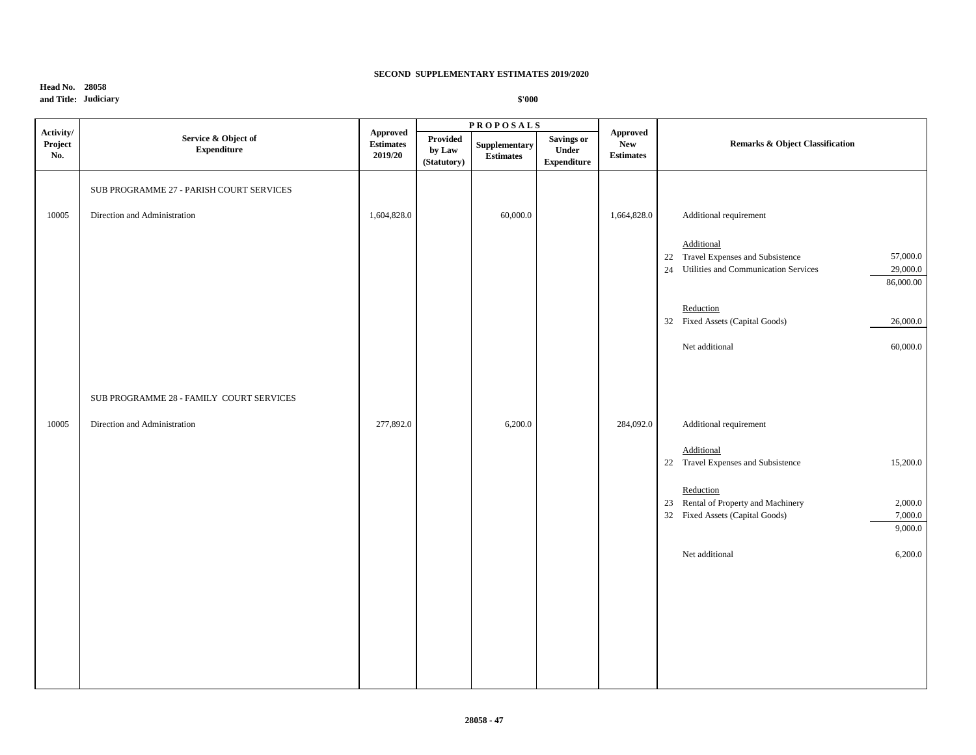# **Head No. 28058 and Title: Judiciary**

|                             |                                           |                                         |                                   | <b>PROPOSALS</b>                  |                                                  |                                            |                                                                                                           |
|-----------------------------|-------------------------------------------|-----------------------------------------|-----------------------------------|-----------------------------------|--------------------------------------------------|--------------------------------------------|-----------------------------------------------------------------------------------------------------------|
| Activity/<br>Project<br>No. | Service & Object of<br><b>Expenditure</b> | Approved<br><b>Estimates</b><br>2019/20 | Provided<br>by Law<br>(Statutory) | Supplementary<br><b>Estimates</b> | <b>Savings or</b><br>Under<br><b>Expenditure</b> | Approved<br><b>New</b><br><b>Estimates</b> | Remarks & Object Classification                                                                           |
|                             | SUB PROGRAMME 27 - PARISH COURT SERVICES  |                                         |                                   |                                   |                                                  |                                            |                                                                                                           |
| 10005                       | Direction and Administration              | 1,604,828.0                             |                                   | 60,000.0                          |                                                  | 1,664,828.0                                | Additional requirement                                                                                    |
|                             |                                           |                                         |                                   |                                   |                                                  |                                            | Additional<br>22 Travel Expenses and Subsistence<br>57,000.0                                              |
|                             |                                           |                                         |                                   |                                   |                                                  |                                            | 24 Utilities and Communication Services<br>29,000.0<br>86,000.00                                          |
|                             |                                           |                                         |                                   |                                   |                                                  |                                            | Reduction<br>32 Fixed Assets (Capital Goods)<br>26,000.0                                                  |
|                             |                                           |                                         |                                   |                                   |                                                  |                                            | Net additional<br>60,000.0                                                                                |
|                             |                                           |                                         |                                   |                                   |                                                  |                                            |                                                                                                           |
|                             | SUB PROGRAMME 28 - FAMILY COURT SERVICES  |                                         |                                   |                                   |                                                  |                                            |                                                                                                           |
| 10005                       | Direction and Administration              | 277,892.0                               |                                   | 6,200.0                           |                                                  | 284,092.0                                  | Additional requirement                                                                                    |
|                             |                                           |                                         |                                   |                                   |                                                  |                                            | Additional<br>22 Travel Expenses and Subsistence<br>15,200.0                                              |
|                             |                                           |                                         |                                   |                                   |                                                  |                                            | Reduction<br>23 Rental of Property and Machinery<br>2,000.0<br>32 Fixed Assets (Capital Goods)<br>7,000.0 |
|                             |                                           |                                         |                                   |                                   |                                                  |                                            | 9,000.0                                                                                                   |
|                             |                                           |                                         |                                   |                                   |                                                  |                                            | 6,200.0<br>Net additional                                                                                 |
|                             |                                           |                                         |                                   |                                   |                                                  |                                            |                                                                                                           |
|                             |                                           |                                         |                                   |                                   |                                                  |                                            |                                                                                                           |
|                             |                                           |                                         |                                   |                                   |                                                  |                                            |                                                                                                           |
|                             |                                           |                                         |                                   |                                   |                                                  |                                            |                                                                                                           |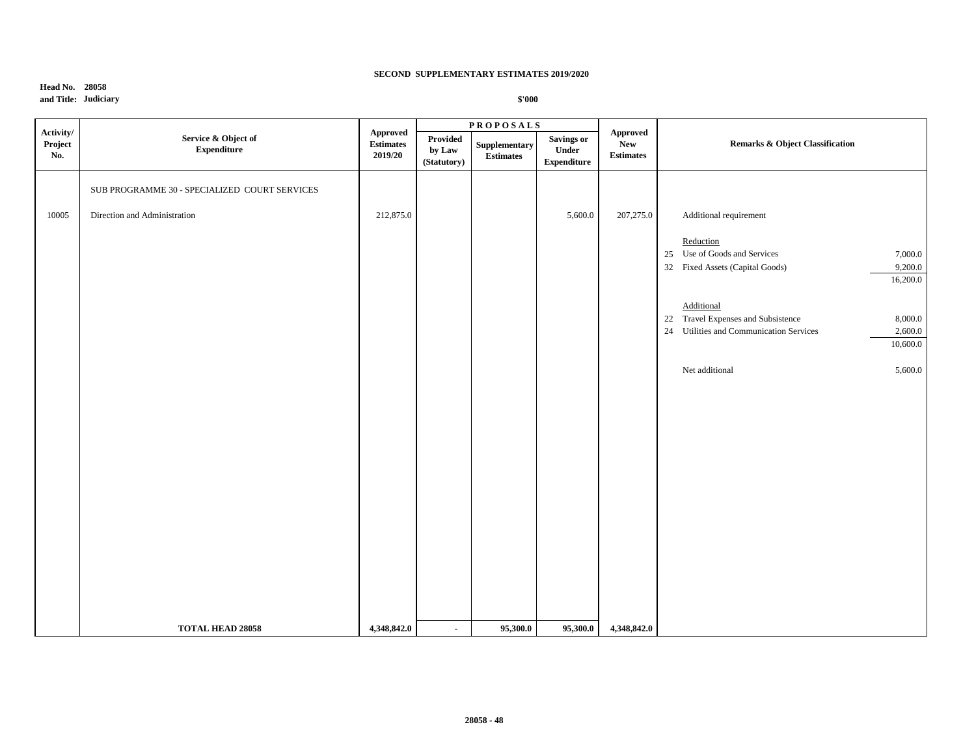# **Head No. 28058 and Title: Judiciary**

|                             |                                                                               |                                                                                              |                                   | <b>PROPOSALS</b>                  |                                           |                                            |                                                                                                                                  |
|-----------------------------|-------------------------------------------------------------------------------|----------------------------------------------------------------------------------------------|-----------------------------------|-----------------------------------|-------------------------------------------|--------------------------------------------|----------------------------------------------------------------------------------------------------------------------------------|
| Activity/<br>Project<br>No. | Service & Object of<br><b>Expenditure</b>                                     | <b>Approved</b><br>$\label{1.1} \begin{array}{ll} \textbf{Estimates} \end{array}$<br>2019/20 | Provided<br>by Law<br>(Statutory) | Supplementary<br><b>Estimates</b> | Savings or<br>Under<br><b>Expenditure</b> | <b>Approved</b><br>New<br><b>Estimates</b> | <b>Remarks &amp; Object Classification</b>                                                                                       |
| 10005                       | SUB PROGRAMME 30 - SPECIALIZED COURT SERVICES<br>Direction and Administration | 212,875.0                                                                                    |                                   |                                   | 5,600.0                                   | 207,275.0                                  | Additional requirement<br>Reduction                                                                                              |
|                             |                                                                               |                                                                                              |                                   |                                   |                                           |                                            | 25 Use of Goods and Services<br>7,000.0<br>32 Fixed Assets (Capital Goods)<br>9,200.0<br>16,200.0                                |
|                             |                                                                               |                                                                                              |                                   |                                   |                                           |                                            | Additional<br>22 Travel Expenses and Subsistence<br>8,000.0<br>Utilities and Communication Services<br>24<br>2,600.0<br>10,600.0 |
|                             |                                                                               |                                                                                              |                                   |                                   |                                           |                                            | Net additional<br>5,600.0                                                                                                        |
|                             |                                                                               |                                                                                              |                                   |                                   |                                           |                                            |                                                                                                                                  |
|                             |                                                                               |                                                                                              |                                   |                                   |                                           |                                            |                                                                                                                                  |
|                             | <b>TOTAL HEAD 28058</b>                                                       | 4,348,842.0                                                                                  | $\sim$                            | 95,300.0                          | 95,300.0                                  | 4,348,842.0                                |                                                                                                                                  |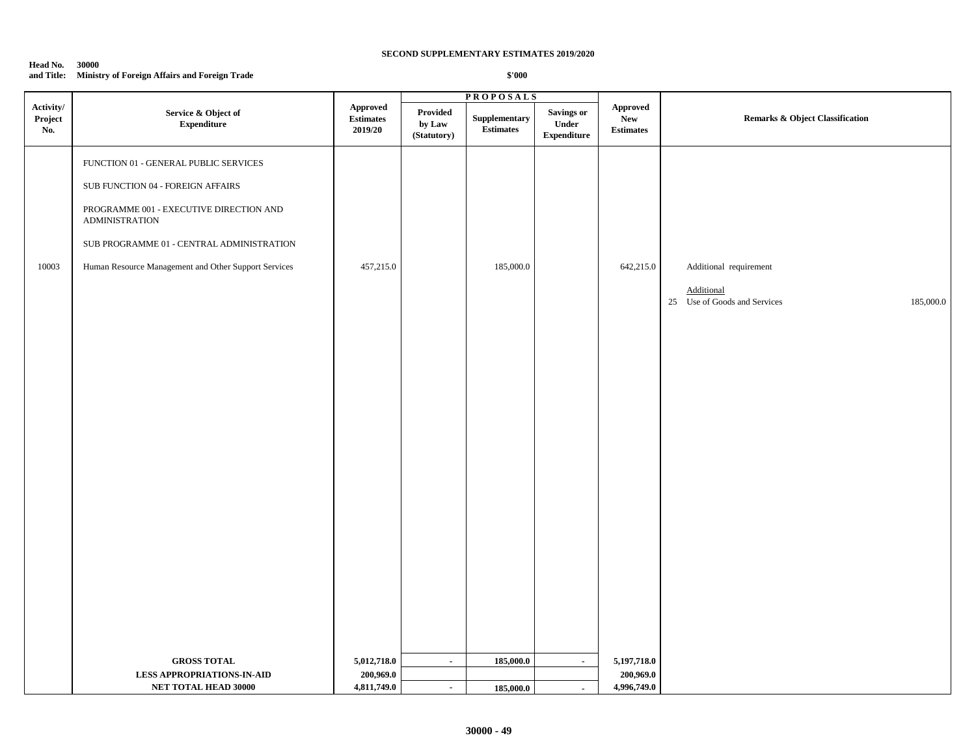## **Head No. 30000 and Title: Ministry of Foreign Affairs and Foreign Trade**

|                             |                                                                  |                                                |                                          | <b>PROPOSALS</b>                  |                                                   |                                            |                                                         |
|-----------------------------|------------------------------------------------------------------|------------------------------------------------|------------------------------------------|-----------------------------------|---------------------------------------------------|--------------------------------------------|---------------------------------------------------------|
| Activity/<br>Project<br>No. | Service & Object of<br>${\bf Expenditure}$                       | <b>Approved</b><br><b>Estimates</b><br>2019/20 | <b>Provided</b><br>by Law<br>(Statutory) | Supplementary<br><b>Estimates</b> | <b>Savings or</b><br>Under<br>${\bf Expenditure}$ | Approved<br><b>New</b><br><b>Estimates</b> | <b>Remarks &amp; Object Classification</b>              |
|                             | FUNCTION 01 - GENERAL PUBLIC SERVICES                            |                                                |                                          |                                   |                                                   |                                            |                                                         |
|                             | SUB FUNCTION 04 - FOREIGN AFFAIRS                                |                                                |                                          |                                   |                                                   |                                            |                                                         |
|                             | PROGRAMME 001 - EXECUTIVE DIRECTION AND<br><b>ADMINISTRATION</b> |                                                |                                          |                                   |                                                   |                                            |                                                         |
|                             | SUB PROGRAMME 01 - CENTRAL ADMINISTRATION                        |                                                |                                          |                                   |                                                   |                                            |                                                         |
| 10003                       | Human Resource Management and Other Support Services             | 457,215.0                                      |                                          | 185,000.0                         |                                                   | 642,215.0                                  | Additional requirement                                  |
|                             |                                                                  |                                                |                                          |                                   |                                                   |                                            | Additional<br>25 Use of Goods and Services<br>185,000.0 |
|                             |                                                                  |                                                |                                          |                                   |                                                   |                                            |                                                         |
|                             |                                                                  |                                                |                                          |                                   |                                                   |                                            |                                                         |
|                             |                                                                  |                                                |                                          |                                   |                                                   |                                            |                                                         |
|                             |                                                                  |                                                |                                          |                                   |                                                   |                                            |                                                         |
|                             |                                                                  |                                                |                                          |                                   |                                                   |                                            |                                                         |
|                             |                                                                  |                                                |                                          |                                   |                                                   |                                            |                                                         |
|                             |                                                                  |                                                |                                          |                                   |                                                   |                                            |                                                         |
|                             |                                                                  |                                                |                                          |                                   |                                                   |                                            |                                                         |
|                             |                                                                  |                                                |                                          |                                   |                                                   |                                            |                                                         |
|                             |                                                                  |                                                |                                          |                                   |                                                   |                                            |                                                         |
|                             |                                                                  |                                                |                                          |                                   |                                                   |                                            |                                                         |
|                             |                                                                  |                                                |                                          |                                   |                                                   |                                            |                                                         |
|                             |                                                                  |                                                |                                          |                                   |                                                   |                                            |                                                         |
|                             |                                                                  |                                                |                                          |                                   |                                                   |                                            |                                                         |
|                             | <b>GROSS TOTAL</b>                                               | 5,012,718.0                                    | $\mathcal{L}_{\mathcal{A}}$              | 185,000.0                         | $\sim$                                            | 5,197,718.0                                |                                                         |
|                             | <b>LESS APPROPRIATIONS-IN-AID</b>                                | 200,969.0                                      |                                          |                                   |                                                   | 200,969.0                                  |                                                         |
|                             | NET TOTAL HEAD 30000                                             | 4,811,749.0                                    | $\sim$                                   | 185,000.0                         | $\blacksquare$                                    | 4,996,749.0                                |                                                         |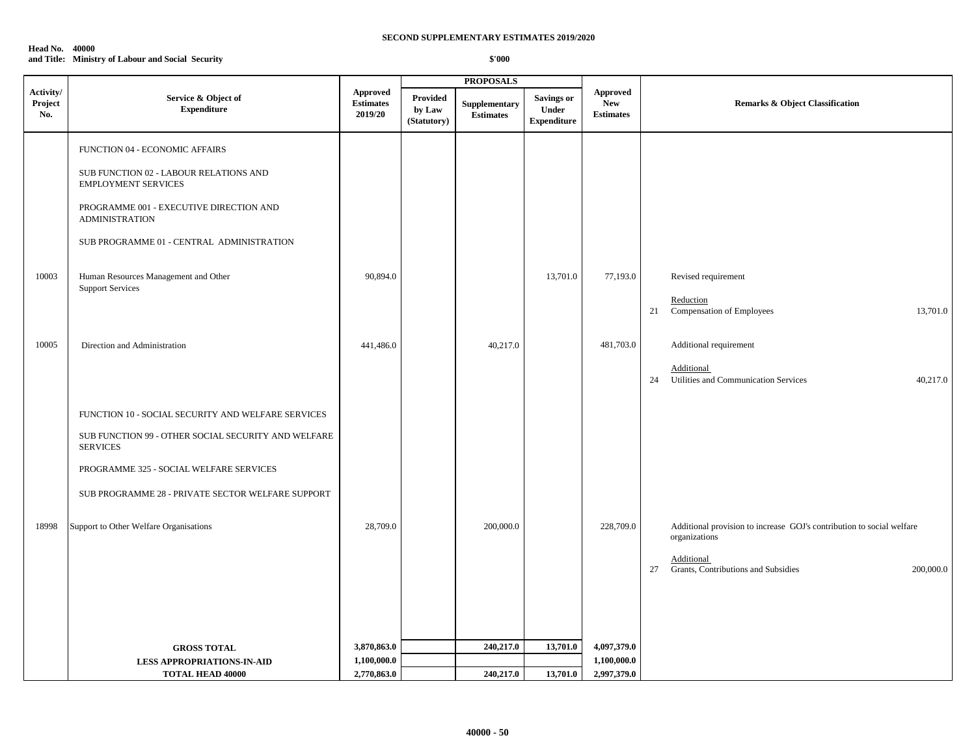### **Head No. 40000 and Title: Ministry of Labour and Social Security**

|                             |                                                                                                                                                                                                                                                                                            |                                                |                                   | <b>PROPOSALS</b>                  |                                                  |                                                   |                                                                                                                                                                |
|-----------------------------|--------------------------------------------------------------------------------------------------------------------------------------------------------------------------------------------------------------------------------------------------------------------------------------------|------------------------------------------------|-----------------------------------|-----------------------------------|--------------------------------------------------|---------------------------------------------------|----------------------------------------------------------------------------------------------------------------------------------------------------------------|
| Activity/<br>Project<br>No. | Service & Object of<br><b>Expenditure</b>                                                                                                                                                                                                                                                  | <b>Approved</b><br><b>Estimates</b><br>2019/20 | Provided<br>by Law<br>(Statutory) | Supplementary<br><b>Estimates</b> | <b>Savings or</b><br>Under<br><b>Expenditure</b> | <b>Approved</b><br><b>New</b><br><b>Estimates</b> | Remarks & Object Classification                                                                                                                                |
| 10003                       | FUNCTION 04 - ECONOMIC AFFAIRS<br>SUB FUNCTION 02 - LABOUR RELATIONS AND<br><b>EMPLOYMENT SERVICES</b><br>PROGRAMME 001 - EXECUTIVE DIRECTION AND<br><b>ADMINISTRATION</b><br>SUB PROGRAMME 01 - CENTRAL ADMINISTRATION<br>Human Resources Management and Other<br><b>Support Services</b> | 90,894.0                                       |                                   |                                   | 13,701.0                                         | 77,193.0                                          | Revised requirement<br>Reduction                                                                                                                               |
| 10005                       | Direction and Administration                                                                                                                                                                                                                                                               | 441,486.0                                      |                                   | 40,217.0                          |                                                  | 481,703.0                                         | 21<br>Compensation of Employees<br>13,701.0<br>Additional requirement<br>Additional<br>Utilities and Communication Services<br>24<br>40,217.0                  |
| 18998                       | FUNCTION 10 - SOCIAL SECURITY AND WELFARE SERVICES<br>SUB FUNCTION 99 - OTHER SOCIAL SECURITY AND WELFARE<br><b>SERVICES</b><br>PROGRAMME 325 - SOCIAL WELFARE SERVICES<br>SUB PROGRAMME 28 - PRIVATE SECTOR WELFARE SUPPORT<br>Support to Other Welfare Organisations                     | 28,709.0                                       |                                   | 200,000.0                         |                                                  | 228,709.0                                         | Additional provision to increase GOJ's contribution to social welfare<br>organizations<br>Additional<br>Grants, Contributions and Subsidies<br>27<br>200,000.0 |
|                             | <b>GROSS TOTAL</b><br><b>LESS APPROPRIATIONS-IN-AID</b><br><b>TOTAL HEAD 40000</b>                                                                                                                                                                                                         | 3,870,863.0<br>1,100,000.0<br>2,770,863.0      |                                   | 240,217.0<br>240,217.0            | 13,701.0<br>13,701.0                             | 4,097,379.0<br>1,100,000.0<br>2,997,379.0         |                                                                                                                                                                |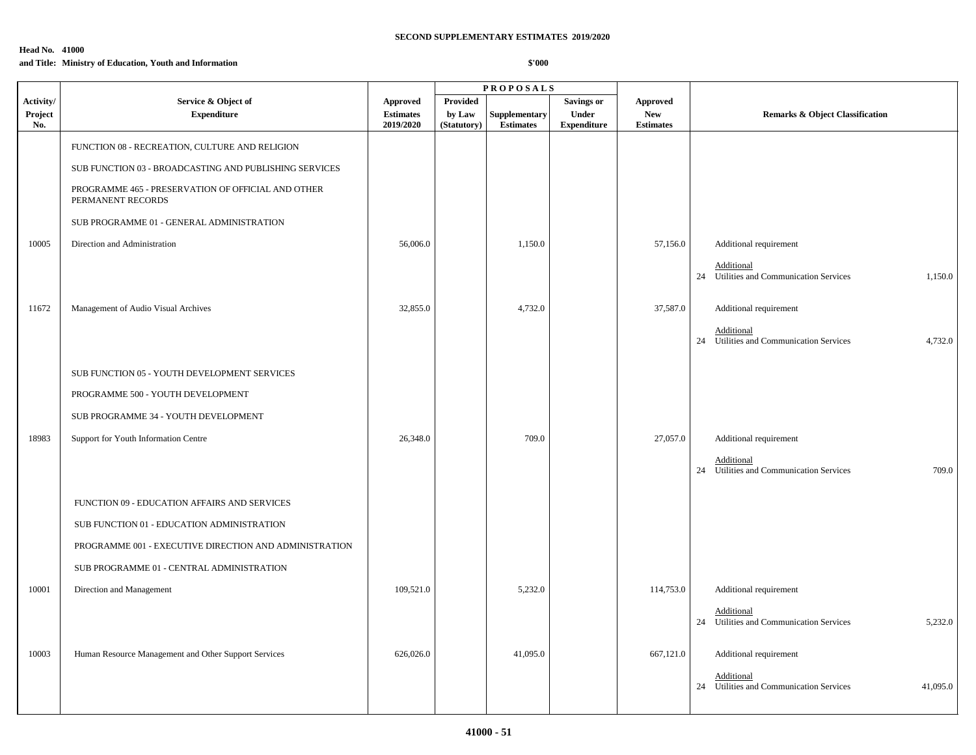# **Head No. 41000**

# **and Title: Ministry of Education, Youth and Information**

|                |                                                                         |                               |                       | <b>PROPOSALS</b>                  |                             |                                |                                                                   |
|----------------|-------------------------------------------------------------------------|-------------------------------|-----------------------|-----------------------------------|-----------------------------|--------------------------------|-------------------------------------------------------------------|
| Activity/      | Service & Object of                                                     | <b>Approved</b>               | Provided              |                                   | <b>Savings or</b>           | <b>Approved</b>                |                                                                   |
| Project<br>No. | <b>Expenditure</b>                                                      | <b>Estimates</b><br>2019/2020 | by Law<br>(Statutory) | Supplementary<br><b>Estimates</b> | Under<br><b>Expenditure</b> | <b>New</b><br><b>Estimates</b> | <b>Remarks &amp; Object Classification</b>                        |
|                | FUNCTION 08 - RECREATION, CULTURE AND RELIGION                          |                               |                       |                                   |                             |                                |                                                                   |
|                | SUB FUNCTION 03 - BROADCASTING AND PUBLISHING SERVICES                  |                               |                       |                                   |                             |                                |                                                                   |
|                | PROGRAMME 465 - PRESERVATION OF OFFICIAL AND OTHER<br>PERMANENT RECORDS |                               |                       |                                   |                             |                                |                                                                   |
|                | SUB PROGRAMME 01 - GENERAL ADMINISTRATION                               |                               |                       |                                   |                             |                                |                                                                   |
| 10005          | Direction and Administration                                            | 56,006.0                      |                       | 1,150.0                           |                             | 57,156.0                       | Additional requirement                                            |
|                |                                                                         |                               |                       |                                   |                             |                                | Additional<br>24 Utilities and Communication Services<br>1,150.0  |
| 11672          | Management of Audio Visual Archives                                     | 32,855.0                      |                       | 4,732.0                           |                             | 37,587.0                       | Additional requirement                                            |
|                |                                                                         |                               |                       |                                   |                             |                                | Additional<br>24 Utilities and Communication Services<br>4,732.0  |
|                | SUB FUNCTION 05 - YOUTH DEVELOPMENT SERVICES                            |                               |                       |                                   |                             |                                |                                                                   |
|                | PROGRAMME 500 - YOUTH DEVELOPMENT                                       |                               |                       |                                   |                             |                                |                                                                   |
|                | SUB PROGRAMME 34 - YOUTH DEVELOPMENT                                    |                               |                       |                                   |                             |                                |                                                                   |
| 18983          | Support for Youth Information Centre                                    | 26,348.0                      |                       | 709.0                             |                             | 27,057.0                       | Additional requirement                                            |
|                |                                                                         |                               |                       |                                   |                             |                                | Additional<br>24 Utilities and Communication Services<br>709.0    |
|                | FUNCTION 09 - EDUCATION AFFAIRS AND SERVICES                            |                               |                       |                                   |                             |                                |                                                                   |
|                | SUB FUNCTION 01 - EDUCATION ADMINISTRATION                              |                               |                       |                                   |                             |                                |                                                                   |
|                | PROGRAMME 001 - EXECUTIVE DIRECTION AND ADMINISTRATION                  |                               |                       |                                   |                             |                                |                                                                   |
|                | SUB PROGRAMME 01 - CENTRAL ADMINISTRATION                               |                               |                       |                                   |                             |                                |                                                                   |
| 10001          | Direction and Management                                                | 109,521.0                     |                       | 5,232.0                           |                             | 114,753.0                      | Additional requirement                                            |
|                |                                                                         |                               |                       |                                   |                             |                                | Additional<br>24 Utilities and Communication Services<br>5,232.0  |
| 10003          | Human Resource Management and Other Support Services                    | 626,026.0                     |                       | 41,095.0                          |                             | 667,121.0                      | Additional requirement                                            |
|                |                                                                         |                               |                       |                                   |                             |                                | Additional<br>24 Utilities and Communication Services<br>41,095.0 |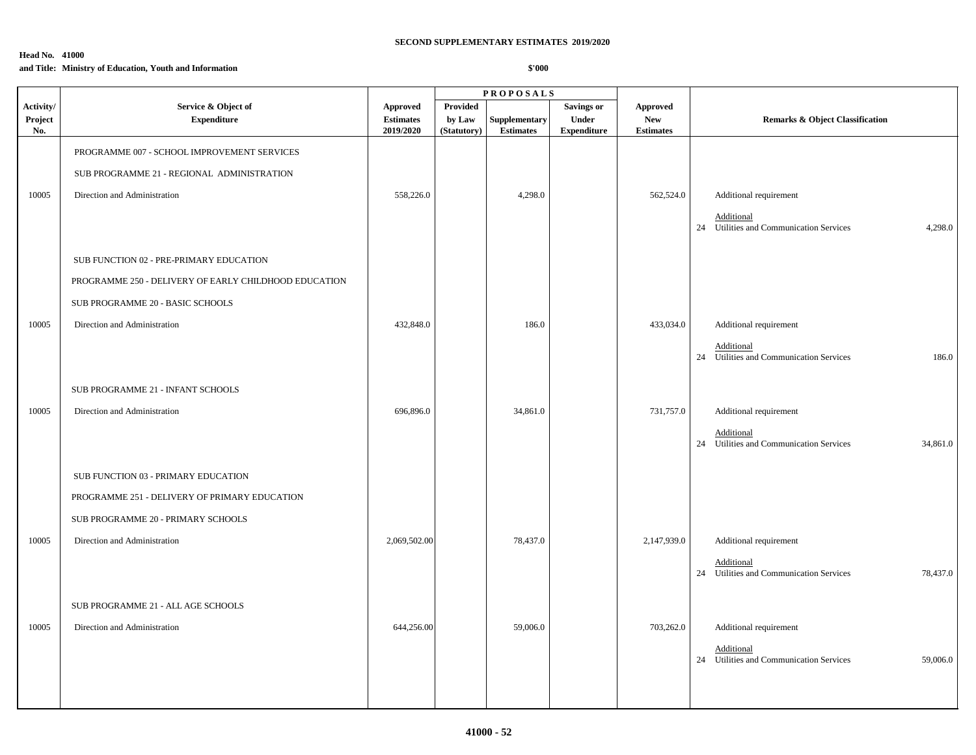# **Head No. 41000**

## **and Title: Ministry of Education, Youth and Information**

|                |                                                       |                               |                       | <b>PROPOSALS</b>                  |                             |                                |                                                                                            |
|----------------|-------------------------------------------------------|-------------------------------|-----------------------|-----------------------------------|-----------------------------|--------------------------------|--------------------------------------------------------------------------------------------|
| Activity/      | Service & Object of                                   | <b>Approved</b>               | <b>Provided</b>       |                                   | <b>Savings or</b>           | <b>Approved</b>                |                                                                                            |
| Project<br>No. | <b>Expenditure</b>                                    | <b>Estimates</b><br>2019/2020 | by Law<br>(Statutory) | Supplementary<br><b>Estimates</b> | Under<br><b>Expenditure</b> | <b>New</b><br><b>Estimates</b> | <b>Remarks &amp; Object Classification</b>                                                 |
|                | PROGRAMME 007 - SCHOOL IMPROVEMENT SERVICES           |                               |                       |                                   |                             |                                |                                                                                            |
|                | SUB PROGRAMME 21 - REGIONAL ADMINISTRATION            |                               |                       |                                   |                             |                                |                                                                                            |
| 10005          | Direction and Administration                          | 558,226.0                     |                       | 4,298.0                           |                             | 562,524.0                      | Additional requirement<br>Additional<br>24 Utilities and Communication Services<br>4,298.0 |
|                | SUB FUNCTION 02 - PRE-PRIMARY EDUCATION               |                               |                       |                                   |                             |                                |                                                                                            |
|                | PROGRAMME 250 - DELIVERY OF EARLY CHILDHOOD EDUCATION |                               |                       |                                   |                             |                                |                                                                                            |
|                | SUB PROGRAMME 20 - BASIC SCHOOLS                      |                               |                       |                                   |                             |                                |                                                                                            |
| 10005          | Direction and Administration                          | 432,848.0                     |                       | 186.0                             |                             | 433,034.0                      | Additional requirement                                                                     |
|                |                                                       |                               |                       |                                   |                             |                                | Additional<br>24 Utilities and Communication Services<br>186.0                             |
|                | SUB PROGRAMME 21 - INFANT SCHOOLS                     |                               |                       |                                   |                             |                                |                                                                                            |
| 10005          | Direction and Administration                          | 696,896.0                     |                       | 34,861.0                          |                             | 731,757.0                      | Additional requirement                                                                     |
|                |                                                       |                               |                       |                                   |                             |                                | Additional<br>24 Utilities and Communication Services<br>34,861.0                          |
|                | SUB FUNCTION 03 - PRIMARY EDUCATION                   |                               |                       |                                   |                             |                                |                                                                                            |
|                | PROGRAMME 251 - DELIVERY OF PRIMARY EDUCATION         |                               |                       |                                   |                             |                                |                                                                                            |
|                | SUB PROGRAMME 20 - PRIMARY SCHOOLS                    |                               |                       |                                   |                             |                                |                                                                                            |
| 10005          | Direction and Administration                          | 2,069,502.00                  |                       | 78,437.0                          |                             | 2,147,939.0                    | Additional requirement                                                                     |
|                |                                                       |                               |                       |                                   |                             |                                | Additional<br>24 Utilities and Communication Services<br>78,437.0                          |
|                |                                                       |                               |                       |                                   |                             |                                |                                                                                            |
|                | SUB PROGRAMME 21 - ALL AGE SCHOOLS                    |                               |                       |                                   |                             |                                |                                                                                            |
| 10005          | Direction and Administration                          | 644,256.00                    |                       | 59,006.0                          |                             | 703,262.0                      | Additional requirement                                                                     |
|                |                                                       |                               |                       |                                   |                             |                                | Additional<br>24 Utilities and Communication Services<br>59,006.0                          |
|                |                                                       |                               |                       |                                   |                             |                                |                                                                                            |
|                |                                                       |                               |                       |                                   |                             |                                |                                                                                            |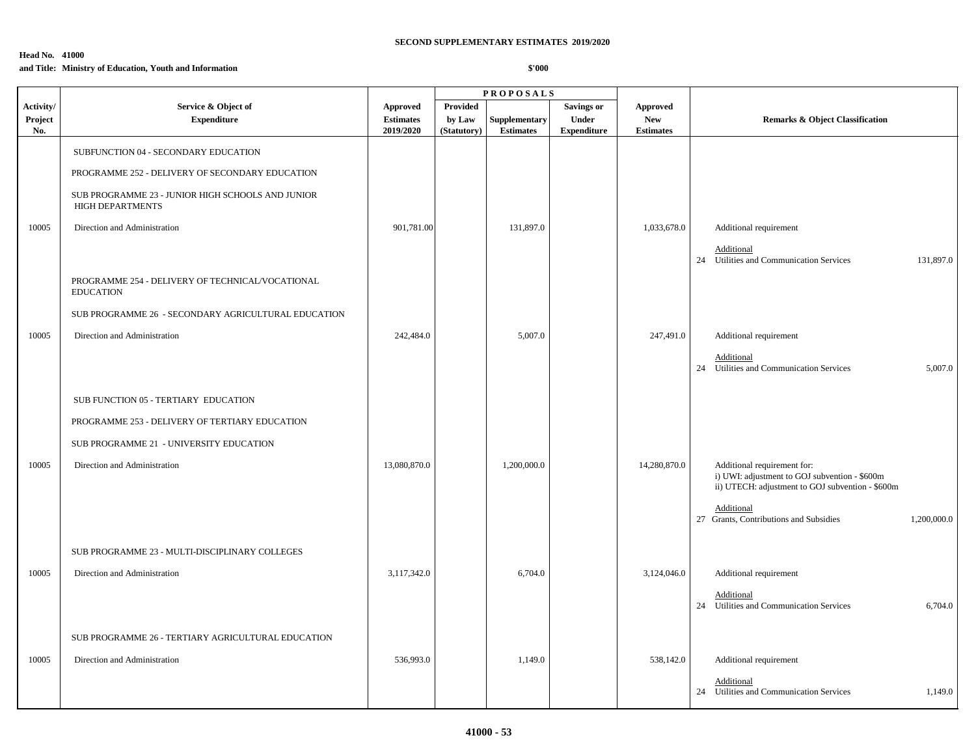# **Head No. 41000**

## **and Title: Ministry of Education, Youth and Information**

|                             |                                                                                                                                                                                                                                                                          |                                           |                                          | <b>PROPOSALS</b>                  |                                                  |                                                   |                                                                                                                                                                                                         |
|-----------------------------|--------------------------------------------------------------------------------------------------------------------------------------------------------------------------------------------------------------------------------------------------------------------------|-------------------------------------------|------------------------------------------|-----------------------------------|--------------------------------------------------|---------------------------------------------------|---------------------------------------------------------------------------------------------------------------------------------------------------------------------------------------------------------|
| Activity/<br>Project<br>No. | Service & Object of<br><b>Expenditure</b>                                                                                                                                                                                                                                | Approved<br><b>Estimates</b><br>2019/2020 | <b>Provided</b><br>by Law<br>(Statutory) | Supplementary<br><b>Estimates</b> | <b>Savings or</b><br>Under<br><b>Expenditure</b> | <b>Approved</b><br><b>New</b><br><b>Estimates</b> | <b>Remarks &amp; Object Classification</b>                                                                                                                                                              |
| 10005                       | SUBFUNCTION 04 - SECONDARY EDUCATION<br>PROGRAMME 252 - DELIVERY OF SECONDARY EDUCATION<br>SUB PROGRAMME 23 - JUNIOR HIGH SCHOOLS AND JUNIOR<br>HIGH DEPARTMENTS<br>Direction and Administration<br>PROGRAMME 254 - DELIVERY OF TECHNICAL/VOCATIONAL<br><b>EDUCATION</b> | 901,781.00                                |                                          | 131,897.0                         |                                                  | 1,033,678.0                                       | Additional requirement<br>Additional<br>24 Utilities and Communication Services<br>131,897.0                                                                                                            |
| 10005                       | SUB PROGRAMME 26 - SECONDARY AGRICULTURAL EDUCATION<br>Direction and Administration                                                                                                                                                                                      | 242,484.0                                 |                                          | 5,007.0                           |                                                  | 247,491.0                                         | Additional requirement<br>Additional<br>24 Utilities and Communication Services<br>5,007.0                                                                                                              |
| 10005                       | SUB FUNCTION 05 - TERTIARY EDUCATION<br>PROGRAMME 253 - DELIVERY OF TERTIARY EDUCATION<br>SUB PROGRAMME 21 - UNIVERSITY EDUCATION<br>Direction and Administration                                                                                                        | 13,080,870.0                              |                                          | 1,200,000.0                       |                                                  | 14,280,870.0                                      | Additional requirement for:<br>i) UWI: adjustment to GOJ subvention - \$600m<br>ii) UTECH: adjustment to GOJ subvention - \$600m<br>Additional<br>27 Grants, Contributions and Subsidies<br>1,200,000.0 |
| 10005                       | SUB PROGRAMME 23 - MULTI-DISCIPLINARY COLLEGES<br>Direction and Administration                                                                                                                                                                                           | 3,117,342.0                               |                                          | 6,704.0                           |                                                  | 3,124,046.0                                       | Additional requirement<br>Additional<br>24 Utilities and Communication Services<br>6,704.0                                                                                                              |
| 10005                       | SUB PROGRAMME 26 - TERTIARY AGRICULTURAL EDUCATION<br>Direction and Administration                                                                                                                                                                                       | 536,993.0                                 |                                          | 1,149.0                           |                                                  | 538,142.0                                         | Additional requirement<br>Additional<br>24 Utilities and Communication Services<br>1,149.0                                                                                                              |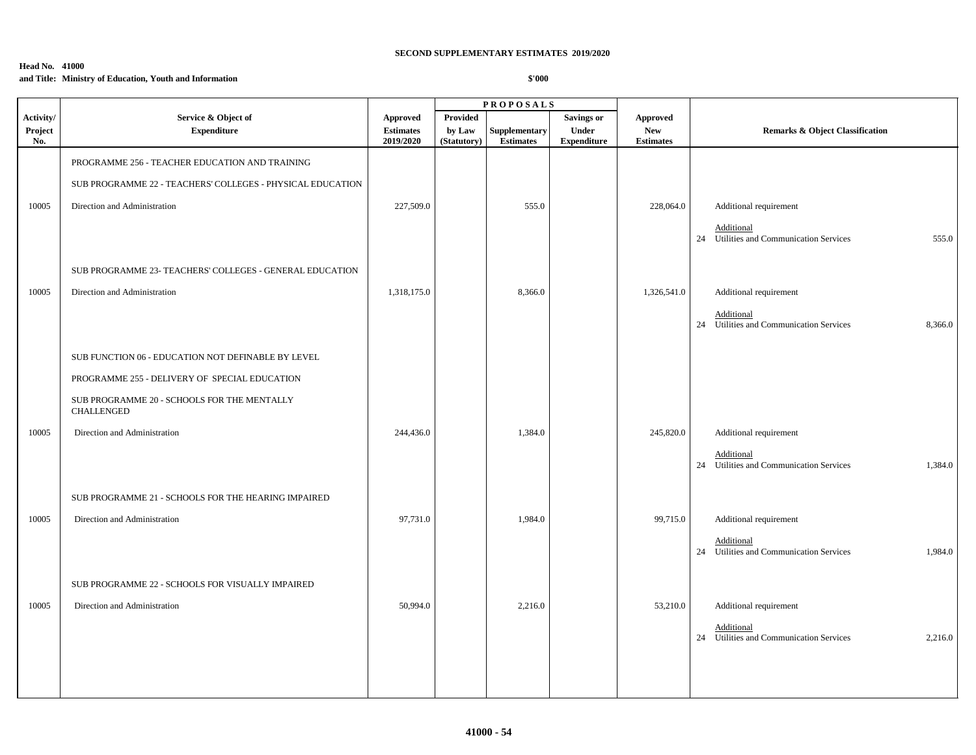# **Head No. 41000**

**and Title: Ministry of Education, Youth and Information**

|                      |                                                                  |                              |                    | <b>PROPOSALS</b> |                                   |                        |                                                                  |
|----------------------|------------------------------------------------------------------|------------------------------|--------------------|------------------|-----------------------------------|------------------------|------------------------------------------------------------------|
| Activity/<br>Project | Service & Object of<br><b>Expenditure</b>                        | Approved<br><b>Estimates</b> | Provided<br>by Law | Supplementary    | <b>Savings or</b><br><b>Under</b> | Approved<br><b>New</b> | <b>Remarks &amp; Object Classification</b>                       |
| No.                  |                                                                  | 2019/2020                    | (Statutory)        | <b>Estimates</b> | <b>Expenditure</b>                | <b>Estimates</b>       |                                                                  |
|                      | PROGRAMME 256 - TEACHER EDUCATION AND TRAINING                   |                              |                    |                  |                                   |                        |                                                                  |
|                      | SUB PROGRAMME 22 - TEACHERS' COLLEGES - PHYSICAL EDUCATION       |                              |                    |                  |                                   |                        |                                                                  |
| 10005                | Direction and Administration                                     | 227,509.0                    |                    | 555.0            |                                   | 228,064.0              | Additional requirement                                           |
|                      |                                                                  |                              |                    |                  |                                   |                        | Additional<br>24 Utilities and Communication Services<br>555.0   |
|                      |                                                                  |                              |                    |                  |                                   |                        |                                                                  |
|                      | SUB PROGRAMME 23- TEACHERS' COLLEGES - GENERAL EDUCATION         |                              |                    |                  |                                   |                        |                                                                  |
| 10005                | Direction and Administration                                     | 1,318,175.0                  |                    | 8,366.0          |                                   | 1,326,541.0            | Additional requirement                                           |
|                      |                                                                  |                              |                    |                  |                                   |                        | Additional<br>24 Utilities and Communication Services<br>8,366.0 |
|                      |                                                                  |                              |                    |                  |                                   |                        |                                                                  |
|                      | SUB FUNCTION 06 - EDUCATION NOT DEFINABLE BY LEVEL               |                              |                    |                  |                                   |                        |                                                                  |
|                      | PROGRAMME 255 - DELIVERY OF SPECIAL EDUCATION                    |                              |                    |                  |                                   |                        |                                                                  |
|                      | SUB PROGRAMME 20 - SCHOOLS FOR THE MENTALLY<br><b>CHALLENGED</b> |                              |                    |                  |                                   |                        |                                                                  |
| 10005                | Direction and Administration                                     | 244,436.0                    |                    | 1,384.0          |                                   | 245,820.0              | Additional requirement                                           |
|                      |                                                                  |                              |                    |                  |                                   |                        | Additional<br>24 Utilities and Communication Services<br>1,384.0 |
|                      |                                                                  |                              |                    |                  |                                   |                        |                                                                  |
|                      | SUB PROGRAMME 21 - SCHOOLS FOR THE HEARING IMPAIRED              |                              |                    |                  |                                   |                        |                                                                  |
| 10005                | Direction and Administration                                     | 97,731.0                     |                    | 1,984.0          |                                   | 99,715.0               | Additional requirement                                           |
|                      |                                                                  |                              |                    |                  |                                   |                        | Additional<br>24 Utilities and Communication Services<br>1,984.0 |
|                      |                                                                  |                              |                    |                  |                                   |                        |                                                                  |
|                      | SUB PROGRAMME 22 - SCHOOLS FOR VISUALLY IMPAIRED                 |                              |                    |                  |                                   |                        |                                                                  |
| 10005                | Direction and Administration                                     | 50,994.0                     |                    | 2,216.0          |                                   | 53,210.0               | Additional requirement                                           |
|                      |                                                                  |                              |                    |                  |                                   |                        | Additional<br>24 Utilities and Communication Services<br>2,216.0 |
|                      |                                                                  |                              |                    |                  |                                   |                        |                                                                  |
|                      |                                                                  |                              |                    |                  |                                   |                        |                                                                  |
|                      |                                                                  |                              |                    |                  |                                   |                        |                                                                  |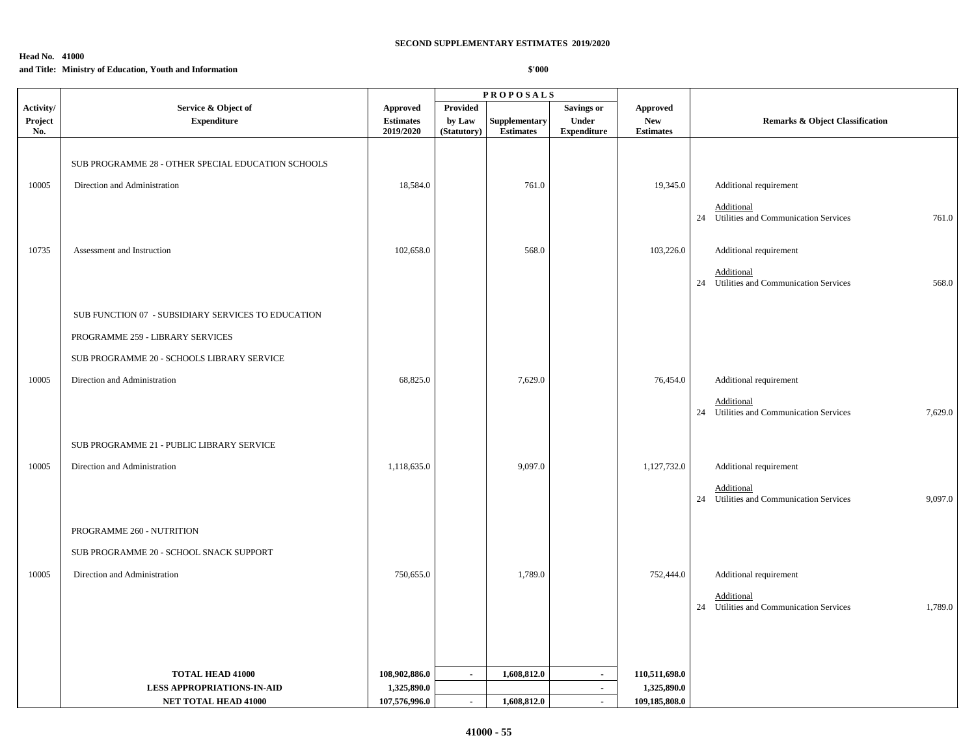### **Head No. 41000**

### **and Title: Ministry of Education, Youth and Information**

| <b>Provided</b><br>Service & Object of<br><b>Savings or</b><br>Activity/<br><b>Approved</b><br><b>Approved</b><br>Project<br>Under<br><b>New</b><br><b>Expenditure</b><br><b>Estimates</b><br>by Law<br>Supplementary<br><b>Remarks &amp; Object Classification</b><br><b>Estimates</b><br>2019/2020<br><b>Expenditure</b><br><b>Estimates</b><br>No.<br>(Statutory)<br>SUB PROGRAMME 28 - OTHER SPECIAL EDUCATION SCHOOLS<br>18,584.0<br>10005<br>Direction and Administration<br>761.0<br>19,345.0<br>Additional requirement<br>Additional<br>24 Utilities and Communication Services<br>10735<br>102,658.0<br>568.0<br>103,226.0<br>Additional requirement<br>Assessment and Instruction<br>Additional<br>24 Utilities and Communication Services<br>SUB FUNCTION 07 - SUBSIDIARY SERVICES TO EDUCATION<br>PROGRAMME 259 - LIBRARY SERVICES<br>SUB PROGRAMME 20 - SCHOOLS LIBRARY SERVICE<br>7,629.0<br>10005<br>Direction and Administration<br>68,825.0<br>76,454.0<br>Additional requirement |  |  | <b>PROPOSALS</b> |  |            |
|----------------------------------------------------------------------------------------------------------------------------------------------------------------------------------------------------------------------------------------------------------------------------------------------------------------------------------------------------------------------------------------------------------------------------------------------------------------------------------------------------------------------------------------------------------------------------------------------------------------------------------------------------------------------------------------------------------------------------------------------------------------------------------------------------------------------------------------------------------------------------------------------------------------------------------------------------------------------------------------------------|--|--|------------------|--|------------|
|                                                                                                                                                                                                                                                                                                                                                                                                                                                                                                                                                                                                                                                                                                                                                                                                                                                                                                                                                                                                    |  |  |                  |  |            |
|                                                                                                                                                                                                                                                                                                                                                                                                                                                                                                                                                                                                                                                                                                                                                                                                                                                                                                                                                                                                    |  |  |                  |  |            |
|                                                                                                                                                                                                                                                                                                                                                                                                                                                                                                                                                                                                                                                                                                                                                                                                                                                                                                                                                                                                    |  |  |                  |  |            |
|                                                                                                                                                                                                                                                                                                                                                                                                                                                                                                                                                                                                                                                                                                                                                                                                                                                                                                                                                                                                    |  |  |                  |  |            |
|                                                                                                                                                                                                                                                                                                                                                                                                                                                                                                                                                                                                                                                                                                                                                                                                                                                                                                                                                                                                    |  |  |                  |  |            |
|                                                                                                                                                                                                                                                                                                                                                                                                                                                                                                                                                                                                                                                                                                                                                                                                                                                                                                                                                                                                    |  |  |                  |  |            |
|                                                                                                                                                                                                                                                                                                                                                                                                                                                                                                                                                                                                                                                                                                                                                                                                                                                                                                                                                                                                    |  |  |                  |  | 761.0      |
|                                                                                                                                                                                                                                                                                                                                                                                                                                                                                                                                                                                                                                                                                                                                                                                                                                                                                                                                                                                                    |  |  |                  |  |            |
|                                                                                                                                                                                                                                                                                                                                                                                                                                                                                                                                                                                                                                                                                                                                                                                                                                                                                                                                                                                                    |  |  |                  |  |            |
|                                                                                                                                                                                                                                                                                                                                                                                                                                                                                                                                                                                                                                                                                                                                                                                                                                                                                                                                                                                                    |  |  |                  |  | 568.0      |
|                                                                                                                                                                                                                                                                                                                                                                                                                                                                                                                                                                                                                                                                                                                                                                                                                                                                                                                                                                                                    |  |  |                  |  |            |
|                                                                                                                                                                                                                                                                                                                                                                                                                                                                                                                                                                                                                                                                                                                                                                                                                                                                                                                                                                                                    |  |  |                  |  |            |
|                                                                                                                                                                                                                                                                                                                                                                                                                                                                                                                                                                                                                                                                                                                                                                                                                                                                                                                                                                                                    |  |  |                  |  |            |
|                                                                                                                                                                                                                                                                                                                                                                                                                                                                                                                                                                                                                                                                                                                                                                                                                                                                                                                                                                                                    |  |  |                  |  |            |
|                                                                                                                                                                                                                                                                                                                                                                                                                                                                                                                                                                                                                                                                                                                                                                                                                                                                                                                                                                                                    |  |  |                  |  |            |
|                                                                                                                                                                                                                                                                                                                                                                                                                                                                                                                                                                                                                                                                                                                                                                                                                                                                                                                                                                                                    |  |  |                  |  | Additional |
| 24 Utilities and Communication Services                                                                                                                                                                                                                                                                                                                                                                                                                                                                                                                                                                                                                                                                                                                                                                                                                                                                                                                                                            |  |  |                  |  | 7,629.0    |
|                                                                                                                                                                                                                                                                                                                                                                                                                                                                                                                                                                                                                                                                                                                                                                                                                                                                                                                                                                                                    |  |  |                  |  |            |
| SUB PROGRAMME 21 - PUBLIC LIBRARY SERVICE                                                                                                                                                                                                                                                                                                                                                                                                                                                                                                                                                                                                                                                                                                                                                                                                                                                                                                                                                          |  |  |                  |  |            |
| 10005<br>1,118,635.0<br>9,097.0<br>1,127,732.0<br>Direction and Administration<br>Additional requirement                                                                                                                                                                                                                                                                                                                                                                                                                                                                                                                                                                                                                                                                                                                                                                                                                                                                                           |  |  |                  |  |            |
| Additional                                                                                                                                                                                                                                                                                                                                                                                                                                                                                                                                                                                                                                                                                                                                                                                                                                                                                                                                                                                         |  |  |                  |  |            |
| 24 Utilities and Communication Services                                                                                                                                                                                                                                                                                                                                                                                                                                                                                                                                                                                                                                                                                                                                                                                                                                                                                                                                                            |  |  |                  |  | 9,097.0    |
| PROGRAMME 260 - NUTRITION                                                                                                                                                                                                                                                                                                                                                                                                                                                                                                                                                                                                                                                                                                                                                                                                                                                                                                                                                                          |  |  |                  |  |            |
| SUB PROGRAMME 20 - SCHOOL SNACK SUPPORT                                                                                                                                                                                                                                                                                                                                                                                                                                                                                                                                                                                                                                                                                                                                                                                                                                                                                                                                                            |  |  |                  |  |            |
| 10005<br>750,655.0<br>1,789.0<br>Direction and Administration<br>752,444.0<br>Additional requirement                                                                                                                                                                                                                                                                                                                                                                                                                                                                                                                                                                                                                                                                                                                                                                                                                                                                                               |  |  |                  |  |            |
|                                                                                                                                                                                                                                                                                                                                                                                                                                                                                                                                                                                                                                                                                                                                                                                                                                                                                                                                                                                                    |  |  |                  |  |            |
| Additional<br>24 Utilities and Communication Services                                                                                                                                                                                                                                                                                                                                                                                                                                                                                                                                                                                                                                                                                                                                                                                                                                                                                                                                              |  |  |                  |  | 1,789.0    |
|                                                                                                                                                                                                                                                                                                                                                                                                                                                                                                                                                                                                                                                                                                                                                                                                                                                                                                                                                                                                    |  |  |                  |  |            |
|                                                                                                                                                                                                                                                                                                                                                                                                                                                                                                                                                                                                                                                                                                                                                                                                                                                                                                                                                                                                    |  |  |                  |  |            |
|                                                                                                                                                                                                                                                                                                                                                                                                                                                                                                                                                                                                                                                                                                                                                                                                                                                                                                                                                                                                    |  |  |                  |  |            |
| 1,608,812.0<br>108,902,886.0<br>110,511,698.0<br><b>TOTAL HEAD 41000</b><br>$\sim$<br>$\sim$                                                                                                                                                                                                                                                                                                                                                                                                                                                                                                                                                                                                                                                                                                                                                                                                                                                                                                       |  |  |                  |  |            |
| 1,325,890.0<br>1,325,890.0<br><b>LESS APPROPRIATIONS-IN-AID</b><br>$\sim$<br>107,576,996.0<br>109,185,808.0<br>NET TOTAL HEAD 41000<br>1,608,812.0<br>$\mathbf{r}$<br>$\sim$                                                                                                                                                                                                                                                                                                                                                                                                                                                                                                                                                                                                                                                                                                                                                                                                                       |  |  |                  |  |            |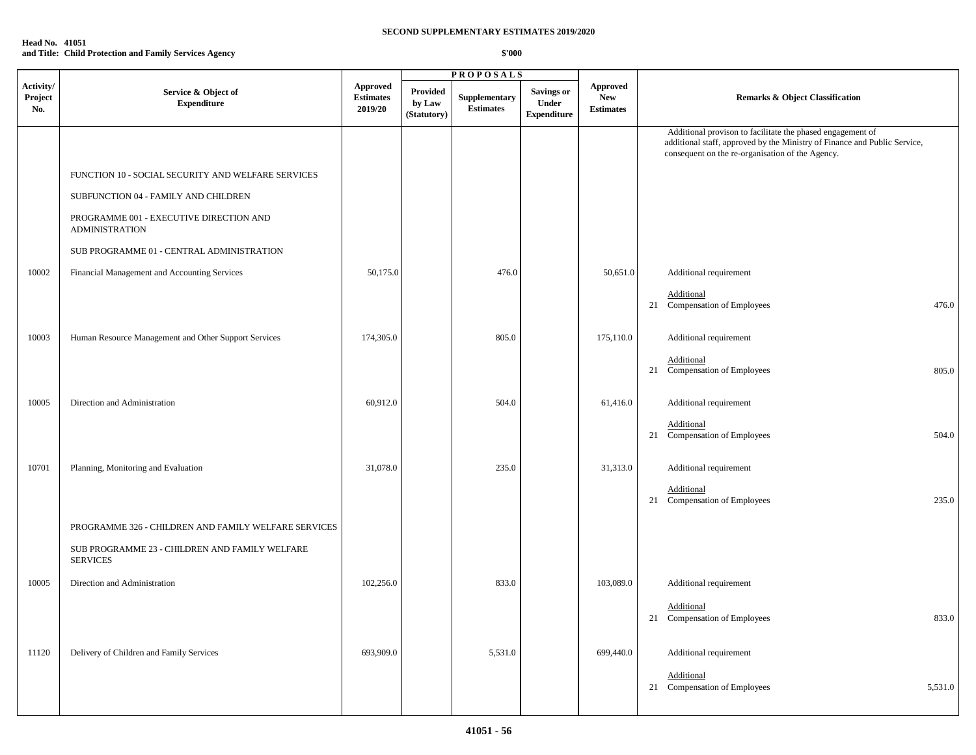| <b>Head No. 41051</b> |                                                        |
|-----------------------|--------------------------------------------------------|
|                       | and Title: Child Protection and Family Services Agency |

|                             |                                                                   |                                                |                                   | <b>PROPOSALS</b>                         |                                                  |                                                   |                                                                                                                                                                                             |  |  |
|-----------------------------|-------------------------------------------------------------------|------------------------------------------------|-----------------------------------|------------------------------------------|--------------------------------------------------|---------------------------------------------------|---------------------------------------------------------------------------------------------------------------------------------------------------------------------------------------------|--|--|
| Activity/<br>Project<br>No. | Service & Object of<br><b>Expenditure</b>                         | <b>Approved</b><br><b>Estimates</b><br>2019/20 | Provided<br>by Law<br>(Statutory) | <b>Supplementary</b><br><b>Estimates</b> | <b>Savings or</b><br>Under<br><b>Expenditure</b> | <b>Approved</b><br><b>New</b><br><b>Estimates</b> | Remarks & Object Classification                                                                                                                                                             |  |  |
|                             |                                                                   |                                                |                                   |                                          |                                                  |                                                   | Additional provison to facilitate the phased engagement of<br>additional staff, approved by the Ministry of Finance and Public Service,<br>consequent on the re-organisation of the Agency. |  |  |
|                             | FUNCTION 10 - SOCIAL SECURITY AND WELFARE SERVICES                |                                                |                                   |                                          |                                                  |                                                   |                                                                                                                                                                                             |  |  |
|                             | SUBFUNCTION 04 - FAMILY AND CHILDREN                              |                                                |                                   |                                          |                                                  |                                                   |                                                                                                                                                                                             |  |  |
|                             | PROGRAMME 001 - EXECUTIVE DIRECTION AND<br><b>ADMINISTRATION</b>  |                                                |                                   |                                          |                                                  |                                                   |                                                                                                                                                                                             |  |  |
|                             | SUB PROGRAMME 01 - CENTRAL ADMINISTRATION                         |                                                |                                   |                                          |                                                  |                                                   |                                                                                                                                                                                             |  |  |
| 10002                       | Financial Management and Accounting Services                      | 50,175.0                                       |                                   | 476.0                                    |                                                  | 50,651.0                                          | Additional requirement                                                                                                                                                                      |  |  |
|                             |                                                                   |                                                |                                   |                                          |                                                  |                                                   | Additional<br>21 Compensation of Employees<br>476.0                                                                                                                                         |  |  |
| 10003                       | Human Resource Management and Other Support Services              | 174,305.0                                      |                                   | 805.0                                    |                                                  | 175,110.0                                         | Additional requirement                                                                                                                                                                      |  |  |
|                             |                                                                   |                                                |                                   |                                          |                                                  |                                                   | Additional<br>21 Compensation of Employees<br>805.0                                                                                                                                         |  |  |
| 10005                       | Direction and Administration                                      | 60,912.0                                       |                                   | 504.0                                    |                                                  | 61,416.0                                          | Additional requirement                                                                                                                                                                      |  |  |
|                             |                                                                   |                                                |                                   |                                          |                                                  |                                                   | Additional<br>21 Compensation of Employees<br>504.0                                                                                                                                         |  |  |
| 10701                       | Planning, Monitoring and Evaluation                               | 31,078.0                                       |                                   | 235.0                                    |                                                  | 31,313.0                                          | Additional requirement                                                                                                                                                                      |  |  |
|                             |                                                                   |                                                |                                   |                                          |                                                  |                                                   | Additional<br>21 Compensation of Employees<br>235.0                                                                                                                                         |  |  |
|                             | PROGRAMME 326 - CHILDREN AND FAMILY WELFARE SERVICES              |                                                |                                   |                                          |                                                  |                                                   |                                                                                                                                                                                             |  |  |
|                             | SUB PROGRAMME 23 - CHILDREN AND FAMILY WELFARE<br><b>SERVICES</b> |                                                |                                   |                                          |                                                  |                                                   |                                                                                                                                                                                             |  |  |
| 10005                       | Direction and Administration                                      | 102,256.0                                      |                                   | 833.0                                    |                                                  | 103,089.0                                         | Additional requirement                                                                                                                                                                      |  |  |
|                             |                                                                   |                                                |                                   |                                          |                                                  |                                                   | Additional<br>833.0<br>21 Compensation of Employees                                                                                                                                         |  |  |
| 11120                       | Delivery of Children and Family Services                          | 693,909.0                                      |                                   | 5,531.0                                  |                                                  | 699,440.0                                         | Additional requirement                                                                                                                                                                      |  |  |
|                             |                                                                   |                                                |                                   |                                          |                                                  |                                                   | Additional<br>21 Compensation of Employees<br>5,531.0                                                                                                                                       |  |  |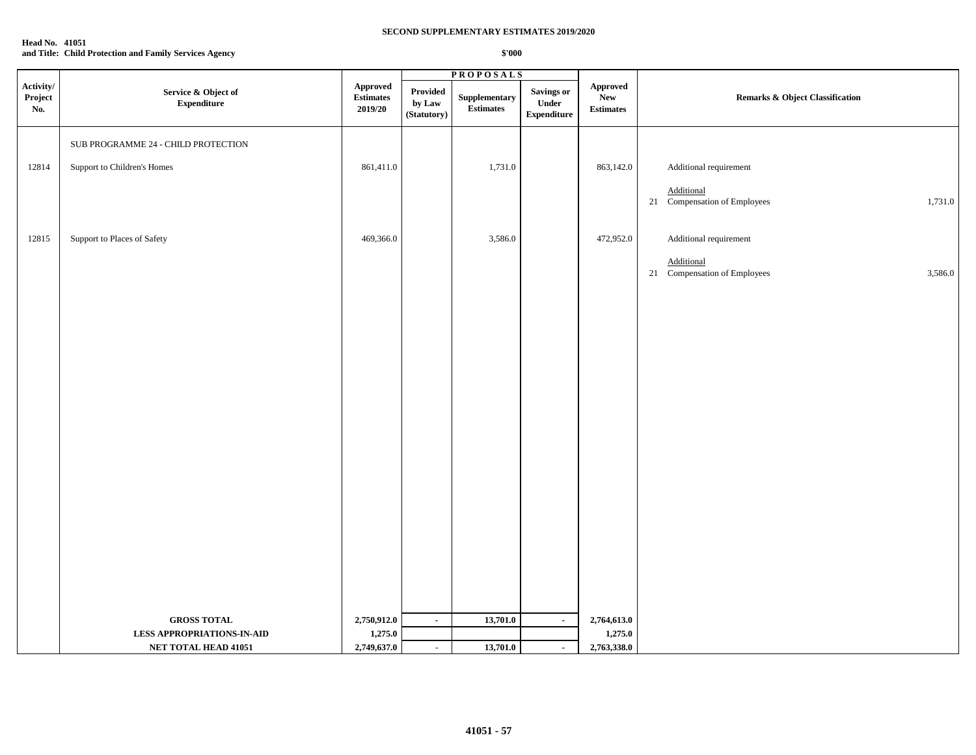| <b>Head No. 41051</b> |                                                        |
|-----------------------|--------------------------------------------------------|
|                       | and Title: Child Protection and Family Services Agency |

|                                     |                                                           |                                         |                                   | <b>PROPOSALS</b>                                                          |                                                   |                                     |                                                       |  |
|-------------------------------------|-----------------------------------------------------------|-----------------------------------------|-----------------------------------|---------------------------------------------------------------------------|---------------------------------------------------|-------------------------------------|-------------------------------------------------------|--|
| Activity/<br>${\bf Project}$<br>No. | Service & Object of<br><b>Expenditure</b>                 | Approved<br><b>Estimates</b><br>2019/20 | Provided<br>by Law<br>(Statutory) | ${\large \bf Supplementary}$<br>$\label{eq:estimates} \textbf{Estimates}$ | <b>Savings or</b><br>Under<br>${\bf Expenditure}$ | Approved<br>New<br><b>Estimates</b> | <b>Remarks &amp; Object Classification</b>            |  |
|                                     | SUB PROGRAMME 24 - CHILD PROTECTION                       |                                         |                                   |                                                                           |                                                   |                                     |                                                       |  |
| 12814                               | Support to Children's Homes                               | 861,411.0                               |                                   | 1,731.0                                                                   |                                                   | 863,142.0                           | Additional requirement                                |  |
|                                     |                                                           |                                         |                                   |                                                                           |                                                   |                                     | Additional<br>21 Compensation of Employees<br>1,731.0 |  |
| 12815                               | Support to Places of Safety                               | 469,366.0                               |                                   | 3,586.0                                                                   |                                                   | 472,952.0                           | Additional requirement                                |  |
|                                     |                                                           |                                         |                                   |                                                                           |                                                   |                                     | Additional<br>21 Compensation of Employees<br>3,586.0 |  |
|                                     |                                                           |                                         |                                   |                                                                           |                                                   |                                     |                                                       |  |
|                                     |                                                           |                                         |                                   |                                                                           |                                                   |                                     |                                                       |  |
|                                     |                                                           |                                         |                                   |                                                                           |                                                   |                                     |                                                       |  |
|                                     |                                                           |                                         |                                   |                                                                           |                                                   |                                     |                                                       |  |
|                                     |                                                           |                                         |                                   |                                                                           |                                                   |                                     |                                                       |  |
|                                     |                                                           |                                         |                                   |                                                                           |                                                   |                                     |                                                       |  |
|                                     |                                                           |                                         |                                   |                                                                           |                                                   |                                     |                                                       |  |
|                                     |                                                           |                                         |                                   |                                                                           |                                                   |                                     |                                                       |  |
|                                     |                                                           |                                         |                                   |                                                                           |                                                   |                                     |                                                       |  |
|                                     |                                                           |                                         |                                   |                                                                           |                                                   |                                     |                                                       |  |
|                                     |                                                           |                                         |                                   |                                                                           |                                                   |                                     |                                                       |  |
|                                     |                                                           |                                         |                                   |                                                                           |                                                   |                                     |                                                       |  |
|                                     | <b>GROSS TOTAL</b>                                        | 2,750,912.0                             | $\sim$                            | 13,701.0                                                                  | $\blacksquare$                                    | 2,764,613.0                         |                                                       |  |
|                                     | <b>LESS APPROPRIATIONS-IN-AID</b><br>NET TOTAL HEAD 41051 | 1,275.0<br>2,749,637.0                  | $\omega$                          | 13,701.0                                                                  |                                                   | 1,275.0<br>2,763,338.0              |                                                       |  |
|                                     |                                                           |                                         |                                   |                                                                           | $\blacksquare$                                    |                                     |                                                       |  |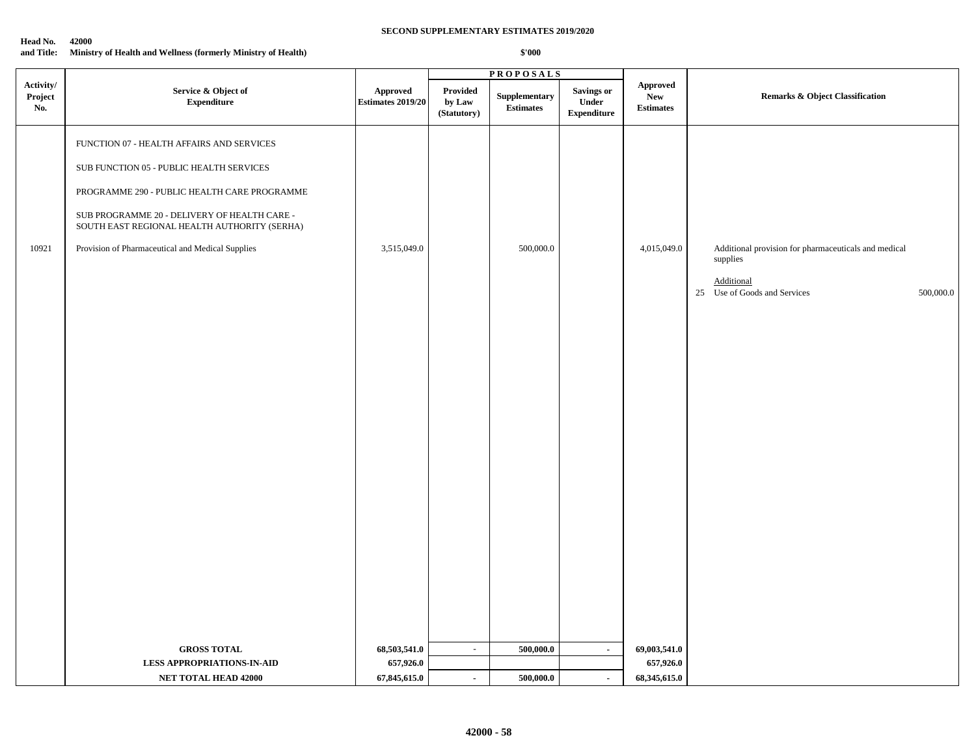|                             |                                                                                                                                                                                                                                                                                           |                               |                                   | <b>PROPOSALS</b>                  |                                                  |                                                    |                                                                                                                             |
|-----------------------------|-------------------------------------------------------------------------------------------------------------------------------------------------------------------------------------------------------------------------------------------------------------------------------------------|-------------------------------|-----------------------------------|-----------------------------------|--------------------------------------------------|----------------------------------------------------|-----------------------------------------------------------------------------------------------------------------------------|
| Activity/<br>Project<br>No. | Service & Object of<br><b>Expenditure</b>                                                                                                                                                                                                                                                 | Approved<br>Estimates 2019/20 | Provided<br>by Law<br>(Statutory) | Supplementary<br><b>Estimates</b> | <b>Savings or</b><br>Under<br><b>Expenditure</b> | <b>Approved</b><br>${\bf New}$<br><b>Estimates</b> | <b>Remarks &amp; Object Classification</b>                                                                                  |
| 10921                       | FUNCTION 07 - HEALTH AFFAIRS AND SERVICES<br>SUB FUNCTION 05 - PUBLIC HEALTH SERVICES<br>PROGRAMME 290 - PUBLIC HEALTH CARE PROGRAMME<br>SUB PROGRAMME 20 - DELIVERY OF HEALTH CARE -<br>SOUTH EAST REGIONAL HEALTH AUTHORITY (SERHA)<br>Provision of Pharmaceutical and Medical Supplies | 3,515,049.0                   |                                   | 500,000.0                         |                                                  | 4,015,049.0                                        | Additional provision for pharmaceuticals and medical<br>supplies<br>Additional<br>25 Use of Goods and Services<br>500,000.0 |
|                             | <b>GROSS TOTAL</b><br><b>LESS APPROPRIATIONS-IN-AID</b>                                                                                                                                                                                                                                   | 68,503,541.0<br>657,926.0     | $\omega$                          | 500,000.0                         | $\sim$                                           | 69,003,541.0<br>657,926.0                          |                                                                                                                             |
|                             | NET TOTAL HEAD 42000                                                                                                                                                                                                                                                                      | 67,845,615.0                  | $\blacksquare$                    | 500,000.0                         | $\blacksquare$                                   | 68,345,615.0                                       |                                                                                                                             |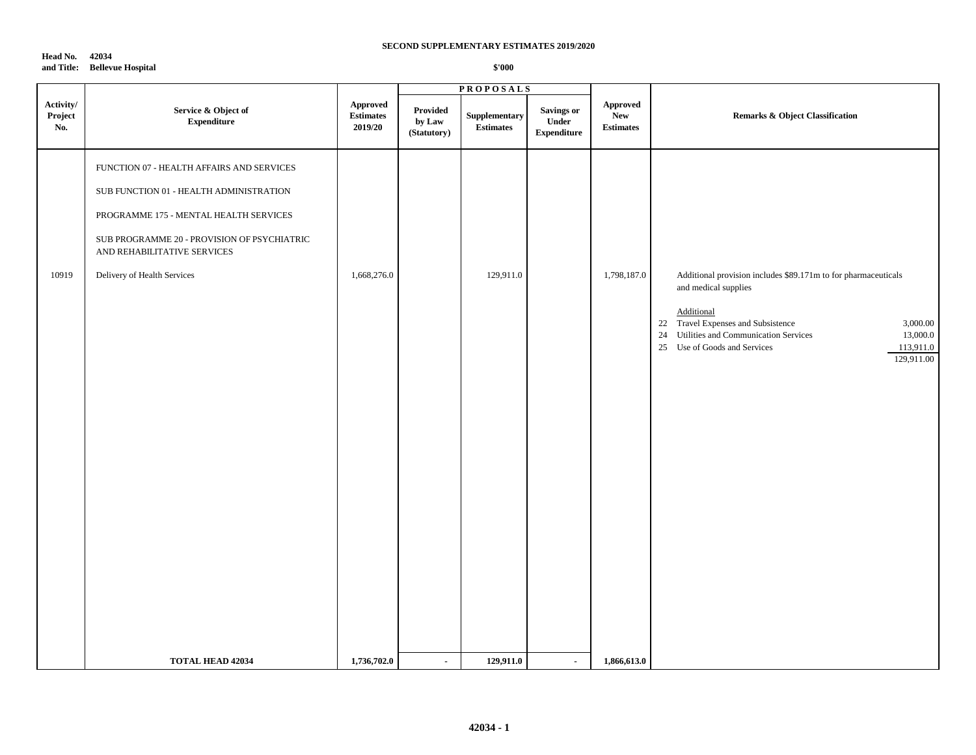**Head No. 42034 and Title: Bellevue Hospital**

|                             |                                                                                                                                                                                                                                             |                                         |                                   | <b>PROPOSALS</b>                  |                                           |                                                   |                                                                                                                                                                                                                                                                          |
|-----------------------------|---------------------------------------------------------------------------------------------------------------------------------------------------------------------------------------------------------------------------------------------|-----------------------------------------|-----------------------------------|-----------------------------------|-------------------------------------------|---------------------------------------------------|--------------------------------------------------------------------------------------------------------------------------------------------------------------------------------------------------------------------------------------------------------------------------|
| Activity/<br>Project<br>No. | Service & Object of<br><b>Expenditure</b>                                                                                                                                                                                                   | Approved<br><b>Estimates</b><br>2019/20 | Provided<br>by Law<br>(Statutory) | Supplementary<br><b>Estimates</b> | Savings or<br>Under<br><b>Expenditure</b> | <b>Approved</b><br><b>New</b><br><b>Estimates</b> | Remarks & Object Classification                                                                                                                                                                                                                                          |
| 10919                       | FUNCTION 07 - HEALTH AFFAIRS AND SERVICES<br>SUB FUNCTION 01 - HEALTH ADMINISTRATION<br>PROGRAMME 175 - MENTAL HEALTH SERVICES<br>SUB PROGRAMME 20 - PROVISION OF PSYCHIATRIC<br>AND REHABILITATIVE SERVICES<br>Delivery of Health Services | 1,668,276.0                             |                                   | 129,911.0                         |                                           | 1,798,187.0                                       | Additional provision includes \$89.171m to for pharmaceuticals<br>and medical supplies<br>Additional<br>22 Travel Expenses and Subsistence<br>3,000.00<br>24 Utilities and Communication Services<br>13,000.0<br>25 Use of Goods and Services<br>113,911.0<br>129,911.00 |
|                             | <b>TOTAL HEAD 42034</b>                                                                                                                                                                                                                     | 1,736,702.0                             | $\blacksquare$                    | 129,911.0                         | $\blacksquare$                            | 1,866,613.0                                       |                                                                                                                                                                                                                                                                          |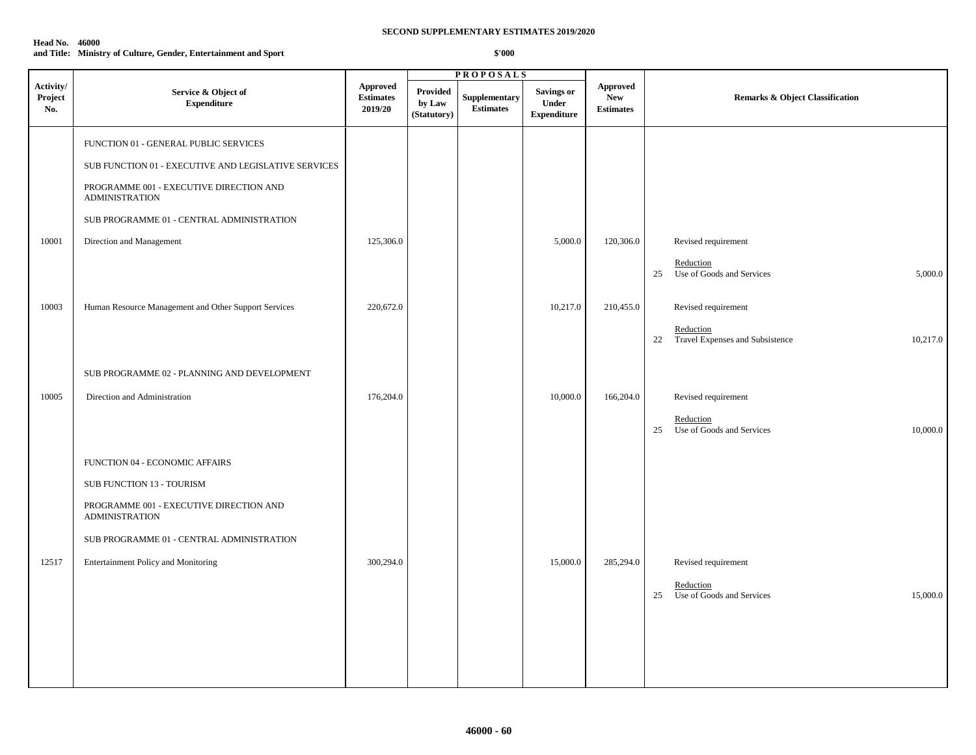### **Head No. 46000**

**and Title: Ministry of Culture, Gender, Entertainment and Sport**

|                             |                                                                  |                                                |                                          | <b>PROPOSALS</b>                  |                                                  |                                                   |                                                                |
|-----------------------------|------------------------------------------------------------------|------------------------------------------------|------------------------------------------|-----------------------------------|--------------------------------------------------|---------------------------------------------------|----------------------------------------------------------------|
| Activity/<br>Project<br>No. | Service & Object of<br><b>Expenditure</b>                        | <b>Approved</b><br><b>Estimates</b><br>2019/20 | <b>Provided</b><br>by Law<br>(Statutory) | Supplementary<br><b>Estimates</b> | <b>Savings or</b><br>Under<br><b>Expenditure</b> | <b>Approved</b><br><b>New</b><br><b>Estimates</b> | <b>Remarks &amp; Object Classification</b>                     |
|                             | FUNCTION 01 - GENERAL PUBLIC SERVICES                            |                                                |                                          |                                   |                                                  |                                                   |                                                                |
|                             | SUB FUNCTION 01 - EXECUTIVE AND LEGISLATIVE SERVICES             |                                                |                                          |                                   |                                                  |                                                   |                                                                |
|                             | PROGRAMME 001 - EXECUTIVE DIRECTION AND<br><b>ADMINISTRATION</b> |                                                |                                          |                                   |                                                  |                                                   |                                                                |
|                             | SUB PROGRAMME 01 - CENTRAL ADMINISTRATION                        |                                                |                                          |                                   |                                                  |                                                   |                                                                |
| 10001                       | Direction and Management                                         | 125,306.0                                      |                                          |                                   | 5,000.0                                          | 120,306.0                                         | Revised requirement                                            |
|                             |                                                                  |                                                |                                          |                                   |                                                  |                                                   | Reduction<br>25<br>Use of Goods and Services<br>5,000.0        |
| 10003                       | Human Resource Management and Other Support Services             | 220,672.0                                      |                                          |                                   | 10,217.0                                         | 210,455.0                                         | Revised requirement                                            |
|                             |                                                                  |                                                |                                          |                                   |                                                  |                                                   | Reduction<br>Travel Expenses and Subsistence<br>22<br>10,217.0 |
|                             | SUB PROGRAMME 02 - PLANNING AND DEVELOPMENT                      |                                                |                                          |                                   |                                                  |                                                   |                                                                |
| 10005                       | Direction and Administration                                     | 176,204.0                                      |                                          |                                   | 10,000.0                                         | 166,204.0                                         | Revised requirement                                            |
|                             |                                                                  |                                                |                                          |                                   |                                                  |                                                   | Reduction<br>Use of Goods and Services<br>25<br>10,000.0       |
|                             | FUNCTION 04 - ECONOMIC AFFAIRS                                   |                                                |                                          |                                   |                                                  |                                                   |                                                                |
|                             | SUB FUNCTION 13 - TOURISM                                        |                                                |                                          |                                   |                                                  |                                                   |                                                                |
|                             | PROGRAMME 001 - EXECUTIVE DIRECTION AND<br><b>ADMINISTRATION</b> |                                                |                                          |                                   |                                                  |                                                   |                                                                |
|                             | SUB PROGRAMME 01 - CENTRAL ADMINISTRATION                        |                                                |                                          |                                   |                                                  |                                                   |                                                                |
| 12517                       | Entertainment Policy and Monitoring                              | 300,294.0                                      |                                          |                                   | 15,000.0                                         | 285,294.0                                         | Revised requirement                                            |
|                             |                                                                  |                                                |                                          |                                   |                                                  |                                                   | Reduction<br>Use of Goods and Services<br>15,000.0<br>25       |
|                             |                                                                  |                                                |                                          |                                   |                                                  |                                                   |                                                                |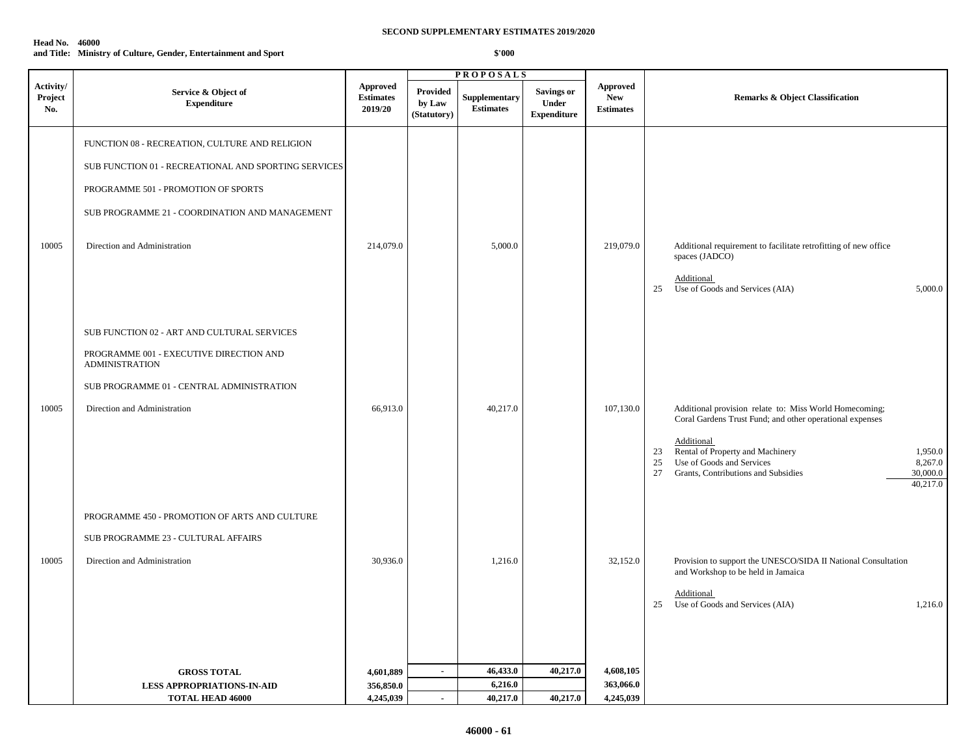### **Head No. 46000 and Title: Ministry of Culture, Gender, Entertainment and Sport**

|                             |                                                                                                                                                                                                                                 |                                                |                                          | <b>PROPOSALS</b>                  |                                           |                                                   |                                                                                                                                                                                                                                                                                                          |
|-----------------------------|---------------------------------------------------------------------------------------------------------------------------------------------------------------------------------------------------------------------------------|------------------------------------------------|------------------------------------------|-----------------------------------|-------------------------------------------|---------------------------------------------------|----------------------------------------------------------------------------------------------------------------------------------------------------------------------------------------------------------------------------------------------------------------------------------------------------------|
| Activity/<br>Project<br>No. | Service & Object of<br><b>Expenditure</b>                                                                                                                                                                                       | <b>Approved</b><br><b>Estimates</b><br>2019/20 | <b>Provided</b><br>by Law<br>(Statutory) | Supplementary<br><b>Estimates</b> | Savings or<br>Under<br><b>Expenditure</b> | <b>Approved</b><br><b>New</b><br><b>Estimates</b> | <b>Remarks &amp; Object Classification</b>                                                                                                                                                                                                                                                               |
| 10005                       | FUNCTION 08 - RECREATION, CULTURE AND RELIGION<br>SUB FUNCTION 01 - RECREATIONAL AND SPORTING SERVICES<br>PROGRAMME 501 - PROMOTION OF SPORTS<br>SUB PROGRAMME 21 - COORDINATION AND MANAGEMENT<br>Direction and Administration | 214,079.0                                      |                                          | 5,000.0                           |                                           | 219,079.0                                         | Additional requirement to facilitate retrofitting of new office<br>spaces (JADCO)<br>Additional<br>Use of Goods and Services (AIA)<br>5,000.0<br>25                                                                                                                                                      |
| 10005                       | SUB FUNCTION 02 - ART AND CULTURAL SERVICES<br>PROGRAMME 001 - EXECUTIVE DIRECTION AND<br><b>ADMINISTRATION</b><br>SUB PROGRAMME 01 - CENTRAL ADMINISTRATION<br>Direction and Administration                                    | 66,913.0                                       |                                          | 40,217.0                          |                                           | 107,130.0                                         | Additional provision relate to: Miss World Homecoming;<br>Coral Gardens Trust Fund; and other operational expenses<br>Additional<br>Rental of Property and Machinery<br>1,950.0<br>23<br>Use of Goods and Services<br>8,267.0<br>25<br>27<br>Grants, Contributions and Subsidies<br>30,000.0<br>40,217.0 |
| 10005                       | PROGRAMME 450 - PROMOTION OF ARTS AND CULTURE<br>SUB PROGRAMME 23 - CULTURAL AFFAIRS<br>Direction and Administration                                                                                                            | 30,936.0                                       |                                          | 1,216.0                           |                                           | 32,152.0                                          | Provision to support the UNESCO/SIDA II National Consultation<br>and Workshop to be held in Jamaica<br><b>Additional</b><br>Use of Goods and Services (AIA)<br>25<br>1,216.0                                                                                                                             |
|                             | <b>GROSS TOTAL</b>                                                                                                                                                                                                              | 4,601,889                                      | $\sim$                                   | 46,433.0                          | 40,217.0                                  | 4,608,105                                         |                                                                                                                                                                                                                                                                                                          |
|                             | <b>LESS APPROPRIATIONS-IN-AID</b>                                                                                                                                                                                               | 356,850.0                                      |                                          | 6,216.0                           |                                           | 363,066.0                                         |                                                                                                                                                                                                                                                                                                          |
|                             | <b>TOTAL HEAD 46000</b>                                                                                                                                                                                                         | 4,245,039                                      | $\sim$                                   | 40,217.0                          | 40,217.0                                  | 4,245,039                                         |                                                                                                                                                                                                                                                                                                          |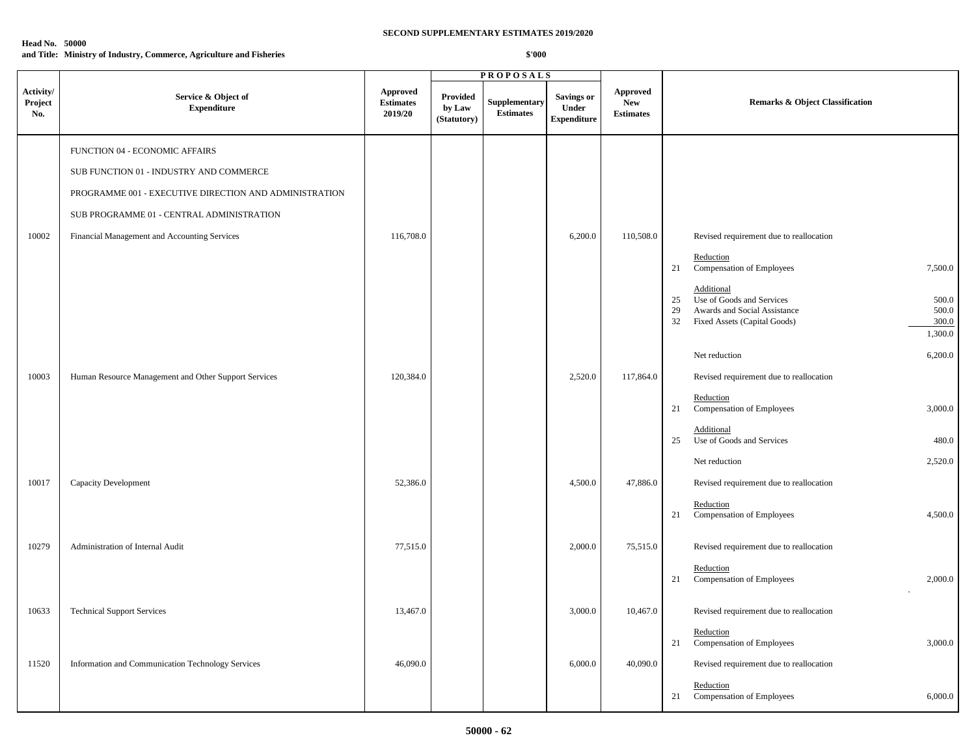| <b>Head No. 50000</b> |                                                                      |
|-----------------------|----------------------------------------------------------------------|
|                       | and Title: Ministry of Industry, Commerce, Agriculture and Fisheries |

|                             |                                                        |                                         |                                   | <b>PROPOSALS</b>                  |                                                         |                                                   |                                                                                                                                                                 |
|-----------------------------|--------------------------------------------------------|-----------------------------------------|-----------------------------------|-----------------------------------|---------------------------------------------------------|---------------------------------------------------|-----------------------------------------------------------------------------------------------------------------------------------------------------------------|
| Activity/<br>Project<br>No. | Service & Object of<br><b>Expenditure</b>              | Approved<br><b>Estimates</b><br>2019/20 | Provided<br>by Law<br>(Statutory) | Supplementary<br><b>Estimates</b> | <b>Savings or</b><br><b>Under</b><br><b>Expenditure</b> | <b>Approved</b><br><b>New</b><br><b>Estimates</b> | <b>Remarks &amp; Object Classification</b>                                                                                                                      |
|                             | FUNCTION 04 - ECONOMIC AFFAIRS                         |                                         |                                   |                                   |                                                         |                                                   |                                                                                                                                                                 |
|                             | SUB FUNCTION 01 - INDUSTRY AND COMMERCE                |                                         |                                   |                                   |                                                         |                                                   |                                                                                                                                                                 |
|                             | PROGRAMME 001 - EXECUTIVE DIRECTION AND ADMINISTRATION |                                         |                                   |                                   |                                                         |                                                   |                                                                                                                                                                 |
|                             | SUB PROGRAMME 01 - CENTRAL ADMINISTRATION              |                                         |                                   |                                   |                                                         |                                                   |                                                                                                                                                                 |
| 10002                       | Financial Management and Accounting Services           | 116,708.0                               |                                   |                                   | 6,200.0                                                 | 110,508.0                                         | Revised requirement due to reallocation                                                                                                                         |
|                             |                                                        |                                         |                                   |                                   |                                                         |                                                   | Reduction<br>Compensation of Employees<br>21<br>7,500.0                                                                                                         |
|                             |                                                        |                                         |                                   |                                   |                                                         |                                                   | Additional<br>Use of Goods and Services<br>500.0<br>25<br>29<br>Awards and Social Assistance<br>500.0<br>32<br>Fixed Assets (Capital Goods)<br>300.0<br>1,300.0 |
|                             |                                                        |                                         |                                   |                                   |                                                         |                                                   | 6,200.0<br>Net reduction                                                                                                                                        |
| 10003                       | Human Resource Management and Other Support Services   | 120,384.0                               |                                   |                                   | 2,520.0                                                 | 117,864.0                                         | Revised requirement due to reallocation                                                                                                                         |
|                             |                                                        |                                         |                                   |                                   |                                                         |                                                   | Reduction<br>Compensation of Employees<br>3,000.0<br>21                                                                                                         |
|                             |                                                        |                                         |                                   |                                   |                                                         |                                                   | Additional<br>Use of Goods and Services<br>480.0<br>25                                                                                                          |
|                             |                                                        |                                         |                                   |                                   |                                                         |                                                   | 2,520.0<br>Net reduction                                                                                                                                        |
| 10017                       | <b>Capacity Development</b>                            | 52,386.0                                |                                   |                                   | 4,500.0                                                 | 47,886.0                                          | Revised requirement due to reallocation                                                                                                                         |
|                             |                                                        |                                         |                                   |                                   |                                                         |                                                   | Reduction<br>Compensation of Employees<br>4,500.0<br>21                                                                                                         |
| 10279                       | Administration of Internal Audit                       | 77,515.0                                |                                   |                                   | 2,000.0                                                 | 75,515.0                                          | Revised requirement due to reallocation                                                                                                                         |
|                             |                                                        |                                         |                                   |                                   |                                                         |                                                   | Reduction<br>Compensation of Employees<br>21<br>2,000.0                                                                                                         |
| 10633                       | <b>Technical Support Services</b>                      | 13,467.0                                |                                   |                                   | 3,000.0                                                 | 10,467.0                                          | Revised requirement due to reallocation                                                                                                                         |
|                             |                                                        |                                         |                                   |                                   |                                                         |                                                   | Reduction<br>Compensation of Employees<br>3,000.0<br>21                                                                                                         |
| 11520                       | Information and Communication Technology Services      | 46,090.0                                |                                   |                                   | 6,000.0                                                 | 40,090.0                                          | Revised requirement due to reallocation                                                                                                                         |
|                             |                                                        |                                         |                                   |                                   |                                                         |                                                   | Reduction<br>21<br>Compensation of Employees<br>6,000.0                                                                                                         |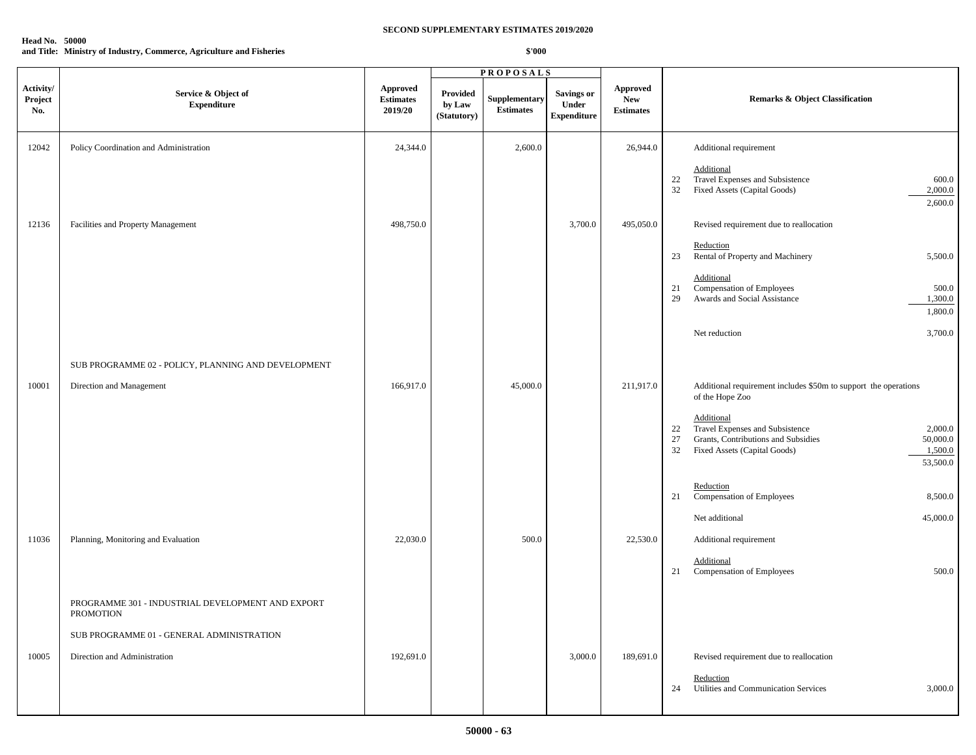# **Head No. 50000**

**and Title: Ministry of Industry, Commerce, Agriculture and Fisheries**

|                             |                                                                |                                                |                                          | <b>PROPOSALS</b>                         |                                                  |                                                   |                                                                                                                                                                                      |
|-----------------------------|----------------------------------------------------------------|------------------------------------------------|------------------------------------------|------------------------------------------|--------------------------------------------------|---------------------------------------------------|--------------------------------------------------------------------------------------------------------------------------------------------------------------------------------------|
| Activity/<br>Project<br>No. | Service & Object of<br><b>Expenditure</b>                      | <b>Approved</b><br><b>Estimates</b><br>2019/20 | <b>Provided</b><br>by Law<br>(Statutory) | <b>Supplementary</b><br><b>Estimates</b> | <b>Savings or</b><br>Under<br><b>Expenditure</b> | <b>Approved</b><br><b>New</b><br><b>Estimates</b> | <b>Remarks &amp; Object Classification</b>                                                                                                                                           |
| 12042                       | Policy Coordination and Administration                         | 24,344.0                                       |                                          | 2,600.0                                  |                                                  | 26,944.0                                          | Additional requirement                                                                                                                                                               |
|                             |                                                                |                                                |                                          |                                          |                                                  |                                                   | Additional<br>Travel Expenses and Subsistence<br>600.0<br>22<br>32<br>Fixed Assets (Capital Goods)<br>2,000.0<br>2,600.0                                                             |
| 12136                       | Facilities and Property Management                             | 498,750.0                                      |                                          |                                          | 3,700.0                                          | 495,050.0                                         | Revised requirement due to reallocation                                                                                                                                              |
|                             |                                                                |                                                |                                          |                                          |                                                  |                                                   | Reduction<br>Rental of Property and Machinery<br>5,500.0<br>23                                                                                                                       |
|                             |                                                                |                                                |                                          |                                          |                                                  |                                                   | Additional<br>Compensation of Employees<br>500.0<br>21<br>Awards and Social Assistance<br>29<br>1,300.0<br>1,800.0                                                                   |
|                             |                                                                |                                                |                                          |                                          |                                                  |                                                   | Net reduction<br>3,700.0                                                                                                                                                             |
|                             | SUB PROGRAMME 02 - POLICY, PLANNING AND DEVELOPMENT            |                                                |                                          |                                          |                                                  |                                                   |                                                                                                                                                                                      |
| 10001                       | Direction and Management                                       | 166,917.0                                      |                                          | 45,000.0                                 |                                                  | 211,917.0                                         | Additional requirement includes \$50m to support the operations<br>of the Hope Zoo                                                                                                   |
|                             |                                                                |                                                |                                          |                                          |                                                  |                                                   | Additional<br>Travel Expenses and Subsistence<br>2,000.0<br>22<br>Grants, Contributions and Subsidies<br>50,000.0<br>27<br>32<br>Fixed Assets (Capital Goods)<br>1,500.0<br>53,500.0 |
|                             |                                                                |                                                |                                          |                                          |                                                  |                                                   | Reduction<br>Compensation of Employees<br>8,500.0<br>21                                                                                                                              |
|                             |                                                                |                                                |                                          |                                          |                                                  |                                                   | Net additional<br>45,000.0                                                                                                                                                           |
| 11036                       | Planning, Monitoring and Evaluation                            | 22,030.0                                       |                                          | 500.0                                    |                                                  | 22,530.0                                          | Additional requirement                                                                                                                                                               |
|                             |                                                                |                                                |                                          |                                          |                                                  |                                                   | Additional<br>Compensation of Employees<br>500.0<br>21                                                                                                                               |
|                             | PROGRAMME 301 - INDUSTRIAL DEVELOPMENT AND EXPORT<br>PROMOTION |                                                |                                          |                                          |                                                  |                                                   |                                                                                                                                                                                      |
|                             | SUB PROGRAMME 01 - GENERAL ADMINISTRATION                      |                                                |                                          |                                          |                                                  |                                                   |                                                                                                                                                                                      |
| 10005                       | Direction and Administration                                   | 192,691.0                                      |                                          |                                          | 3,000.0                                          | 189,691.0                                         | Revised requirement due to reallocation                                                                                                                                              |
|                             |                                                                |                                                |                                          |                                          |                                                  |                                                   | Reduction<br>Utilities and Communication Services<br>24<br>3,000.0                                                                                                                   |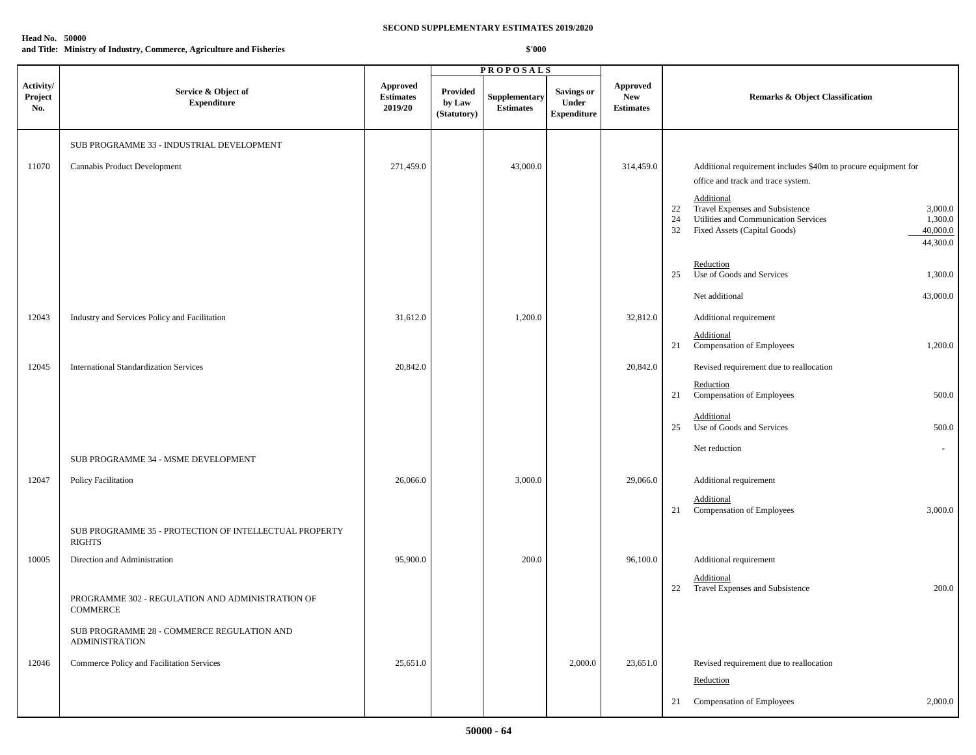## **Head No. 50000**

**and Title: Ministry of Industry, Commerce, Agriculture and Fisheries**

|                             |                                                                         |                                                |                                          | <b>PROPOSALS</b>                  |                                                  |                                                   |                                                                                                           |
|-----------------------------|-------------------------------------------------------------------------|------------------------------------------------|------------------------------------------|-----------------------------------|--------------------------------------------------|---------------------------------------------------|-----------------------------------------------------------------------------------------------------------|
| Activity/<br>Project<br>No. | Service & Object of<br><b>Expenditure</b>                               | <b>Approved</b><br><b>Estimates</b><br>2019/20 | <b>Provided</b><br>by Law<br>(Statutory) | Supplementary<br><b>Estimates</b> | Savings or<br><b>Under</b><br><b>Expenditure</b> | <b>Approved</b><br><b>New</b><br><b>Estimates</b> | <b>Remarks &amp; Object Classification</b>                                                                |
|                             | SUB PROGRAMME 33 - INDUSTRIAL DEVELOPMENT                               |                                                |                                          |                                   |                                                  |                                                   |                                                                                                           |
| 11070                       | Cannabis Product Development                                            | 271,459.0                                      |                                          | 43,000.0                          |                                                  | 314,459.0                                         | Additional requirement includes \$40m to procure equipment for                                            |
|                             |                                                                         |                                                |                                          |                                   |                                                  |                                                   | office and track and trace system.<br>Additional                                                          |
|                             |                                                                         |                                                |                                          |                                   |                                                  |                                                   | Travel Expenses and Subsistence<br>3,000.0<br>22<br>Utilities and Communication Services<br>24<br>1,300.0 |
|                             |                                                                         |                                                |                                          |                                   |                                                  |                                                   | Fixed Assets (Capital Goods)<br>40,000.0<br>32                                                            |
|                             |                                                                         |                                                |                                          |                                   |                                                  |                                                   | 44,300.0                                                                                                  |
|                             |                                                                         |                                                |                                          |                                   |                                                  |                                                   | Reduction<br>Use of Goods and Services<br>25<br>1,300.0                                                   |
|                             |                                                                         |                                                |                                          |                                   |                                                  |                                                   | Net additional<br>43,000.0                                                                                |
| 12043                       | Industry and Services Policy and Facilitation                           | 31,612.0                                       |                                          | 1,200.0                           |                                                  | 32,812.0                                          | Additional requirement                                                                                    |
|                             |                                                                         |                                                |                                          |                                   |                                                  |                                                   | Additional<br>21 Compensation of Employees<br>1,200.0                                                     |
| 12045                       | <b>International Standardization Services</b>                           | 20,842.0                                       |                                          |                                   |                                                  | 20,842.0                                          | Revised requirement due to reallocation                                                                   |
|                             |                                                                         |                                                |                                          |                                   |                                                  |                                                   | Reduction<br>Compensation of Employees<br>500.0<br>21                                                     |
|                             |                                                                         |                                                |                                          |                                   |                                                  |                                                   | Additional<br>Use of Goods and Services<br>500.0<br>25                                                    |
|                             | SUB PROGRAMME 34 - MSME DEVELOPMENT                                     |                                                |                                          |                                   |                                                  |                                                   | Net reduction<br>$\sim$                                                                                   |
| 12047                       | Policy Facilitation                                                     | 26,066.0                                       |                                          | 3,000.0                           |                                                  | 29,066.0                                          | Additional requirement                                                                                    |
|                             |                                                                         |                                                |                                          |                                   |                                                  |                                                   | Additional                                                                                                |
|                             |                                                                         |                                                |                                          |                                   |                                                  |                                                   | Compensation of Employees<br>3,000.0<br>21                                                                |
|                             | SUB PROGRAMME 35 - PROTECTION OF INTELLECTUAL PROPERTY<br><b>RIGHTS</b> |                                                |                                          |                                   |                                                  |                                                   |                                                                                                           |
| 10005                       | Direction and Administration                                            | 95,900.0                                       |                                          | 200.0                             |                                                  | 96,100.0                                          | Additional requirement                                                                                    |
|                             |                                                                         |                                                |                                          |                                   |                                                  |                                                   | Additional<br>Travel Expenses and Subsistence<br>200.0<br>22                                              |
|                             | PROGRAMME 302 - REGULATION AND ADMINISTRATION OF<br><b>COMMERCE</b>     |                                                |                                          |                                   |                                                  |                                                   |                                                                                                           |
|                             | SUB PROGRAMME 28 - COMMERCE REGULATION AND<br><b>ADMINISTRATION</b>     |                                                |                                          |                                   |                                                  |                                                   |                                                                                                           |
| 12046                       | Commerce Policy and Facilitation Services                               | 25,651.0                                       |                                          |                                   | 2,000.0                                          | 23,651.0                                          | Revised requirement due to reallocation                                                                   |
|                             |                                                                         |                                                |                                          |                                   |                                                  |                                                   | Reduction                                                                                                 |
|                             |                                                                         |                                                |                                          |                                   |                                                  |                                                   | Compensation of Employees<br>2,000.0<br>21                                                                |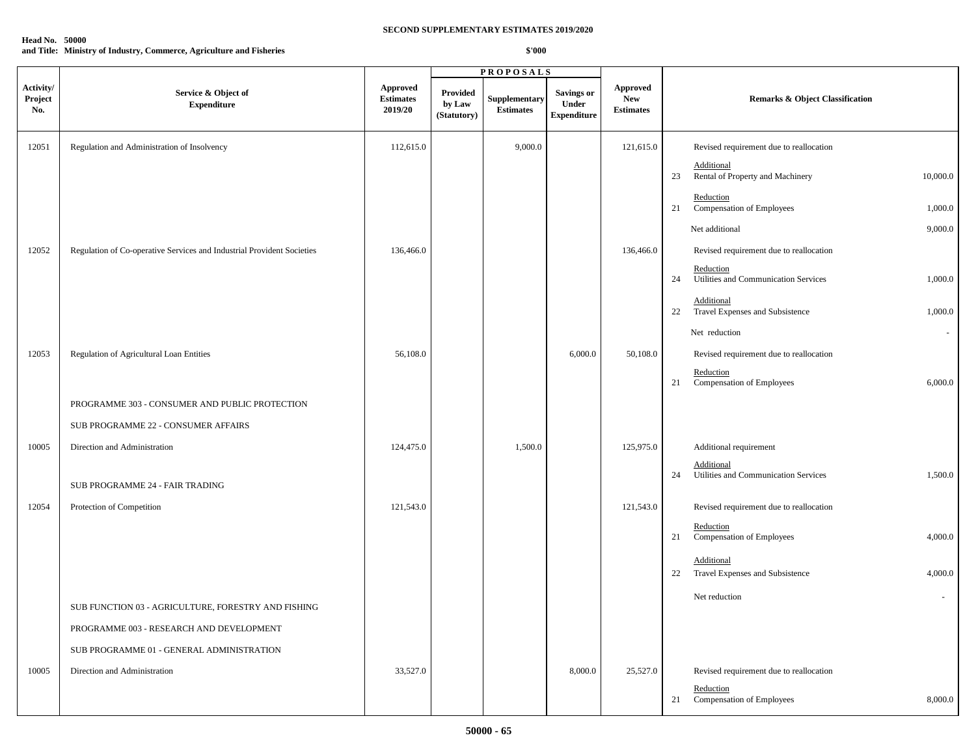| <b>Head No. 50000</b> |                                                                      |
|-----------------------|----------------------------------------------------------------------|
|                       | and Title: Ministry of Industry, Commerce, Agriculture and Fisheries |

|                             |                                                                        |                                                |                                          | <b>PROPOSALS</b>                  |                                                  |                                                   |                                                                     |
|-----------------------------|------------------------------------------------------------------------|------------------------------------------------|------------------------------------------|-----------------------------------|--------------------------------------------------|---------------------------------------------------|---------------------------------------------------------------------|
| Activity/<br>Project<br>No. | Service & Object of<br><b>Expenditure</b>                              | <b>Approved</b><br><b>Estimates</b><br>2019/20 | <b>Provided</b><br>by Law<br>(Statutory) | Supplementary<br><b>Estimates</b> | <b>Savings or</b><br>Under<br><b>Expenditure</b> | <b>Approved</b><br><b>New</b><br><b>Estimates</b> | Remarks & Object Classification                                     |
| 12051                       | Regulation and Administration of Insolvency                            | 112,615.0                                      |                                          | 9,000.0                           |                                                  | 121,615.0                                         | Revised requirement due to reallocation                             |
|                             |                                                                        |                                                |                                          |                                   |                                                  |                                                   | Additional<br>Rental of Property and Machinery<br>23<br>10,000.0    |
|                             |                                                                        |                                                |                                          |                                   |                                                  |                                                   | Reduction<br>Compensation of Employees<br>1,000.0<br>21             |
|                             |                                                                        |                                                |                                          |                                   |                                                  |                                                   | Net additional<br>9,000.0                                           |
| 12052                       | Regulation of Co-operative Services and Industrial Provident Societies | 136,466.0                                      |                                          |                                   |                                                  | 136,466.0                                         | Revised requirement due to reallocation                             |
|                             |                                                                        |                                                |                                          |                                   |                                                  |                                                   | Reduction<br>Utilities and Communication Services<br>1,000.0<br>24  |
|                             |                                                                        |                                                |                                          |                                   |                                                  |                                                   | Additional<br>22 Travel Expenses and Subsistence<br>1,000.0         |
|                             |                                                                        |                                                |                                          |                                   |                                                  |                                                   | Net reduction<br>$\sim$                                             |
| 12053                       | Regulation of Agricultural Loan Entities                               | 56,108.0                                       |                                          |                                   | 6,000.0                                          | 50,108.0                                          | Revised requirement due to reallocation                             |
|                             |                                                                        |                                                |                                          |                                   |                                                  |                                                   | Reduction<br>Compensation of Employees<br>6,000.0<br>21             |
|                             | PROGRAMME 303 - CONSUMER AND PUBLIC PROTECTION                         |                                                |                                          |                                   |                                                  |                                                   |                                                                     |
|                             | SUB PROGRAMME 22 - CONSUMER AFFAIRS                                    |                                                |                                          |                                   |                                                  |                                                   |                                                                     |
| 10005                       | Direction and Administration                                           | 124,475.0                                      |                                          | 1,500.0                           |                                                  | 125,975.0                                         | Additional requirement                                              |
|                             | SUB PROGRAMME 24 - FAIR TRADING                                        |                                                |                                          |                                   |                                                  |                                                   | Additional<br>Utilities and Communication Services<br>1,500.0<br>24 |
| 12054                       | Protection of Competition                                              | 121,543.0                                      |                                          |                                   |                                                  | 121,543.0                                         | Revised requirement due to reallocation                             |
|                             |                                                                        |                                                |                                          |                                   |                                                  |                                                   | Reduction<br>Compensation of Employees<br>4,000.0<br>21             |
|                             |                                                                        |                                                |                                          |                                   |                                                  |                                                   | Additional<br>22 Travel Expenses and Subsistence<br>4,000.0         |
|                             | SUB FUNCTION 03 - AGRICULTURE, FORESTRY AND FISHING                    |                                                |                                          |                                   |                                                  |                                                   | Net reduction<br>$\sim$                                             |
|                             | PROGRAMME 003 - RESEARCH AND DEVELOPMENT                               |                                                |                                          |                                   |                                                  |                                                   |                                                                     |
|                             | SUB PROGRAMME 01 - GENERAL ADMINISTRATION                              |                                                |                                          |                                   |                                                  |                                                   |                                                                     |
| 10005                       | Direction and Administration                                           | 33,527.0                                       |                                          |                                   | 8,000.0                                          | 25,527.0                                          | Revised requirement due to reallocation                             |
|                             |                                                                        |                                                |                                          |                                   |                                                  |                                                   | Reduction                                                           |
|                             |                                                                        |                                                |                                          |                                   |                                                  |                                                   | Compensation of Employees<br>8,000.0<br>21                          |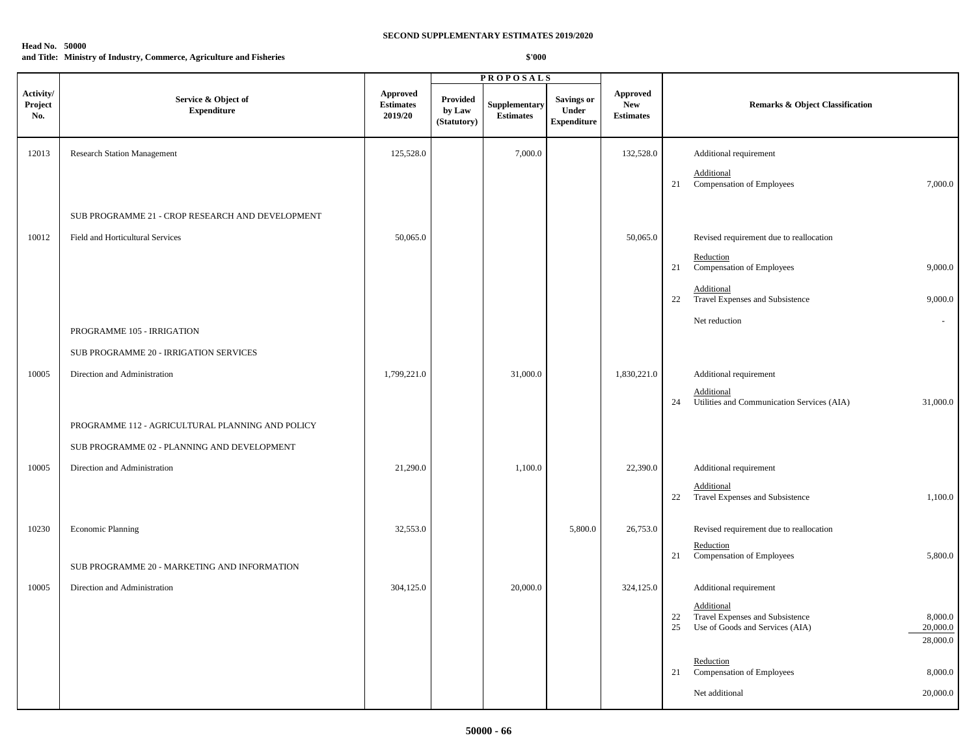### **Head No. 50000**

**and Title: Ministry of Industry, Commerce, Agriculture and Fisheries**

|                             |                                                  |                                                |                                   | <b>PROPOSALS</b>                         |                                                         |                                            |                                                                                                                                 |
|-----------------------------|--------------------------------------------------|------------------------------------------------|-----------------------------------|------------------------------------------|---------------------------------------------------------|--------------------------------------------|---------------------------------------------------------------------------------------------------------------------------------|
| Activity/<br>Project<br>No. | Service & Object of<br><b>Expenditure</b>        | <b>Approved</b><br><b>Estimates</b><br>2019/20 | Provided<br>by Law<br>(Statutory) | <b>Supplementary</b><br><b>Estimates</b> | <b>Savings or</b><br><b>Under</b><br><b>Expenditure</b> | Approved<br><b>New</b><br><b>Estimates</b> | <b>Remarks &amp; Object Classification</b>                                                                                      |
| 12013                       | <b>Research Station Management</b>               | 125,528.0                                      |                                   | 7,000.0                                  |                                                         | 132,528.0                                  | Additional requirement                                                                                                          |
|                             |                                                  |                                                |                                   |                                          |                                                         |                                            | Additional<br>21<br>Compensation of Employees<br>7,000.0                                                                        |
|                             | SUB PROGRAMME 21 - CROP RESEARCH AND DEVELOPMENT |                                                |                                   |                                          |                                                         |                                            |                                                                                                                                 |
| 10012                       | Field and Horticultural Services                 | 50,065.0                                       |                                   |                                          |                                                         | 50,065.0                                   | Revised requirement due to reallocation                                                                                         |
|                             |                                                  |                                                |                                   |                                          |                                                         |                                            | Reduction<br>Compensation of Employees<br>9,000.0<br>21                                                                         |
|                             |                                                  |                                                |                                   |                                          |                                                         |                                            | Additional<br>Travel Expenses and Subsistence<br>9,000.0<br>22                                                                  |
|                             | PROGRAMME 105 - IRRIGATION                       |                                                |                                   |                                          |                                                         |                                            | Net reduction<br>$\sim$                                                                                                         |
|                             | SUB PROGRAMME 20 - IRRIGATION SERVICES           |                                                |                                   |                                          |                                                         |                                            |                                                                                                                                 |
| 10005                       | Direction and Administration                     | 1,799,221.0                                    |                                   | 31,000.0                                 |                                                         | 1,830,221.0                                | Additional requirement                                                                                                          |
|                             |                                                  |                                                |                                   |                                          |                                                         |                                            | Additional<br>Utilities and Communication Services (AIA)<br>31,000.0<br>24                                                      |
|                             | PROGRAMME 112 - AGRICULTURAL PLANNING AND POLICY |                                                |                                   |                                          |                                                         |                                            |                                                                                                                                 |
|                             | SUB PROGRAMME 02 - PLANNING AND DEVELOPMENT      |                                                |                                   |                                          |                                                         |                                            |                                                                                                                                 |
| 10005                       | Direction and Administration                     | 21,290.0                                       |                                   | 1,100.0                                  |                                                         | 22,390.0                                   | Additional requirement                                                                                                          |
|                             |                                                  |                                                |                                   |                                          |                                                         |                                            | Additional<br>22 Travel Expenses and Subsistence<br>1,100.0                                                                     |
| 10230                       | <b>Economic Planning</b>                         | 32,553.0                                       |                                   |                                          | 5,800.0                                                 | 26,753.0                                   | Revised requirement due to reallocation                                                                                         |
|                             | SUB PROGRAMME 20 - MARKETING AND INFORMATION     |                                                |                                   |                                          |                                                         |                                            | Reduction<br>5,800.0<br>Compensation of Employees<br>21                                                                         |
| 10005                       | Direction and Administration                     | 304,125.0                                      |                                   | 20,000.0                                 |                                                         | 324,125.0                                  | Additional requirement                                                                                                          |
|                             |                                                  |                                                |                                   |                                          |                                                         |                                            | Additional<br>Travel Expenses and Subsistence<br>8,000.0<br>22<br>Use of Goods and Services (AIA)<br>20,000.0<br>25<br>28,000.0 |
|                             |                                                  |                                                |                                   |                                          |                                                         |                                            | Reduction<br>Compensation of Employees<br>8,000.0<br>21                                                                         |
|                             |                                                  |                                                |                                   |                                          |                                                         |                                            | 20,000.0<br>Net additional                                                                                                      |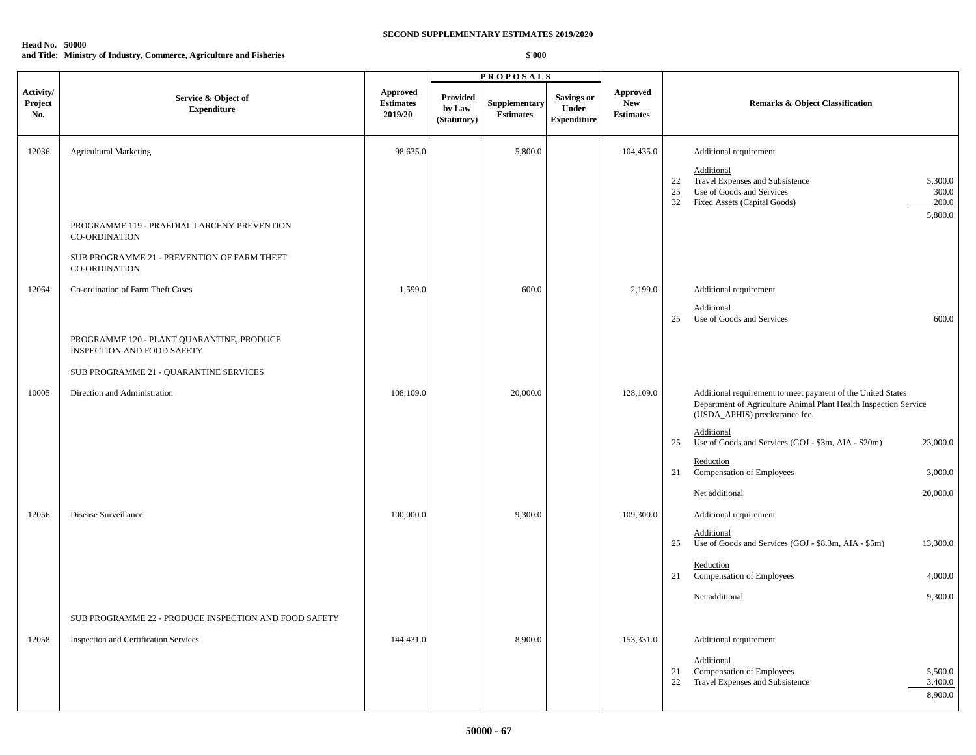#### **Head No. 50000 and Title: Ministry of Industry, Commerce, Agriculture and Fisheries**

|                             |                                                                         |                                                |                                   | <b>PROPOSALS</b>                         |                                                  |                                            |                                                                                                                                                                      |
|-----------------------------|-------------------------------------------------------------------------|------------------------------------------------|-----------------------------------|------------------------------------------|--------------------------------------------------|--------------------------------------------|----------------------------------------------------------------------------------------------------------------------------------------------------------------------|
| Activity/<br>Project<br>No. | Service & Object of<br><b>Expenditure</b>                               | <b>Approved</b><br><b>Estimates</b><br>2019/20 | Provided<br>by Law<br>(Statutory) | <b>Supplementary</b><br><b>Estimates</b> | <b>Savings or</b><br>Under<br><b>Expenditure</b> | Approved<br><b>New</b><br><b>Estimates</b> | <b>Remarks &amp; Object Classification</b>                                                                                                                           |
| 12036                       | <b>Agricultural Marketing</b>                                           | 98,635.0                                       |                                   | 5,800.0                                  |                                                  | 104,435.0                                  | Additional requirement                                                                                                                                               |
|                             |                                                                         |                                                |                                   |                                          |                                                  |                                            | Additional<br>Travel Expenses and Subsistence<br>5,300.0<br>22<br>Use of Goods and Services<br>300.0<br>25<br>Fixed Assets (Capital Goods)<br>32<br>200.0<br>5,800.0 |
|                             | PROGRAMME 119 - PRAEDIAL LARCENY PREVENTION<br><b>CO-ORDINATION</b>     |                                                |                                   |                                          |                                                  |                                            |                                                                                                                                                                      |
|                             | SUB PROGRAMME 21 - PREVENTION OF FARM THEFT<br><b>CO-ORDINATION</b>     |                                                |                                   |                                          |                                                  |                                            |                                                                                                                                                                      |
| 12064                       | Co-ordination of Farm Theft Cases                                       | 1,599.0                                        |                                   | 600.0                                    |                                                  | 2,199.0                                    | Additional requirement<br>Additional<br>Use of Goods and Services<br>600.0<br>25                                                                                     |
|                             | PROGRAMME 120 - PLANT QUARANTINE, PRODUCE<br>INSPECTION AND FOOD SAFETY |                                                |                                   |                                          |                                                  |                                            |                                                                                                                                                                      |
|                             | SUB PROGRAMME 21 - QUARANTINE SERVICES                                  |                                                |                                   |                                          |                                                  |                                            |                                                                                                                                                                      |
| 10005                       | Direction and Administration                                            | 108,109.0                                      |                                   | 20,000.0                                 |                                                  | 128,109.0                                  | Additional requirement to meet payment of the United States<br>Department of Agriculture Animal Plant Health Inspection Service<br>(USDA_APHIS) preclearance fee.    |
|                             |                                                                         |                                                |                                   |                                          |                                                  |                                            | Additional<br>Use of Goods and Services (GOJ - \$3m, AIA - \$20m)<br>23,000.0<br>25                                                                                  |
|                             |                                                                         |                                                |                                   |                                          |                                                  |                                            | Reduction<br>Compensation of Employees<br>3,000.0<br>21                                                                                                              |
|                             |                                                                         |                                                |                                   |                                          |                                                  |                                            | Net additional<br>20,000.0                                                                                                                                           |
| 12056                       | Disease Surveillance                                                    | 100,000.0                                      |                                   | 9,300.0                                  |                                                  | 109,300.0                                  | Additional requirement                                                                                                                                               |
|                             |                                                                         |                                                |                                   |                                          |                                                  |                                            | Additional<br>Use of Goods and Services (GOJ - \$8.3m, AIA - \$5m)<br>25<br>13,300.0                                                                                 |
|                             |                                                                         |                                                |                                   |                                          |                                                  |                                            | Reduction<br>Compensation of Employees<br>4,000.0<br>21                                                                                                              |
|                             |                                                                         |                                                |                                   |                                          |                                                  |                                            | Net additional<br>9,300.0                                                                                                                                            |
|                             | SUB PROGRAMME 22 - PRODUCE INSPECTION AND FOOD SAFETY                   |                                                |                                   |                                          |                                                  |                                            |                                                                                                                                                                      |
| 12058                       | Inspection and Certification Services                                   | 144,431.0                                      |                                   | 8,900.0                                  |                                                  | 153,331.0                                  | Additional requirement                                                                                                                                               |
|                             |                                                                         |                                                |                                   |                                          |                                                  |                                            | Additional<br>Compensation of Employees<br>5,500.0<br>21<br>22<br>Travel Expenses and Subsistence<br>3,400.0<br>8,900.0                                              |
|                             |                                                                         |                                                |                                   |                                          |                                                  |                                            |                                                                                                                                                                      |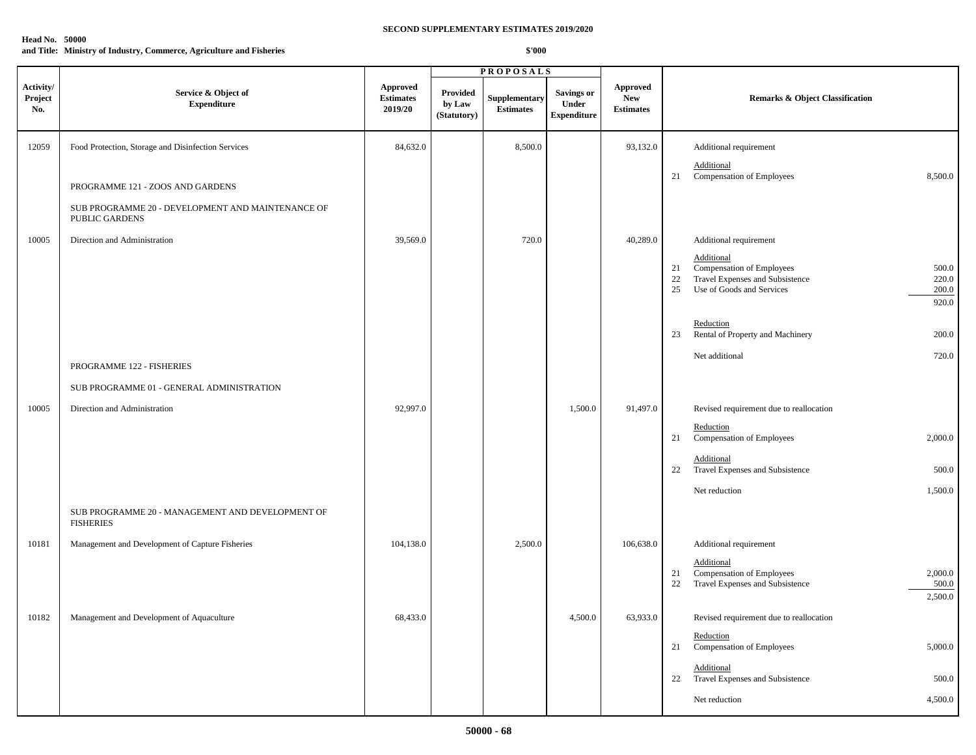# **Head No. 50000**

**and Title: Ministry of Industry, Commerce, Agriculture and Fisheries**

|                             |                                                                      |                                                |                                   | <b>PROPOSALS</b>                  |                                                  |                                                   |                                                                                                                                                               |
|-----------------------------|----------------------------------------------------------------------|------------------------------------------------|-----------------------------------|-----------------------------------|--------------------------------------------------|---------------------------------------------------|---------------------------------------------------------------------------------------------------------------------------------------------------------------|
| Activity/<br>Project<br>No. | Service & Object of<br><b>Expenditure</b>                            | <b>Approved</b><br><b>Estimates</b><br>2019/20 | Provided<br>by Law<br>(Statutory) | Supplementary<br><b>Estimates</b> | <b>Savings or</b><br>Under<br><b>Expenditure</b> | <b>Approved</b><br><b>New</b><br><b>Estimates</b> | <b>Remarks &amp; Object Classification</b>                                                                                                                    |
| 12059                       | Food Protection, Storage and Disinfection Services                   | 84,632.0                                       |                                   | 8,500.0                           |                                                  | 93,132.0                                          | Additional requirement                                                                                                                                        |
|                             | PROGRAMME 121 - ZOOS AND GARDENS                                     |                                                |                                   |                                   |                                                  |                                                   | Additional<br>21 Compensation of Employees<br>8,500.0                                                                                                         |
|                             | SUB PROGRAMME 20 - DEVELOPMENT AND MAINTENANCE OF<br>PUBLIC GARDENS  |                                                |                                   |                                   |                                                  |                                                   |                                                                                                                                                               |
| 10005                       | Direction and Administration                                         | 39,569.0                                       |                                   | 720.0                             |                                                  | 40,289.0                                          | Additional requirement                                                                                                                                        |
|                             |                                                                      |                                                |                                   |                                   |                                                  |                                                   | Additional<br>Compensation of Employees<br>500.0<br>21<br>Travel Expenses and Subsistence<br>22<br>220.0<br>Use of Goods and Services<br>200.0<br>25<br>920.0 |
|                             |                                                                      |                                                |                                   |                                   |                                                  |                                                   | Reduction<br>Rental of Property and Machinery<br>200.0<br>23                                                                                                  |
|                             | PROGRAMME 122 - FISHERIES                                            |                                                |                                   |                                   |                                                  |                                                   | Net additional<br>720.0                                                                                                                                       |
|                             | SUB PROGRAMME 01 - GENERAL ADMINISTRATION                            |                                                |                                   |                                   |                                                  |                                                   |                                                                                                                                                               |
| 10005                       | Direction and Administration                                         | 92,997.0                                       |                                   |                                   | 1,500.0                                          | 91,497.0                                          | Revised requirement due to reallocation                                                                                                                       |
|                             |                                                                      |                                                |                                   |                                   |                                                  |                                                   | Reduction<br>Compensation of Employees<br>2,000.0<br>21                                                                                                       |
|                             |                                                                      |                                                |                                   |                                   |                                                  |                                                   | Additional<br>Travel Expenses and Subsistence<br>500.0<br>22                                                                                                  |
|                             |                                                                      |                                                |                                   |                                   |                                                  |                                                   | 1,500.0<br>Net reduction                                                                                                                                      |
|                             | SUB PROGRAMME 20 - MANAGEMENT AND DEVELOPMENT OF<br><b>FISHERIES</b> |                                                |                                   |                                   |                                                  |                                                   |                                                                                                                                                               |
| 10181                       | Management and Development of Capture Fisheries                      | 104,138.0                                      |                                   | 2,500.0                           |                                                  | 106,638.0                                         | Additional requirement                                                                                                                                        |
|                             |                                                                      |                                                |                                   |                                   |                                                  |                                                   | Additional<br>Compensation of Employees<br>2,000.0<br>21<br>Travel Expenses and Subsistence<br>22<br>500.0<br>2,500.0                                         |
| 10182                       | Management and Development of Aquaculture                            | 68,433.0                                       |                                   |                                   | 4,500.0                                          | 63,933.0                                          | Revised requirement due to reallocation                                                                                                                       |
|                             |                                                                      |                                                |                                   |                                   |                                                  |                                                   | Reduction<br><b>Compensation of Employees</b><br>5,000.0<br>21                                                                                                |
|                             |                                                                      |                                                |                                   |                                   |                                                  |                                                   | Additional<br>Travel Expenses and Subsistence<br>500.0<br>22                                                                                                  |
|                             |                                                                      |                                                |                                   |                                   |                                                  |                                                   | 4,500.0<br>Net reduction                                                                                                                                      |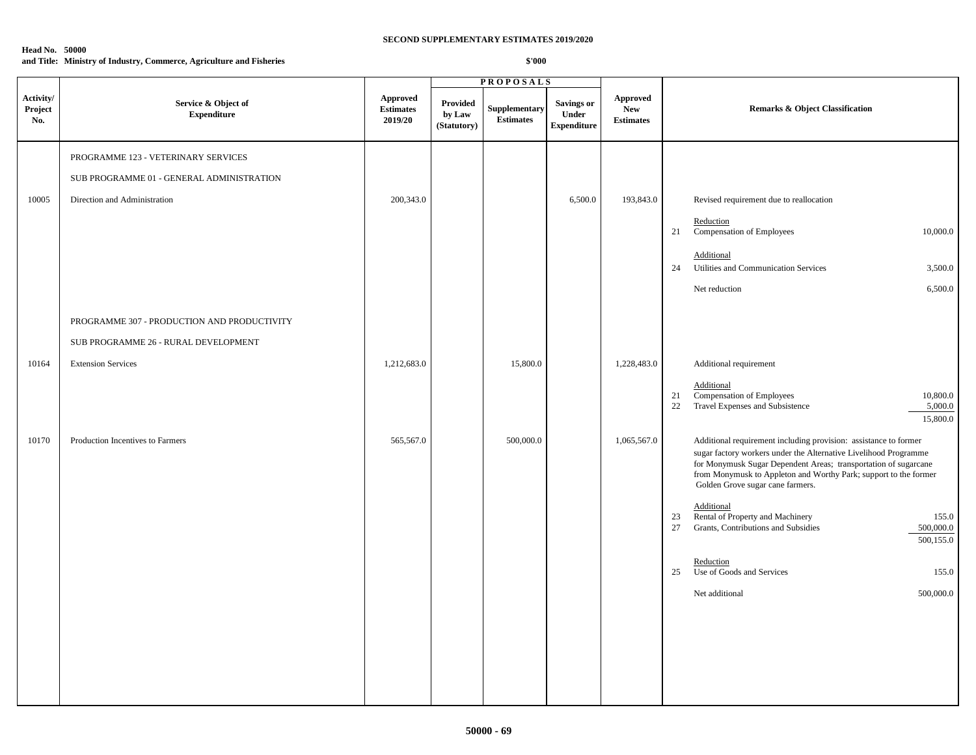# **Head No. 50000**

# **and Title: Ministry of Industry, Commerce, Agriculture and Fisheries**

|                             |                                             | <b>PROPOSALS</b>                               |                                   |                                   |                                                  |                                                   |                                                                                                                                                                                                                                                                                                                 |
|-----------------------------|---------------------------------------------|------------------------------------------------|-----------------------------------|-----------------------------------|--------------------------------------------------|---------------------------------------------------|-----------------------------------------------------------------------------------------------------------------------------------------------------------------------------------------------------------------------------------------------------------------------------------------------------------------|
| Activity/<br>Project<br>No. | Service & Object of<br><b>Expenditure</b>   | <b>Approved</b><br><b>Estimates</b><br>2019/20 | Provided<br>by Law<br>(Statutory) | Supplementary<br><b>Estimates</b> | <b>Savings or</b><br>Under<br><b>Expenditure</b> | <b>Approved</b><br><b>New</b><br><b>Estimates</b> | <b>Remarks &amp; Object Classification</b>                                                                                                                                                                                                                                                                      |
|                             | PROGRAMME 123 - VETERINARY SERVICES         |                                                |                                   |                                   |                                                  |                                                   |                                                                                                                                                                                                                                                                                                                 |
|                             | SUB PROGRAMME 01 - GENERAL ADMINISTRATION   |                                                |                                   |                                   |                                                  |                                                   |                                                                                                                                                                                                                                                                                                                 |
| 10005                       | Direction and Administration                | 200,343.0                                      |                                   |                                   | 6,500.0                                          | 193,843.0                                         | Revised requirement due to reallocation                                                                                                                                                                                                                                                                         |
|                             |                                             |                                                |                                   |                                   |                                                  |                                                   | Reduction<br>Compensation of Employees<br>10,000.0<br>21                                                                                                                                                                                                                                                        |
|                             |                                             |                                                |                                   |                                   |                                                  |                                                   | Additional<br>Utilities and Communication Services<br>3,500.0<br>24                                                                                                                                                                                                                                             |
|                             |                                             |                                                |                                   |                                   |                                                  |                                                   | 6,500.0<br>Net reduction                                                                                                                                                                                                                                                                                        |
|                             | PROGRAMME 307 - PRODUCTION AND PRODUCTIVITY |                                                |                                   |                                   |                                                  |                                                   |                                                                                                                                                                                                                                                                                                                 |
|                             | SUB PROGRAMME 26 - RURAL DEVELOPMENT        |                                                |                                   |                                   |                                                  |                                                   |                                                                                                                                                                                                                                                                                                                 |
| 10164                       | <b>Extension Services</b>                   | 1,212,683.0                                    |                                   | 15,800.0                          |                                                  | 1,228,483.0                                       | Additional requirement                                                                                                                                                                                                                                                                                          |
|                             |                                             |                                                |                                   |                                   |                                                  |                                                   | Additional<br>Compensation of Employees<br>10,800.0<br>21<br>Travel Expenses and Subsistence<br>5,000.0<br>22<br>15,800.0                                                                                                                                                                                       |
| 10170                       | Production Incentives to Farmers            | 565,567.0                                      |                                   | 500,000.0                         |                                                  | 1,065,567.0                                       | Additional requirement including provision: assistance to former<br>sugar factory workers under the Alternative Livelihood Programme<br>for Monymusk Sugar Dependent Areas; transportation of sugarcane<br>from Monymusk to Appleton and Worthy Park; support to the former<br>Golden Grove sugar cane farmers. |
|                             |                                             |                                                |                                   |                                   |                                                  |                                                   | Additional<br>Rental of Property and Machinery<br>155.0<br>23<br>27<br>Grants, Contributions and Subsidies<br>500,000.0<br>500,155.0                                                                                                                                                                            |
|                             |                                             |                                                |                                   |                                   |                                                  |                                                   | Reduction<br>Use of Goods and Services<br>25<br>155.0                                                                                                                                                                                                                                                           |
|                             |                                             |                                                |                                   |                                   |                                                  |                                                   | Net additional<br>500,000.0                                                                                                                                                                                                                                                                                     |
|                             |                                             |                                                |                                   |                                   |                                                  |                                                   |                                                                                                                                                                                                                                                                                                                 |
|                             |                                             |                                                |                                   |                                   |                                                  |                                                   |                                                                                                                                                                                                                                                                                                                 |
|                             |                                             |                                                |                                   |                                   |                                                  |                                                   |                                                                                                                                                                                                                                                                                                                 |
|                             |                                             |                                                |                                   |                                   |                                                  |                                                   |                                                                                                                                                                                                                                                                                                                 |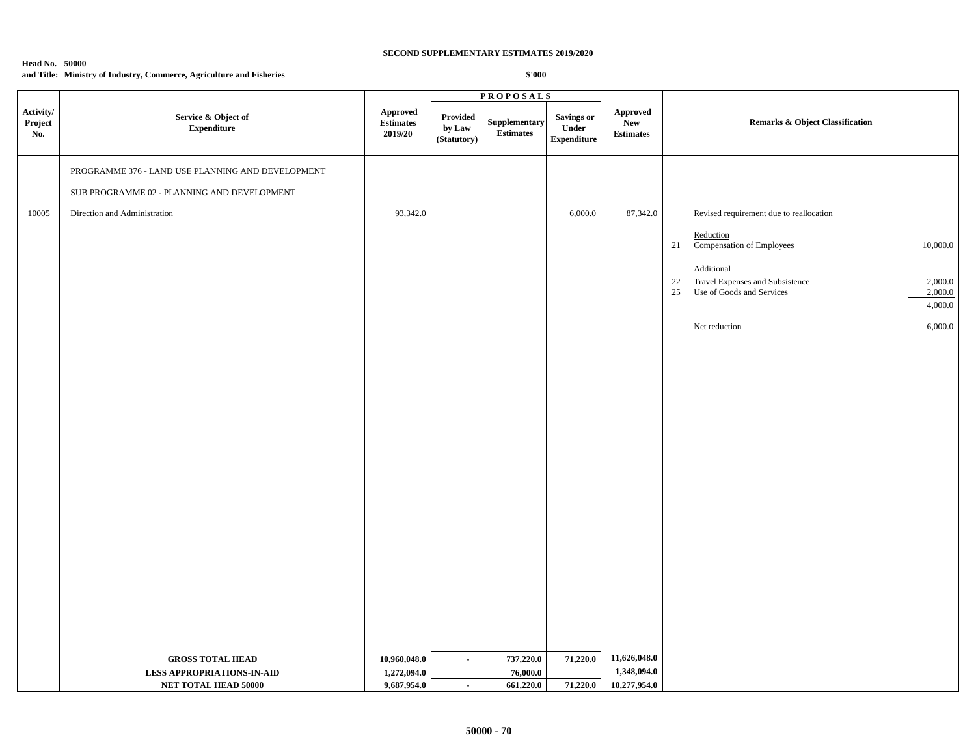#### **Head No. 50000 and Title: Ministry of Industry, Commerce, Agriculture and Fisheries**

|                             |                                                   |                                                | <b>PROPOSALS</b>                  |                                                                                                      |                                           |                                            |                                                                          |                    |
|-----------------------------|---------------------------------------------------|------------------------------------------------|-----------------------------------|------------------------------------------------------------------------------------------------------|-------------------------------------------|--------------------------------------------|--------------------------------------------------------------------------|--------------------|
| Activity/<br>Project<br>No. | Service & Object of<br><b>Expenditure</b>         | <b>Approved</b><br><b>Estimates</b><br>2019/20 | Provided<br>by Law<br>(Statutory) | Supplementary<br>$\begin{minipage}{.4\linewidth} Estimates \end{minipage} \vspace{-0.000\textwidth}$ | Savings or<br>Under<br><b>Expenditure</b> | <b>Approved</b><br>New<br><b>Estimates</b> | <b>Remarks &amp; Object Classification</b>                               |                    |
|                             | PROGRAMME 376 - LAND USE PLANNING AND DEVELOPMENT |                                                |                                   |                                                                                                      |                                           |                                            |                                                                          |                    |
|                             | SUB PROGRAMME 02 - PLANNING AND DEVELOPMENT       |                                                |                                   |                                                                                                      |                                           |                                            |                                                                          |                    |
|                             |                                                   |                                                |                                   |                                                                                                      |                                           |                                            |                                                                          |                    |
| 10005                       | Direction and Administration                      | 93,342.0                                       |                                   |                                                                                                      | 6,000.0                                   | 87,342.0                                   | Revised requirement due to reallocation                                  |                    |
|                             |                                                   |                                                |                                   |                                                                                                      |                                           |                                            | Reduction<br>Compensation of Employees<br>21                             | 10,000.0           |
|                             |                                                   |                                                |                                   |                                                                                                      |                                           |                                            | Additional                                                               |                    |
|                             |                                                   |                                                |                                   |                                                                                                      |                                           |                                            | Travel Expenses and Subsistence<br>22<br>Use of Goods and Services<br>25 | 2,000.0<br>2,000.0 |
|                             |                                                   |                                                |                                   |                                                                                                      |                                           |                                            |                                                                          | 4,000.0            |
|                             |                                                   |                                                |                                   |                                                                                                      |                                           |                                            | Net reduction                                                            | 6,000.0            |
|                             |                                                   |                                                |                                   |                                                                                                      |                                           |                                            |                                                                          |                    |
|                             |                                                   |                                                |                                   |                                                                                                      |                                           |                                            |                                                                          |                    |
|                             |                                                   |                                                |                                   |                                                                                                      |                                           |                                            |                                                                          |                    |
|                             |                                                   |                                                |                                   |                                                                                                      |                                           |                                            |                                                                          |                    |
|                             |                                                   |                                                |                                   |                                                                                                      |                                           |                                            |                                                                          |                    |
|                             |                                                   |                                                |                                   |                                                                                                      |                                           |                                            |                                                                          |                    |
|                             |                                                   |                                                |                                   |                                                                                                      |                                           |                                            |                                                                          |                    |
|                             |                                                   |                                                |                                   |                                                                                                      |                                           |                                            |                                                                          |                    |
|                             |                                                   |                                                |                                   |                                                                                                      |                                           |                                            |                                                                          |                    |
|                             |                                                   |                                                |                                   |                                                                                                      |                                           |                                            |                                                                          |                    |
|                             |                                                   |                                                |                                   |                                                                                                      |                                           |                                            |                                                                          |                    |
|                             |                                                   |                                                |                                   |                                                                                                      |                                           |                                            |                                                                          |                    |
|                             |                                                   |                                                |                                   |                                                                                                      |                                           |                                            |                                                                          |                    |
|                             |                                                   |                                                |                                   |                                                                                                      |                                           |                                            |                                                                          |                    |
|                             |                                                   |                                                |                                   |                                                                                                      |                                           |                                            |                                                                          |                    |
|                             |                                                   |                                                |                                   |                                                                                                      |                                           |                                            |                                                                          |                    |
|                             |                                                   |                                                |                                   |                                                                                                      |                                           |                                            |                                                                          |                    |
|                             | <b>GROSS TOTAL HEAD</b>                           | 10,960,048.0                                   | $\sim$                            | 737,220.0                                                                                            | 71,220.0                                  | 11,626,048.0                               |                                                                          |                    |
|                             | <b>LESS APPROPRIATIONS-IN-AID</b>                 | 1,272,094.0                                    |                                   | 76,000.0                                                                                             |                                           | 1,348,094.0                                |                                                                          |                    |
|                             | NET TOTAL HEAD 50000                              | 9,687,954.0                                    | $\blacksquare$                    | 661,220.0                                                                                            | 71,220.0                                  | 10,277,954.0                               |                                                                          |                    |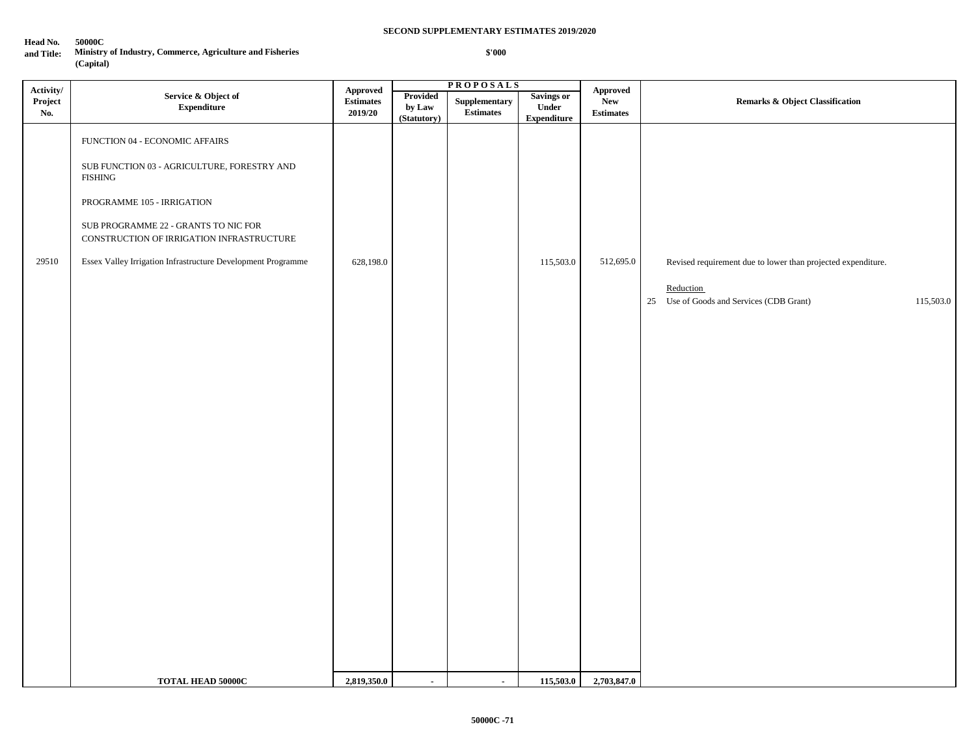**\$'000**

#### **Head No. 50000C**

**and Title: Ministry of Industry, Commerce, Agriculture and Fisheries (Capital)**

**P R O P O S A L S** FUNCTION 04 - ECONOMIC AFFAIRS SUB FUNCTION 03 - AGRICULTURE, FORESTRY AND FISHING PROGRAMME 105 - IRRIGATION SUB PROGRAMME 22 - GRANTS TO NIC FOR CONSTRUCTION OF IRRIGATION INFRASTRUCTURE 29510 Essex Valley Irrigation Infrastructure Development Programme 628,198.0 628,198.0 115,503.0 115,503.0 Revised requirement due to lower than projected expenditure. Reduction 25 Use of Goods and Services (CDB Grant) 115,503.0 **TOTAL HEAD 50000C** 2,819,350.0 - 115,503.0 2,703,847.0 **Activity/ Project No. Service & Object of Expenditure Approved Estimates 2019/20 Approved New Estimates Provided** Supplementary Savings or Approved<br>
New New Remarks & Object Classification **by Law (Statutory) Supplementary Estimates Savings or Under Expenditure**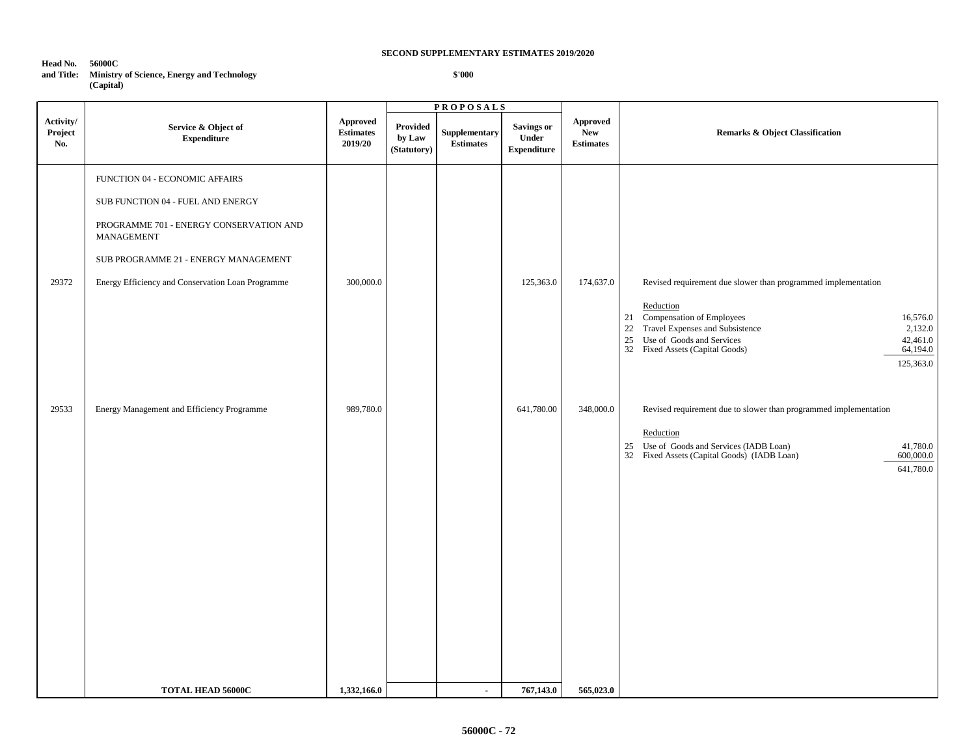| Head No.<br>and Title: | 56000C<br><b>Ministry of Science, Energy and Technology</b><br>(Capital) |
|------------------------|--------------------------------------------------------------------------|
|                        |                                                                          |

 **\$'000**

|                             |                                                                                                                                                                                                                           |                                         | <b>PROPOSALS</b>                  |                                   |                                                  |                                            |                                                                                                                                                                          |                                                          |
|-----------------------------|---------------------------------------------------------------------------------------------------------------------------------------------------------------------------------------------------------------------------|-----------------------------------------|-----------------------------------|-----------------------------------|--------------------------------------------------|--------------------------------------------|--------------------------------------------------------------------------------------------------------------------------------------------------------------------------|----------------------------------------------------------|
| Activity/<br>Project<br>No. | Service & Object of<br><b>Expenditure</b>                                                                                                                                                                                 | Approved<br><b>Estimates</b><br>2019/20 | Provided<br>by Law<br>(Statutory) | Supplementary<br><b>Estimates</b> | <b>Savings or</b><br>Under<br><b>Expenditure</b> | Approved<br><b>New</b><br><b>Estimates</b> | <b>Remarks &amp; Object Classification</b>                                                                                                                               |                                                          |
| 29372                       | FUNCTION 04 - ECONOMIC AFFAIRS<br>SUB FUNCTION 04 - FUEL AND ENERGY<br>PROGRAMME 701 - ENERGY CONSERVATION AND<br>MANAGEMENT<br>SUB PROGRAMME 21 - ENERGY MANAGEMENT<br>Energy Efficiency and Conservation Loan Programme | 300,000.0                               |                                   |                                   | 125,363.0                                        | 174,637.0                                  | Revised requirement due slower than programmed implementation                                                                                                            |                                                          |
|                             |                                                                                                                                                                                                                           |                                         |                                   |                                   |                                                  |                                            | Reduction<br>21 Compensation of Employees<br>22 Travel Expenses and Subsistence<br>25<br>Use of Goods and Services<br>32 Fixed Assets (Capital Goods)                    | 16,576.0<br>2,132.0<br>42,461.0<br>64,194.0<br>125,363.0 |
| 29533                       | Energy Management and Efficiency Programme                                                                                                                                                                                | 989,780.0                               |                                   |                                   | 641,780.00                                       | 348,000.0                                  | Revised requirement due to slower than programmed implementation<br>Reduction<br>25 Use of Goods and Services (IADB Loan)<br>32 Fixed Assets (Capital Goods) (IADB Loan) | 41,780.0<br>600,000.0<br>641,780.0                       |
|                             | <b>TOTAL HEAD 56000C</b>                                                                                                                                                                                                  | 1,332,166.0                             |                                   | $\blacksquare$                    | 767,143.0                                        | 565,023.0                                  |                                                                                                                                                                          |                                                          |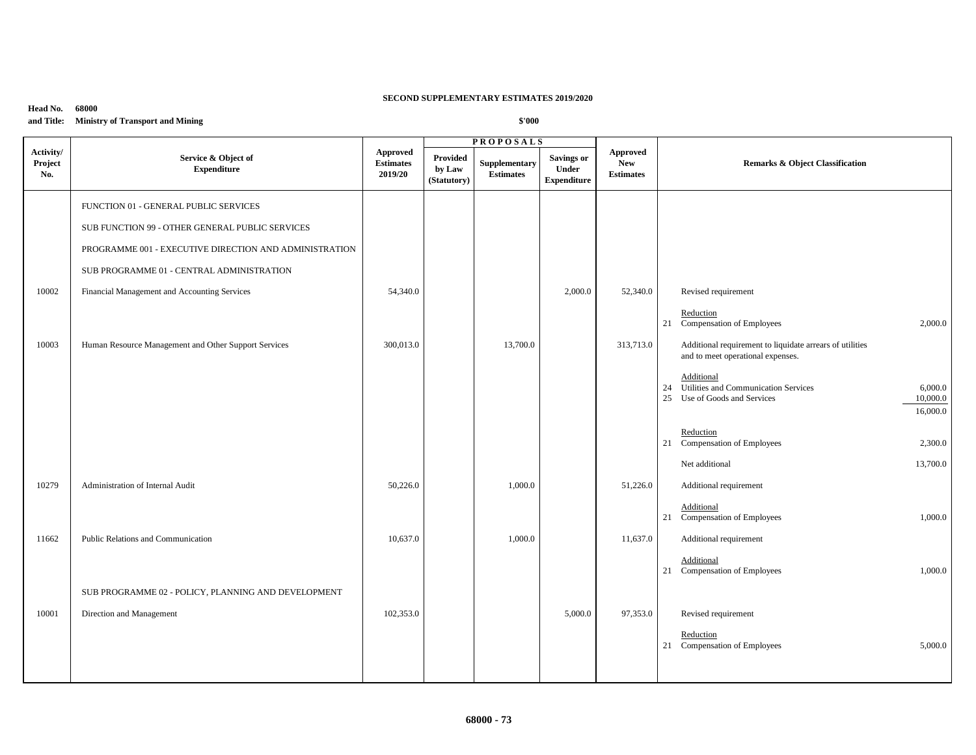### **Head No. 68000 and Title: Ministry of Transport and Mining**

|                             |                                                        |                                         | <b>PROPOSALS</b>                         |                                   |                                                         |                                                   |                                                                                                |
|-----------------------------|--------------------------------------------------------|-----------------------------------------|------------------------------------------|-----------------------------------|---------------------------------------------------------|---------------------------------------------------|------------------------------------------------------------------------------------------------|
| Activity/<br>Project<br>No. | Service & Object of<br><b>Expenditure</b>              | Approved<br><b>Estimates</b><br>2019/20 | <b>Provided</b><br>by Law<br>(Statutory) | Supplementary<br><b>Estimates</b> | <b>Savings or</b><br><b>Under</b><br><b>Expenditure</b> | <b>Approved</b><br><b>New</b><br><b>Estimates</b> | <b>Remarks &amp; Object Classification</b>                                                     |
|                             | FUNCTION 01 - GENERAL PUBLIC SERVICES                  |                                         |                                          |                                   |                                                         |                                                   |                                                                                                |
|                             | SUB FUNCTION 99 - OTHER GENERAL PUBLIC SERVICES        |                                         |                                          |                                   |                                                         |                                                   |                                                                                                |
|                             |                                                        |                                         |                                          |                                   |                                                         |                                                   |                                                                                                |
|                             | PROGRAMME 001 - EXECUTIVE DIRECTION AND ADMINISTRATION |                                         |                                          |                                   |                                                         |                                                   |                                                                                                |
|                             | SUB PROGRAMME 01 - CENTRAL ADMINISTRATION              |                                         |                                          |                                   |                                                         |                                                   |                                                                                                |
| 10002                       | Financial Management and Accounting Services           | 54,340.0                                |                                          |                                   | 2,000.0                                                 | 52,340.0                                          | Revised requirement                                                                            |
|                             |                                                        |                                         |                                          |                                   |                                                         |                                                   | Reduction<br>2,000.0                                                                           |
|                             |                                                        |                                         |                                          |                                   |                                                         |                                                   | 21 Compensation of Employees                                                                   |
| 10003                       | Human Resource Management and Other Support Services   | 300,013.0                               |                                          | 13,700.0                          |                                                         | 313,713.0                                         | Additional requirement to liquidate arrears of utilities<br>and to meet operational expenses.  |
|                             |                                                        |                                         |                                          |                                   |                                                         |                                                   | Additional                                                                                     |
|                             |                                                        |                                         |                                          |                                   |                                                         |                                                   | 24 Utilities and Communication Services<br>6,000.0<br>25 Use of Goods and Services<br>10,000.0 |
|                             |                                                        |                                         |                                          |                                   |                                                         |                                                   | 16,000.0                                                                                       |
|                             |                                                        |                                         |                                          |                                   |                                                         |                                                   | Reduction                                                                                      |
|                             |                                                        |                                         |                                          |                                   |                                                         |                                                   | 21 Compensation of Employees<br>2,300.0                                                        |
|                             |                                                        |                                         |                                          |                                   |                                                         |                                                   | Net additional<br>13,700.0                                                                     |
| 10279                       | Administration of Internal Audit                       | 50,226.0                                |                                          | 1,000.0                           |                                                         | 51,226.0                                          | Additional requirement                                                                         |
|                             |                                                        |                                         |                                          |                                   |                                                         |                                                   | Additional                                                                                     |
|                             |                                                        |                                         |                                          |                                   |                                                         |                                                   | 21 Compensation of Employees<br>1,000.0                                                        |
| 11662                       | Public Relations and Communication                     | 10,637.0                                |                                          | 1,000.0                           |                                                         | 11,637.0                                          | Additional requirement                                                                         |
|                             |                                                        |                                         |                                          |                                   |                                                         |                                                   | Additional<br>1,000.0                                                                          |
|                             |                                                        |                                         |                                          |                                   |                                                         |                                                   | 21 Compensation of Employees                                                                   |
|                             | SUB PROGRAMME 02 - POLICY, PLANNING AND DEVELOPMENT    |                                         |                                          |                                   |                                                         |                                                   |                                                                                                |
| 10001                       | Direction and Management                               | 102,353.0                               |                                          |                                   | 5,000.0                                                 | 97,353.0                                          | Revised requirement                                                                            |
|                             |                                                        |                                         |                                          |                                   |                                                         |                                                   | Reduction<br>21 Compensation of Employees<br>5,000.0                                           |
|                             |                                                        |                                         |                                          |                                   |                                                         |                                                   |                                                                                                |
|                             |                                                        |                                         |                                          |                                   |                                                         |                                                   |                                                                                                |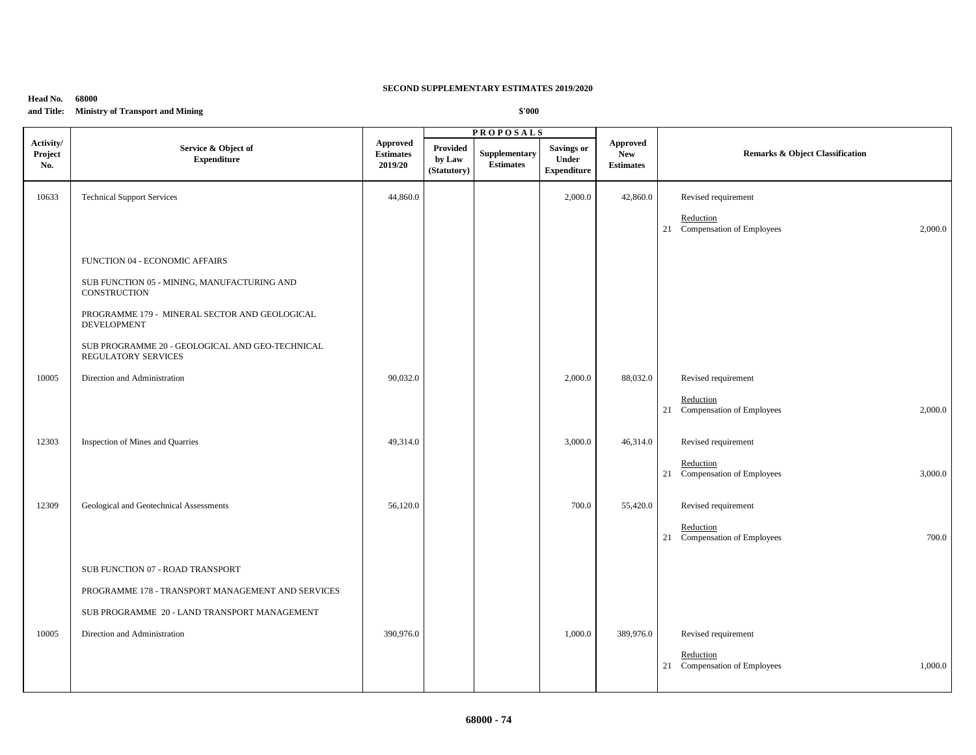### **Head No. 68000**

**and Title: Ministry of Transport and Mining**

|                             |                                                                        |                                                | <b>PROPOSALS</b>                         |                                   |                                                         |                                            |                                                      |  |
|-----------------------------|------------------------------------------------------------------------|------------------------------------------------|------------------------------------------|-----------------------------------|---------------------------------------------------------|--------------------------------------------|------------------------------------------------------|--|
| Activity/<br>Project<br>No. | Service & Object of<br><b>Expenditure</b>                              | <b>Approved</b><br><b>Estimates</b><br>2019/20 | <b>Provided</b><br>by Law<br>(Statutory) | Supplementary<br><b>Estimates</b> | <b>Savings or</b><br><b>Under</b><br><b>Expenditure</b> | Approved<br><b>New</b><br><b>Estimates</b> | <b>Remarks &amp; Object Classification</b>           |  |
| 10633                       | <b>Technical Support Services</b>                                      | 44,860.0                                       |                                          |                                   | 2,000.0                                                 | 42,860.0                                   | Revised requirement                                  |  |
|                             |                                                                        |                                                |                                          |                                   |                                                         |                                            | Reduction<br>21 Compensation of Employees<br>2,000.0 |  |
|                             | FUNCTION 04 - ECONOMIC AFFAIRS                                         |                                                |                                          |                                   |                                                         |                                            |                                                      |  |
|                             | SUB FUNCTION 05 - MINING, MANUFACTURING AND<br>CONSTRUCTION            |                                                |                                          |                                   |                                                         |                                            |                                                      |  |
|                             | PROGRAMME 179 - MINERAL SECTOR AND GEOLOGICAL<br><b>DEVELOPMENT</b>    |                                                |                                          |                                   |                                                         |                                            |                                                      |  |
|                             | SUB PROGRAMME 20 - GEOLOGICAL AND GEO-TECHNICAL<br>REGULATORY SERVICES |                                                |                                          |                                   |                                                         |                                            |                                                      |  |
| 10005                       | Direction and Administration                                           | 90,032.0                                       |                                          |                                   | 2,000.0                                                 | 88,032.0                                   | Revised requirement                                  |  |
|                             |                                                                        |                                                |                                          |                                   |                                                         |                                            | Reduction<br>21 Compensation of Employees<br>2,000.0 |  |
| 12303                       | Inspection of Mines and Quarries                                       | 49,314.0                                       |                                          |                                   | 3,000.0                                                 | 46,314.0                                   | Revised requirement                                  |  |
|                             |                                                                        |                                                |                                          |                                   |                                                         |                                            | Reduction<br>21 Compensation of Employees<br>3,000.0 |  |
| 12309                       | Geological and Geotechnical Assessments                                | 56,120.0                                       |                                          |                                   | 700.0                                                   | 55,420.0                                   | Revised requirement                                  |  |
|                             |                                                                        |                                                |                                          |                                   |                                                         |                                            | Reduction<br>21 Compensation of Employees<br>700.0   |  |
|                             | SUB FUNCTION 07 - ROAD TRANSPORT                                       |                                                |                                          |                                   |                                                         |                                            |                                                      |  |
|                             | PROGRAMME 178 - TRANSPORT MANAGEMENT AND SERVICES                      |                                                |                                          |                                   |                                                         |                                            |                                                      |  |
|                             | SUB PROGRAMME 20 - LAND TRANSPORT MANAGEMENT                           |                                                |                                          |                                   |                                                         |                                            |                                                      |  |
| 10005                       | Direction and Administration                                           | 390,976.0                                      |                                          |                                   | 1,000.0                                                 | 389,976.0                                  | Revised requirement                                  |  |
|                             |                                                                        |                                                |                                          |                                   |                                                         |                                            | Reduction<br>21 Compensation of Employees<br>1,000.0 |  |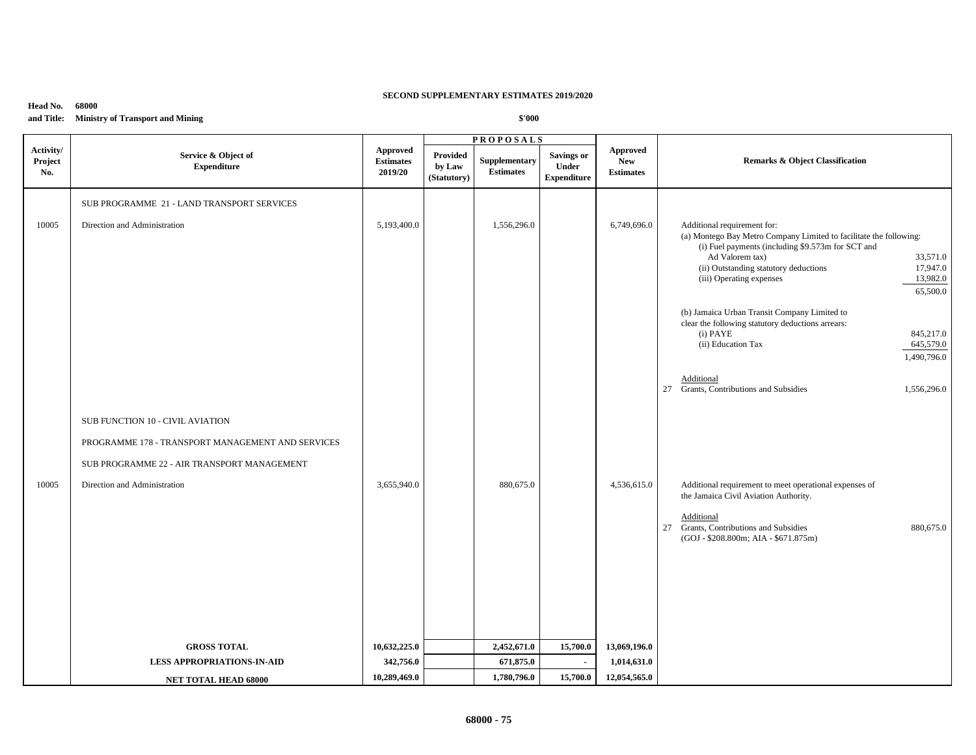**Head No. 68000 and Title: Ministry of Transport and Mining**

|                             |                                                                                                                                                                      |                                                | <b>PROPOSALS</b>                         |                                   |                                                  |                                                   |                                                                                                                                                                                                                                                                                                                                                                                                                                                                                                                                                         |
|-----------------------------|----------------------------------------------------------------------------------------------------------------------------------------------------------------------|------------------------------------------------|------------------------------------------|-----------------------------------|--------------------------------------------------|---------------------------------------------------|---------------------------------------------------------------------------------------------------------------------------------------------------------------------------------------------------------------------------------------------------------------------------------------------------------------------------------------------------------------------------------------------------------------------------------------------------------------------------------------------------------------------------------------------------------|
| Activity/<br>Project<br>No. | Service & Object of<br><b>Expenditure</b>                                                                                                                            | <b>Approved</b><br><b>Estimates</b><br>2019/20 | <b>Provided</b><br>by Law<br>(Statutory) | Supplementary<br><b>Estimates</b> | <b>Savings or</b><br>Under<br><b>Expenditure</b> | <b>Approved</b><br><b>New</b><br><b>Estimates</b> | <b>Remarks &amp; Object Classification</b>                                                                                                                                                                                                                                                                                                                                                                                                                                                                                                              |
| 10005                       | SUB PROGRAMME 21 - LAND TRANSPORT SERVICES<br>Direction and Administration                                                                                           | 5,193,400.0                                    |                                          | 1,556,296.0                       |                                                  | 6,749,696.0                                       | Additional requirement for:<br>(a) Montego Bay Metro Company Limited to facilitate the following:<br>(i) Fuel payments (including \$9.573m for SCT and<br>Ad Valorem tax)<br>33,571.0<br>(ii) Outstanding statutory deductions<br>17,947.0<br>(iii) Operating expenses<br>13,982.0<br>65,500.0<br>(b) Jamaica Urban Transit Company Limited to<br>clear the following statutory deductions arrears:<br>$(i)$ PAYE<br>845,217.0<br>(ii) Education Tax<br>645,579.0<br>1,490,796.0<br>Additional<br>27 Grants, Contributions and Subsidies<br>1,556,296.0 |
| 10005                       | SUB FUNCTION 10 - CIVIL AVIATION<br>PROGRAMME 178 - TRANSPORT MANAGEMENT AND SERVICES<br>SUB PROGRAMME 22 - AIR TRANSPORT MANAGEMENT<br>Direction and Administration | 3,655,940.0                                    |                                          | 880,675.0                         |                                                  | 4,536,615.0                                       | Additional requirement to meet operational expenses of<br>the Jamaica Civil Aviation Authority.<br>Additional<br>27 Grants, Contributions and Subsidies<br>880,675.0<br>(GOJ - \$208.800m; AIA - \$671.875m)                                                                                                                                                                                                                                                                                                                                            |
|                             | <b>GROSS TOTAL</b>                                                                                                                                                   | 10,632,225.0                                   |                                          | 2,452,671.0                       | 15,700.0                                         | 13,069,196.0                                      |                                                                                                                                                                                                                                                                                                                                                                                                                                                                                                                                                         |
|                             | <b>LESS APPROPRIATIONS-IN-AID</b>                                                                                                                                    | 342,756.0                                      |                                          | 671,875.0                         | $\blacksquare$                                   | 1,014,631.0                                       |                                                                                                                                                                                                                                                                                                                                                                                                                                                                                                                                                         |
|                             | NET TOTAL HEAD 68000                                                                                                                                                 | 10,289,469.0                                   |                                          | 1,780,796.0                       | 15,700.0                                         | 12,054,565.0                                      |                                                                                                                                                                                                                                                                                                                                                                                                                                                                                                                                                         |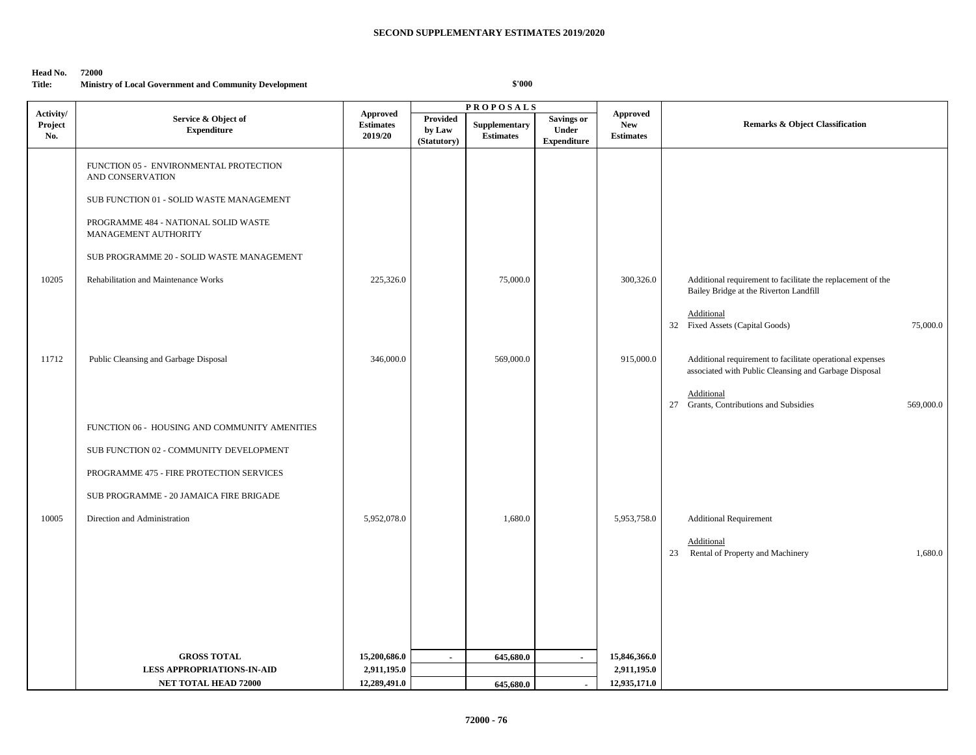# Head No. 72000<br>Title: Minist

### **Ministry of Local Government and Community Development**

| Activity/      |                                                                                                                                                                                                                                                             |                                                |                                   | <b>PROPOSALS</b>                  |                                                         | <b>Approved</b>                |                                                                                                                                                                                            |  |
|----------------|-------------------------------------------------------------------------------------------------------------------------------------------------------------------------------------------------------------------------------------------------------------|------------------------------------------------|-----------------------------------|-----------------------------------|---------------------------------------------------------|--------------------------------|--------------------------------------------------------------------------------------------------------------------------------------------------------------------------------------------|--|
| Project<br>No. | Service & Object of<br><b>Expenditure</b>                                                                                                                                                                                                                   | <b>Approved</b><br><b>Estimates</b><br>2019/20 | Provided<br>by Law<br>(Statutory) | Supplementary<br><b>Estimates</b> | <b>Savings or</b><br><b>Under</b><br><b>Expenditure</b> | <b>New</b><br><b>Estimates</b> | <b>Remarks &amp; Object Classification</b>                                                                                                                                                 |  |
| 10205          | FUNCTION 05 - ENVIRONMENTAL PROTECTION<br>AND CONSERVATION<br>SUB FUNCTION 01 - SOLID WASTE MANAGEMENT<br>PROGRAMME 484 - NATIONAL SOLID WASTE<br>MANAGEMENT AUTHORITY<br>SUB PROGRAMME 20 - SOLID WASTE MANAGEMENT<br>Rehabilitation and Maintenance Works | 225,326.0                                      |                                   | 75,000.0                          |                                                         | 300,326.0                      | Additional requirement to facilitate the replacement of the<br>Bailey Bridge at the Riverton Landfill<br>Additional<br>32 Fixed Assets (Capital Goods)<br>75,000.0                         |  |
| 11712          | Public Cleansing and Garbage Disposal                                                                                                                                                                                                                       | 346,000.0                                      |                                   | 569,000.0                         |                                                         | 915,000.0                      | Additional requirement to facilitate operational expenses<br>associated with Public Cleansing and Garbage Disposal<br>Additional<br>Grants, Contributions and Subsidies<br>27<br>569,000.0 |  |
| 10005          | FUNCTION 06 - HOUSING AND COMMUNITY AMENITIES<br>SUB FUNCTION 02 - COMMUNITY DEVELOPMENT<br>PROGRAMME 475 - FIRE PROTECTION SERVICES<br>SUB PROGRAMME - 20 JAMAICA FIRE BRIGADE<br>Direction and Administration                                             | 5,952,078.0                                    |                                   | 1,680.0                           |                                                         | 5,953,758.0                    | <b>Additional Requirement</b><br>Additional<br>23 Rental of Property and Machinery<br>1,680.0                                                                                              |  |
|                | <b>GROSS TOTAL</b>                                                                                                                                                                                                                                          | 15,200,686.0                                   | $\blacksquare$                    | 645,680.0                         | $\sim$                                                  | 15,846,366.0                   |                                                                                                                                                                                            |  |
|                | <b>LESS APPROPRIATIONS-IN-AID</b>                                                                                                                                                                                                                           | 2,911,195.0                                    |                                   |                                   |                                                         | 2,911,195.0                    |                                                                                                                                                                                            |  |
|                | <b>NET TOTAL HEAD 72000</b>                                                                                                                                                                                                                                 | 12,289,491.0                                   |                                   | 645,680.0                         | $\blacksquare$                                          | 12,935,171.0                   |                                                                                                                                                                                            |  |